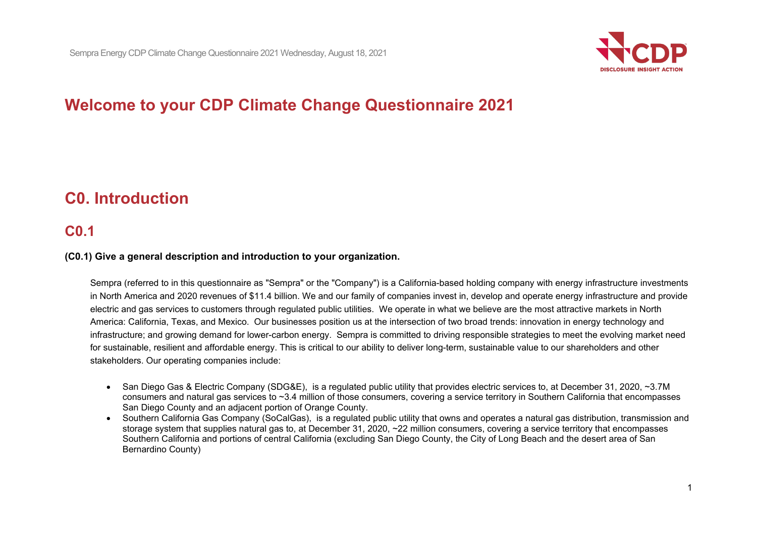

# **Welcome to your CDP Climate Change Questionnaire 2021**

# **C0. Introduction**

## **C0.1**

## **(C0.1) Give a general description and introduction to your organization.**

Sempra (referred to in this questionnaire as "Sempra" or the "Company") is a California-based holding company with energy infrastructure investments in North America and 2020 revenues of \$11.4 billion. We and our family of companies invest in, develop and operate energy infrastructure and provide electric and gas services to customers through regulated public utilities. We operate in what we believe are the most attractive markets in North America: California, Texas, and Mexico. Our businesses position us at the intersection of two broad trends: innovation in energy technology and infrastructure; and growing demand for lower-carbon energy. Sempra is committed to driving responsible strategies to meet the evolving market need for sustainable, resilient and affordable energy. This is critical to our ability to deliver long-term, sustainable value to our shareholders and other stakeholders. Our operating companies include:

- San Diego Gas & Electric Company (SDG&E), is a regulated public utility that provides electric services to, at December 31, 2020, ~3.7M consumers and natural gas services to ~3.4 million of those consumers, covering a service territory in Southern California that encompasses San Diego County and an adjacent portion of Orange County.
- Southern California Gas Company (SoCalGas), is a regulated public utility that owns and operates a natural gas distribution, transmission and storage system that supplies natural gas to, at December 31, 2020, ~22 million consumers, covering a service territory that encompasses Southern California and portions of central California (excluding San Diego County, the City of Long Beach and the desert area of San Bernardino County)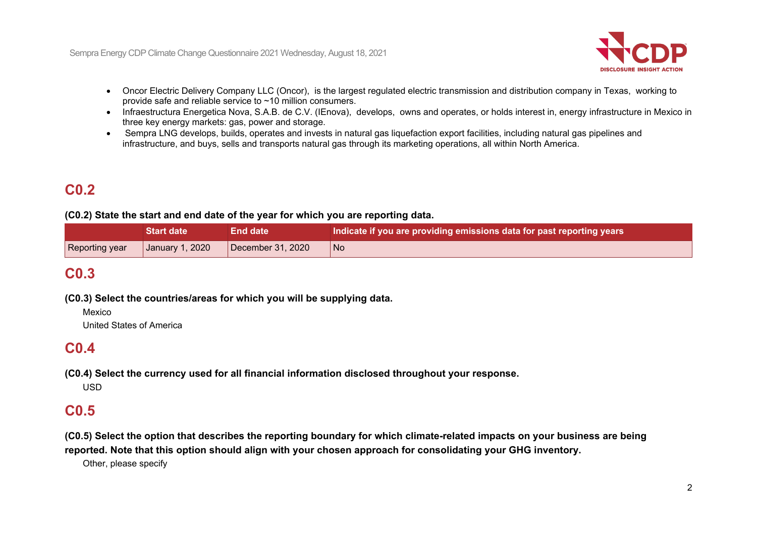

- Oncor Electric Delivery Company LLC (Oncor), is the largest regulated electric transmission and distribution company in Texas, working to provide safe and reliable service to ~10 million consumers.
- Infraestructura Energetica Nova, S.A.B. de C.V. (IEnova), develops, owns and operates, or holds interest in, energy infrastructure in Mexico in three key energy markets: gas, power and storage.
- Sempra LNG develops, builds, operates and invests in natural gas liquefaction export facilities, including natural gas pipelines and infrastructure, and buys, sells and transports natural gas through its marketing operations, all within North America.

# **C0.2**

## **(C0.2) State the start and end date of the year for which you are reporting data.**

|                | Start date      | <b>LEnd date</b>  | Indicate if you are providing emissions data for past reporting years |
|----------------|-----------------|-------------------|-----------------------------------------------------------------------|
| Reporting year | January 1, 2020 | December 31, 2020 | l No                                                                  |

## **C0.3**

## **(C0.3) Select the countries/areas for which you will be supplying data.**

Mexico United States of America

## **C0.4**

**(C0.4) Select the currency used for all financial information disclosed throughout your response.**

USD

## **C0.5**

**(C0.5) Select the option that describes the reporting boundary for which climate-related impacts on your business are being reported. Note that this option should align with your chosen approach for consolidating your GHG inventory.**

Other, please specify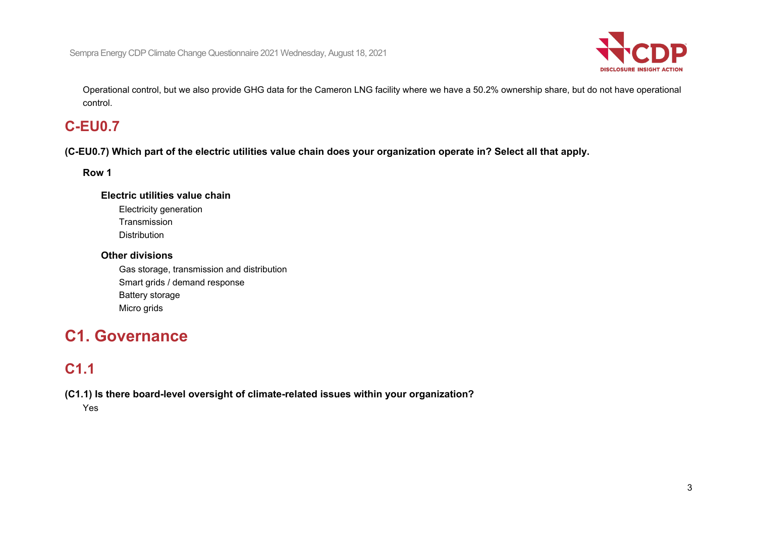

Operational control, but we also provide GHG data for the Cameron LNG facility where we have a 50.2% ownership share, but do not have operational control.

## **C-EU0.7**

**(C-EU0.7) Which part of the electric utilities value chain does your organization operate in? Select all that apply.**

## **Electric utilities value chain**

Electricity generation **Transmission Distribution** 

## **Other divisions**

Gas storage, transmission and distribution Smart grids / demand response Battery storage Micro grids

# **C1. Governance**

# **C1.1**

**(C1.1) Is there board-level oversight of climate-related issues within your organization?**

Yes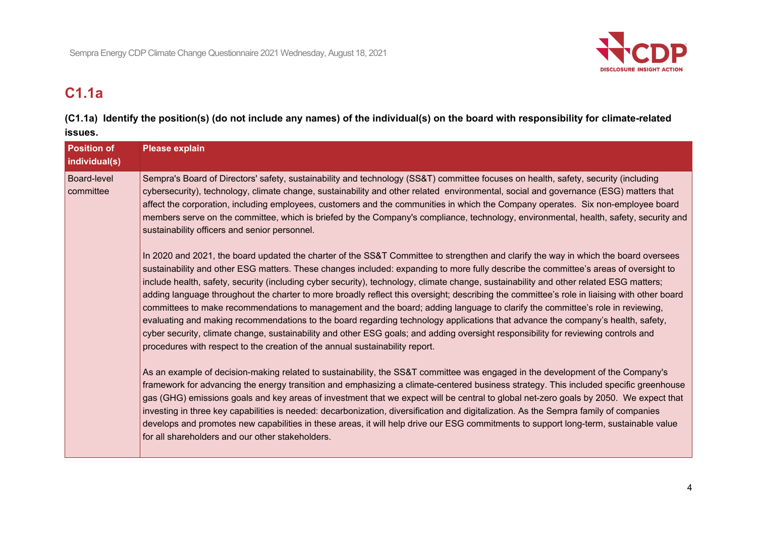

# **C1.1a**

**(C1.1a) Identify the position(s) (do not include any names) of the individual(s) on the board with responsibility for climate-related issues.**

| <b>Position of</b><br>individual(s) | <b>Please explain</b>                                                                                                                                                                                                                                                                                                                                                                                                                                                                                                                                                                                                                                                                                                                                                                                                                                                                                                                                                                                                                                          |
|-------------------------------------|----------------------------------------------------------------------------------------------------------------------------------------------------------------------------------------------------------------------------------------------------------------------------------------------------------------------------------------------------------------------------------------------------------------------------------------------------------------------------------------------------------------------------------------------------------------------------------------------------------------------------------------------------------------------------------------------------------------------------------------------------------------------------------------------------------------------------------------------------------------------------------------------------------------------------------------------------------------------------------------------------------------------------------------------------------------|
| Board-level<br>committee            | Sempra's Board of Directors' safety, sustainability and technology (SS&T) committee focuses on health, safety, security (including<br>cybersecurity), technology, climate change, sustainability and other related environmental, social and governance (ESG) matters that<br>affect the corporation, including employees, customers and the communities in which the Company operates. Six non-employee board<br>members serve on the committee, which is briefed by the Company's compliance, technology, environmental, health, safety, security and<br>sustainability officers and senior personnel.                                                                                                                                                                                                                                                                                                                                                                                                                                                       |
|                                     | In 2020 and 2021, the board updated the charter of the SS&T Committee to strengthen and clarify the way in which the board oversees<br>sustainability and other ESG matters. These changes included: expanding to more fully describe the committee's areas of oversight to<br>include health, safety, security (including cyber security), technology, climate change, sustainability and other related ESG matters;<br>adding language throughout the charter to more broadly reflect this oversight; describing the committee's role in liaising with other board<br>committees to make recommendations to management and the board; adding language to clarify the committee's role in reviewing,<br>evaluating and making recommendations to the board regarding technology applications that advance the company's health, safety,<br>cyber security, climate change, sustainability and other ESG goals; and adding oversight responsibility for reviewing controls and<br>procedures with respect to the creation of the annual sustainability report. |
|                                     | As an example of decision-making related to sustainability, the SS&T committee was engaged in the development of the Company's<br>framework for advancing the energy transition and emphasizing a climate-centered business strategy. This included specific greenhouse<br>gas (GHG) emissions goals and key areas of investment that we expect will be central to global net-zero goals by 2050. We expect that<br>investing in three key capabilities is needed: decarbonization, diversification and digitalization. As the Sempra family of companies<br>develops and promotes new capabilities in these areas, it will help drive our ESG commitments to support long-term, sustainable value<br>for all shareholders and our other stakeholders.                                                                                                                                                                                                                                                                                                         |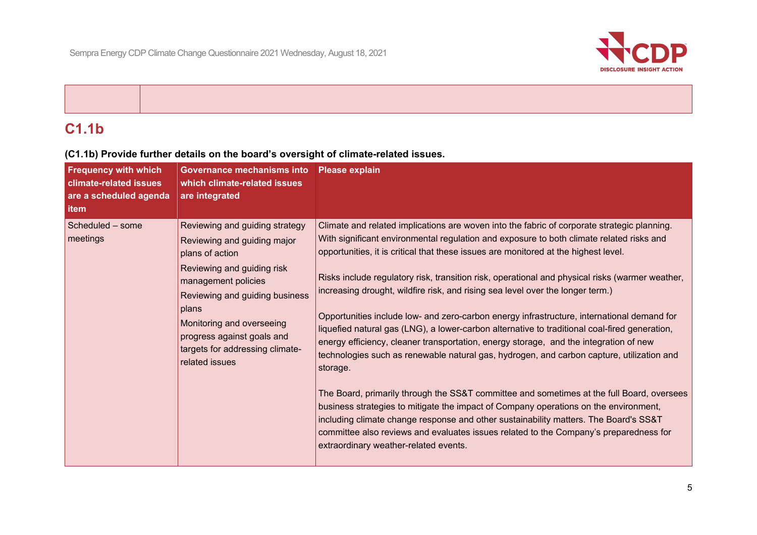

# **C1.1b**

## **(C1.1b) Provide further details on the board's oversight of climate-related issues.**

| <b>Frequency with which</b><br>climate-related issues<br>are a scheduled agenda<br><b>item</b> | Governance mechanisms into Please explain<br>which climate-related issues<br>are integrated                                                                                                                                                                                                      |                                                                                                                                                                                                                                                                                                                                                                                                                                                                                                                                                                                                                                                                                                                                                                                                                                                                                                                                                                                                                                                                                                                                                                                                                                                                                     |
|------------------------------------------------------------------------------------------------|--------------------------------------------------------------------------------------------------------------------------------------------------------------------------------------------------------------------------------------------------------------------------------------------------|-------------------------------------------------------------------------------------------------------------------------------------------------------------------------------------------------------------------------------------------------------------------------------------------------------------------------------------------------------------------------------------------------------------------------------------------------------------------------------------------------------------------------------------------------------------------------------------------------------------------------------------------------------------------------------------------------------------------------------------------------------------------------------------------------------------------------------------------------------------------------------------------------------------------------------------------------------------------------------------------------------------------------------------------------------------------------------------------------------------------------------------------------------------------------------------------------------------------------------------------------------------------------------------|
| Scheduled – some<br>meetings                                                                   | Reviewing and guiding strategy<br>Reviewing and guiding major<br>plans of action<br>Reviewing and guiding risk<br>management policies<br>Reviewing and guiding business<br>plans<br>Monitoring and overseeing<br>progress against goals and<br>targets for addressing climate-<br>related issues | Climate and related implications are woven into the fabric of corporate strategic planning.<br>With significant environmental regulation and exposure to both climate related risks and<br>opportunities, it is critical that these issues are monitored at the highest level.<br>Risks include regulatory risk, transition risk, operational and physical risks (warmer weather,<br>increasing drought, wildfire risk, and rising sea level over the longer term.)<br>Opportunities include low- and zero-carbon energy infrastructure, international demand for<br>liquefied natural gas (LNG), a lower-carbon alternative to traditional coal-fired generation,<br>energy efficiency, cleaner transportation, energy storage, and the integration of new<br>technologies such as renewable natural gas, hydrogen, and carbon capture, utilization and<br>storage.<br>The Board, primarily through the SS&T committee and sometimes at the full Board, oversees<br>business strategies to mitigate the impact of Company operations on the environment,<br>including climate change response and other sustainability matters. The Board's SS&T<br>committee also reviews and evaluates issues related to the Company's preparedness for<br>extraordinary weather-related events. |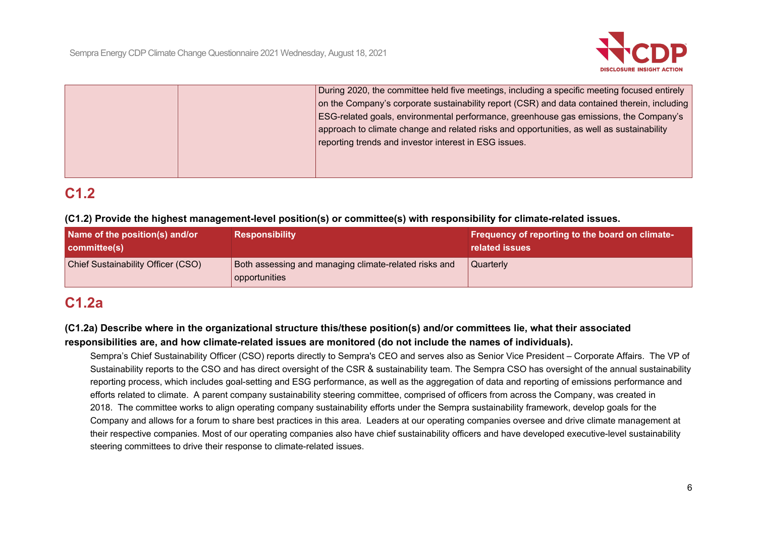

|  | During 2020, the committee held five meetings, including a specific meeting focused entirely |
|--|----------------------------------------------------------------------------------------------|
|  | on the Company's corporate sustainability report (CSR) and data contained therein, including |
|  | ESG-related goals, environmental performance, greenhouse gas emissions, the Company's        |
|  | approach to climate change and related risks and opportunities, as well as sustainability    |
|  | reporting trends and investor interest in ESG issues.                                        |
|  |                                                                                              |
|  |                                                                                              |

## **C1.2**

**(C1.2) Provide the highest management-level position(s) or committee(s) with responsibility for climate-related issues.**

| Name of the position(s) and/or<br>committee(s) | <b>Responsibility</b>                                                  | <b>Frequency of reporting to the board on climate-1</b><br>related issues |
|------------------------------------------------|------------------------------------------------------------------------|---------------------------------------------------------------------------|
| <b>Chief Sustainability Officer (CSO)</b>      | Both assessing and managing climate-related risks and<br>opportunities | Quarterly                                                                 |

## **C1.2a**

## **(C1.2a) Describe where in the organizational structure this/these position(s) and/or committees lie, what their associated responsibilities are, and how climate-related issues are monitored (do not include the names of individuals).**

Sempra's Chief Sustainability Officer (CSO) reports directly to Sempra's CEO and serves also as Senior Vice President – Corporate Affairs. The VP of Sustainability reports to the CSO and has direct oversight of the CSR & sustainability team. The Sempra CSO has oversight of the annual sustainability reporting process, which includes goal-setting and ESG performance, as well as the aggregation of data and reporting of emissions performance and efforts related to climate. A parent company sustainability steering committee, comprised of officers from across the Company, was created in 2018. The committee works to align operating company sustainability efforts under the Sempra sustainability framework, develop goals for the Company and allows for a forum to share best practices in this area. Leaders at our operating companies oversee and drive climate management at their respective companies. Most of our operating companies also have chief sustainability officers and have developed executive-level sustainability steering committees to drive their response to climate-related issues.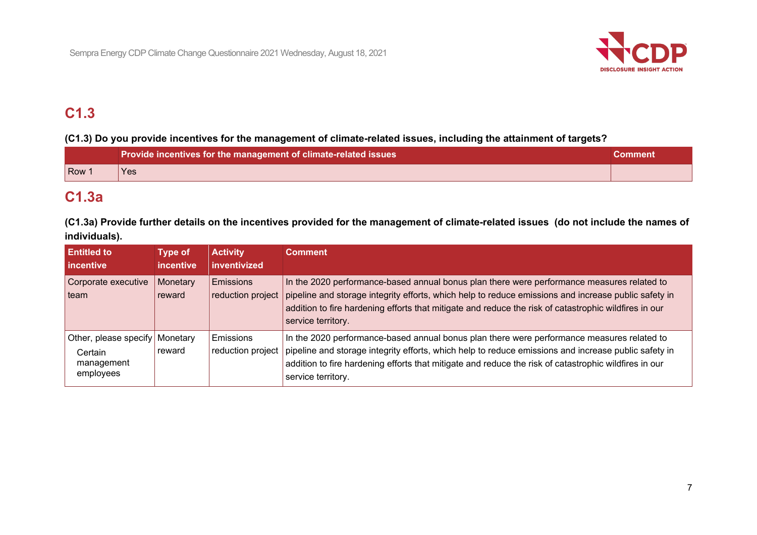

## **C1.3**

## **(C1.3) Do you provide incentives for the management of climate-related issues, including the attainment of targets?**

|     | Provide incentives for the management of climate-related issues |  |
|-----|-----------------------------------------------------------------|--|
| Row | Yes                                                             |  |

## **C1.3a**

**(C1.3a) Provide further details on the incentives provided for the management of climate-related issues (do not include the names of individuals).**

| <b>Entitled to</b><br>incentive                             | <b>Type of</b><br><i>incentive</i> | <b>Activity</b><br>inventivized       | <b>Comment</b>                                                                                                                                                                                                                                                                                                                    |
|-------------------------------------------------------------|------------------------------------|---------------------------------------|-----------------------------------------------------------------------------------------------------------------------------------------------------------------------------------------------------------------------------------------------------------------------------------------------------------------------------------|
| Corporate executive<br>I team                               | Monetary<br>reward                 | <b>Emissions</b><br>reduction project | In the 2020 performance-based annual bonus plan there were performance measures related to<br>pipeline and storage integrity efforts, which help to reduce emissions and increase public safety in<br>addition to fire hardening efforts that mitigate and reduce the risk of catastrophic wildfires in our<br>service territory. |
| Other, please specify<br>Certain<br>management<br>employees | Monetary<br>reward                 | Emissions<br>reduction project        | In the 2020 performance-based annual bonus plan there were performance measures related to<br>pipeline and storage integrity efforts, which help to reduce emissions and increase public safety in<br>addition to fire hardening efforts that mitigate and reduce the risk of catastrophic wildfires in our<br>service territory. |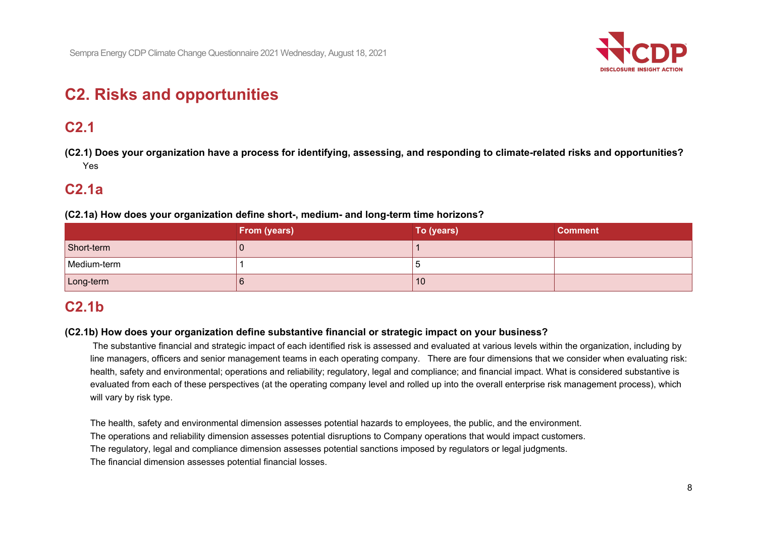

# **C2. Risks and opportunities**

## **C2.1**

**(C2.1) Does your organization have a process for identifying, assessing, and responding to climate-related risks and opportunities?** Yes

## **C2.1a**

**(C2.1a) How does your organization define short-, medium- and long-term time horizons?**

|             | From (years) | To (years) | <b>Comment</b> |
|-------------|--------------|------------|----------------|
| Short-term  |              |            |                |
| Medium-term |              |            |                |
| Long-term   |              | 10         |                |

## **C2.1b**

## **(C2.1b) How does your organization define substantive financial or strategic impact on your business?**

The substantive financial and strategic impact of each identified risk is assessed and evaluated at various levels within the organization, including by line managers, officers and senior management teams in each operating company. There are four dimensions that we consider when evaluating risk: health, safety and environmental; operations and reliability; regulatory, legal and compliance; and financial impact. What is considered substantive is evaluated from each of these perspectives (at the operating company level and rolled up into the overall enterprise risk management process), which will vary by risk type.

The health, safety and environmental dimension assesses potential hazards to employees, the public, and the environment. The operations and reliability dimension assesses potential disruptions to Company operations that would impact customers. The regulatory, legal and compliance dimension assesses potential sanctions imposed by regulators or legal judgments. The financial dimension assesses potential financial losses.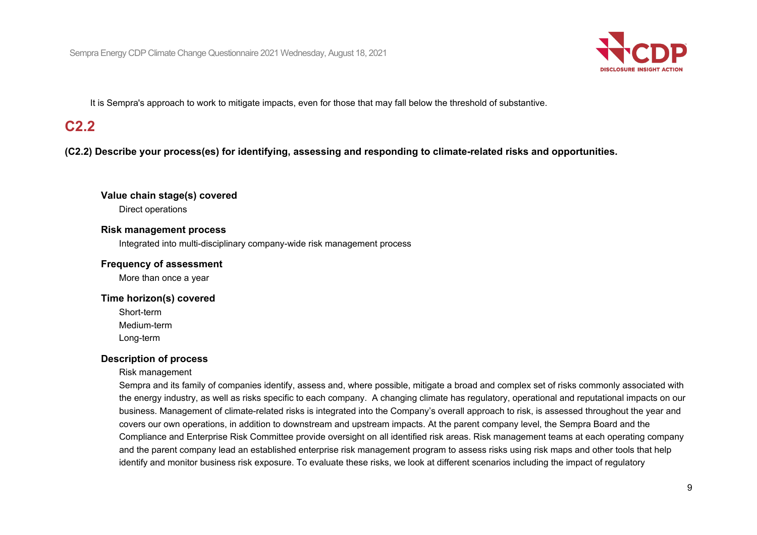

It is Sempra's approach to work to mitigate impacts, even for those that may fall below the threshold of substantive.

## **C2.2**

**(C2.2) Describe your process(es) for identifying, assessing and responding to climate-related risks and opportunities.**

#### **Value chain stage(s) covered**

Direct operations

#### **Risk management process**

Integrated into multi-disciplinary company-wide risk management process

## **Frequency of assessment**

More than once a year

#### **Time horizon(s) covered**

- Short-term
- Medium-term

Long-term

## **Description of process**

#### Risk management

Sempra and its family of companies identify, assess and, where possible, mitigate a broad and complex set of risks commonly associated with the energy industry, as well as risks specific to each company. A changing climate has regulatory, operational and reputational impacts on our business. Management of climate-related risks is integrated into the Company's overall approach to risk, is assessed throughout the year and covers our own operations, in addition to downstream and upstream impacts. At the parent company level, the Sempra Board and the Compliance and Enterprise Risk Committee provide oversight on all identified risk areas. Risk management teams at each operating company and the parent company lead an established enterprise risk management program to assess risks using risk maps and other tools that help identify and monitor business risk exposure. To evaluate these risks, we look at different scenarios including the impact of regulatory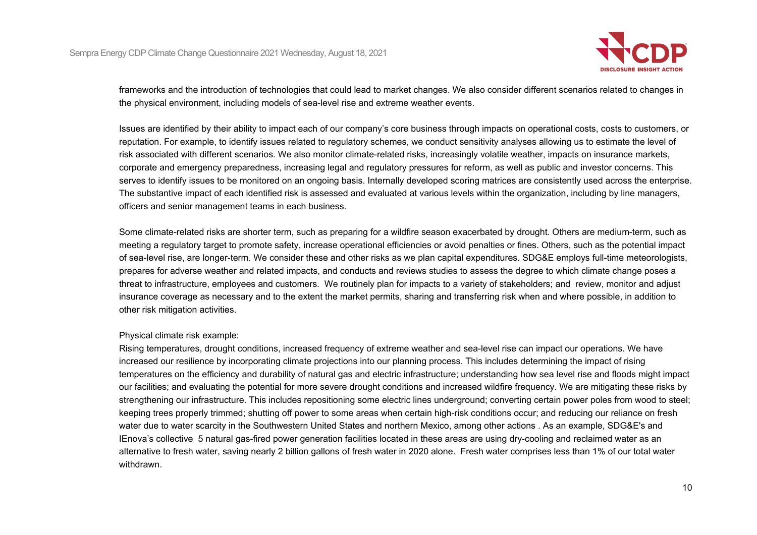

frameworks and the introduction of technologies that could lead to market changes. We also consider different scenarios related to changes in the physical environment, including models of sea-level rise and extreme weather events.

Issues are identified by their ability to impact each of our company's core business through impacts on operational costs, costs to customers, or reputation. For example, to identify issues related to regulatory schemes, we conduct sensitivity analyses allowing us to estimate the level of risk associated with different scenarios. We also monitor climate-related risks, increasingly volatile weather, impacts on insurance markets, corporate and emergency preparedness, increasing legal and regulatory pressures for reform, as well as public and investor concerns. This serves to identify issues to be monitored on an ongoing basis. Internally developed scoring matrices are consistently used across the enterprise. The substantive impact of each identified risk is assessed and evaluated at various levels within the organization, including by line managers, officers and senior management teams in each business.

Some climate-related risks are shorter term, such as preparing for a wildfire season exacerbated by drought. Others are medium-term, such as meeting a regulatory target to promote safety, increase operational efficiencies or avoid penalties or fines. Others, such as the potential impact of sea-level rise, are longer-term. We consider these and other risks as we plan capital expenditures. SDG&E employs full-time meteorologists, prepares for adverse weather and related impacts, and conducts and reviews studies to assess the degree to which climate change poses a threat to infrastructure, employees and customers. We routinely plan for impacts to a variety of stakeholders; and review, monitor and adjust insurance coverage as necessary and to the extent the market permits, sharing and transferring risk when and where possible, in addition to other risk mitigation activities.

#### Physical climate risk example:

Rising temperatures, drought conditions, increased frequency of extreme weather and sea-level rise can impact our operations. We have increased our resilience by incorporating climate projections into our planning process. This includes determining the impact of rising temperatures on the efficiency and durability of natural gas and electric infrastructure; understanding how sea level rise and floods might impact our facilities; and evaluating the potential for more severe drought conditions and increased wildfire frequency. We are mitigating these risks by strengthening our infrastructure. This includes repositioning some electric lines underground; converting certain power poles from wood to steel; keeping trees properly trimmed; shutting off power to some areas when certain high-risk conditions occur; and reducing our reliance on fresh water due to water scarcity in the Southwestern United States and northern Mexico, among other actions . As an example, SDG&E's and IEnova's collective 5 natural gas-fired power generation facilities located in these areas are using dry-cooling and reclaimed water as an alternative to fresh water, saving nearly 2 billion gallons of fresh water in 2020 alone. Fresh water comprises less than 1% of our total water withdrawn.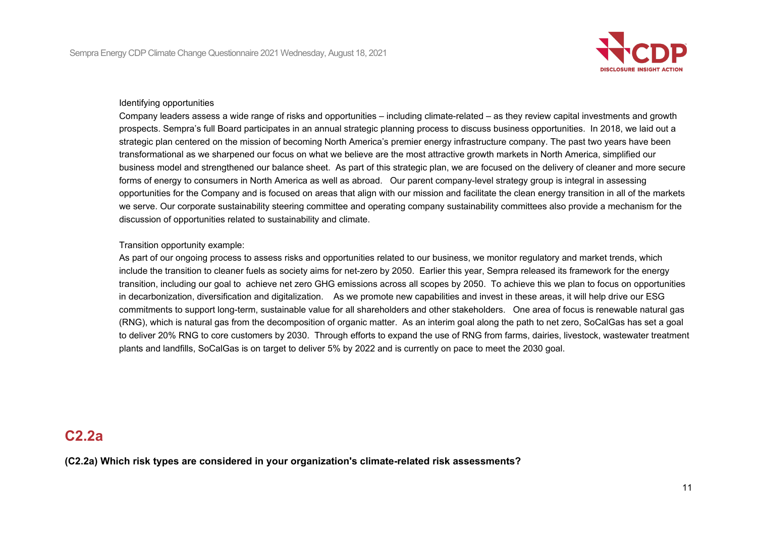

#### Identifying opportunities

Company leaders assess a wide range of risks and opportunities – including climate-related – as they review capital investments and growth prospects. Sempra's full Board participates in an annual strategic planning process to discuss business opportunities. In 2018, we laid out a strategic plan centered on the mission of becoming North America's premier energy infrastructure company. The past two years have been transformational as we sharpened our focus on what we believe are the most attractive growth markets in North America, simplified our business model and strengthened our balance sheet. As part of this strategic plan, we are focused on the delivery of cleaner and more secure forms of energy to consumers in North America as well as abroad. Our parent company-level strategy group is integral in assessing opportunities for the Company and is focused on areas that align with our mission and facilitate the clean energy transition in all of the markets we serve. Our corporate sustainability steering committee and operating company sustainability committees also provide a mechanism for the discussion of opportunities related to sustainability and climate.

#### Transition opportunity example:

As part of our ongoing process to assess risks and opportunities related to our business, we monitor regulatory and market trends, which include the transition to cleaner fuels as society aims for net-zero by 2050. Earlier this year, Sempra released its framework for the energy transition, including our goal to achieve net zero GHG emissions across all scopes by 2050. To achieve this we plan to focus on opportunities in decarbonization, diversification and digitalization. As we promote new capabilities and invest in these areas, it will help drive our ESG commitments to support long-term, sustainable value for all shareholders and other stakeholders. One area of focus is renewable natural gas (RNG), which is natural gas from the decomposition of organic matter. As an interim goal along the path to net zero, SoCalGas has set a goal to deliver 20% RNG to core customers by 2030. Through efforts to expand the use of RNG from farms, dairies, livestock, wastewater treatment plants and landfills, SoCalGas is on target to deliver 5% by 2022 and is currently on pace to meet the 2030 goal.

## **C2.2a**

**(C2.2a) Which risk types are considered in your organization's climate-related risk assessments?**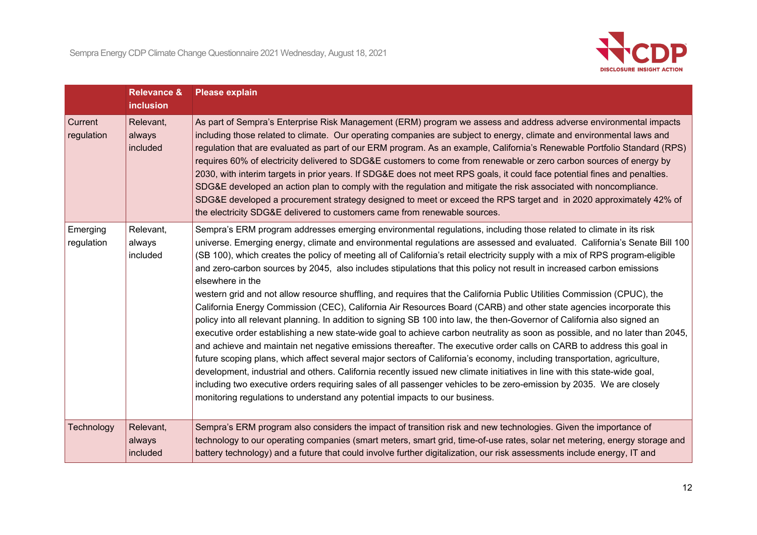

|                        | <b>Relevance &amp;</b><br>inclusion | <b>Please explain</b>                                                                                                                                                                                                                                                                                                                                                                                                                                                                                                                                                                                                                                                                                                                                                                                                                                                                                                                                                                                                                                                                                                                                                                                                                                                                                                                                                                                                                                                                                                                                                                                                                 |
|------------------------|-------------------------------------|---------------------------------------------------------------------------------------------------------------------------------------------------------------------------------------------------------------------------------------------------------------------------------------------------------------------------------------------------------------------------------------------------------------------------------------------------------------------------------------------------------------------------------------------------------------------------------------------------------------------------------------------------------------------------------------------------------------------------------------------------------------------------------------------------------------------------------------------------------------------------------------------------------------------------------------------------------------------------------------------------------------------------------------------------------------------------------------------------------------------------------------------------------------------------------------------------------------------------------------------------------------------------------------------------------------------------------------------------------------------------------------------------------------------------------------------------------------------------------------------------------------------------------------------------------------------------------------------------------------------------------------|
| Current<br>regulation  | Relevant,<br>always<br>included     | As part of Sempra's Enterprise Risk Management (ERM) program we assess and address adverse environmental impacts<br>including those related to climate. Our operating companies are subject to energy, climate and environmental laws and<br>regulation that are evaluated as part of our ERM program. As an example, California's Renewable Portfolio Standard (RPS)<br>requires 60% of electricity delivered to SDG&E customers to come from renewable or zero carbon sources of energy by<br>2030, with interim targets in prior years. If SDG&E does not meet RPS goals, it could face potential fines and penalties.<br>SDG&E developed an action plan to comply with the regulation and mitigate the risk associated with noncompliance.<br>SDG&E developed a procurement strategy designed to meet or exceed the RPS target and in 2020 approximately 42% of<br>the electricity SDG&E delivered to customers came from renewable sources.                                                                                                                                                                                                                                                                                                                                                                                                                                                                                                                                                                                                                                                                                      |
| Emerging<br>regulation | Relevant,<br>always<br>included     | Sempra's ERM program addresses emerging environmental regulations, including those related to climate in its risk<br>universe. Emerging energy, climate and environmental regulations are assessed and evaluated. California's Senate Bill 100<br>(SB 100), which creates the policy of meeting all of California's retail electricity supply with a mix of RPS program-eligible<br>and zero-carbon sources by 2045, also includes stipulations that this policy not result in increased carbon emissions<br>elsewhere in the<br>western grid and not allow resource shuffling, and requires that the California Public Utilities Commission (CPUC), the<br>California Energy Commission (CEC), California Air Resources Board (CARB) and other state agencies incorporate this<br>policy into all relevant planning. In addition to signing SB 100 into law, the then-Governor of California also signed an<br>executive order establishing a new state-wide goal to achieve carbon neutrality as soon as possible, and no later than 2045,<br>and achieve and maintain net negative emissions thereafter. The executive order calls on CARB to address this goal in<br>future scoping plans, which affect several major sectors of California's economy, including transportation, agriculture,<br>development, industrial and others. California recently issued new climate initiatives in line with this state-wide goal,<br>including two executive orders requiring sales of all passenger vehicles to be zero-emission by 2035. We are closely<br>monitoring regulations to understand any potential impacts to our business. |
| Technology             | Relevant,<br>always<br>included     | Sempra's ERM program also considers the impact of transition risk and new technologies. Given the importance of<br>technology to our operating companies (smart meters, smart grid, time-of-use rates, solar net metering, energy storage and<br>battery technology) and a future that could involve further digitalization, our risk assessments include energy, IT and                                                                                                                                                                                                                                                                                                                                                                                                                                                                                                                                                                                                                                                                                                                                                                                                                                                                                                                                                                                                                                                                                                                                                                                                                                                              |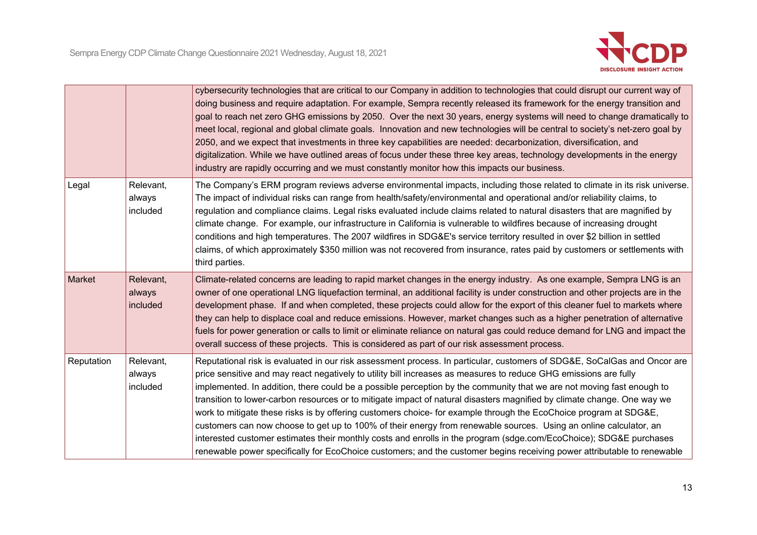

|            |                                 | cybersecurity technologies that are critical to our Company in addition to technologies that could disrupt our current way of<br>doing business and require adaptation. For example, Sempra recently released its framework for the energy transition and<br>goal to reach net zero GHG emissions by 2050. Over the next 30 years, energy systems will need to change dramatically to<br>meet local, regional and global climate goals. Innovation and new technologies will be central to society's net-zero goal by<br>2050, and we expect that investments in three key capabilities are needed: decarbonization, diversification, and<br>digitalization. While we have outlined areas of focus under these three key areas, technology developments in the energy<br>industry are rapidly occurring and we must constantly monitor how this impacts our business.                                                                                                                       |
|------------|---------------------------------|---------------------------------------------------------------------------------------------------------------------------------------------------------------------------------------------------------------------------------------------------------------------------------------------------------------------------------------------------------------------------------------------------------------------------------------------------------------------------------------------------------------------------------------------------------------------------------------------------------------------------------------------------------------------------------------------------------------------------------------------------------------------------------------------------------------------------------------------------------------------------------------------------------------------------------------------------------------------------------------------|
| Legal      | Relevant,<br>always<br>included | The Company's ERM program reviews adverse environmental impacts, including those related to climate in its risk universe.<br>The impact of individual risks can range from health/safety/environmental and operational and/or reliability claims, to<br>regulation and compliance claims. Legal risks evaluated include claims related to natural disasters that are magnified by<br>climate change. For example, our infrastructure in California is vulnerable to wildfires because of increasing drought<br>conditions and high temperatures. The 2007 wildfires in SDG&E's service territory resulted in over \$2 billion in settled<br>claims, of which approximately \$350 million was not recovered from insurance, rates paid by customers or settlements with<br>third parties.                                                                                                                                                                                                    |
| Market     | Relevant,<br>always<br>included | Climate-related concerns are leading to rapid market changes in the energy industry. As one example, Sempra LNG is an<br>owner of one operational LNG liquefaction terminal, an additional facility is under construction and other projects are in the<br>development phase. If and when completed, these projects could allow for the export of this cleaner fuel to markets where<br>they can help to displace coal and reduce emissions. However, market changes such as a higher penetration of alternative<br>fuels for power generation or calls to limit or eliminate reliance on natural gas could reduce demand for LNG and impact the<br>overall success of these projects. This is considered as part of our risk assessment process.                                                                                                                                                                                                                                           |
| Reputation | Relevant,<br>always<br>included | Reputational risk is evaluated in our risk assessment process. In particular, customers of SDG&E, SoCalGas and Oncor are<br>price sensitive and may react negatively to utility bill increases as measures to reduce GHG emissions are fully<br>implemented. In addition, there could be a possible perception by the community that we are not moving fast enough to<br>transition to lower-carbon resources or to mitigate impact of natural disasters magnified by climate change. One way we<br>work to mitigate these risks is by offering customers choice- for example through the EcoChoice program at SDG&E,<br>customers can now choose to get up to 100% of their energy from renewable sources. Using an online calculator, an<br>interested customer estimates their monthly costs and enrolls in the program (sdge.com/EcoChoice); SDG&E purchases<br>renewable power specifically for EcoChoice customers; and the customer begins receiving power attributable to renewable |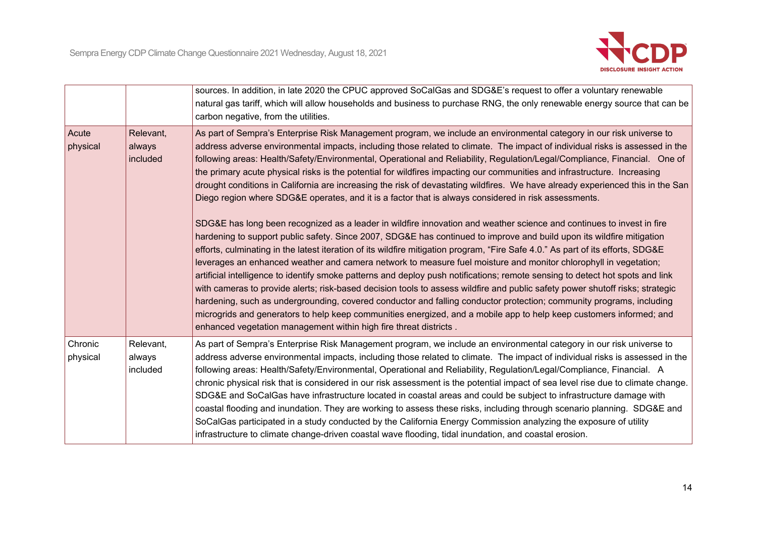

|                     |                                 | sources. In addition, in late 2020 the CPUC approved SoCalGas and SDG&E's request to offer a voluntary renewable<br>natural gas tariff, which will allow households and business to purchase RNG, the only renewable energy source that can be<br>carbon negative, from the utilities.                                                                                                                                                                                                                                                                                                                                                                                                                                                                                                                                                                                                                                                                                                                    |
|---------------------|---------------------------------|-----------------------------------------------------------------------------------------------------------------------------------------------------------------------------------------------------------------------------------------------------------------------------------------------------------------------------------------------------------------------------------------------------------------------------------------------------------------------------------------------------------------------------------------------------------------------------------------------------------------------------------------------------------------------------------------------------------------------------------------------------------------------------------------------------------------------------------------------------------------------------------------------------------------------------------------------------------------------------------------------------------|
| Acute<br>physical   | Relevant,<br>always<br>included | As part of Sempra's Enterprise Risk Management program, we include an environmental category in our risk universe to<br>address adverse environmental impacts, including those related to climate. The impact of individual risks is assessed in the<br>following areas: Health/Safety/Environmental, Operational and Reliability, Regulation/Legal/Compliance, Financial. One of<br>the primary acute physical risks is the potential for wildfires impacting our communities and infrastructure. Increasing<br>drought conditions in California are increasing the risk of devastating wildfires. We have already experienced this in the San<br>Diego region where SDG&E operates, and it is a factor that is always considered in risk assessments.<br>SDG&E has long been recognized as a leader in wildfire innovation and weather science and continues to invest in fire<br>hardening to support public safety. Since 2007, SDG&E has continued to improve and build upon its wildfire mitigation |
|                     |                                 | efforts, culminating in the latest iteration of its wildfire mitigation program, "Fire Safe 4.0." As part of its efforts, SDG&E<br>leverages an enhanced weather and camera network to measure fuel moisture and monitor chlorophyll in vegetation;<br>artificial intelligence to identify smoke patterns and deploy push notifications; remote sensing to detect hot spots and link<br>with cameras to provide alerts; risk-based decision tools to assess wildfire and public safety power shutoff risks; strategic<br>hardening, such as undergrounding, covered conductor and falling conductor protection; community programs, including<br>microgrids and generators to help keep communities energized, and a mobile app to help keep customers informed; and<br>enhanced vegetation management within high fire threat districts.                                                                                                                                                                 |
| Chronic<br>physical | Relevant,<br>always<br>included | As part of Sempra's Enterprise Risk Management program, we include an environmental category in our risk universe to<br>address adverse environmental impacts, including those related to climate. The impact of individual risks is assessed in the<br>following areas: Health/Safety/Environmental, Operational and Reliability, Regulation/Legal/Compliance, Financial. A<br>chronic physical risk that is considered in our risk assessment is the potential impact of sea level rise due to climate change.<br>SDG&E and SoCalGas have infrastructure located in coastal areas and could be subject to infrastructure damage with<br>coastal flooding and inundation. They are working to assess these risks, including through scenario planning. SDG&E and<br>SoCalGas participated in a study conducted by the California Energy Commission analyzing the exposure of utility<br>infrastructure to climate change-driven coastal wave flooding, tidal inundation, and coastal erosion.            |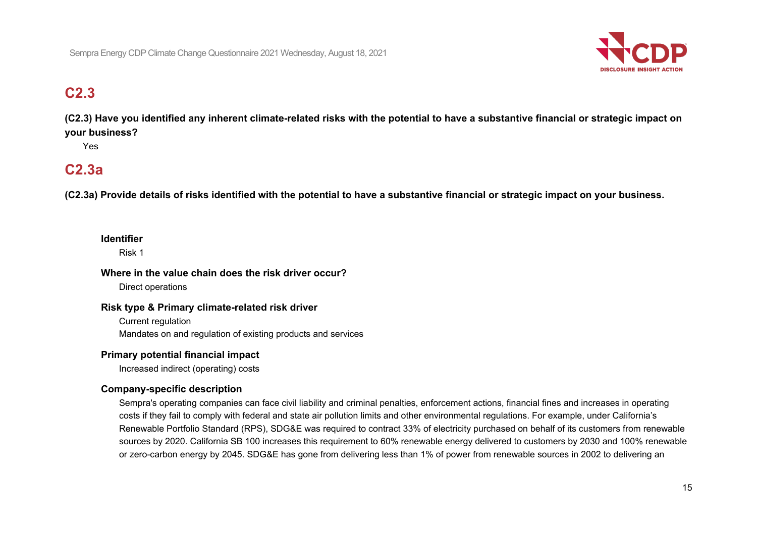

# **C2.3**

**(C2.3) Have you identified any inherent climate-related risks with the potential to have a substantive financial or strategic impact on your business?**

Yes

## **C2.3a**

**(C2.3a) Provide details of risks identified with the potential to have a substantive financial or strategic impact on your business.**

## **Identifier**

Risk 1

## **Where in the value chain does the risk driver occur?**

Direct operations

## **Risk type & Primary climate-related risk driver**

Current regulation Mandates on and regulation of existing products and services

## **Primary potential financial impact**

Increased indirect (operating) costs

## **Company-specific description**

Sempra's operating companies can face civil liability and criminal penalties, enforcement actions, financial fines and increases in operating costs if they fail to comply with federal and state air pollution limits and other environmental regulations. For example, under California's Renewable Portfolio Standard (RPS), SDG&E was required to contract 33% of electricity purchased on behalf of its customers from renewable sources by 2020. California SB 100 increases this requirement to 60% renewable energy delivered to customers by 2030 and 100% renewable or zero-carbon energy by 2045. SDG&E has gone from delivering less than 1% of power from renewable sources in 2002 to delivering an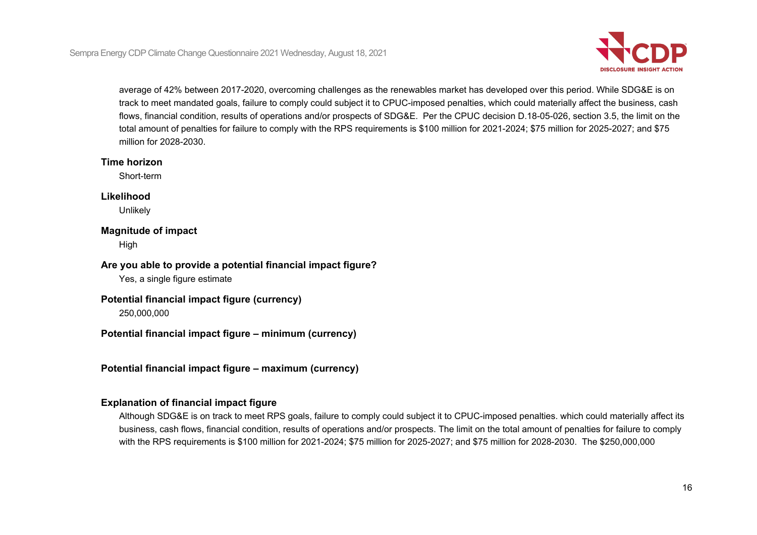

average of 42% between 2017-2020, overcoming challenges as the renewables market has developed over this period. While SDG&E is on track to meet mandated goals, failure to comply could subject it to CPUC-imposed penalties, which could materially affect the business, cash flows, financial condition, results of operations and/or prospects of SDG&E. Per the CPUC decision D.18-05-026, section 3.5, the limit on the total amount of penalties for failure to comply with the RPS requirements is \$100 million for 2021-2024; \$75 million for 2025-2027; and \$75 million for 2028-2030.

## **Time horizon**

Short-term

## **Likelihood**

Unlikely

## **Magnitude of impact**

High

## **Are you able to provide a potential financial impact figure?**

Yes, a single figure estimate

## **Potential financial impact figure (currency)**

250,000,000

**Potential financial impact figure – minimum (currency)**

**Potential financial impact figure – maximum (currency)**

## **Explanation of financial impact figure**

Although SDG&E is on track to meet RPS goals, failure to comply could subject it to CPUC-imposed penalties. which could materially affect its business, cash flows, financial condition, results of operations and/or prospects. The limit on the total amount of penalties for failure to comply with the RPS requirements is \$100 million for 2021-2024; \$75 million for 2025-2027; and \$75 million for 2028-2030. The \$250,000,000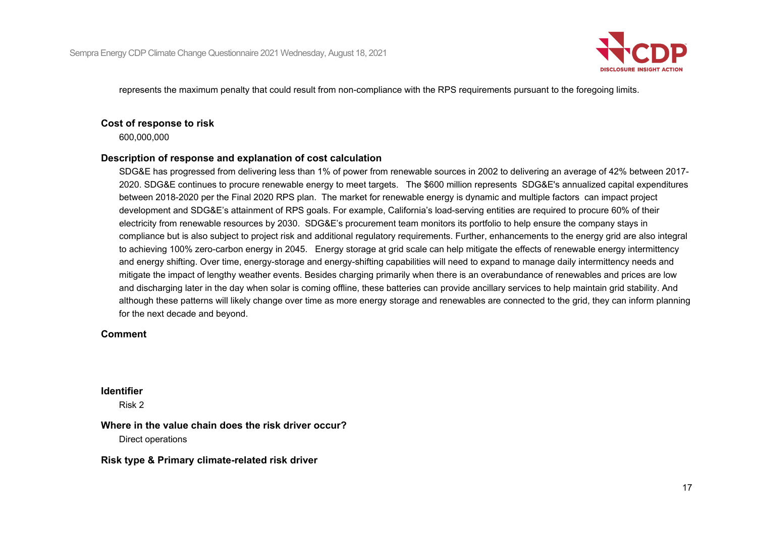

represents the maximum penalty that could result from non-compliance with the RPS requirements pursuant to the foregoing limits.

#### **Cost of response to risk**

600,000,000

## **Description of response and explanation of cost calculation**

SDG&E has progressed from delivering less than 1% of power from renewable sources in 2002 to delivering an average of 42% between 2017- 2020. SDG&E continues to procure renewable energy to meet targets. The \$600 million represents SDG&E's annualized capital expenditures between 2018-2020 per the Final 2020 RPS plan. The market for renewable energy is dynamic and multiple factors can impact project development and SDG&E's attainment of RPS goals. For example, California's load-serving entities are required to procure 60% of their electricity from renewable resources by 2030. SDG&E's procurement team monitors its portfolio to help ensure the company stays in compliance but is also subject to project risk and additional regulatory requirements. Further, enhancements to the energy grid are also integral to achieving 100% zero-carbon energy in 2045. Energy storage at grid scale can help mitigate the effects of renewable energy intermittency and energy shifting. Over time, energy-storage and energy-shifting capabilities will need to expand to manage daily intermittency needs and mitigate the impact of lengthy weather events. Besides charging primarily when there is an overabundance of renewables and prices are low and discharging later in the day when solar is coming offline, these batteries can provide ancillary services to help maintain grid stability. And although these patterns will likely change over time as more energy storage and renewables are connected to the grid, they can inform planning for the next decade and beyond.

## **Comment**

**Identifier**

Risk 2

**Where in the value chain does the risk driver occur?** Direct operations

**Risk type & Primary climate-related risk driver**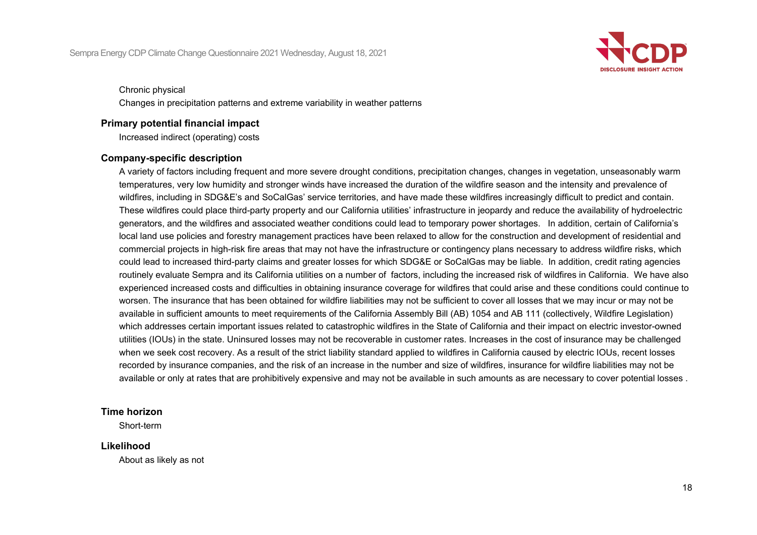

#### Chronic physical

Changes in precipitation patterns and extreme variability in weather patterns

#### **Primary potential financial impact**

Increased indirect (operating) costs

#### **Company-specific description**

A variety of factors including frequent and more severe drought conditions, precipitation changes, changes in vegetation, unseasonably warm temperatures, very low humidity and stronger winds have increased the duration of the wildfire season and the intensity and prevalence of wildfires, including in SDG&E's and SoCalGas' service territories, and have made these wildfires increasingly difficult to predict and contain. These wildfires could place third-party property and our California utilities' infrastructure in jeopardy and reduce the availability of hydroelectric generators, and the wildfires and associated weather conditions could lead to temporary power shortages. In addition, certain of California's local land use policies and forestry management practices have been relaxed to allow for the construction and development of residential and commercial projects in high-risk fire areas that may not have the infrastructure or contingency plans necessary to address wildfire risks, which could lead to increased third-party claims and greater losses for which SDG&E or SoCalGas may be liable. In addition, credit rating agencies routinely evaluate Sempra and its California utilities on a number of factors, including the increased risk of wildfires in California. We have also experienced increased costs and difficulties in obtaining insurance coverage for wildfires that could arise and these conditions could continue to worsen. The insurance that has been obtained for wildfire liabilities may not be sufficient to cover all losses that we may incur or may not be available in sufficient amounts to meet requirements of the California Assembly Bill (AB) 1054 and AB 111 (collectively, Wildfire Legislation) which addresses certain important issues related to catastrophic wildfires in the State of California and their impact on electric investor-owned utilities (IOUs) in the state. Uninsured losses may not be recoverable in customer rates. Increases in the cost of insurance may be challenged when we seek cost recovery. As a result of the strict liability standard applied to wildfires in California caused by electric IOUs, recent losses recorded by insurance companies, and the risk of an increase in the number and size of wildfires, insurance for wildfire liabilities may not be available or only at rates that are prohibitively expensive and may not be available in such amounts as are necessary to cover potential losses .

#### **Time horizon**

Short-term

#### **Likelihood**

About as likely as not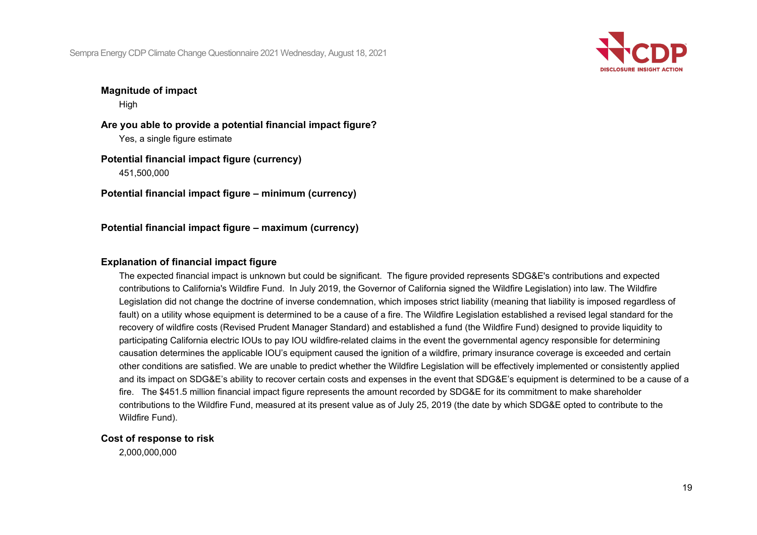Sempra Energy CDP Climate Change Questionnaire 2021 Wednesday, August 18, 2021



**Magnitude of impact**

High

**Are you able to provide a potential financial impact figure?** Yes, a single figure estimate

**Potential financial impact figure (currency)** 451,500,000

**Potential financial impact figure – minimum (currency)**

**Potential financial impact figure – maximum (currency)**

## **Explanation of financial impact figure**

The expected financial impact is unknown but could be significant. The figure provided represents SDG&E's contributions and expected contributions to California's Wildfire Fund. In July 2019, the Governor of California signed the Wildfire Legislation) into law. The Wildfire Legislation did not change the doctrine of inverse condemnation, which imposes strict liability (meaning that liability is imposed regardless of fault) on a utility whose equipment is determined to be a cause of a fire. The Wildfire Legislation established a revised legal standard for the recovery of wildfire costs (Revised Prudent Manager Standard) and established a fund (the Wildfire Fund) designed to provide liquidity to participating California electric IOUs to pay IOU wildfire-related claims in the event the governmental agency responsible for determining causation determines the applicable IOU's equipment caused the ignition of a wildfire, primary insurance coverage is exceeded and certain other conditions are satisfied. We are unable to predict whether the Wildfire Legislation will be effectively implemented or consistently applied and its impact on SDG&E's ability to recover certain costs and expenses in the event that SDG&E's equipment is determined to be a cause of a fire. The \$451.5 million financial impact figure represents the amount recorded by SDG&E for its commitment to make shareholder contributions to the Wildfire Fund, measured at its present value as of July 25, 2019 (the date by which SDG&E opted to contribute to the Wildfire Fund).

**Cost of response to risk**

2,000,000,000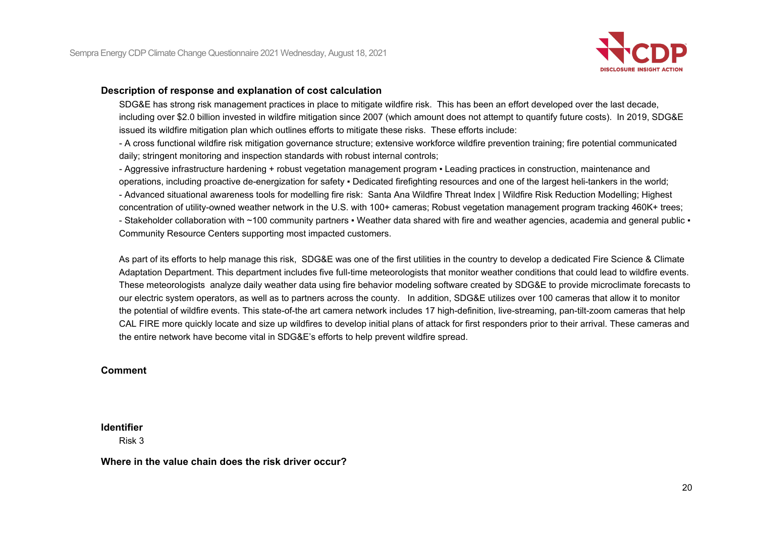

#### **Description of response and explanation of cost calculation**

SDG&E has strong risk management practices in place to mitigate wildfire risk. This has been an effort developed over the last decade, including over \$2.0 billion invested in wildfire mitigation since 2007 (which amount does not attempt to quantify future costs). In 2019, SDG&E issued its wildfire mitigation plan which outlines efforts to mitigate these risks. These efforts include:

- A cross functional wildfire risk mitigation governance structure; extensive workforce wildfire prevention training; fire potential communicated daily; stringent monitoring and inspection standards with robust internal controls;

- Aggressive infrastructure hardening + robust vegetation management program ▪ Leading practices in construction, maintenance and operations, including proactive de-energization for safety ▪ Dedicated firefighting resources and one of the largest heli-tankers in the world; - Advanced situational awareness tools for modelling fire risk: Santa Ana Wildfire Threat Index | Wildfire Risk Reduction Modelling; Highest

concentration of utility-owned weather network in the U.S. with 100+ cameras; Robust vegetation management program tracking 460K+ trees; - Stakeholder collaboration with ~100 community partners • Weather data shared with fire and weather agencies, academia and general public • Community Resource Centers supporting most impacted customers.

As part of its efforts to help manage this risk, SDG&E was one of the first utilities in the country to develop a dedicated Fire Science & Climate Adaptation Department. This department includes five full-time meteorologists that monitor weather conditions that could lead to wildfire events. These meteorologists analyze daily weather data using fire behavior modeling software created by SDG&E to provide microclimate forecasts to our electric system operators, as well as to partners across the county. In addition, SDG&E utilizes over 100 cameras that allow it to monitor the potential of wildfire events. This state-of-the art camera network includes 17 high-definition, live-streaming, pan-tilt-zoom cameras that help CAL FIRE more quickly locate and size up wildfires to develop initial plans of attack for first responders prior to their arrival. These cameras and the entire network have become vital in SDG&E's efforts to help prevent wildfire spread.

**Comment**

**Identifier**

Risk 3

**Where in the value chain does the risk driver occur?**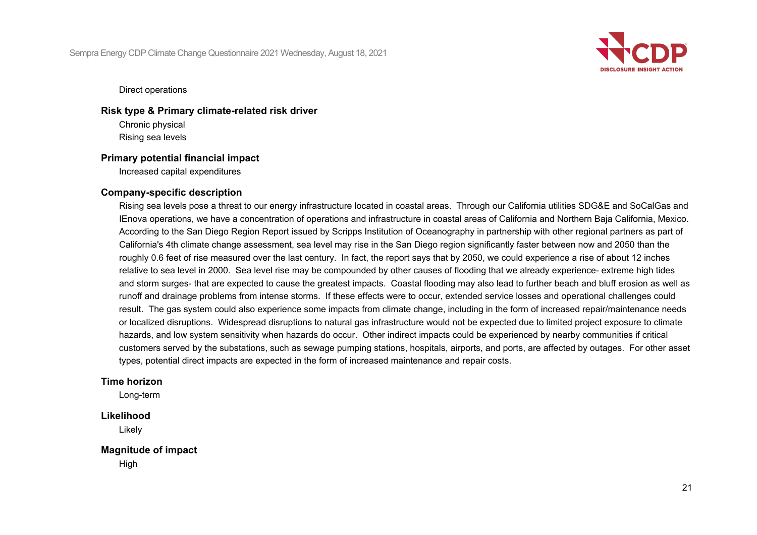Sempra Energy CDP Climate Change Questionnaire 2021 Wednesday, August 18, 2021



Direct operations

#### **Risk type & Primary climate-related risk driver**

Chronic physical Rising sea levels

#### **Primary potential financial impact**

Increased capital expenditures

#### **Company-specific description**

Rising sea levels pose a threat to our energy infrastructure located in coastal areas. Through our California utilities SDG&E and SoCalGas and IEnova operations, we have a concentration of operations and infrastructure in coastal areas of California and Northern Baja California, Mexico. According to the San Diego Region Report issued by Scripps Institution of Oceanography in partnership with other regional partners as part of California's 4th climate change assessment, sea level may rise in the San Diego region significantly faster between now and 2050 than the roughly 0.6 feet of rise measured over the last century. In fact, the report says that by 2050, we could experience a rise of about 12 inches relative to sea level in 2000. Sea level rise may be compounded by other causes of flooding that we already experience- extreme high tides and storm surges- that are expected to cause the greatest impacts. Coastal flooding may also lead to further beach and bluff erosion as well as runoff and drainage problems from intense storms. If these effects were to occur, extended service losses and operational challenges could result. The gas system could also experience some impacts from climate change, including in the form of increased repair/maintenance needs or localized disruptions. Widespread disruptions to natural gas infrastructure would not be expected due to limited project exposure to climate hazards, and low system sensitivity when hazards do occur. Other indirect impacts could be experienced by nearby communities if critical customers served by the substations, such as sewage pumping stations, hospitals, airports, and ports, are affected by outages. For other asset types, potential direct impacts are expected in the form of increased maintenance and repair costs.

#### **Time horizon**

Long-term

## **Likelihood**

Likely

## **Magnitude of impact**

High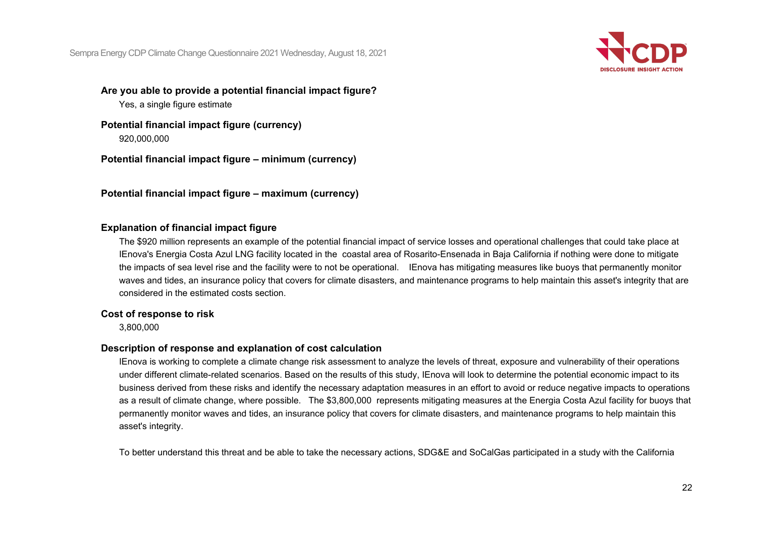

**Are you able to provide a potential financial impact figure?**

Yes, a single figure estimate

**Potential financial impact figure (currency)** 920,000,000

**Potential financial impact figure – minimum (currency)**

**Potential financial impact figure – maximum (currency)**

## **Explanation of financial impact figure**

The \$920 million represents an example of the potential financial impact of service losses and operational challenges that could take place at IEnova's Energia Costa Azul LNG facility located in the coastal area of Rosarito-Ensenada in Baja California if nothing were done to mitigate the impacts of sea level rise and the facility were to not be operational. IEnova has mitigating measures like buoys that permanently monitor waves and tides, an insurance policy that covers for climate disasters, and maintenance programs to help maintain this asset's integrity that are considered in the estimated costs section.

## **Cost of response to risk**

3,800,000

## **Description of response and explanation of cost calculation**

IEnova is working to complete a climate change risk assessment to analyze the levels of threat, exposure and vulnerability of their operations under different climate-related scenarios. Based on the results of this study, IEnova will look to determine the potential economic impact to its business derived from these risks and identify the necessary adaptation measures in an effort to avoid or reduce negative impacts to operations as a result of climate change, where possible. The \$3,800,000 represents mitigating measures at the Energia Costa Azul facility for buoys that permanently monitor waves and tides, an insurance policy that covers for climate disasters, and maintenance programs to help maintain this asset's integrity.

To better understand this threat and be able to take the necessary actions, SDG&E and SoCalGas participated in a study with the California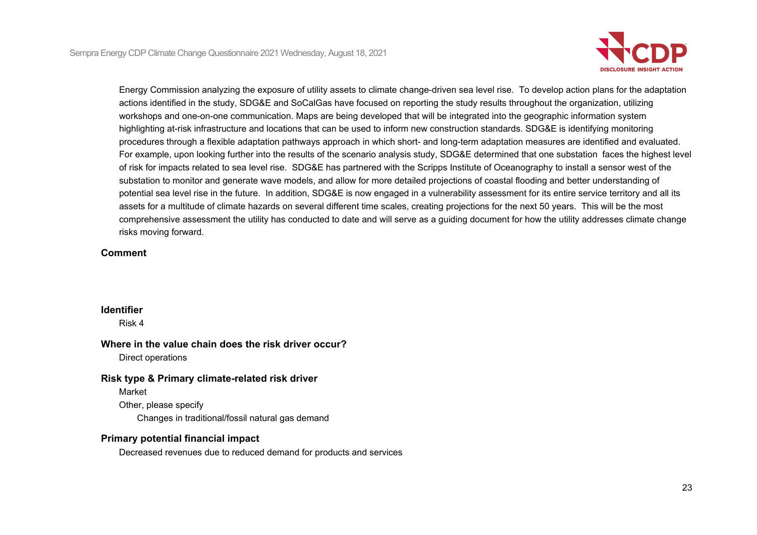

Energy Commission analyzing the exposure of utility assets to climate change-driven sea level rise. To develop action plans for the adaptation actions identified in the study, SDG&E and SoCalGas have focused on reporting the study results throughout the organization, utilizing workshops and one-on-one communication. Maps are being developed that will be integrated into the geographic information system highlighting at-risk infrastructure and locations that can be used to inform new construction standards. SDG&E is identifying monitoring procedures through a flexible adaptation pathways approach in which short- and long-term adaptation measures are identified and evaluated. For example, upon looking further into the results of the scenario analysis study, SDG&E determined that one substation faces the highest level of risk for impacts related to sea level rise. SDG&E has partnered with the Scripps Institute of Oceanography to install a sensor west of the substation to monitor and generate wave models, and allow for more detailed projections of coastal flooding and better understanding of potential sea level rise in the future. In addition, SDG&E is now engaged in a vulnerability assessment for its entire service territory and all its assets for a multitude of climate hazards on several different time scales, creating projections for the next 50 years. This will be the most comprehensive assessment the utility has conducted to date and will serve as a guiding document for how the utility addresses climate change risks moving forward.

## **Comment**

#### **Identifier**

Risk 4

#### **Where in the value chain does the risk driver occur?**

Direct operations

## **Risk type & Primary climate-related risk driver**

Market Other, please specify Changes in traditional/fossil natural gas demand

## **Primary potential financial impact**

Decreased revenues due to reduced demand for products and services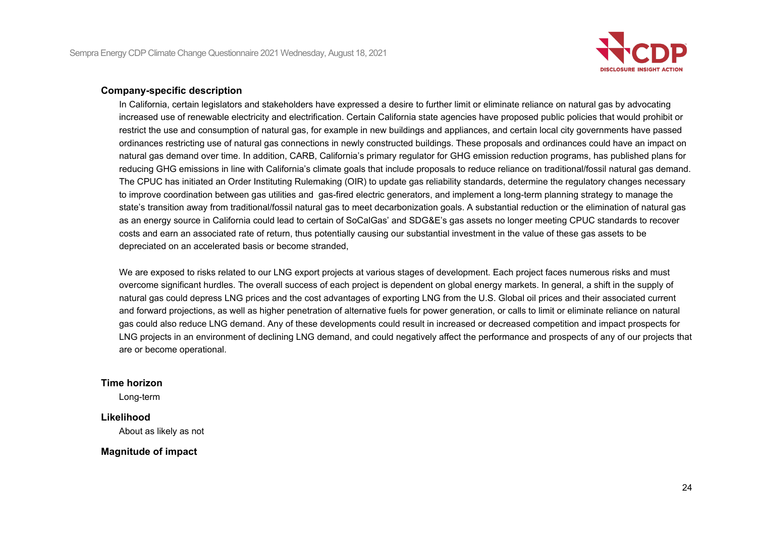

#### **Company-specific description**

In California, certain legislators and stakeholders have expressed a desire to further limit or eliminate reliance on natural gas by advocating increased use of renewable electricity and electrification. Certain California state agencies have proposed public policies that would prohibit or restrict the use and consumption of natural gas, for example in new buildings and appliances, and certain local city governments have passed ordinances restricting use of natural gas connections in newly constructed buildings. These proposals and ordinances could have an impact on natural gas demand over time. In addition, CARB, California's primary regulator for GHG emission reduction programs, has published plans for reducing GHG emissions in line with California's climate goals that include proposals to reduce reliance on traditional/fossil natural gas demand. The CPUC has initiated an Order Instituting Rulemaking (OIR) to update gas reliability standards, determine the regulatory changes necessary to improve coordination between gas utilities and gas-fired electric generators, and implement a long-term planning strategy to manage the state's transition away from traditional/fossil natural gas to meet decarbonization goals. A substantial reduction or the elimination of natural gas as an energy source in California could lead to certain of SoCalGas' and SDG&E's gas assets no longer meeting CPUC standards to recover costs and earn an associated rate of return, thus potentially causing our substantial investment in the value of these gas assets to be depreciated on an accelerated basis or become stranded,

We are exposed to risks related to our LNG export projects at various stages of development. Each project faces numerous risks and must overcome significant hurdles. The overall success of each project is dependent on global energy markets. In general, a shift in the supply of natural gas could depress LNG prices and the cost advantages of exporting LNG from the U.S. Global oil prices and their associated current and forward projections, as well as higher penetration of alternative fuels for power generation, or calls to limit or eliminate reliance on natural gas could also reduce LNG demand. Any of these developments could result in increased or decreased competition and impact prospects for LNG projects in an environment of declining LNG demand, and could negatively affect the performance and prospects of any of our projects that are or become operational.

#### **Time horizon**

Long-term

#### **Likelihood**

About as likely as not

#### **Magnitude of impact**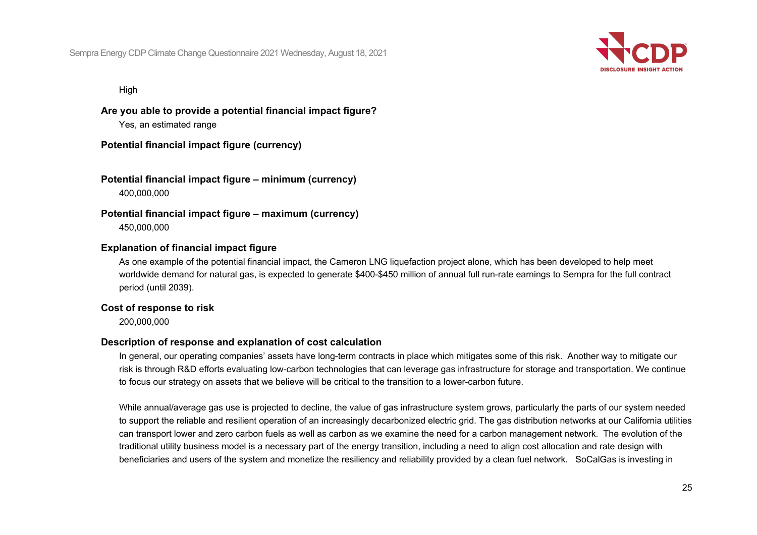Sempra Energy CDP Climate Change Questionnaire 2021 Wednesday, August 18, 2021



**High** 

**Are you able to provide a potential financial impact figure?**

Yes, an estimated range

**Potential financial impact figure (currency)**

**Potential financial impact figure – minimum (currency)** 400,000,000

**Potential financial impact figure – maximum (currency)** 450,000,000

## **Explanation of financial impact figure**

As one example of the potential financial impact, the Cameron LNG liquefaction project alone, which has been developed to help meet worldwide demand for natural gas, is expected to generate \$400-\$450 million of annual full run-rate earnings to Sempra for the full contract period (until 2039).

## **Cost of response to risk**

200,000,000

## **Description of response and explanation of cost calculation**

In general, our operating companies' assets have long-term contracts in place which mitigates some of this risk. Another way to mitigate our risk is through R&D efforts evaluating low-carbon technologies that can leverage gas infrastructure for storage and transportation. We continue to focus our strategy on assets that we believe will be critical to the transition to a lower-carbon future.

While annual/average gas use is projected to decline, the value of gas infrastructure system grows, particularly the parts of our system needed to support the reliable and resilient operation of an increasingly decarbonized electric grid. The gas distribution networks at our California utilities can transport lower and zero carbon fuels as well as carbon as we examine the need for a carbon management network. The evolution of the traditional utility business model is a necessary part of the energy transition, including a need to align cost allocation and rate design with beneficiaries and users of the system and monetize the resiliency and reliability provided by a clean fuel network. SoCalGas is investing in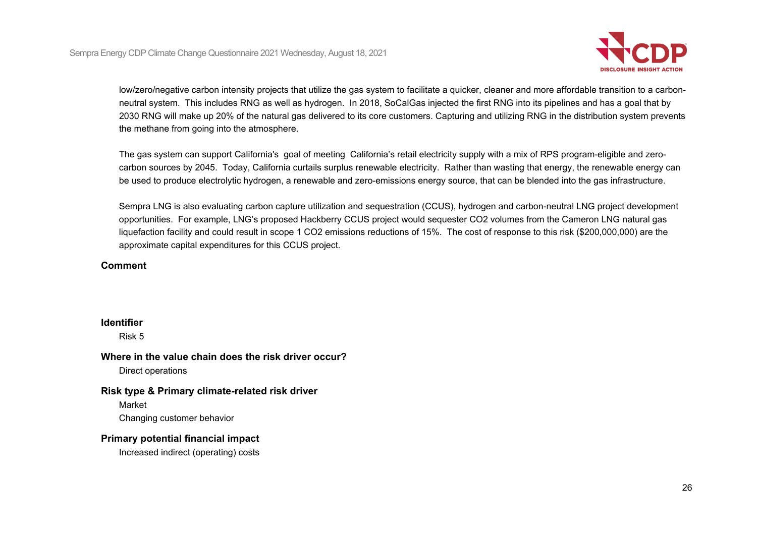

low/zero/negative carbon intensity projects that utilize the gas system to facilitate a quicker, cleaner and more affordable transition to a carbonneutral system. This includes RNG as well as hydrogen. In 2018, SoCalGas injected the first RNG into its pipelines and has a goal that by 2030 RNG will make up 20% of the natural gas delivered to its core customers. Capturing and utilizing RNG in the distribution system prevents the methane from going into the atmosphere.

The gas system can support California's goal of meeting California's retail electricity supply with a mix of RPS program-eligible and zerocarbon sources by 2045. Today, California curtails surplus renewable electricity. Rather than wasting that energy, the renewable energy can be used to produce electrolytic hydrogen, a renewable and zero-emissions energy source, that can be blended into the gas infrastructure.

Sempra LNG is also evaluating carbon capture utilization and sequestration (CCUS), hydrogen and carbon-neutral LNG project development opportunities. For example, LNG's proposed Hackberry CCUS project would sequester CO2 volumes from the Cameron LNG natural gas liquefaction facility and could result in scope 1 CO2 emissions reductions of 15%. The cost of response to this risk (\$200,000,000) are the approximate capital expenditures for this CCUS project.

**Comment**

**Identifier**

Risk 5

**Where in the value chain does the risk driver occur?**

Direct operations

#### **Risk type & Primary climate-related risk driver**

Market

Changing customer behavior

## **Primary potential financial impact**

Increased indirect (operating) costs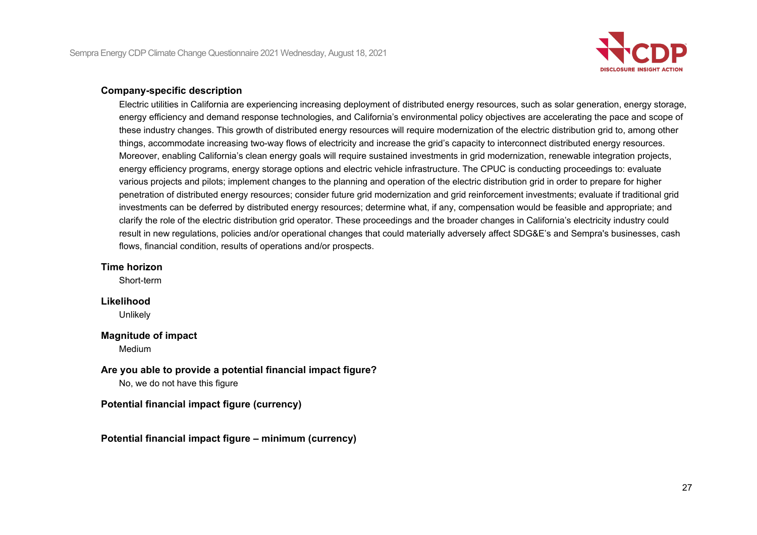

#### **Company-specific description**

Electric utilities in California are experiencing increasing deployment of distributed energy resources, such as solar generation, energy storage, energy efficiency and demand response technologies, and California's environmental policy objectives are accelerating the pace and scope of these industry changes. This growth of distributed energy resources will require modernization of the electric distribution grid to, among other things, accommodate increasing two-way flows of electricity and increase the grid's capacity to interconnect distributed energy resources. Moreover, enabling California's clean energy goals will require sustained investments in grid modernization, renewable integration projects, energy efficiency programs, energy storage options and electric vehicle infrastructure. The CPUC is conducting proceedings to: evaluate various projects and pilots; implement changes to the planning and operation of the electric distribution grid in order to prepare for higher penetration of distributed energy resources; consider future grid modernization and grid reinforcement investments; evaluate if traditional grid investments can be deferred by distributed energy resources; determine what, if any, compensation would be feasible and appropriate; and clarify the role of the electric distribution grid operator. These proceedings and the broader changes in California's electricity industry could result in new regulations, policies and/or operational changes that could materially adversely affect SDG&E's and Sempra's businesses, cash flows, financial condition, results of operations and/or prospects.

#### **Time horizon**

Short-term

**Likelihood**

Unlikely

**Magnitude of impact**

Medium

## **Are you able to provide a potential financial impact figure?**

No, we do not have this figure

**Potential financial impact figure (currency)**

**Potential financial impact figure – minimum (currency)**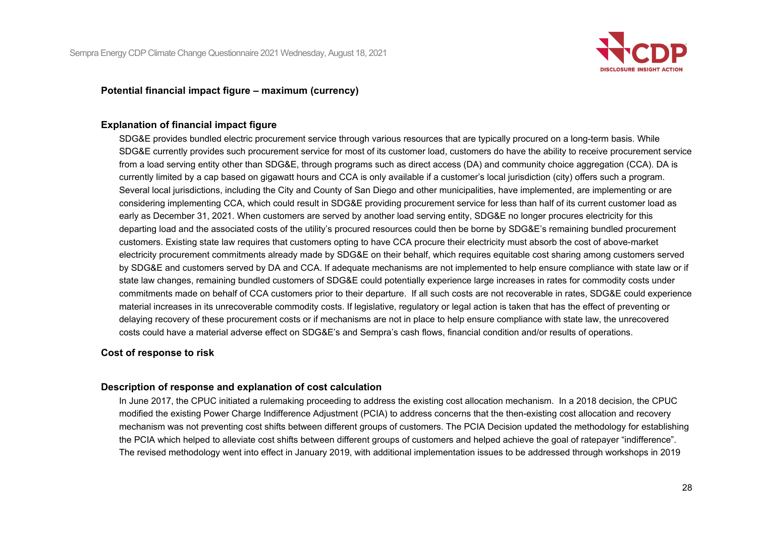

#### **Potential financial impact figure – maximum (currency)**

## **Explanation of financial impact figure**

SDG&E provides bundled electric procurement service through various resources that are typically procured on a long-term basis. While SDG&E currently provides such procurement service for most of its customer load, customers do have the ability to receive procurement service from a load serving entity other than SDG&E, through programs such as direct access (DA) and community choice aggregation (CCA). DA is currently limited by a cap based on gigawatt hours and CCA is only available if a customer's local jurisdiction (city) offers such a program. Several local jurisdictions, including the City and County of San Diego and other municipalities, have implemented, are implementing or are considering implementing CCA, which could result in SDG&E providing procurement service for less than half of its current customer load as early as December 31, 2021. When customers are served by another load serving entity, SDG&E no longer procures electricity for this departing load and the associated costs of the utility's procured resources could then be borne by SDG&E's remaining bundled procurement customers. Existing state law requires that customers opting to have CCA procure their electricity must absorb the cost of above-market electricity procurement commitments already made by SDG&E on their behalf, which requires equitable cost sharing among customers served by SDG&E and customers served by DA and CCA. If adequate mechanisms are not implemented to help ensure compliance with state law or if state law changes, remaining bundled customers of SDG&E could potentially experience large increases in rates for commodity costs under commitments made on behalf of CCA customers prior to their departure. If all such costs are not recoverable in rates, SDG&E could experience material increases in its unrecoverable commodity costs. If legislative, regulatory or legal action is taken that has the effect of preventing or delaying recovery of these procurement costs or if mechanisms are not in place to help ensure compliance with state law, the unrecovered costs could have a material adverse effect on SDG&E's and Sempra's cash flows, financial condition and/or results of operations.

## **Cost of response to risk**

## **Description of response and explanation of cost calculation**

In June 2017, the CPUC initiated a rulemaking proceeding to address the existing cost allocation mechanism. In a 2018 decision, the CPUC modified the existing Power Charge Indifference Adjustment (PCIA) to address concerns that the then-existing cost allocation and recovery mechanism was not preventing cost shifts between different groups of customers. The PCIA Decision updated the methodology for establishing the PCIA which helped to alleviate cost shifts between different groups of customers and helped achieve the goal of ratepayer "indifference". The revised methodology went into effect in January 2019, with additional implementation issues to be addressed through workshops in 2019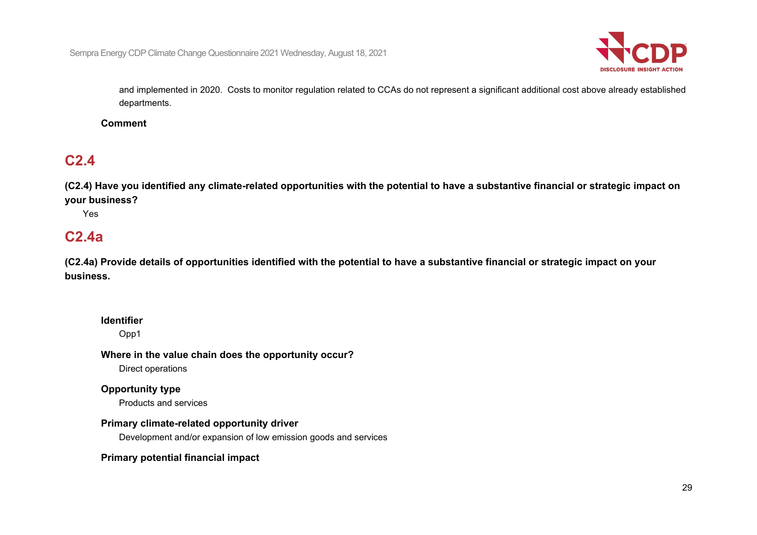

and implemented in 2020. Costs to monitor regulation related to CCAs do not represent a significant additional cost above already established departments.

## **Comment**

# **C2.4**

**(C2.4) Have you identified any climate-related opportunities with the potential to have a substantive financial or strategic impact on your business?**

Yes

## **C2.4a**

**(C2.4a) Provide details of opportunities identified with the potential to have a substantive financial or strategic impact on your business.**

## **Identifier** Opp1 **Where in the value chain does the opportunity occur?** Direct operations **Opportunity type** Products and services **Primary climate-related opportunity driver** Development and/or expansion of low emission goods and services **Primary potential financial impact**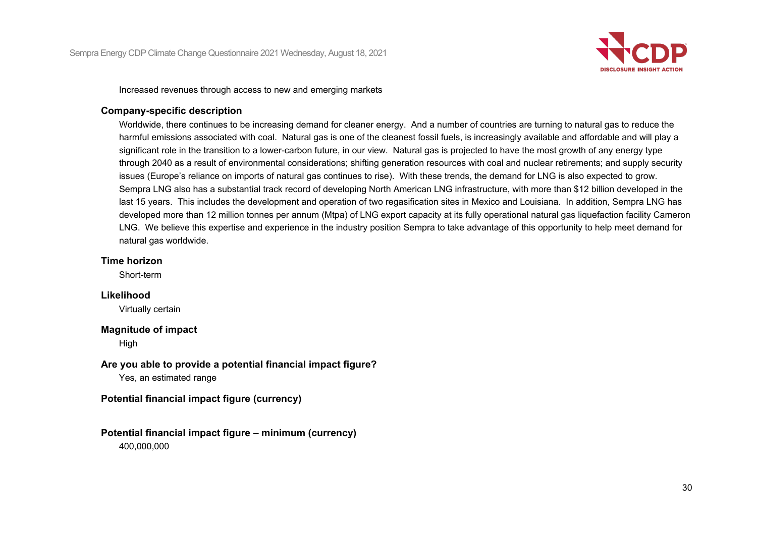

Increased revenues through access to new and emerging markets

## **Company-specific description**

Worldwide, there continues to be increasing demand for cleaner energy. And a number of countries are turning to natural gas to reduce the harmful emissions associated with coal. Natural gas is one of the cleanest fossil fuels, is increasingly available and affordable and will play a significant role in the transition to a lower-carbon future, in our view. Natural gas is projected to have the most growth of any energy type through 2040 as a result of environmental considerations; shifting generation resources with coal and nuclear retirements; and supply security issues (Europe's reliance on imports of natural gas continues to rise). With these trends, the demand for LNG is also expected to grow. Sempra LNG also has a substantial track record of developing North American LNG infrastructure, with more than \$12 billion developed in the last 15 years. This includes the development and operation of two regasification sites in Mexico and Louisiana. In addition, Sempra LNG has developed more than 12 million tonnes per annum (Mtpa) of LNG export capacity at its fully operational natural gas liquefaction facility Cameron LNG. We believe this expertise and experience in the industry position Sempra to take advantage of this opportunity to help meet demand for natural gas worldwide.

#### **Time horizon**

Short-term

## **Likelihood**

Virtually certain

#### **Magnitude of impact**

High

## **Are you able to provide a potential financial impact figure?**

Yes, an estimated range

## **Potential financial impact figure (currency)**

**Potential financial impact figure – minimum (currency)** 400,000,000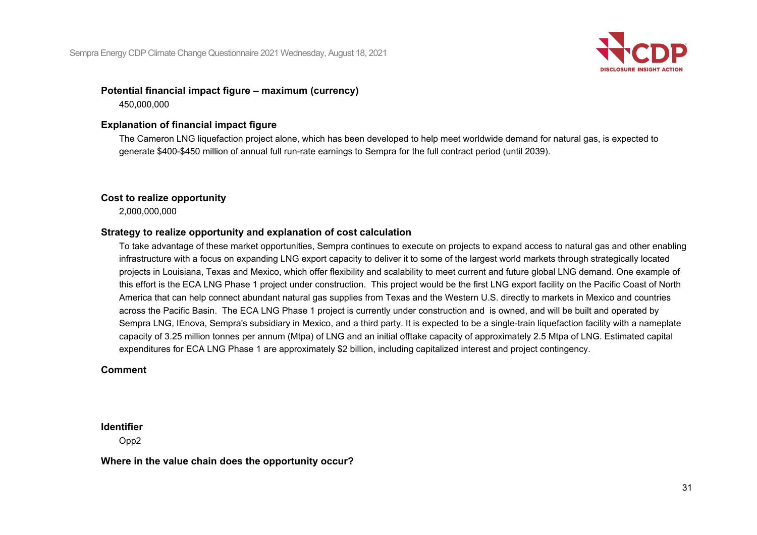

## **Potential financial impact figure – maximum (currency)**

450,000,000

## **Explanation of financial impact figure**

The Cameron LNG liquefaction project alone, which has been developed to help meet worldwide demand for natural gas, is expected to generate \$400-\$450 million of annual full run-rate earnings to Sempra for the full contract period (until 2039).

## **Cost to realize opportunity**

2,000,000,000

## **Strategy to realize opportunity and explanation of cost calculation**

To take advantage of these market opportunities, Sempra continues to execute on projects to expand access to natural gas and other enabling infrastructure with a focus on expanding LNG export capacity to deliver it to some of the largest world markets through strategically located projects in Louisiana, Texas and Mexico, which offer flexibility and scalability to meet current and future global LNG demand. One example of this effort is the ECA LNG Phase 1 project under construction. This project would be the first LNG export facility on the Pacific Coast of North America that can help connect abundant natural gas supplies from Texas and the Western U.S. directly to markets in Mexico and countries across the Pacific Basin. The ECA LNG Phase 1 project is currently under construction and is owned, and will be built and operated by Sempra LNG, IEnova, Sempra's subsidiary in Mexico, and a third party. It is expected to be a single-train liquefaction facility with a nameplate capacity of 3.25 million tonnes per annum (Mtpa) of LNG and an initial offtake capacity of approximately 2.5 Mtpa of LNG. Estimated capital expenditures for ECA LNG Phase 1 are approximately \$2 billion, including capitalized interest and project contingency.

## **Comment**

**Identifier**

Opp2

**Where in the value chain does the opportunity occur?**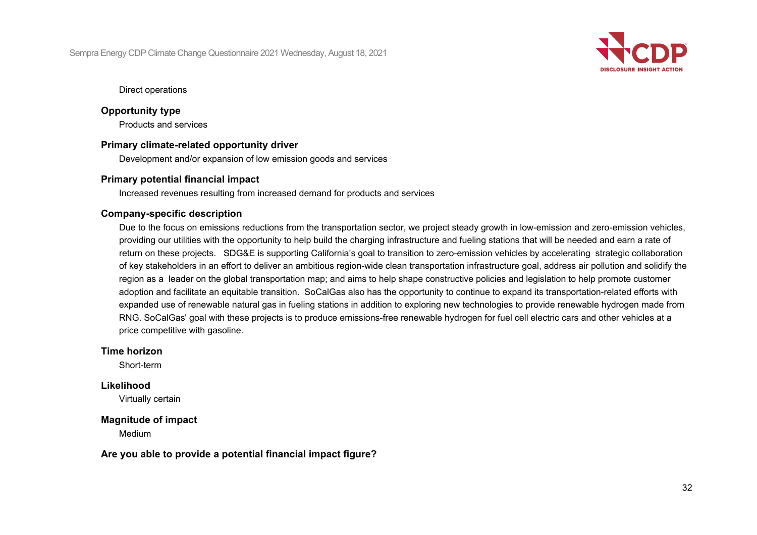

#### Direct operations

#### **Opportunity type**

Products and services

#### **Primary climate-related opportunity driver**

Development and/or expansion of low emission goods and services

## **Primary potential financial impact**

Increased revenues resulting from increased demand for products and services

## **Company-specific description**

Due to the focus on emissions reductions from the transportation sector, we project steady growth in low-emission and zero-emission vehicles, providing our utilities with the opportunity to help build the charging infrastructure and fueling stations that will be needed and earn a rate of return on these projects. SDG&E is supporting California's goal to transition to zero-emission vehicles by accelerating strategic collaboration of key stakeholders in an effort to deliver an ambitious region-wide clean transportation infrastructure goal, address air pollution and solidify the region as a leader on the global transportation map; and aims to help shape constructive policies and legislation to help promote customer adoption and facilitate an equitable transition. SoCalGas also has the opportunity to continue to expand its transportation-related efforts with expanded use of renewable natural gas in fueling stations in addition to exploring new technologies to provide renewable hydrogen made from RNG. SoCalGas' goal with these projects is to produce emissions-free renewable hydrogen for fuel cell electric cars and other vehicles at a price competitive with gasoline.

## **Time horizon**

Short-term

## **Likelihood**

Virtually certain

## **Magnitude of impact**

Medium

## **Are you able to provide a potential financial impact figure?**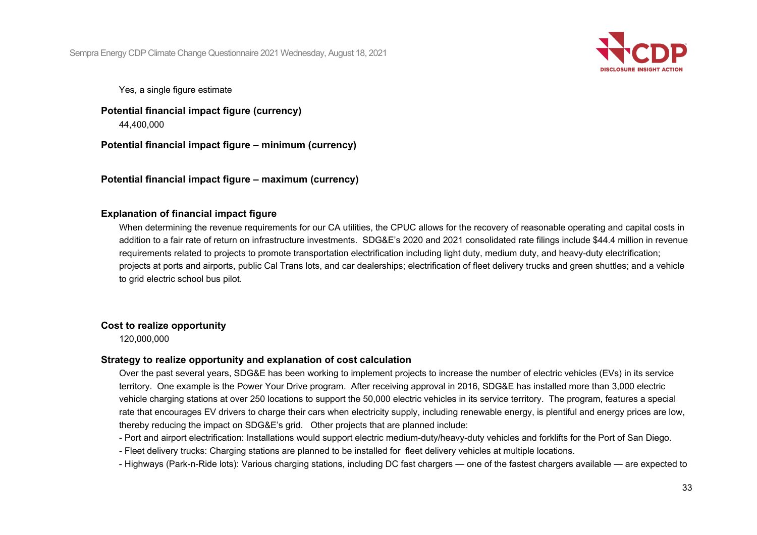Sempra Energy CDP Climate Change Questionnaire 2021 Wednesday, August 18, 2021



Yes, a single figure estimate

**Potential financial impact figure (currency)**

44,400,000

**Potential financial impact figure – minimum (currency)**

**Potential financial impact figure – maximum (currency)**

## **Explanation of financial impact figure**

When determining the revenue requirements for our CA utilities, the CPUC allows for the recovery of reasonable operating and capital costs in addition to a fair rate of return on infrastructure investments. SDG&E's 2020 and 2021 consolidated rate filings include \$44.4 million in revenue requirements related to projects to promote transportation electrification including light duty, medium duty, and heavy-duty electrification; projects at ports and airports, public Cal Trans lots, and car dealerships; electrification of fleet delivery trucks and green shuttles; and a vehicle to grid electric school bus pilot.

## **Cost to realize opportunity**

120,000,000

#### **Strategy to realize opportunity and explanation of cost calculation**

Over the past several years, SDG&E has been working to implement projects to increase the number of electric vehicles (EVs) in its service territory. One example is the Power Your Drive program. After receiving approval in 2016, SDG&E has installed more than 3,000 electric vehicle charging stations at over 250 locations to support the 50,000 electric vehicles in its service territory. The program, features a special rate that encourages EV drivers to charge their cars when electricity supply, including renewable energy, is plentiful and energy prices are low, thereby reducing the impact on SDG&E's grid. Other projects that are planned include:

- Port and airport electrification: Installations would support electric medium-duty/heavy-duty vehicles and forklifts for the Port of San Diego.

- Fleet delivery trucks: Charging stations are planned to be installed for fleet delivery vehicles at multiple locations.

- Highways (Park-n-Ride lots): Various charging stations, including DC fast chargers — one of the fastest chargers available — are expected to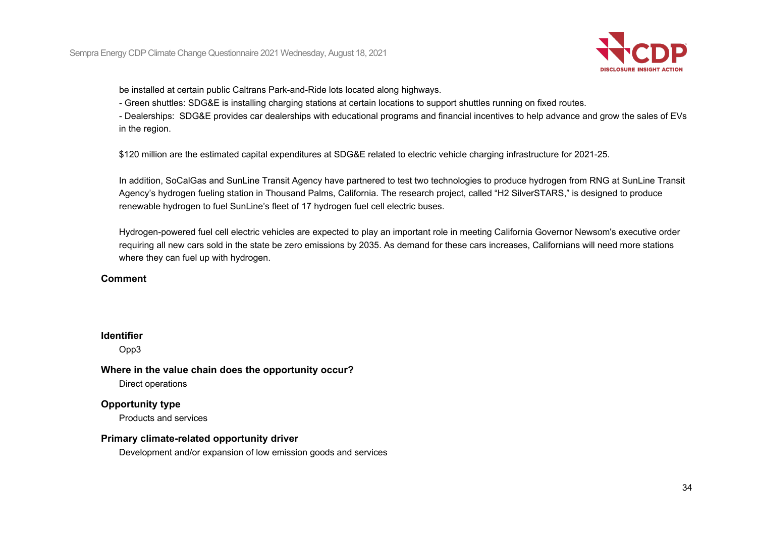

be installed at certain public Caltrans Park-and-Ride lots located along highways.

- Green shuttles: SDG&E is installing charging stations at certain locations to support shuttles running on fixed routes.

- Dealerships: SDG&E provides car dealerships with educational programs and financial incentives to help advance and grow the sales of EVs in the region.

\$120 million are the estimated capital expenditures at SDG&E related to electric vehicle charging infrastructure for 2021-25.

In addition, SoCalGas and SunLine Transit Agency have partnered to test two technologies to produce hydrogen from RNG at SunLine Transit Agency's hydrogen fueling station in Thousand Palms, California. The research project, called "H2 SilverSTARS," is designed to produce renewable hydrogen to fuel SunLine's fleet of 17 hydrogen fuel cell electric buses.

Hydrogen-powered fuel cell electric vehicles are expected to play an important role in meeting California Governor Newsom's executive order requiring all new cars sold in the state be zero emissions by 2035. As demand for these cars increases, Californians will need more stations where they can fuel up with hydrogen.

## **Comment**

## **Identifier**

Opp3

## **Where in the value chain does the opportunity occur?**

Direct operations

## **Opportunity type**

Products and services

## **Primary climate-related opportunity driver**

Development and/or expansion of low emission goods and services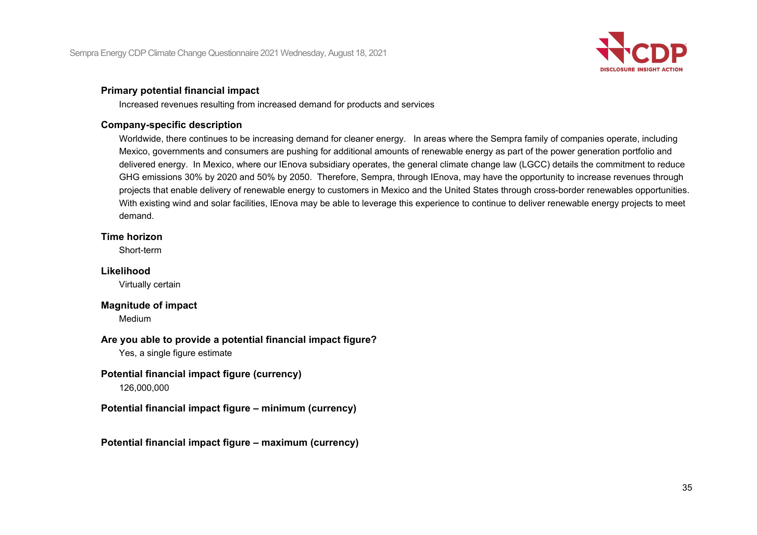

## **Primary potential financial impact**

Increased revenues resulting from increased demand for products and services

## **Company-specific description**

Worldwide, there continues to be increasing demand for cleaner energy. In areas where the Sempra family of companies operate, including Mexico, governments and consumers are pushing for additional amounts of renewable energy as part of the power generation portfolio and delivered energy. In Mexico, where our IEnova subsidiary operates, the general climate change law (LGCC) details the commitment to reduce GHG emissions 30% by 2020 and 50% by 2050. Therefore, Sempra, through IEnova, may have the opportunity to increase revenues through projects that enable delivery of renewable energy to customers in Mexico and the United States through cross-border renewables opportunities. With existing wind and solar facilities, IEnova may be able to leverage this experience to continue to deliver renewable energy projects to meet demand.

## **Time horizon**

Short-term

## **Likelihood**

Virtually certain

## **Magnitude of impact**

Medium

## **Are you able to provide a potential financial impact figure?**

Yes, a single figure estimate

## **Potential financial impact figure (currency)**

126,000,000

## **Potential financial impact figure – minimum (currency)**

**Potential financial impact figure – maximum (currency)**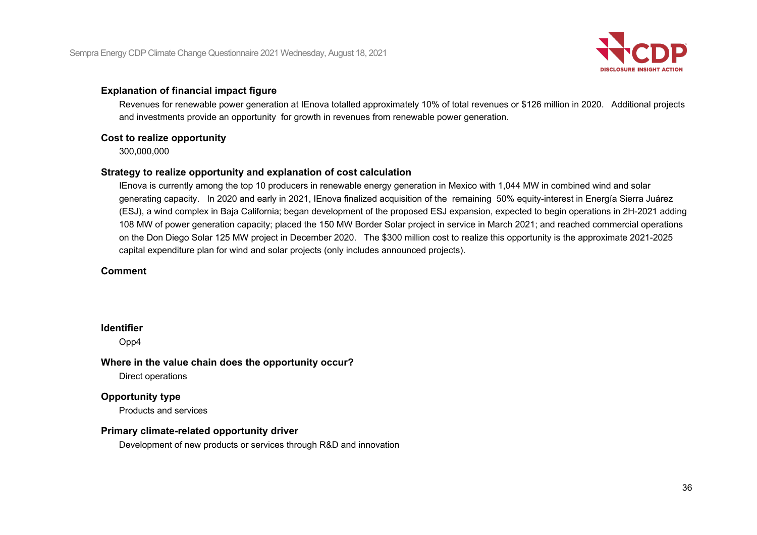

## **Explanation of financial impact figure**

Revenues for renewable power generation at IEnova totalled approximately 10% of total revenues or \$126 million in 2020. Additional projects and investments provide an opportunity for growth in revenues from renewable power generation.

#### **Cost to realize opportunity**

300,000,000

## **Strategy to realize opportunity and explanation of cost calculation**

IEnova is currently among the top 10 producers in renewable energy generation in Mexico with 1,044 MW in combined wind and solar generating capacity. In 2020 and early in 2021, IEnova finalized acquisition of the remaining 50% equity-interest in Energía Sierra Juárez (ESJ), a wind complex in Baja California; began development of the proposed ESJ expansion, expected to begin operations in 2H-2021 adding 108 MW of power generation capacity; placed the 150 MW Border Solar project in service in March 2021; and reached commercial operations on the Don Diego Solar 125 MW project in December 2020. The \$300 million cost to realize this opportunity is the approximate 2021-2025 capital expenditure plan for wind and solar projects (only includes announced projects).

#### **Comment**

#### **Identifier**

Opp4

#### **Where in the value chain does the opportunity occur?**

Direct operations

#### **Opportunity type**

Products and services

## **Primary climate-related opportunity driver**

Development of new products or services through R&D and innovation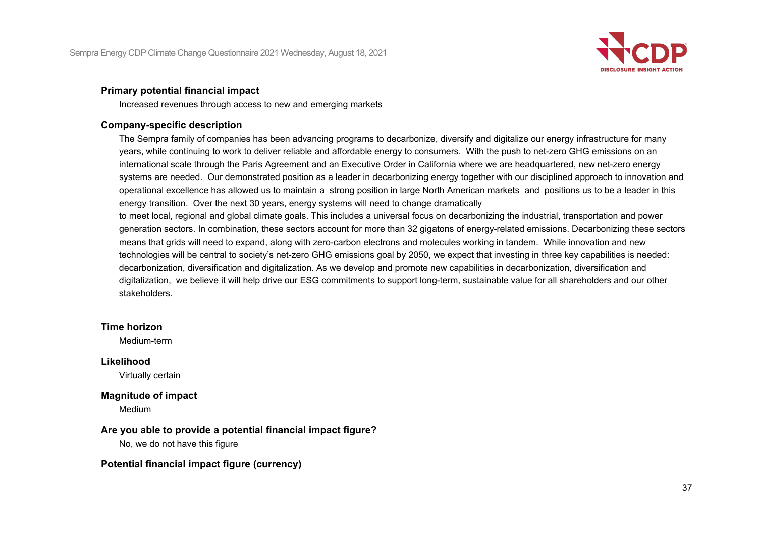

### **Primary potential financial impact**

Increased revenues through access to new and emerging markets

## **Company-specific description**

The Sempra family of companies has been advancing programs to decarbonize, diversify and digitalize our energy infrastructure for many years, while continuing to work to deliver reliable and affordable energy to consumers. With the push to net-zero GHG emissions on an international scale through the Paris Agreement and an Executive Order in California where we are headquartered, new net-zero energy systems are needed. Our demonstrated position as a leader in decarbonizing energy together with our disciplined approach to innovation and operational excellence has allowed us to maintain a strong position in large North American markets and positions us to be a leader in this energy transition. Over the next 30 years, energy systems will need to change dramatically

to meet local, regional and global climate goals. This includes a universal focus on decarbonizing the industrial, transportation and power generation sectors. In combination, these sectors account for more than 32 gigatons of energy-related emissions. Decarbonizing these sectors means that grids will need to expand, along with zero-carbon electrons and molecules working in tandem. While innovation and new technologies will be central to society's net-zero GHG emissions goal by 2050, we expect that investing in three key capabilities is needed: decarbonization, diversification and digitalization. As we develop and promote new capabilities in decarbonization, diversification and digitalization, we believe it will help drive our ESG commitments to support long-term, sustainable value for all shareholders and our other stakeholders.

### **Time horizon**

Medium-term

### **Likelihood**

Virtually certain

### **Magnitude of impact**

Medium

# **Are you able to provide a potential financial impact figure?**

No, we do not have this figure

## **Potential financial impact figure (currency)**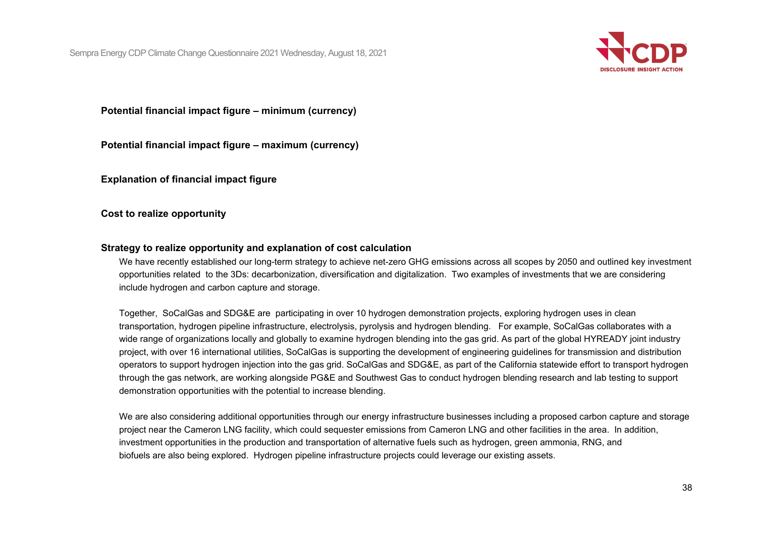

**Potential financial impact figure – minimum (currency)**

**Potential financial impact figure – maximum (currency)**

**Explanation of financial impact figure**

### **Cost to realize opportunity**

## **Strategy to realize opportunity and explanation of cost calculation**

We have recently established our long-term strategy to achieve net-zero GHG emissions across all scopes by 2050 and outlined key investment opportunities related to the 3Ds: decarbonization, diversification and digitalization. Two examples of investments that we are considering include hydrogen and carbon capture and storage.

Together, SoCalGas and SDG&E are participating in over 10 hydrogen demonstration projects, exploring hydrogen uses in clean transportation, hydrogen pipeline infrastructure, electrolysis, pyrolysis and hydrogen blending. For example, SoCalGas collaborates with a wide range of organizations locally and globally to examine hydrogen blending into the gas grid. As part of the global HYREADY joint industry project, with over 16 international utilities, SoCalGas is supporting the development of engineering guidelines for transmission and distribution operators to support hydrogen injection into the gas grid. SoCalGas and SDG&E, as part of the California statewide effort to transport hydrogen through the gas network, are working alongside PG&E and Southwest Gas to conduct hydrogen blending research and lab testing to support demonstration opportunities with the potential to increase blending.

We are also considering additional opportunities through our energy infrastructure businesses including a proposed carbon capture and storage project near the Cameron LNG facility, which could sequester emissions from Cameron LNG and other facilities in the area. In addition, investment opportunities in the production and transportation of alternative fuels such as hydrogen, green ammonia, RNG, and biofuels are also being explored. Hydrogen pipeline infrastructure projects could leverage our existing assets.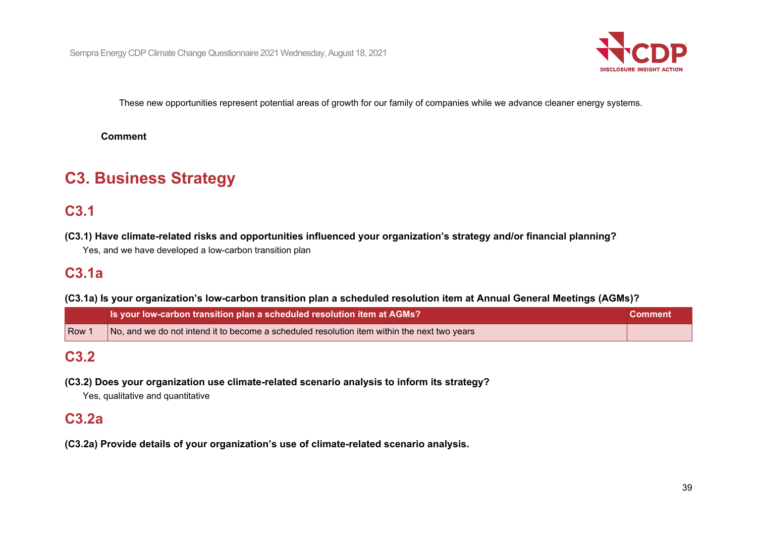

These new opportunities represent potential areas of growth for our family of companies while we advance cleaner energy systems.

**Comment**

# **C3. Business Strategy**

# **C3.1**

**(C3.1) Have climate-related risks and opportunities influenced your organization's strategy and/or financial planning?**

Yes, and we have developed a low-carbon transition plan

# **C3.1a**

**(C3.1a) Is your organization's low-carbon transition plan a scheduled resolution item at Annual General Meetings (AGMs)?**

|     | $\,$ Is your low-carbon transition plan a scheduled resolution item at AGMs? $\,$           | <b>Comment</b> |
|-----|---------------------------------------------------------------------------------------------|----------------|
| Row | No, and we do not intend it to become a scheduled resolution item within the next two years |                |

# **C3.2**

**(C3.2) Does your organization use climate-related scenario analysis to inform its strategy?**

Yes, qualitative and quantitative

# **C3.2a**

**(C3.2a) Provide details of your organization's use of climate-related scenario analysis.**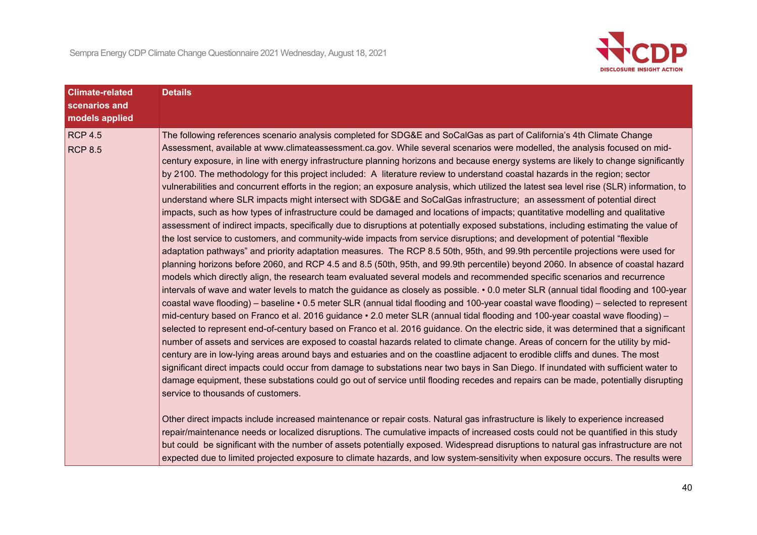

| <b>Climate-related</b><br>scenarios and<br>models applied | <b>Details</b>                                                                                                                                                                                                                                                                                                                                                                                                                                                                                                                                                                                                                                                                                                                                                                                                                                                                                                                                                                                                                                                                                                                                                                                                                                                                                                                                                                                                                                                                                                                                                                                                                                                                                                                                                                                                                                                                                                                                                                                                                                                                                                                                                                                                                                                                                                                                                                                                                                                                                                                                                                                                                                                                                                                                                    |
|-----------------------------------------------------------|-------------------------------------------------------------------------------------------------------------------------------------------------------------------------------------------------------------------------------------------------------------------------------------------------------------------------------------------------------------------------------------------------------------------------------------------------------------------------------------------------------------------------------------------------------------------------------------------------------------------------------------------------------------------------------------------------------------------------------------------------------------------------------------------------------------------------------------------------------------------------------------------------------------------------------------------------------------------------------------------------------------------------------------------------------------------------------------------------------------------------------------------------------------------------------------------------------------------------------------------------------------------------------------------------------------------------------------------------------------------------------------------------------------------------------------------------------------------------------------------------------------------------------------------------------------------------------------------------------------------------------------------------------------------------------------------------------------------------------------------------------------------------------------------------------------------------------------------------------------------------------------------------------------------------------------------------------------------------------------------------------------------------------------------------------------------------------------------------------------------------------------------------------------------------------------------------------------------------------------------------------------------------------------------------------------------------------------------------------------------------------------------------------------------------------------------------------------------------------------------------------------------------------------------------------------------------------------------------------------------------------------------------------------------------------------------------------------------------------------------------------------------|
| RCP <sub>4.5</sub><br><b>RCP 8.5</b>                      | The following references scenario analysis completed for SDG&E and SoCalGas as part of California's 4th Climate Change<br>Assessment, available at www.climateassessment.ca.gov. While several scenarios were modelled, the analysis focused on mid-<br>century exposure, in line with energy infrastructure planning horizons and because energy systems are likely to change significantly<br>by 2100. The methodology for this project included: A literature review to understand coastal hazards in the region; sector<br>vulnerabilities and concurrent efforts in the region; an exposure analysis, which utilized the latest sea level rise (SLR) information, to<br>understand where SLR impacts might intersect with SDG&E and SoCalGas infrastructure; an assessment of potential direct<br>impacts, such as how types of infrastructure could be damaged and locations of impacts; quantitative modelling and qualitative<br>assessment of indirect impacts, specifically due to disruptions at potentially exposed substations, including estimating the value of<br>the lost service to customers, and community-wide impacts from service disruptions; and development of potential "flexible<br>adaptation pathways" and priority adaptation measures. The RCP 8.5 50th, 95th, and 99.9th percentile projections were used for<br>planning horizons before 2060, and RCP 4.5 and 8.5 (50th, 95th, and 99.9th percentile) beyond 2060. In absence of coastal hazard<br>models which directly align, the research team evaluated several models and recommended specific scenarios and recurrence<br>intervals of wave and water levels to match the guidance as closely as possible. • 0.0 meter SLR (annual tidal flooding and 100-year<br>coastal wave flooding) – baseline • 0.5 meter SLR (annual tidal flooding and 100-year coastal wave flooding) – selected to represent<br>mid-century based on Franco et al. 2016 guidance • 2.0 meter SLR (annual tidal flooding and 100-year coastal wave flooding) –<br>selected to represent end-of-century based on Franco et al. 2016 guidance. On the electric side, it was determined that a significant<br>number of assets and services are exposed to coastal hazards related to climate change. Areas of concern for the utility by mid-<br>century are in low-lying areas around bays and estuaries and on the coastline adjacent to erodible cliffs and dunes. The most<br>significant direct impacts could occur from damage to substations near two bays in San Diego. If inundated with sufficient water to<br>damage equipment, these substations could go out of service until flooding recedes and repairs can be made, potentially disrupting<br>service to thousands of customers. |
|                                                           | Other direct impacts include increased maintenance or repair costs. Natural gas infrastructure is likely to experience increased<br>repair/maintenance needs or localized disruptions. The cumulative impacts of increased costs could not be quantified in this study<br>but could be significant with the number of assets potentially exposed. Widespread disruptions to natural gas infrastructure are not<br>expected due to limited projected exposure to climate hazards, and low system-sensitivity when exposure occurs. The results were                                                                                                                                                                                                                                                                                                                                                                                                                                                                                                                                                                                                                                                                                                                                                                                                                                                                                                                                                                                                                                                                                                                                                                                                                                                                                                                                                                                                                                                                                                                                                                                                                                                                                                                                                                                                                                                                                                                                                                                                                                                                                                                                                                                                                |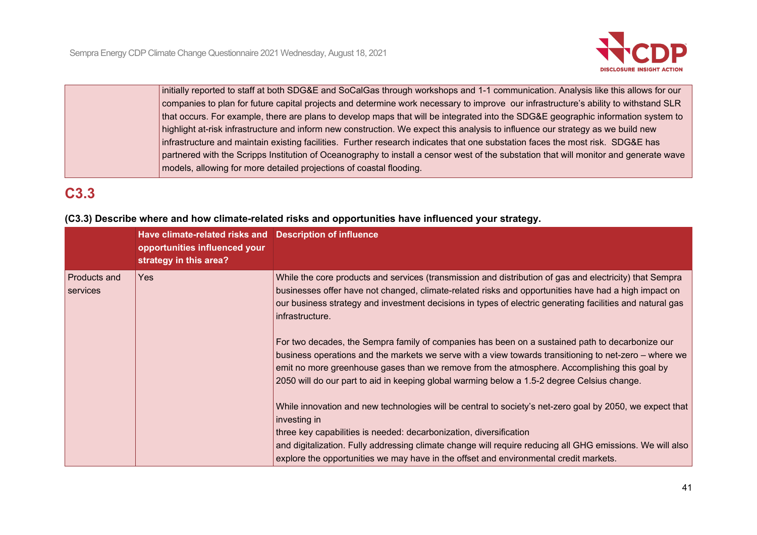

| initially reported to staff at both SDG&E and SoCalGas through workshops and 1-1 communication. Analysis like this allows for our     |
|---------------------------------------------------------------------------------------------------------------------------------------|
| companies to plan for future capital projects and determine work necessary to improve our infrastructure's ability to withstand SLR   |
| that occurs. For example, there are plans to develop maps that will be integrated into the SDG&E geographic information system to     |
| highlight at-risk infrastructure and inform new construction. We expect this analysis to influence our strategy as we build new       |
| infrastructure and maintain existing facilities. Further research indicates that one substation faces the most risk. SDG&E has        |
| partnered with the Scripps Institution of Oceanography to install a censor west of the substation that will monitor and generate wave |
| models, allowing for more detailed projections of coastal flooding.                                                                   |

# **C3.3**

|                          | Have climate-related risks and Description of influence<br>opportunities influenced your<br>strategy in this area? |                                                                                                                                                                                                                                                                                                                                                                                                         |
|--------------------------|--------------------------------------------------------------------------------------------------------------------|---------------------------------------------------------------------------------------------------------------------------------------------------------------------------------------------------------------------------------------------------------------------------------------------------------------------------------------------------------------------------------------------------------|
| Products and<br>services | <b>Yes</b>                                                                                                         | While the core products and services (transmission and distribution of gas and electricity) that Sempra<br>businesses offer have not changed, climate-related risks and opportunities have had a high impact on<br>our business strategy and investment decisions in types of electric generating facilities and natural gas<br>infrastructure.                                                         |
|                          |                                                                                                                    | For two decades, the Sempra family of companies has been on a sustained path to decarbonize our<br>business operations and the markets we serve with a view towards transitioning to net-zero – where we<br>emit no more greenhouse gases than we remove from the atmosphere. Accomplishing this goal by<br>2050 will do our part to aid in keeping global warming below a 1.5-2 degree Celsius change. |
|                          |                                                                                                                    | While innovation and new technologies will be central to society's net-zero goal by 2050, we expect that<br>investing in                                                                                                                                                                                                                                                                                |
|                          |                                                                                                                    | three key capabilities is needed: decarbonization, diversification<br>and digitalization. Fully addressing climate change will require reducing all GHG emissions. We will also<br>explore the opportunities we may have in the offset and environmental credit markets.                                                                                                                                |

# **(C3.3) Describe where and how climate-related risks and opportunities have influenced your strategy.**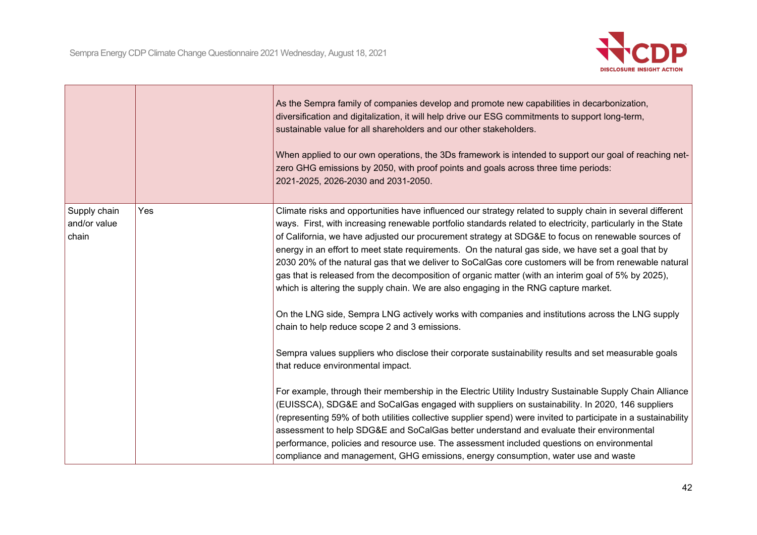

|                                       |     | As the Sempra family of companies develop and promote new capabilities in decarbonization,<br>diversification and digitalization, it will help drive our ESG commitments to support long-term,<br>sustainable value for all shareholders and our other stakeholders.<br>When applied to our own operations, the 3Ds framework is intended to support our goal of reaching net-<br>zero GHG emissions by 2050, with proof points and goals across three time periods:<br>2021-2025, 2026-2030 and 2031-2050.                                                                                                                                                                                                                                   |
|---------------------------------------|-----|-----------------------------------------------------------------------------------------------------------------------------------------------------------------------------------------------------------------------------------------------------------------------------------------------------------------------------------------------------------------------------------------------------------------------------------------------------------------------------------------------------------------------------------------------------------------------------------------------------------------------------------------------------------------------------------------------------------------------------------------------|
| Supply chain<br>and/or value<br>chain | Yes | Climate risks and opportunities have influenced our strategy related to supply chain in several different<br>ways. First, with increasing renewable portfolio standards related to electricity, particularly in the State<br>of California, we have adjusted our procurement strategy at SDG&E to focus on renewable sources of<br>energy in an effort to meet state requirements. On the natural gas side, we have set a goal that by<br>2030 20% of the natural gas that we deliver to SoCalGas core customers will be from renewable natural<br>gas that is released from the decomposition of organic matter (with an interim goal of 5% by 2025),<br>which is altering the supply chain. We are also engaging in the RNG capture market. |
|                                       |     | On the LNG side, Sempra LNG actively works with companies and institutions across the LNG supply<br>chain to help reduce scope 2 and 3 emissions.<br>Sempra values suppliers who disclose their corporate sustainability results and set measurable goals<br>that reduce environmental impact.                                                                                                                                                                                                                                                                                                                                                                                                                                                |
|                                       |     | For example, through their membership in the Electric Utility Industry Sustainable Supply Chain Alliance<br>(EUISSCA), SDG&E and SoCalGas engaged with suppliers on sustainability. In 2020, 146 suppliers<br>(representing 59% of both utilities collective supplier spend) were invited to participate in a sustainability<br>assessment to help SDG&E and SoCalGas better understand and evaluate their environmental<br>performance, policies and resource use. The assessment included questions on environmental<br>compliance and management, GHG emissions, energy consumption, water use and waste                                                                                                                                   |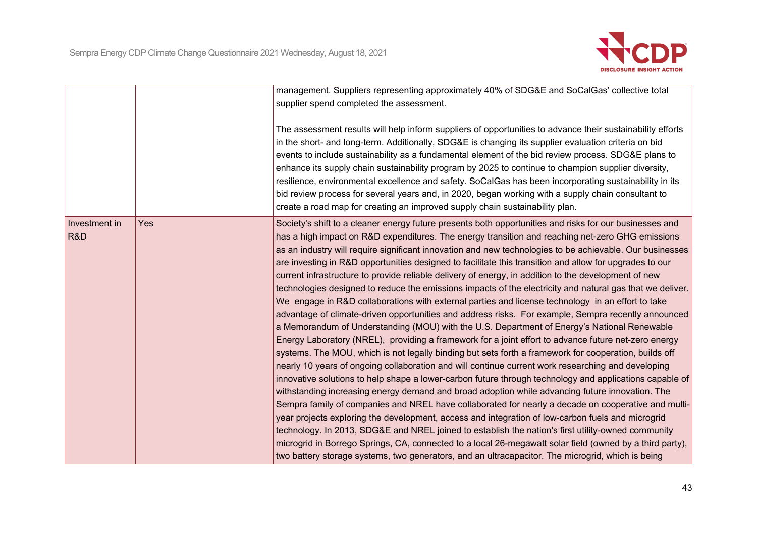

|                      |     | management. Suppliers representing approximately 40% of SDG&E and SoCalGas' collective total<br>supplier spend completed the assessment.                                                                                                                                                                                                                                                                                                                                                                                                                                                                                                                                                                                                                                                                                                                                                                                                                                                                                                                                                                                                                                                                                                                                                                                                                                                                                                                                                                                                                                                                                                                                                                                                                                                                                                                                                                                                                                                                                                   |
|----------------------|-----|--------------------------------------------------------------------------------------------------------------------------------------------------------------------------------------------------------------------------------------------------------------------------------------------------------------------------------------------------------------------------------------------------------------------------------------------------------------------------------------------------------------------------------------------------------------------------------------------------------------------------------------------------------------------------------------------------------------------------------------------------------------------------------------------------------------------------------------------------------------------------------------------------------------------------------------------------------------------------------------------------------------------------------------------------------------------------------------------------------------------------------------------------------------------------------------------------------------------------------------------------------------------------------------------------------------------------------------------------------------------------------------------------------------------------------------------------------------------------------------------------------------------------------------------------------------------------------------------------------------------------------------------------------------------------------------------------------------------------------------------------------------------------------------------------------------------------------------------------------------------------------------------------------------------------------------------------------------------------------------------------------------------------------------------|
|                      |     | The assessment results will help inform suppliers of opportunities to advance their sustainability efforts<br>in the short- and long-term. Additionally, SDG&E is changing its supplier evaluation criteria on bid<br>events to include sustainability as a fundamental element of the bid review process. SDG&E plans to<br>enhance its supply chain sustainability program by 2025 to continue to champion supplier diversity,<br>resilience, environmental excellence and safety. SoCalGas has been incorporating sustainability in its<br>bid review process for several years and, in 2020, began working with a supply chain consultant to<br>create a road map for creating an improved supply chain sustainability plan.                                                                                                                                                                                                                                                                                                                                                                                                                                                                                                                                                                                                                                                                                                                                                                                                                                                                                                                                                                                                                                                                                                                                                                                                                                                                                                           |
| Investment in<br>R&D | Yes | Society's shift to a cleaner energy future presents both opportunities and risks for our businesses and<br>has a high impact on R&D expenditures. The energy transition and reaching net-zero GHG emissions<br>as an industry will require significant innovation and new technologies to be achievable. Our businesses<br>are investing in R&D opportunities designed to facilitate this transition and allow for upgrades to our<br>current infrastructure to provide reliable delivery of energy, in addition to the development of new<br>technologies designed to reduce the emissions impacts of the electricity and natural gas that we deliver.<br>We engage in R&D collaborations with external parties and license technology in an effort to take<br>advantage of climate-driven opportunities and address risks. For example, Sempra recently announced<br>a Memorandum of Understanding (MOU) with the U.S. Department of Energy's National Renewable<br>Energy Laboratory (NREL), providing a framework for a joint effort to advance future net-zero energy<br>systems. The MOU, which is not legally binding but sets forth a framework for cooperation, builds off<br>nearly 10 years of ongoing collaboration and will continue current work researching and developing<br>innovative solutions to help shape a lower-carbon future through technology and applications capable of<br>withstanding increasing energy demand and broad adoption while advancing future innovation. The<br>Sempra family of companies and NREL have collaborated for nearly a decade on cooperative and multi-<br>year projects exploring the development, access and integration of low-carbon fuels and microgrid<br>technology. In 2013, SDG&E and NREL joined to establish the nation's first utility-owned community<br>microgrid in Borrego Springs, CA, connected to a local 26-megawatt solar field (owned by a third party),<br>two battery storage systems, two generators, and an ultracapacitor. The microgrid, which is being |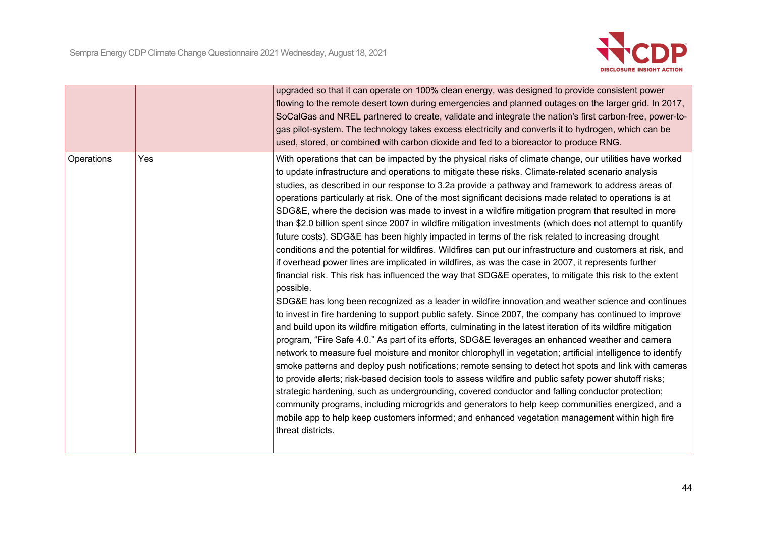

|            |     | upgraded so that it can operate on 100% clean energy, was designed to provide consistent power<br>flowing to the remote desert town during emergencies and planned outages on the larger grid. In 2017,<br>SoCalGas and NREL partnered to create, validate and integrate the nation's first carbon-free, power-to-<br>gas pilot-system. The technology takes excess electricity and converts it to hydrogen, which can be<br>used, stored, or combined with carbon dioxide and fed to a bioreactor to produce RNG.                                                                                                                                                                                                                                                                                                                                                                                                                                                                                                                                                                                                                                                                                                                                                                                                                                                                                                                                                                                                                                                                                                                                                                                                                                                                                                                                                                                                                                                                                                                                                                                                                                                                                                |
|------------|-----|-------------------------------------------------------------------------------------------------------------------------------------------------------------------------------------------------------------------------------------------------------------------------------------------------------------------------------------------------------------------------------------------------------------------------------------------------------------------------------------------------------------------------------------------------------------------------------------------------------------------------------------------------------------------------------------------------------------------------------------------------------------------------------------------------------------------------------------------------------------------------------------------------------------------------------------------------------------------------------------------------------------------------------------------------------------------------------------------------------------------------------------------------------------------------------------------------------------------------------------------------------------------------------------------------------------------------------------------------------------------------------------------------------------------------------------------------------------------------------------------------------------------------------------------------------------------------------------------------------------------------------------------------------------------------------------------------------------------------------------------------------------------------------------------------------------------------------------------------------------------------------------------------------------------------------------------------------------------------------------------------------------------------------------------------------------------------------------------------------------------------------------------------------------------------------------------------------------------|
| Operations | Yes | With operations that can be impacted by the physical risks of climate change, our utilities have worked<br>to update infrastructure and operations to mitigate these risks. Climate-related scenario analysis<br>studies, as described in our response to 3.2a provide a pathway and framework to address areas of<br>operations particularly at risk. One of the most significant decisions made related to operations is at<br>SDG&E, where the decision was made to invest in a wildfire mitigation program that resulted in more<br>than \$2.0 billion spent since 2007 in wildfire mitigation investments (which does not attempt to quantify<br>future costs). SDG&E has been highly impacted in terms of the risk related to increasing drought<br>conditions and the potential for wildfires. Wildfires can put our infrastructure and customers at risk, and<br>if overhead power lines are implicated in wildfires, as was the case in 2007, it represents further<br>financial risk. This risk has influenced the way that SDG&E operates, to mitigate this risk to the extent<br>possible.<br>SDG&E has long been recognized as a leader in wildfire innovation and weather science and continues<br>to invest in fire hardening to support public safety. Since 2007, the company has continued to improve<br>and build upon its wildfire mitigation efforts, culminating in the latest iteration of its wildfire mitigation<br>program, "Fire Safe 4.0." As part of its efforts, SDG&E leverages an enhanced weather and camera<br>network to measure fuel moisture and monitor chlorophyll in vegetation; artificial intelligence to identify<br>smoke patterns and deploy push notifications; remote sensing to detect hot spots and link with cameras<br>to provide alerts; risk-based decision tools to assess wildfire and public safety power shutoff risks;<br>strategic hardening, such as undergrounding, covered conductor and falling conductor protection;<br>community programs, including microgrids and generators to help keep communities energized, and a<br>mobile app to help keep customers informed; and enhanced vegetation management within high fire<br>threat districts. |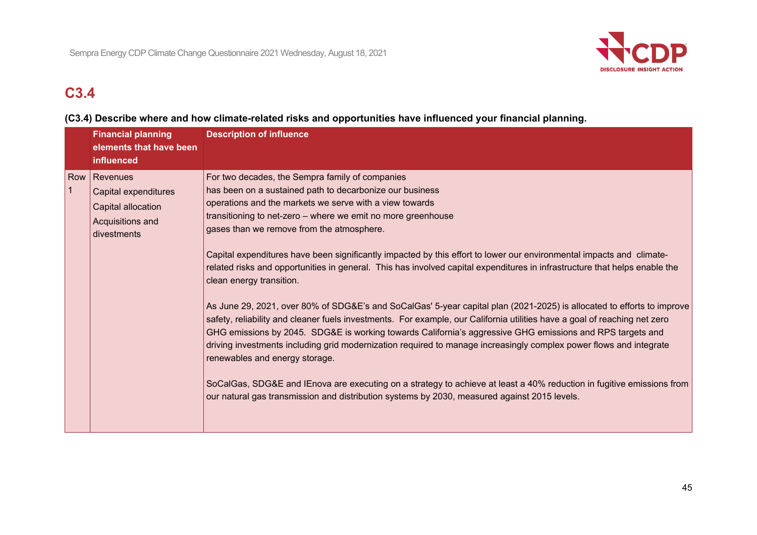

# **C3.4**

**(C3.4) Describe where and how climate-related risks and opportunities have influenced your financial planning.**

| <b>Financial planning</b><br>elements that have been<br>influenced                                   | <b>Description of influence</b>                                                                                                                                                                                                                                                                                                                                                                                                                                                                                                                                                                                                                                                                                                                                                                                                                                                                                                                                                                                                                                                                                                                                                                                                                                                                                            |
|------------------------------------------------------------------------------------------------------|----------------------------------------------------------------------------------------------------------------------------------------------------------------------------------------------------------------------------------------------------------------------------------------------------------------------------------------------------------------------------------------------------------------------------------------------------------------------------------------------------------------------------------------------------------------------------------------------------------------------------------------------------------------------------------------------------------------------------------------------------------------------------------------------------------------------------------------------------------------------------------------------------------------------------------------------------------------------------------------------------------------------------------------------------------------------------------------------------------------------------------------------------------------------------------------------------------------------------------------------------------------------------------------------------------------------------|
| <b>Row Revenues</b><br>Capital expenditures<br>Capital allocation<br>Acquisitions and<br>divestments | For two decades, the Sempra family of companies<br>has been on a sustained path to decarbonize our business<br>operations and the markets we serve with a view towards<br>transitioning to net-zero - where we emit no more greenhouse<br>gases than we remove from the atmosphere.<br>Capital expenditures have been significantly impacted by this effort to lower our environmental impacts and climate-<br>related risks and opportunities in general. This has involved capital expenditures in infrastructure that helps enable the<br>clean energy transition.<br>As June 29, 2021, over 80% of SDG&E's and SoCalGas' 5-year capital plan (2021-2025) is allocated to efforts to improve<br>safety, reliability and cleaner fuels investments. For example, our California utilities have a goal of reaching net zero<br>GHG emissions by 2045. SDG&E is working towards California's aggressive GHG emissions and RPS targets and<br>driving investments including grid modernization required to manage increasingly complex power flows and integrate<br>renewables and energy storage.<br>SoCalGas, SDG&E and IEnova are executing on a strategy to achieve at least a 40% reduction in fugitive emissions from<br>our natural gas transmission and distribution systems by 2030, measured against 2015 levels. |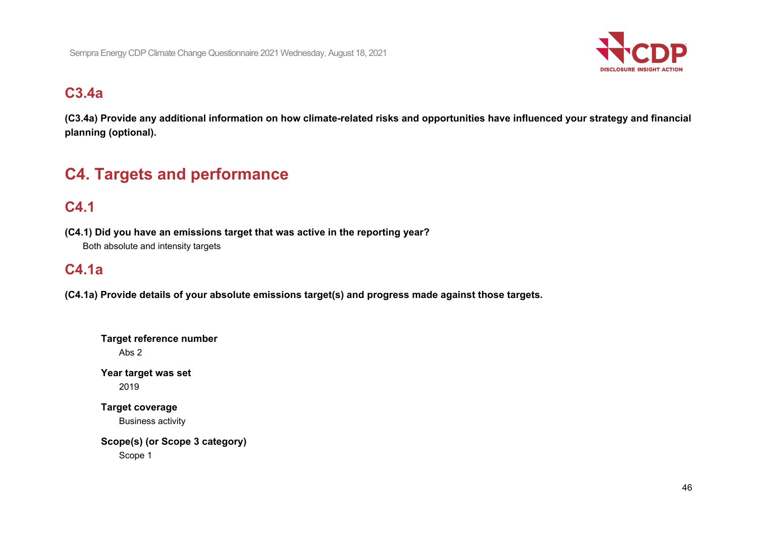

# **C3.4a**

**(C3.4a) Provide any additional information on how climate-related risks and opportunities have influenced your strategy and financial planning (optional).**

# **C4. Targets and performance**

# **C4.1**

**(C4.1) Did you have an emissions target that was active in the reporting year?** Both absolute and intensity targets

# **C4.1a**

**(C4.1a) Provide details of your absolute emissions target(s) and progress made against those targets.**

**Target reference number** Abs 2 **Year target was set** 2019 **Target coverage** Business activity **Scope(s) (or Scope 3 category)** Scope 1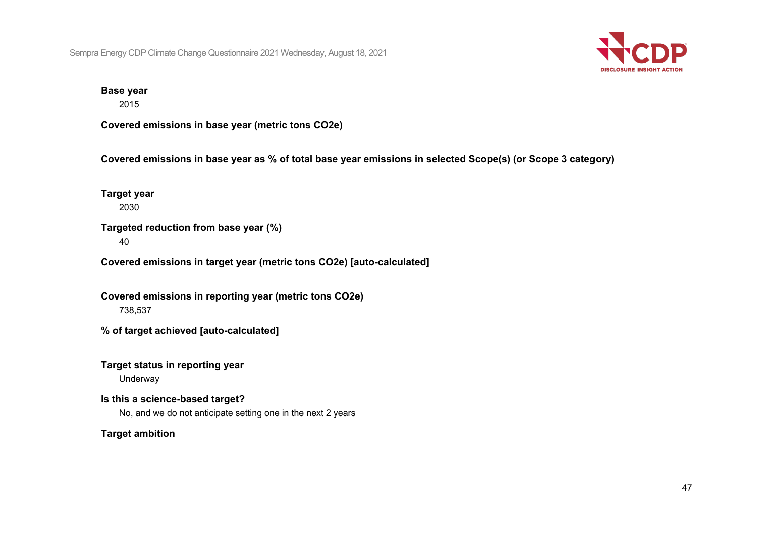

## **Base year**

2015

**Covered emissions in base year (metric tons CO2e)**

**Covered emissions in base year as % of total base year emissions in selected Scope(s) (or Scope 3 category)**

**Target year** 2030

# **Targeted reduction from base year (%)**

40

**Covered emissions in target year (metric tons CO2e) [auto-calculated]**

**Covered emissions in reporting year (metric tons CO2e)** 738,537

# **% of target achieved [auto-calculated]**

## **Target status in reporting year**

Underway

## **Is this a science-based target?**

No, and we do not anticipate setting one in the next 2 years

**Target ambition**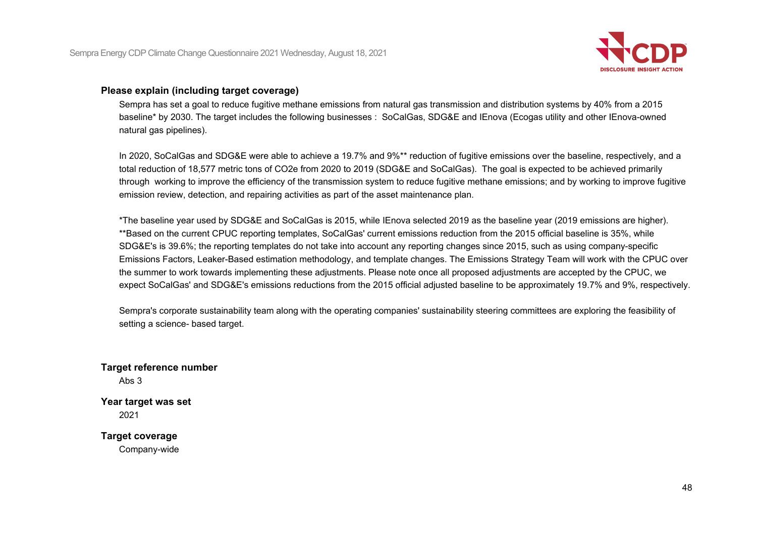

### **Please explain (including target coverage)**

Sempra has set a goal to reduce fugitive methane emissions from natural gas transmission and distribution systems by 40% from a 2015 baseline\* by 2030. The target includes the following businesses : SoCalGas, SDG&E and IEnova (Ecogas utility and other IEnova-owned natural gas pipelines).

In 2020, SoCalGas and SDG&E were able to achieve a 19.7% and 9%\*\* reduction of fugitive emissions over the baseline, respectively, and a total reduction of 18,577 metric tons of CO2e from 2020 to 2019 (SDG&E and SoCalGas). The goal is expected to be achieved primarily through working to improve the efficiency of the transmission system to reduce fugitive methane emissions; and by working to improve fugitive emission review, detection, and repairing activities as part of the asset maintenance plan.

\*The baseline year used by SDG&E and SoCalGas is 2015, while IEnova selected 2019 as the baseline year (2019 emissions are higher). \*\*Based on the current CPUC reporting templates, SoCalGas' current emissions reduction from the 2015 official baseline is 35%, while SDG&E's is 39.6%; the reporting templates do not take into account any reporting changes since 2015, such as using company-specific Emissions Factors, Leaker-Based estimation methodology, and template changes. The Emissions Strategy Team will work with the CPUC over the summer to work towards implementing these adjustments. Please note once all proposed adjustments are accepted by the CPUC, we expect SoCalGas' and SDG&E's emissions reductions from the 2015 official adjusted baseline to be approximately 19.7% and 9%, respectively.

Sempra's corporate sustainability team along with the operating companies' sustainability steering committees are exploring the feasibility of setting a science- based target.

**Target reference number** Abs 3

**Year target was set** 2021

**Target coverage** Company-wide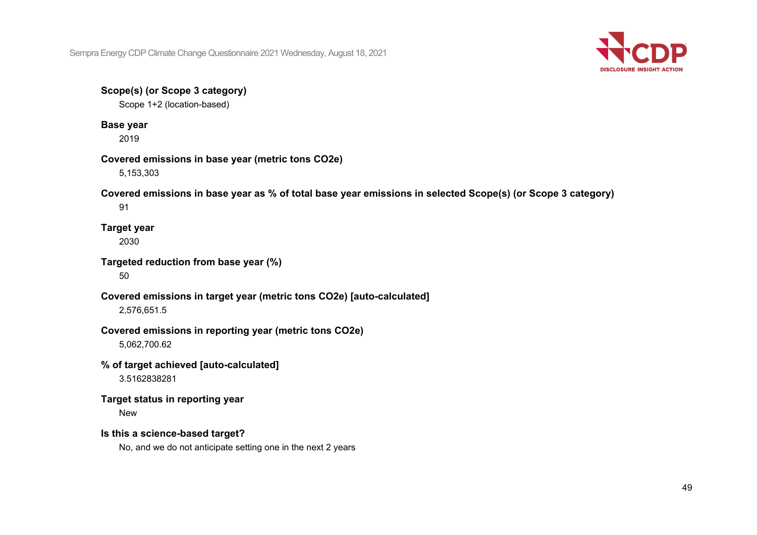

## **Scope(s) (or Scope 3 category)**

Scope 1+2 (location-based)

## **Base year**

2019

### **Covered emissions in base year (metric tons CO2e)** 5,153,303

**Covered emissions in base year as % of total base year emissions in selected Scope(s) (or Scope 3 category)** 91

# **Target year**

2030

## **Targeted reduction from base year (%)**

50

# **Covered emissions in target year (metric tons CO2e) [auto-calculated]** 2,576,651.5

## **Covered emissions in reporting year (metric tons CO2e)**

5,062,700.62

## **% of target achieved [auto-calculated]** 3.5162838281

# **Target status in reporting year**

New

## **Is this a science-based target?**

No, and we do not anticipate setting one in the next 2 years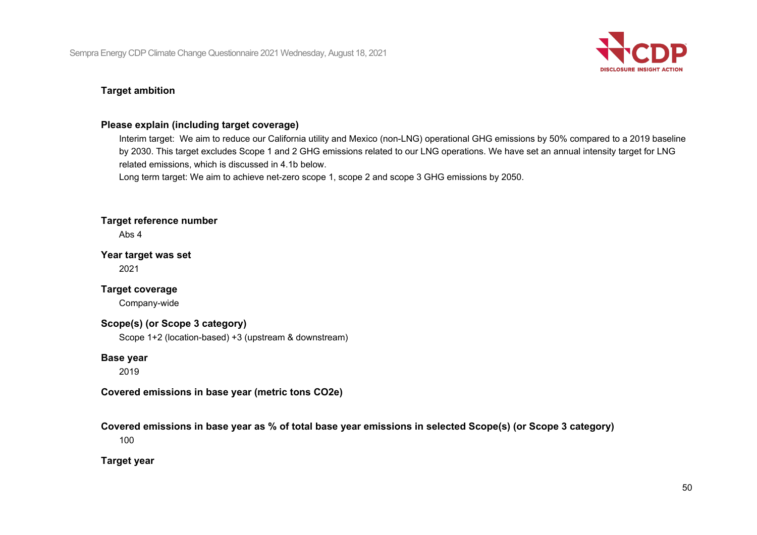

## **Target ambition**

## **Please explain (including target coverage)**

Interim target: We aim to reduce our California utility and Mexico (non-LNG) operational GHG emissions by 50% compared to a 2019 baseline by 2030. This target excludes Scope 1 and 2 GHG emissions related to our LNG operations. We have set an annual intensity target for LNG related emissions, which is discussed in 4.1b below.

Long term target: We aim to achieve net-zero scope 1, scope 2 and scope 3 GHG emissions by 2050.

**Target reference number**

Abs 4

## **Year target was set**

2021

## **Target coverage**

Company-wide

# **Scope(s) (or Scope 3 category)**

Scope 1+2 (location-based) +3 (upstream & downstream)

## **Base year**

2019

**Covered emissions in base year (metric tons CO2e)**

**Covered emissions in base year as % of total base year emissions in selected Scope(s) (or Scope 3 category)** 100

**Target year**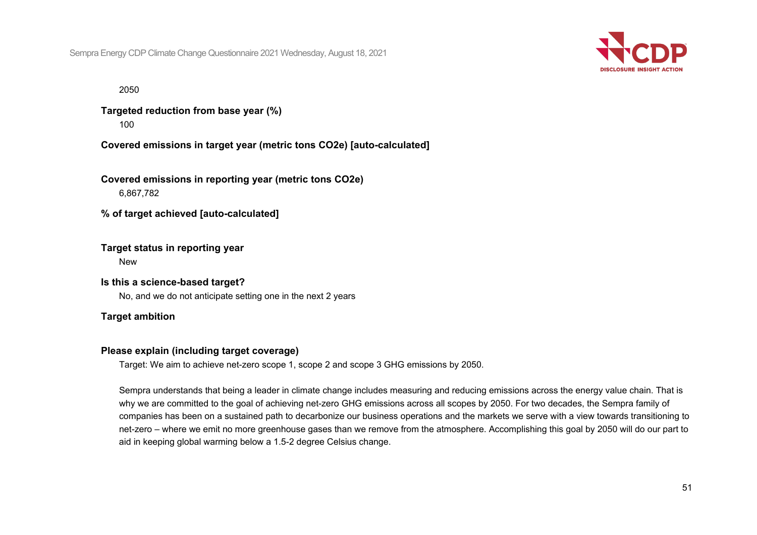

2050

**Targeted reduction from base year (%)**

100

**Covered emissions in target year (metric tons CO2e) [auto-calculated]**

**Covered emissions in reporting year (metric tons CO2e)** 6,867,782

**% of target achieved [auto-calculated]**

**Target status in reporting year New** 

**Is this a science-based target?** No, and we do not anticipate setting one in the next 2 years

**Target ambition**

### **Please explain (including target coverage)**

Target: We aim to achieve net-zero scope 1, scope 2 and scope 3 GHG emissions by 2050.

Sempra understands that being a leader in climate change includes measuring and reducing emissions across the energy value chain. That is why we are committed to the goal of achieving net-zero GHG emissions across all scopes by 2050. For two decades, the Sempra family of companies has been on a sustained path to decarbonize our business operations and the markets we serve with a view towards transitioning to net-zero – where we emit no more greenhouse gases than we remove from the atmosphere. Accomplishing this goal by 2050 will do our part to aid in keeping global warming below a 1.5-2 degree Celsius change.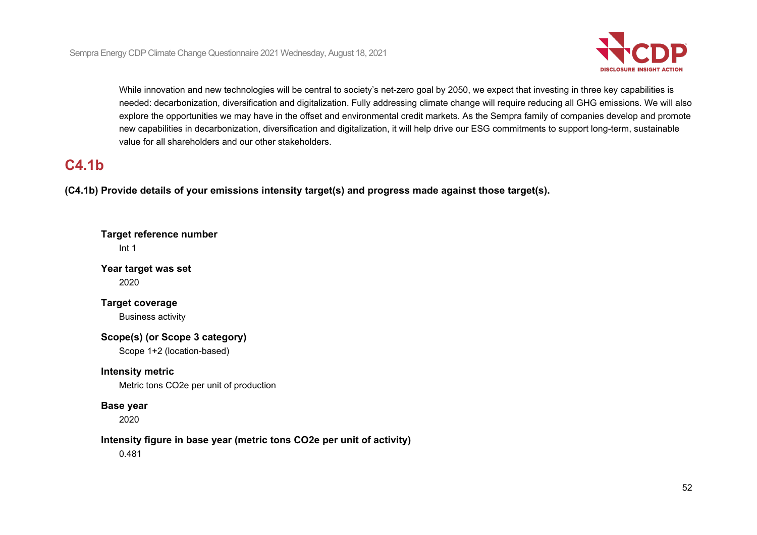

While innovation and new technologies will be central to society's net-zero goal by 2050, we expect that investing in three key capabilities is needed: decarbonization, diversification and digitalization. Fully addressing climate change will require reducing all GHG emissions. We will also explore the opportunities we may have in the offset and environmental credit markets. As the Sempra family of companies develop and promote new capabilities in decarbonization, diversification and digitalization, it will help drive our ESG commitments to support long-term, sustainable value for all shareholders and our other stakeholders.

# **C4.1b**

**(C4.1b) Provide details of your emissions intensity target(s) and progress made against those target(s).**

**Target reference number** Int 1 **Year target was set** 2020 **Target coverage** Business activity **Scope(s) (or Scope 3 category)** Scope 1+2 (location-based) **Intensity metric** Metric tons CO2e per unit of production **Base year** 2020 **Intensity figure in base year (metric tons CO2e per unit of activity)** 0.481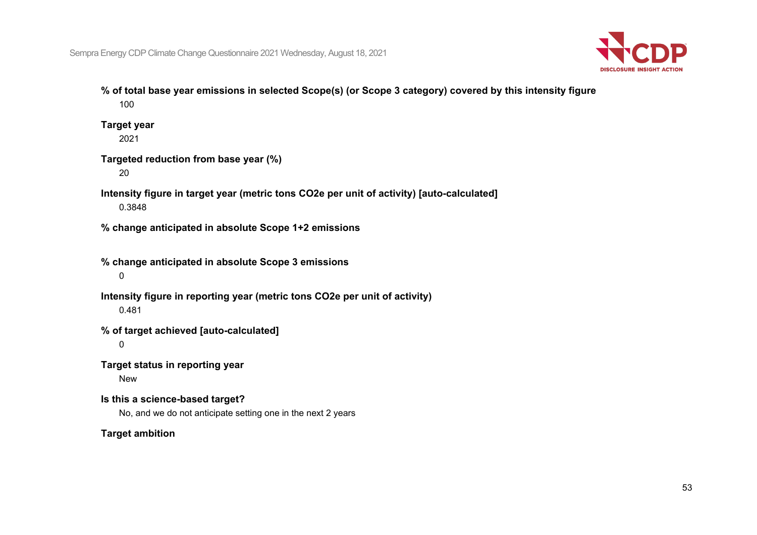

**% of total base year emissions in selected Scope(s) (or Scope 3 category) covered by this intensity figure** 100

**Target year** 2021

**Targeted reduction from base year (%)** 20

**Intensity figure in target year (metric tons CO2e per unit of activity) [auto-calculated]** 0.3848

**% change anticipated in absolute Scope 1+2 emissions**

**% change anticipated in absolute Scope 3 emissions** 0

**Intensity figure in reporting year (metric tons CO2e per unit of activity)** 0.481

**% of target achieved [auto-calculated]**

0

**Target status in reporting year**

New

**Is this a science-based target?**

No, and we do not anticipate setting one in the next 2 years

**Target ambition**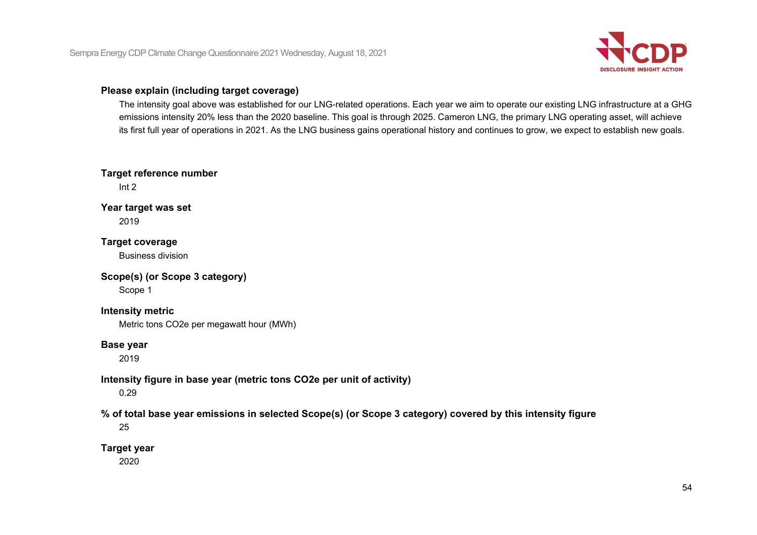

## **Please explain (including target coverage)**

The intensity goal above was established for our LNG-related operations. Each year we aim to operate our existing LNG infrastructure at a GHG emissions intensity 20% less than the 2020 baseline. This goal is through 2025. Cameron LNG, the primary LNG operating asset, will achieve its first full year of operations in 2021. As the LNG business gains operational history and continues to grow, we expect to establish new goals.

### **Target reference number**

Int 2

# **Year target was set**

2019

# **Target coverage**

Business division

### **Scope(s) (or Scope 3 category)**

Scope 1

## **Intensity metric**

Metric tons CO2e per megawatt hour (MWh)

## **Base year**

2019

## **Intensity figure in base year (metric tons CO2e per unit of activity)**

0.29

**% of total base year emissions in selected Scope(s) (or Scope 3 category) covered by this intensity figure** 25

**Target year**

2020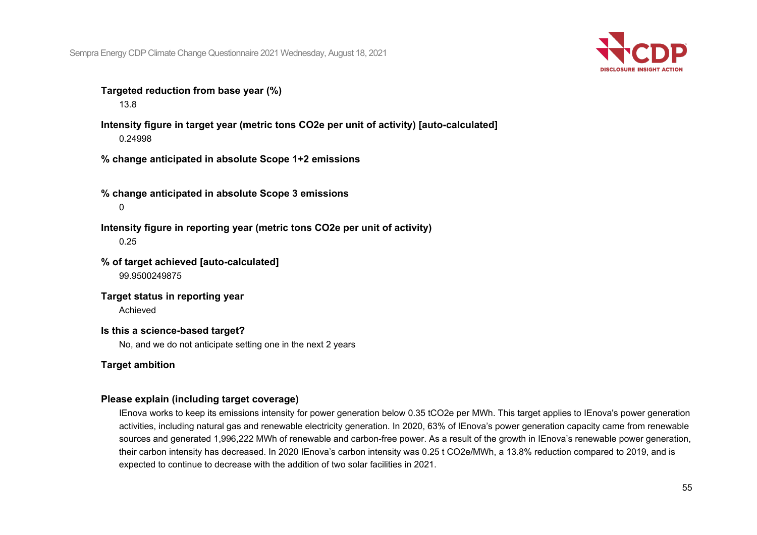

# **Targeted reduction from base year (%)**

13.8

- **Intensity figure in target year (metric tons CO2e per unit of activity) [auto-calculated]** 0.24998
- **% change anticipated in absolute Scope 1+2 emissions**
- **% change anticipated in absolute Scope 3 emissions**  $\Omega$
- **Intensity figure in reporting year (metric tons CO2e per unit of activity)** 0.25
- **% of target achieved [auto-calculated]** 99.9500249875
- **Target status in reporting year** Achieved

## **Is this a science-based target?**

No, and we do not anticipate setting one in the next 2 years

# **Target ambition**

## **Please explain (including target coverage)**

IEnova works to keep its emissions intensity for power generation below 0.35 tCO2e per MWh. This target applies to IEnova's power generation activities, including natural gas and renewable electricity generation. In 2020, 63% of IEnova's power generation capacity came from renewable sources and generated 1,996,222 MWh of renewable and carbon-free power. As a result of the growth in IEnova's renewable power generation, their carbon intensity has decreased. In 2020 IEnova's carbon intensity was 0.25 t CO2e/MWh, a 13.8% reduction compared to 2019, and is expected to continue to decrease with the addition of two solar facilities in 2021.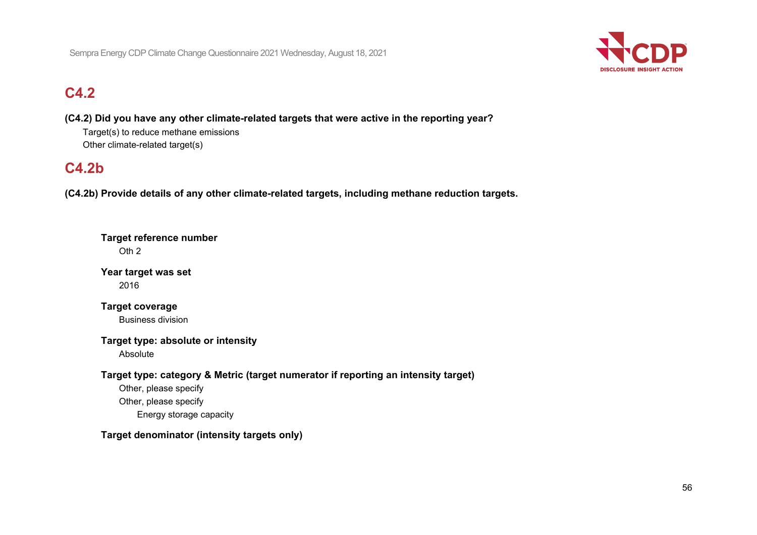

# **C4.2**

## **(C4.2) Did you have any other climate-related targets that were active in the reporting year?**

Target(s) to reduce methane emissions Other climate-related target(s)

# **C4.2b**

**(C4.2b) Provide details of any other climate-related targets, including methane reduction targets.**

| Target reference number            |                                                                                    |
|------------------------------------|------------------------------------------------------------------------------------|
| Oth <sub>2</sub>                   |                                                                                    |
| Year target was set                |                                                                                    |
| 2016                               |                                                                                    |
| <b>Target coverage</b>             |                                                                                    |
| <b>Business division</b>           |                                                                                    |
| Target type: absolute or intensity |                                                                                    |
| Absolute                           |                                                                                    |
|                                    | Target type: category & Metric (target numerator if reporting an intensity target) |
| Other, please specify              |                                                                                    |
| Other, please specify              |                                                                                    |
| Energy storage capacity            |                                                                                    |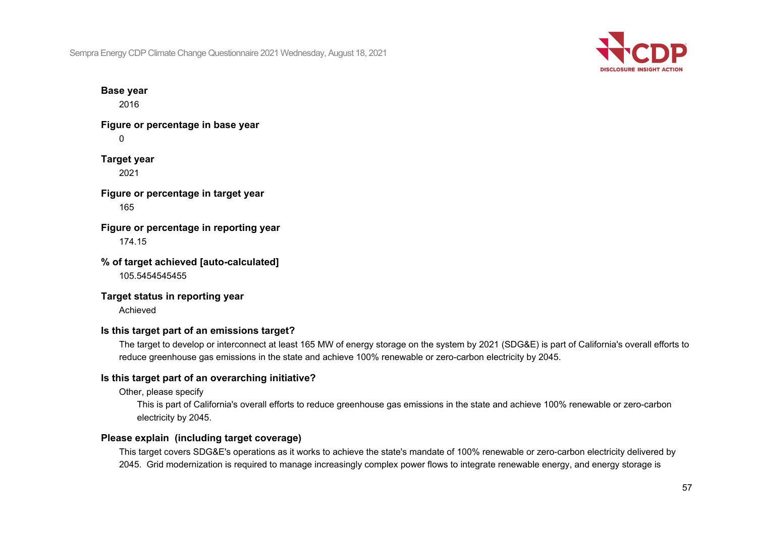

# **Base year**

2016

**Figure or percentage in base year**  $\Omega$ 

**Target year** 2021

**Figure or percentage in target year** 165

**Figure or percentage in reporting year** 174.15

**% of target achieved [auto-calculated]** 105.5454545455

**Target status in reporting year**

Achieved

## **Is this target part of an emissions target?**

The target to develop or interconnect at least 165 MW of energy storage on the system by 2021 (SDG&E) is part of California's overall efforts to reduce greenhouse gas emissions in the state and achieve 100% renewable or zero-carbon electricity by 2045.

## **Is this target part of an overarching initiative?**

Other, please specify

This is part of California's overall efforts to reduce greenhouse gas emissions in the state and achieve 100% renewable or zero-carbon electricity by 2045.

## **Please explain (including target coverage)**

This target covers SDG&E's operations as it works to achieve the state's mandate of 100% renewable or zero-carbon electricity delivered by 2045. Grid modernization is required to manage increasingly complex power flows to integrate renewable energy, and energy storage is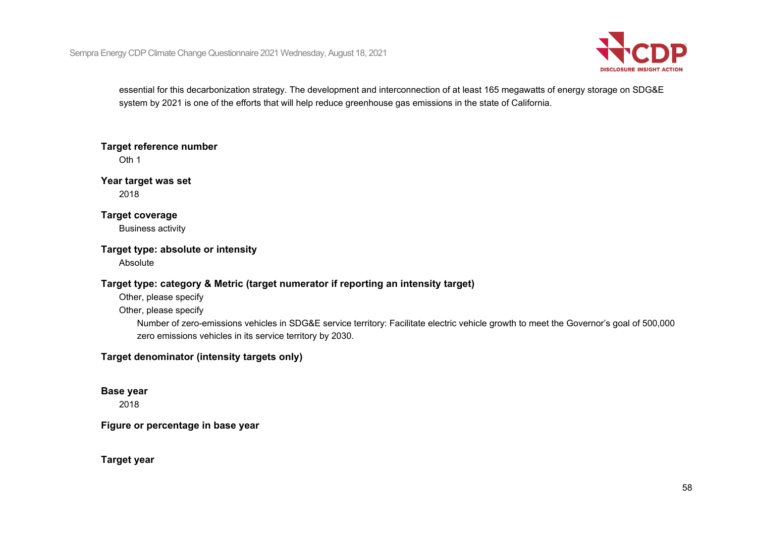

essential for this decarbonization strategy. The development and interconnection of at least 165 megawatts of energy storage on SDG&E system by 2021 is one of the efforts that will help reduce greenhouse gas emissions in the state of California.

#### **Target reference number**

Oth 1

#### **Year target was set**

2018

### **Target coverage**

Business activity

#### **Target type: absolute or intensity**

Absolute

## **Target type: category & Metric (target numerator if reporting an intensity target)**

Other, please specify Other, please specify Number of zero-emissions vehicles in SDG&E service territory: Facilitate electric vehicle growth to meet the Governor's goal of 500,000 zero emissions vehicles in its service territory by 2030.

## **Target denominator (intensity targets only)**

## **Base year**

2018

## **Figure or percentage in base year**

**Target year**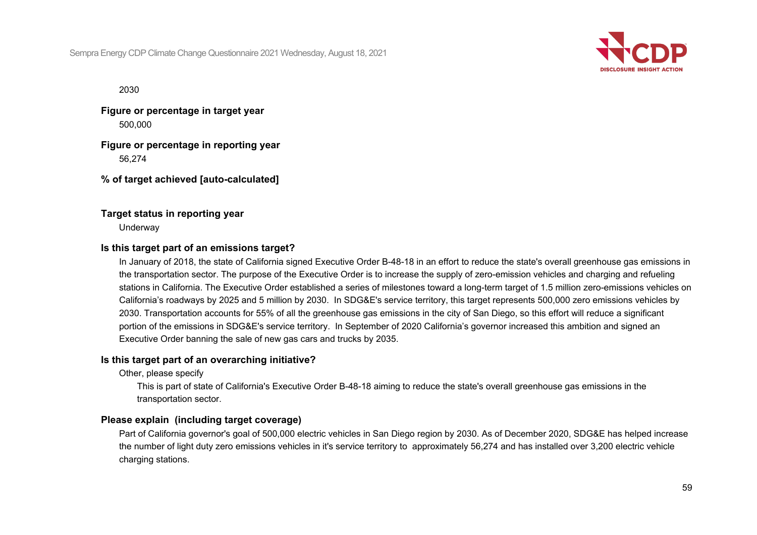

2030

**Figure or percentage in target year** 500,000

**Figure or percentage in reporting year** 56,274

**% of target achieved [auto-calculated]**

## **Target status in reporting year**

**Underway** 

### **Is this target part of an emissions target?**

In January of 2018, the state of California signed Executive Order B-48-18 in an effort to reduce the state's overall greenhouse gas emissions in the transportation sector. The purpose of the Executive Order is to increase the supply of zero-emission vehicles and charging and refueling stations in California. The Executive Order established a series of milestones toward a long-term target of 1.5 million zero-emissions vehicles on California's roadways by 2025 and 5 million by 2030. In SDG&E's service territory, this target represents 500,000 zero emissions vehicles by 2030. Transportation accounts for 55% of all the greenhouse gas emissions in the city of San Diego, so this effort will reduce a significant portion of the emissions in SDG&E's service territory. In September of 2020 California's governor increased this ambition and signed an Executive Order banning the sale of new gas cars and trucks by 2035.

### **Is this target part of an overarching initiative?**

Other, please specify

This is part of state of California's Executive Order B-48-18 aiming to reduce the state's overall greenhouse gas emissions in the transportation sector.

### **Please explain (including target coverage)**

Part of California governor's goal of 500,000 electric vehicles in San Diego region by 2030. As of December 2020, SDG&E has helped increase the number of light duty zero emissions vehicles in it's service territory to approximately 56,274 and has installed over 3,200 electric vehicle charging stations.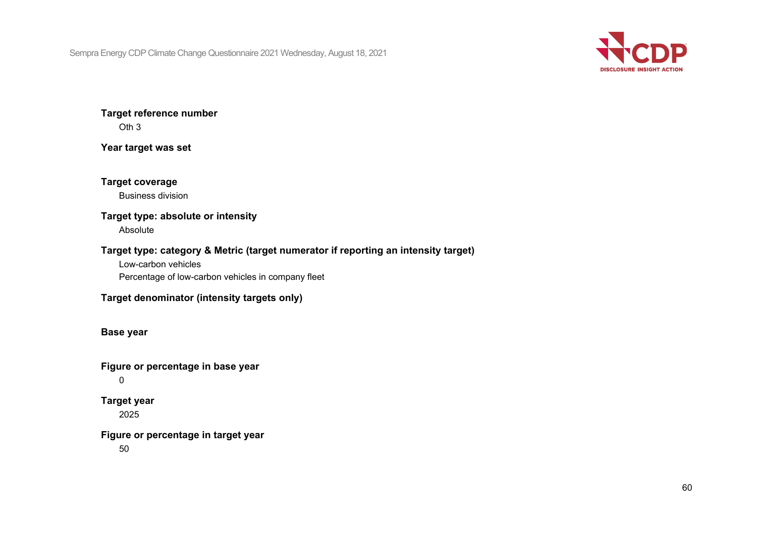

# **Target reference number**

Oth 3

# **Year target was set**

# **Target coverage**

Business division

## **Target type: absolute or intensity**

Absolute

# **Target type: category & Metric (target numerator if reporting an intensity target)**

Low-carbon vehicles

Percentage of low-carbon vehicles in company fleet

# **Target denominator (intensity targets only)**

# **Base year**

**Figure or percentage in base year** 0

# **Target year**

2025

**Figure or percentage in target year**

50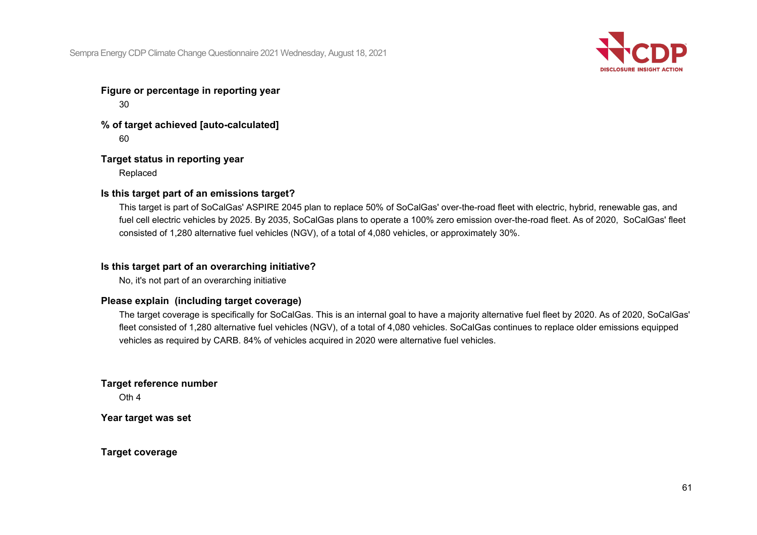

# **Figure or percentage in reporting year**

30

**% of target achieved [auto-calculated]** 60

# **Target status in reporting year**

Replaced

# **Is this target part of an emissions target?**

This target is part of SoCalGas' ASPIRE 2045 plan to replace 50% of SoCalGas' over-the-road fleet with electric, hybrid, renewable gas, and fuel cell electric vehicles by 2025. By 2035, SoCalGas plans to operate a 100% zero emission over-the-road fleet. As of 2020, SoCalGas' fleet consisted of 1,280 alternative fuel vehicles (NGV), of a total of 4,080 vehicles, or approximately 30%.

# **Is this target part of an overarching initiative?**

No, it's not part of an overarching initiative

# **Please explain (including target coverage)**

The target coverage is specifically for SoCalGas. This is an internal goal to have a majority alternative fuel fleet by 2020. As of 2020, SoCalGas' fleet consisted of 1,280 alternative fuel vehicles (NGV), of a total of 4,080 vehicles. SoCalGas continues to replace older emissions equipped vehicles as required by CARB. 84% of vehicles acquired in 2020 were alternative fuel vehicles.

**Target reference number**

Oth 4

**Year target was set**

**Target coverage**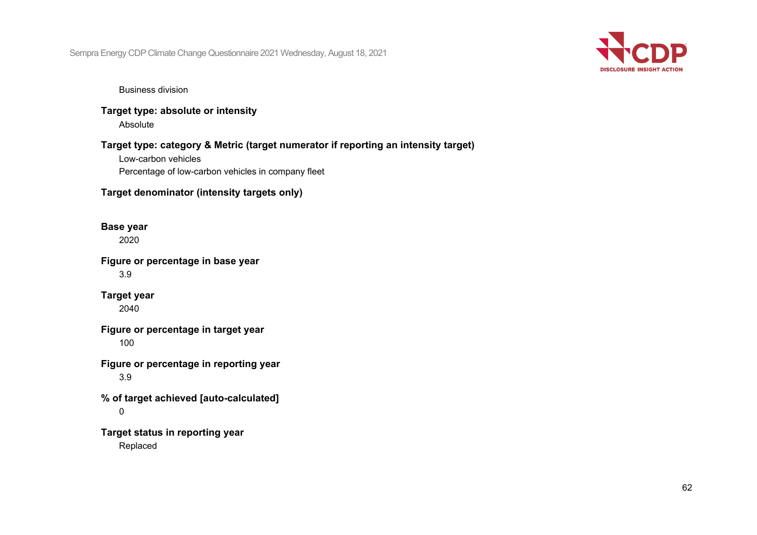

Business division

## **Target type: absolute or intensity**

Absolute

## **Target type: category & Metric (target numerator if reporting an intensity target)**

Low-carbon vehicles Percentage of low-carbon vehicles in company fleet

## **Target denominator (intensity targets only)**

**Base year** 2020

**Figure or percentage in base year**

3.9

**Target year**

2040

**Figure or percentage in target year** 100

**Figure or percentage in reporting year** 3.9

**% of target achieved [auto-calculated]** 0

**Target status in reporting year** Replaced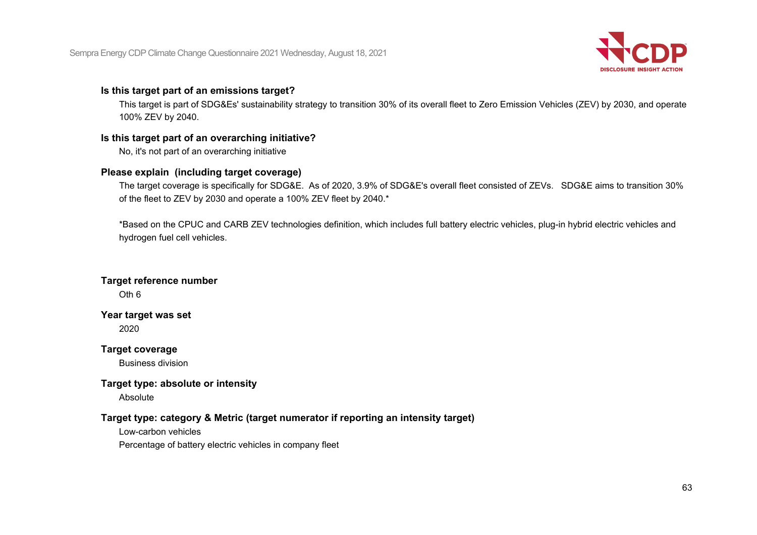

## **Is this target part of an emissions target?**

This target is part of SDG&Es' sustainability strategy to transition 30% of its overall fleet to Zero Emission Vehicles (ZEV) by 2030, and operate 100% ZEV by 2040.

#### **Is this target part of an overarching initiative?**

No, it's not part of an overarching initiative

### **Please explain (including target coverage)**

The target coverage is specifically for SDG&E. As of 2020, 3.9% of SDG&E's overall fleet consisted of ZEVs. SDG&E aims to transition 30% of the fleet to ZEV by 2030 and operate a 100% ZEV fleet by 2040.\*

\*Based on the CPUC and CARB ZEV technologies definition, which includes full battery electric vehicles, plug-in hybrid electric vehicles and hydrogen fuel cell vehicles.

# **Target reference number** Oth 6

# **Year target was set**

2020

## **Target coverage**

Business division

### **Target type: absolute or intensity**

Absolute

## **Target type: category & Metric (target numerator if reporting an intensity target)**

Low-carbon vehicles

Percentage of battery electric vehicles in company fleet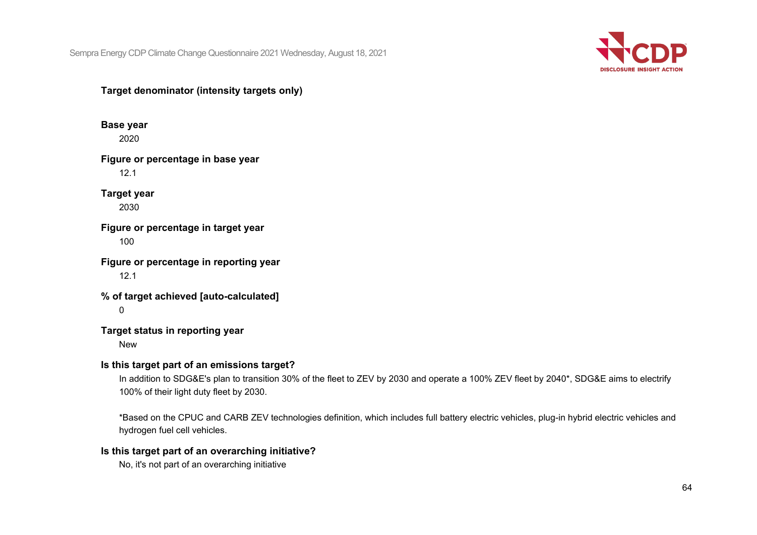

## **Target denominator (intensity targets only)**

**Base year** 2020

**Figure or percentage in base year** 12.1

**Target year** 2030

**Figure or percentage in target year** 100

**Figure or percentage in reporting year** 12.1

```
% of target achieved [auto-calculated]
\Omega
```
**Target status in reporting year**

**New** 

## **Is this target part of an emissions target?**

In addition to SDG&E's plan to transition 30% of the fleet to ZEV by 2030 and operate a 100% ZEV fleet by 2040\*, SDG&E aims to electrify 100% of their light duty fleet by 2030.

\*Based on the CPUC and CARB ZEV technologies definition, which includes full battery electric vehicles, plug-in hybrid electric vehicles and hydrogen fuel cell vehicles.

## **Is this target part of an overarching initiative?**

No, it's not part of an overarching initiative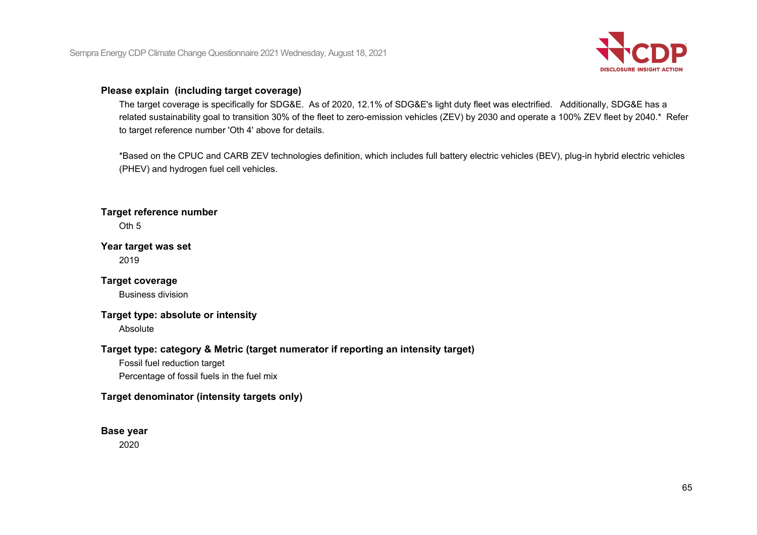

## **Please explain (including target coverage)**

The target coverage is specifically for SDG&E. As of 2020, 12.1% of SDG&E's light duty fleet was electrified. Additionally, SDG&E has a related sustainability goal to transition 30% of the fleet to zero-emission vehicles (ZEV) by 2030 and operate a 100% ZEV fleet by 2040.\* Refer to target reference number 'Oth 4' above for details.

\*Based on the CPUC and CARB ZEV technologies definition, which includes full battery electric vehicles (BEV), plug-in hybrid electric vehicles (PHEV) and hydrogen fuel cell vehicles.

# **Target reference number** Oth 5

**Year target was set** 2019

# **Target coverage**

Business division

### **Target type: absolute or intensity**

Absolute

## **Target type: category & Metric (target numerator if reporting an intensity target)**

Fossil fuel reduction target

Percentage of fossil fuels in the fuel mix

## **Target denominator (intensity targets only)**

### **Base year**

2020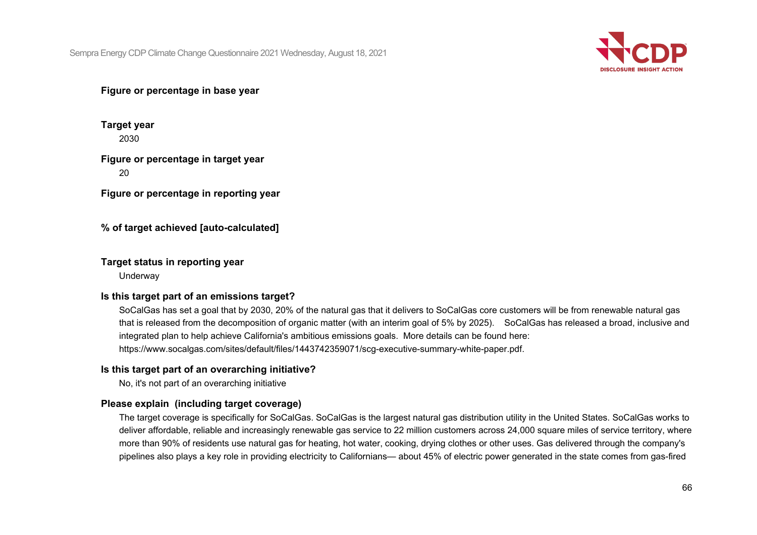

### **Figure or percentage in base year**

**Target year** 2030

**Figure or percentage in target year** 20

**Figure or percentage in reporting year**

**% of target achieved [auto-calculated]**

#### **Target status in reporting year**

**Underway** 

### **Is this target part of an emissions target?**

SoCalGas has set a goal that by 2030, 20% of the natural gas that it delivers to SoCalGas core customers will be from renewable natural gas that is released from the decomposition of organic matter (with an interim goal of 5% by 2025). SoCalGas has released a broad, inclusive and integrated plan to help achieve California's ambitious emissions goals. More details can be found here: https://www.socalgas.com/sites/default/files/1443742359071/scg-executive-summary-white-paper.pdf.

### **Is this target part of an overarching initiative?**

No, it's not part of an overarching initiative

### **Please explain (including target coverage)**

The target coverage is specifically for SoCalGas. SoCalGas is the largest natural gas distribution utility in the United States. SoCalGas works to deliver affordable, reliable and increasingly renewable gas service to 22 million customers across 24,000 square miles of service territory, where more than 90% of residents use natural gas for heating, hot water, cooking, drying clothes or other uses. Gas delivered through the company's pipelines also plays a key role in providing electricity to Californians— about 45% of electric power generated in the state comes from gas-fired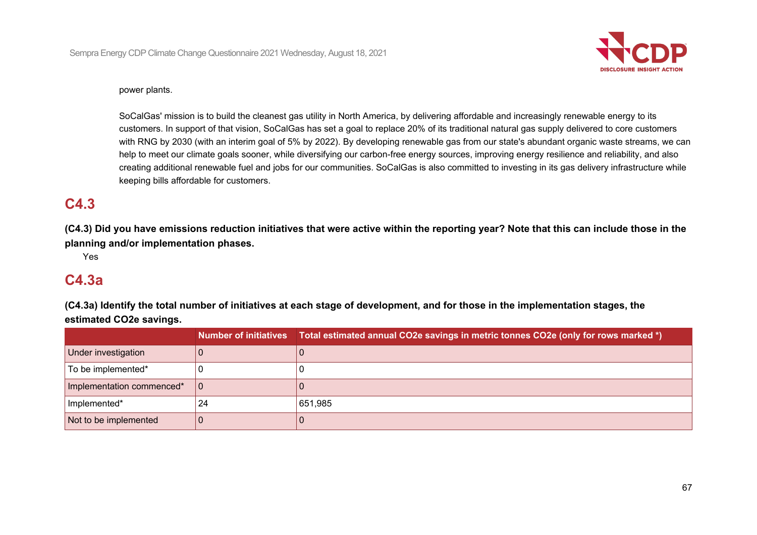

power plants.

SoCalGas' mission is to build the cleanest gas utility in North America, by delivering affordable and increasingly renewable energy to its customers. In support of that vision, SoCalGas has set a goal to replace 20% of its traditional natural gas supply delivered to core customers with RNG by 2030 (with an interim goal of 5% by 2022). By developing renewable gas from our state's abundant organic waste streams, we can help to meet our climate goals sooner, while diversifying our carbon-free energy sources, improving energy resilience and reliability, and also creating additional renewable fuel and jobs for our communities. SoCalGas is also committed to investing in its gas delivery infrastructure while keeping bills affordable for customers.

# **C4.3**

**(C4.3) Did you have emissions reduction initiatives that were active within the reporting year? Note that this can include those in the planning and/or implementation phases.**

Yes

# **C4.3a**

**(C4.3a) Identify the total number of initiatives at each stage of development, and for those in the implementation stages, the estimated CO2e savings.**

|                           |                | Number of initiatives Total estimated annual CO2e savings in metric tonnes CO2e (only for rows marked *) |
|---------------------------|----------------|----------------------------------------------------------------------------------------------------------|
| Under investigation       |                |                                                                                                          |
| To be implemented*        |                |                                                                                                          |
| Implementation commenced* | $\overline{0}$ |                                                                                                          |
| Implemented*              | 24             | 651,985                                                                                                  |
| Not to be implemented     |                |                                                                                                          |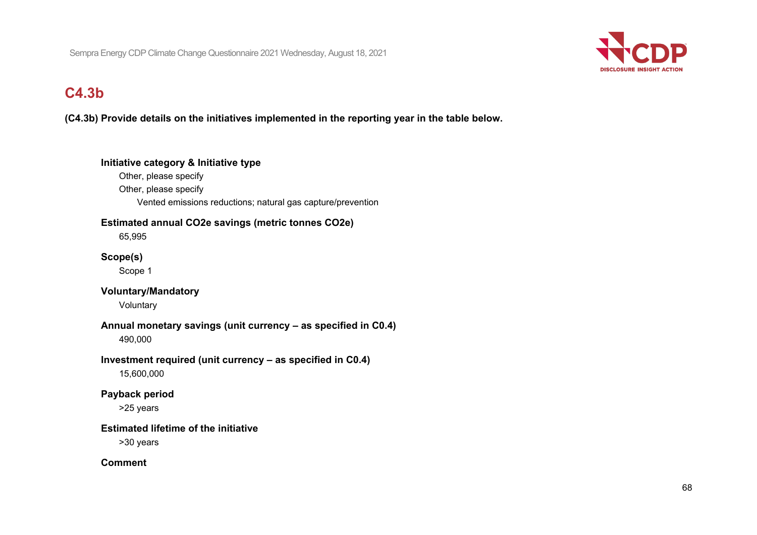

# **C4.3b**

# **(C4.3b) Provide details on the initiatives implemented in the reporting year in the table below.**

# **Initiative category & Initiative type** Other, please specify Other, please specify Vented emissions reductions; natural gas capture/prevention **Estimated annual CO2e savings (metric tonnes CO2e)** 65,995 **Scope(s)** Scope 1 **Voluntary/Mandatory**

Voluntary

# **Annual monetary savings (unit currency – as specified in C0.4)**

490,000

# **Investment required (unit currency – as specified in C0.4)**

15,600,000

# **Payback period**

>25 years

# **Estimated lifetime of the initiative**

>30 years

**Comment**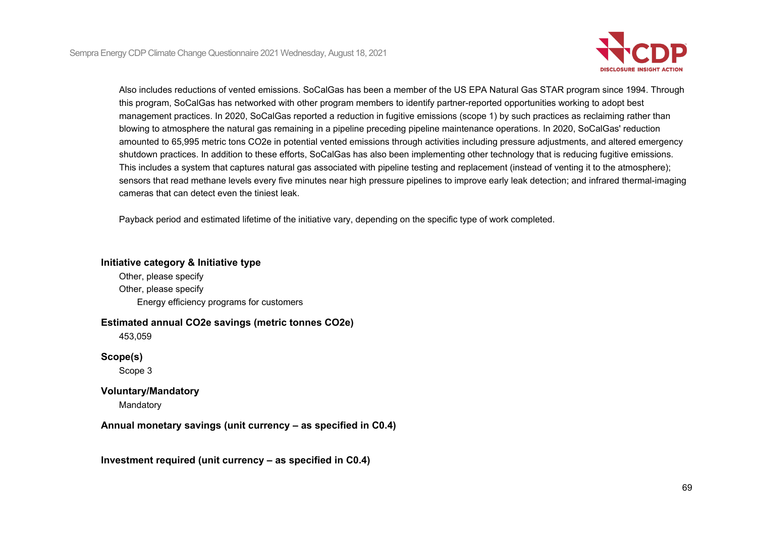

Also includes reductions of vented emissions. SoCalGas has been a member of the US EPA Natural Gas STAR program since 1994. Through this program, SoCalGas has networked with other program members to identify partner-reported opportunities working to adopt best management practices. In 2020, SoCalGas reported a reduction in fugitive emissions (scope 1) by such practices as reclaiming rather than blowing to atmosphere the natural gas remaining in a pipeline preceding pipeline maintenance operations. In 2020, SoCalGas' reduction amounted to 65,995 metric tons CO2e in potential vented emissions through activities including pressure adjustments, and altered emergency shutdown practices. In addition to these efforts, SoCalGas has also been implementing other technology that is reducing fugitive emissions. This includes a system that captures natural gas associated with pipeline testing and replacement (instead of venting it to the atmosphere); sensors that read methane levels every five minutes near high pressure pipelines to improve early leak detection; and infrared thermal-imaging cameras that can detect even the tiniest leak.

Payback period and estimated lifetime of the initiative vary, depending on the specific type of work completed.

#### **Initiative category & Initiative type**

Other, please specify Other, please specify Energy efficiency programs for customers

#### **Estimated annual CO2e savings (metric tonnes CO2e)**

453,059

### **Scope(s)**

Scope 3

### **Voluntary/Mandatory**

Mandatory

## **Annual monetary savings (unit currency – as specified in C0.4)**

**Investment required (unit currency – as specified in C0.4)**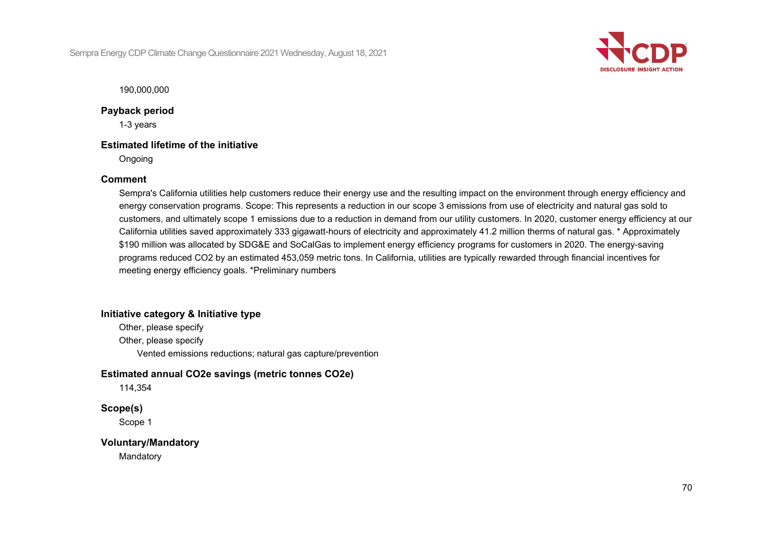

190,000,000

#### **Payback period**

1-3 years

#### **Estimated lifetime of the initiative**

Ongoing

#### **Comment**

Sempra's California utilities help customers reduce their energy use and the resulting impact on the environment through energy efficiency and energy conservation programs. Scope: This represents a reduction in our scope 3 emissions from use of electricity and natural gas sold to customers, and ultimately scope 1 emissions due to a reduction in demand from our utility customers. In 2020, customer energy efficiency at our California utilities saved approximately 333 gigawatt-hours of electricity and approximately 41.2 million therms of natural gas. \* Approximately \$190 million was allocated by SDG&E and SoCalGas to implement energy efficiency programs for customers in 2020. The energy-saving programs reduced CO2 by an estimated 453,059 metric tons. In California, utilities are typically rewarded through financial incentives for meeting energy efficiency goals. \*Preliminary numbers

### **Initiative category & Initiative type**

Other, please specify Other, please specify Vented emissions reductions; natural gas capture/prevention

### **Estimated annual CO2e savings (metric tonnes CO2e)**

114,354

## **Scope(s)**

Scope 1

### **Voluntary/Mandatory**

Mandatory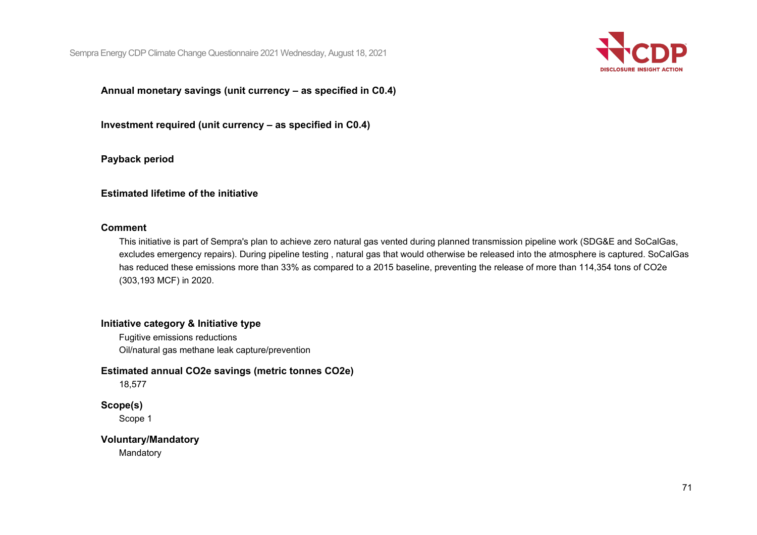

**Annual monetary savings (unit currency – as specified in C0.4)**

**Investment required (unit currency – as specified in C0.4)**

**Payback period**

## **Estimated lifetime of the initiative**

#### **Comment**

This initiative is part of Sempra's plan to achieve zero natural gas vented during planned transmission pipeline work (SDG&E and SoCalGas, excludes emergency repairs). During pipeline testing , natural gas that would otherwise be released into the atmosphere is captured. SoCalGas has reduced these emissions more than 33% as compared to a 2015 baseline, preventing the release of more than 114,354 tons of CO2e (303,193 MCF) in 2020.

### **Initiative category & Initiative type**

Fugitive emissions reductions Oil/natural gas methane leak capture/prevention

### **Estimated annual CO2e savings (metric tonnes CO2e)**

18,577

# **Scope(s)**

Scope 1

## **Voluntary/Mandatory**

Mandatory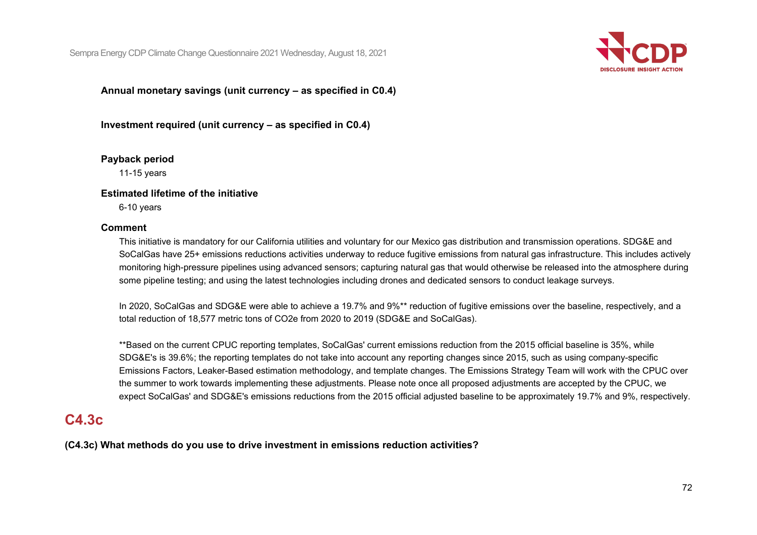

## **Annual monetary savings (unit currency – as specified in C0.4)**

**Investment required (unit currency – as specified in C0.4)**

### **Payback period**

11-15 years

#### **Estimated lifetime of the initiative**

6-10 years

#### **Comment**

This initiative is mandatory for our California utilities and voluntary for our Mexico gas distribution and transmission operations. SDG&E and SoCalGas have 25+ emissions reductions activities underway to reduce fugitive emissions from natural gas infrastructure. This includes actively monitoring high-pressure pipelines using advanced sensors; capturing natural gas that would otherwise be released into the atmosphere during some pipeline testing; and using the latest technologies including drones and dedicated sensors to conduct leakage surveys.

In 2020, SoCalGas and SDG&E were able to achieve a 19.7% and 9%\*\* reduction of fugitive emissions over the baseline, respectively, and a total reduction of 18,577 metric tons of CO2e from 2020 to 2019 (SDG&E and SoCalGas).

\*\*Based on the current CPUC reporting templates, SoCalGas' current emissions reduction from the 2015 official baseline is 35%, while SDG&E's is 39.6%; the reporting templates do not take into account any reporting changes since 2015, such as using company-specific Emissions Factors, Leaker-Based estimation methodology, and template changes. The Emissions Strategy Team will work with the CPUC over the summer to work towards implementing these adjustments. Please note once all proposed adjustments are accepted by the CPUC, we expect SoCalGas' and SDG&E's emissions reductions from the 2015 official adjusted baseline to be approximately 19.7% and 9%, respectively.

# **C4.3c**

**(C4.3c) What methods do you use to drive investment in emissions reduction activities?**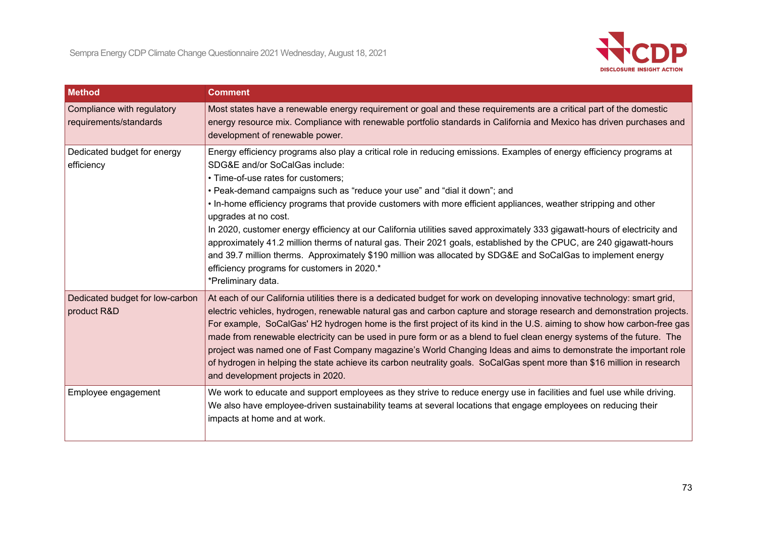

| <b>Method</b>                                        | <b>Comment</b>                                                                                                                                                                                                                                                                                                                                                                                                                                                                                                                                                                                                                                                                                                                                                                                                                                                  |
|------------------------------------------------------|-----------------------------------------------------------------------------------------------------------------------------------------------------------------------------------------------------------------------------------------------------------------------------------------------------------------------------------------------------------------------------------------------------------------------------------------------------------------------------------------------------------------------------------------------------------------------------------------------------------------------------------------------------------------------------------------------------------------------------------------------------------------------------------------------------------------------------------------------------------------|
| Compliance with regulatory<br>requirements/standards | Most states have a renewable energy requirement or goal and these requirements are a critical part of the domestic<br>energy resource mix. Compliance with renewable portfolio standards in California and Mexico has driven purchases and<br>development of renewable power.                                                                                                                                                                                                                                                                                                                                                                                                                                                                                                                                                                                   |
| Dedicated budget for energy<br>efficiency            | Energy efficiency programs also play a critical role in reducing emissions. Examples of energy efficiency programs at<br>SDG&E and/or SoCalGas include:<br>• Time-of-use rates for customers;<br>• Peak-demand campaigns such as "reduce your use" and "dial it down"; and<br>. In-home efficiency programs that provide customers with more efficient appliances, weather stripping and other<br>upgrades at no cost.<br>In 2020, customer energy efficiency at our California utilities saved approximately 333 gigawatt-hours of electricity and<br>approximately 41.2 million therms of natural gas. Their 2021 goals, established by the CPUC, are 240 gigawatt-hours<br>and 39.7 million therms. Approximately \$190 million was allocated by SDG&E and SoCalGas to implement energy<br>efficiency programs for customers in 2020.*<br>*Preliminary data. |
| Dedicated budget for low-carbon<br>product R&D       | At each of our California utilities there is a dedicated budget for work on developing innovative technology: smart grid,<br>electric vehicles, hydrogen, renewable natural gas and carbon capture and storage research and demonstration projects.<br>For example, SoCalGas' H2 hydrogen home is the first project of its kind in the U.S. aiming to show how carbon-free gas<br>made from renewable electricity can be used in pure form or as a blend to fuel clean energy systems of the future. The<br>project was named one of Fast Company magazine's World Changing Ideas and aims to demonstrate the important role<br>of hydrogen in helping the state achieve its carbon neutrality goals. SoCalGas spent more than \$16 million in research<br>and development projects in 2020.                                                                    |
| Employee engagement                                  | We work to educate and support employees as they strive to reduce energy use in facilities and fuel use while driving.<br>We also have employee-driven sustainability teams at several locations that engage employees on reducing their<br>impacts at home and at work.                                                                                                                                                                                                                                                                                                                                                                                                                                                                                                                                                                                        |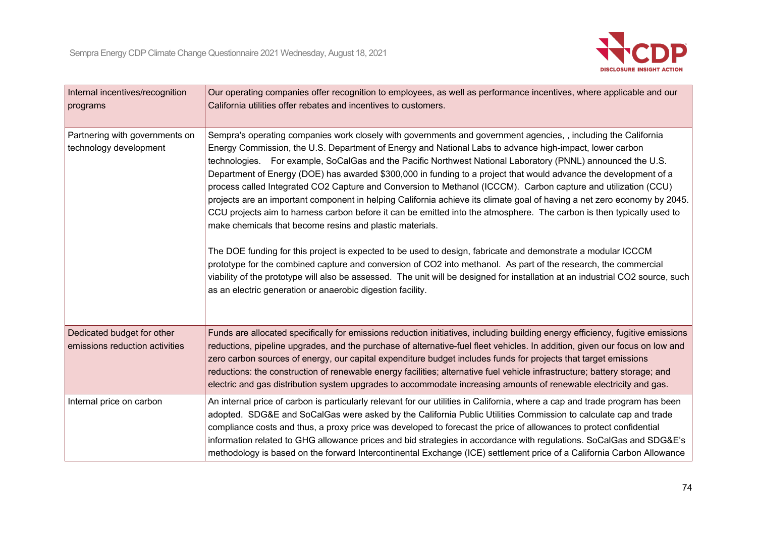

| Internal incentives/recognition<br>programs                  | Our operating companies offer recognition to employees, as well as performance incentives, where applicable and our<br>California utilities offer rebates and incentives to customers.                                                                                                                                                                                                                                                                                                                                                                                                                                                                                                                                                                                                                                                                                                                                                                                                                                                                                                                                                                                                                                                                                                                                            |
|--------------------------------------------------------------|-----------------------------------------------------------------------------------------------------------------------------------------------------------------------------------------------------------------------------------------------------------------------------------------------------------------------------------------------------------------------------------------------------------------------------------------------------------------------------------------------------------------------------------------------------------------------------------------------------------------------------------------------------------------------------------------------------------------------------------------------------------------------------------------------------------------------------------------------------------------------------------------------------------------------------------------------------------------------------------------------------------------------------------------------------------------------------------------------------------------------------------------------------------------------------------------------------------------------------------------------------------------------------------------------------------------------------------|
| Partnering with governments on<br>technology development     | Sempra's operating companies work closely with governments and government agencies,, including the California<br>Energy Commission, the U.S. Department of Energy and National Labs to advance high-impact, lower carbon<br>technologies. For example, SoCalGas and the Pacific Northwest National Laboratory (PNNL) announced the U.S.<br>Department of Energy (DOE) has awarded \$300,000 in funding to a project that would advance the development of a<br>process called Integrated CO2 Capture and Conversion to Methanol (ICCCM). Carbon capture and utilization (CCU)<br>projects are an important component in helping California achieve its climate goal of having a net zero economy by 2045.<br>CCU projects aim to harness carbon before it can be emitted into the atmosphere. The carbon is then typically used to<br>make chemicals that become resins and plastic materials.<br>The DOE funding for this project is expected to be used to design, fabricate and demonstrate a modular ICCCM<br>prototype for the combined capture and conversion of CO2 into methanol. As part of the research, the commercial<br>viability of the prototype will also be assessed. The unit will be designed for installation at an industrial CO2 source, such<br>as an electric generation or anaerobic digestion facility. |
| Dedicated budget for other<br>emissions reduction activities | Funds are allocated specifically for emissions reduction initiatives, including building energy efficiency, fugitive emissions<br>reductions, pipeline upgrades, and the purchase of alternative-fuel fleet vehicles. In addition, given our focus on low and<br>zero carbon sources of energy, our capital expenditure budget includes funds for projects that target emissions<br>reductions: the construction of renewable energy facilities; alternative fuel vehicle infrastructure; battery storage; and<br>electric and gas distribution system upgrades to accommodate increasing amounts of renewable electricity and gas.                                                                                                                                                                                                                                                                                                                                                                                                                                                                                                                                                                                                                                                                                               |
| Internal price on carbon                                     | An internal price of carbon is particularly relevant for our utilities in California, where a cap and trade program has been<br>adopted. SDG&E and SoCalGas were asked by the California Public Utilities Commission to calculate cap and trade<br>compliance costs and thus, a proxy price was developed to forecast the price of allowances to protect confidential<br>information related to GHG allowance prices and bid strategies in accordance with regulations. SoCalGas and SDG&E's<br>methodology is based on the forward Intercontinental Exchange (ICE) settlement price of a California Carbon Allowance                                                                                                                                                                                                                                                                                                                                                                                                                                                                                                                                                                                                                                                                                                             |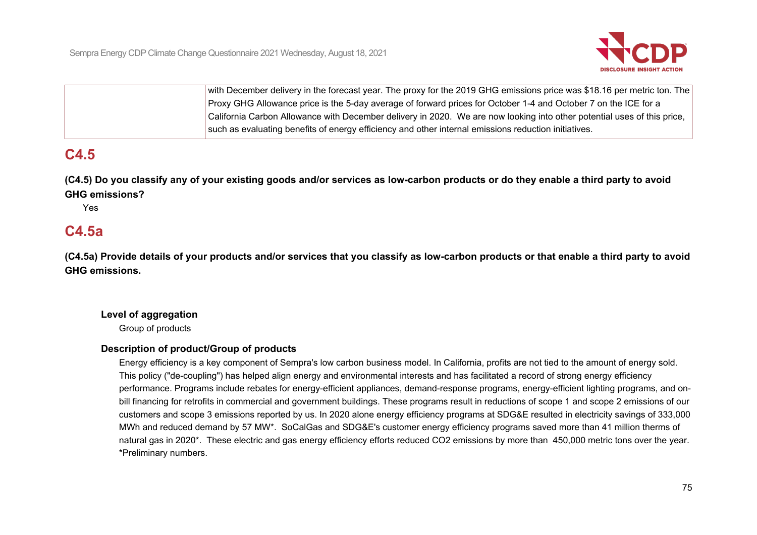

| with December delivery in the forecast year. The proxy for the 2019 GHG emissions price was \$18.16 per metric ton. The |
|-------------------------------------------------------------------------------------------------------------------------|
| Proxy GHG Allowance price is the 5-day average of forward prices for October 1-4 and October 7 on the ICE for a         |
| California Carbon Allowance with December delivery in 2020. We are now looking into other potential uses of this price, |
| such as evaluating benefits of energy efficiency and other internal emissions reduction initiatives.                    |

# **C4.5**

**(C4.5) Do you classify any of your existing goods and/or services as low-carbon products or do they enable a third party to avoid GHG emissions?**

Yes

# **C4.5a**

**(C4.5a) Provide details of your products and/or services that you classify as low-carbon products or that enable a third party to avoid GHG emissions.**

**Level of aggregation**

Group of products

#### **Description of product/Group of products**

Energy efficiency is a key component of Sempra's low carbon business model. In California, profits are not tied to the amount of energy sold. This policy ("de-coupling") has helped align energy and environmental interests and has facilitated a record of strong energy efficiency performance. Programs include rebates for energy-efficient appliances, demand-response programs, energy-efficient lighting programs, and onbill financing for retrofits in commercial and government buildings. These programs result in reductions of scope 1 and scope 2 emissions of our customers and scope 3 emissions reported by us. In 2020 alone energy efficiency programs at SDG&E resulted in electricity savings of 333,000 MWh and reduced demand by 57 MW\*. SoCalGas and SDG&E's customer energy efficiency programs saved more than 41 million therms of natural gas in 2020\*. These electric and gas energy efficiency efforts reduced CO2 emissions by more than 450,000 metric tons over the year. \*Preliminary numbers.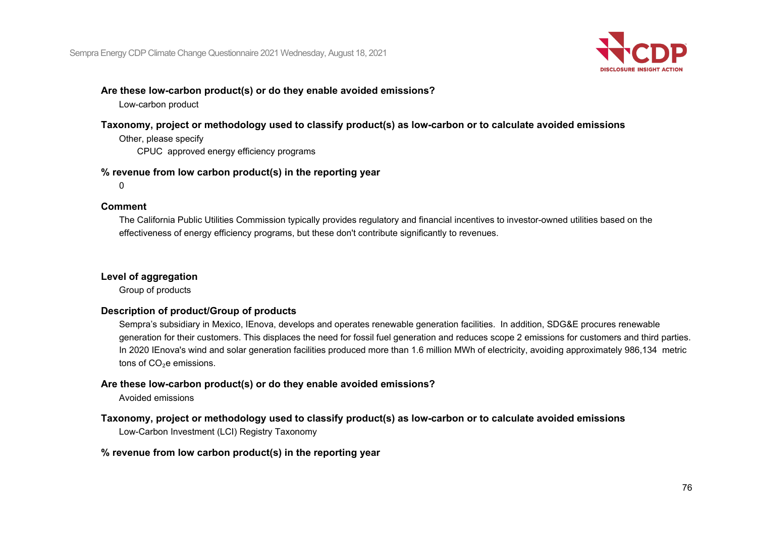

### **Are these low-carbon product(s) or do they enable avoided emissions?**

Low-carbon product

## **Taxonomy, project or methodology used to classify product(s) as low-carbon or to calculate avoided emissions**

Other, please specify

CPUC approved energy efficiency programs

## **% revenue from low carbon product(s) in the reporting year**

 $\Omega$ 

### **Comment**

The California Public Utilities Commission typically provides regulatory and financial incentives to investor-owned utilities based on the effectiveness of energy efficiency programs, but these don't contribute significantly to revenues.

## **Level of aggregation**

Group of products

## **Description of product/Group of products**

Sempra's subsidiary in Mexico, IEnova, develops and operates renewable generation facilities. In addition, SDG&E procures renewable generation for their customers. This displaces the need for fossil fuel generation and reduces scope 2 emissions for customers and third parties. In 2020 IEnova's wind and solar generation facilities produced more than 1.6 million MWh of electricity, avoiding approximately 986,134 metric tons of CO<sub>2</sub>e emissions.

## **Are these low-carbon product(s) or do they enable avoided emissions?**

Avoided emissions

# **Taxonomy, project or methodology used to classify product(s) as low-carbon or to calculate avoided emissions**

Low-Carbon Investment (LCI) Registry Taxonomy

## **% revenue from low carbon product(s) in the reporting year**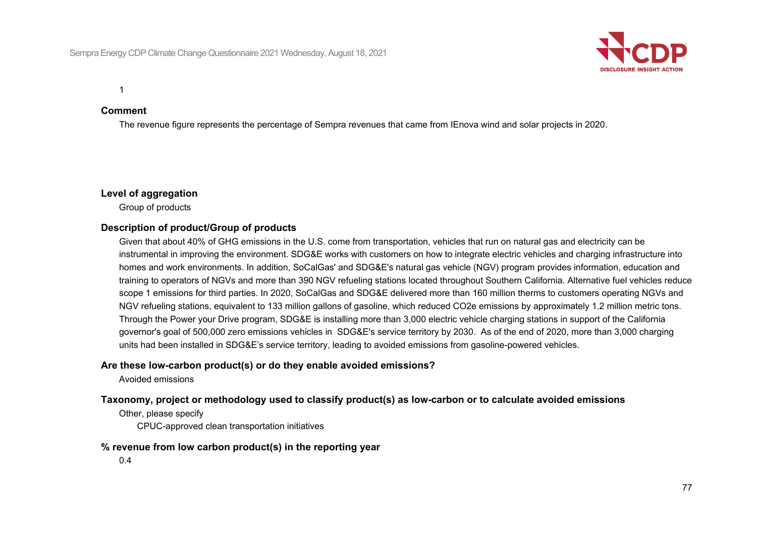

1

#### **Comment**

The revenue figure represents the percentage of Sempra revenues that came from IEnova wind and solar projects in 2020.

#### **Level of aggregation**

Group of products

## **Description of product/Group of products**

Given that about 40% of GHG emissions in the U.S. come from transportation, vehicles that run on natural gas and electricity can be instrumental in improving the environment. SDG&E works with customers on how to integrate electric vehicles and charging infrastructure into homes and work environments. In addition, SoCalGas' and SDG&E's natural gas vehicle (NGV) program provides information, education and training to operators of NGVs and more than 390 NGV refueling stations located throughout Southern California. Alternative fuel vehicles reduce scope 1 emissions for third parties. In 2020, SoCalGas and SDG&E delivered more than 160 million therms to customers operating NGVs and NGV refueling stations, equivalent to 133 million gallons of gasoline, which reduced CO2e emissions by approximately 1.2 million metric tons. Through the Power your Drive program, SDG&E is installing more than 3,000 electric vehicle charging stations in support of the California governor's goal of 500,000 zero emissions vehicles in SDG&E's service territory by 2030. As of the end of 2020, more than 3,000 charging units had been installed in SDG&E's service territory, leading to avoided emissions from gasoline-powered vehicles.

#### **Are these low-carbon product(s) or do they enable avoided emissions?**

Avoided emissions

#### **Taxonomy, project or methodology used to classify product(s) as low-carbon or to calculate avoided emissions**

Other, please specify CPUC-approved clean transportation initiatives

#### **% revenue from low carbon product(s) in the reporting year**

0.4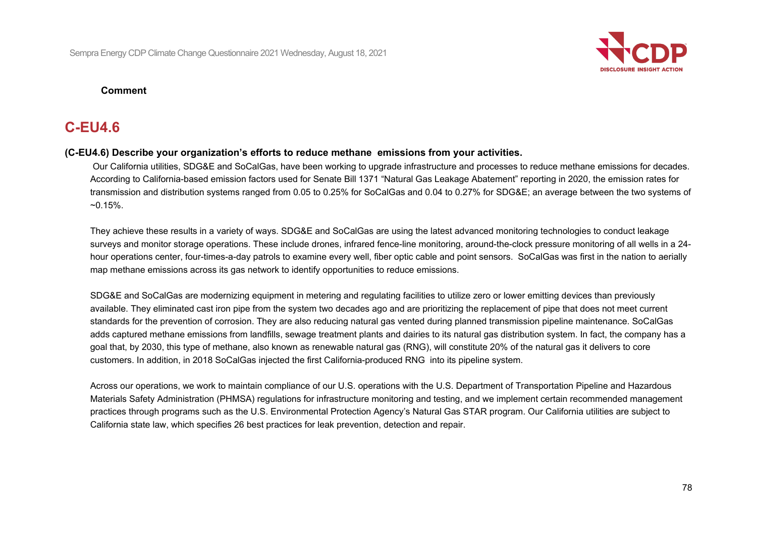

#### **Comment**

# **C-EU4.6**

#### **(C-EU4.6) Describe your organization's efforts to reduce methane emissions from your activities.**

Our California utilities, SDG&E and SoCalGas, have been working to upgrade infrastructure and processes to reduce methane emissions for decades. According to California-based emission factors used for Senate Bill 1371 "Natural Gas Leakage Abatement" reporting in 2020, the emission rates for transmission and distribution systems ranged from 0.05 to 0.25% for SoCalGas and 0.04 to 0.27% for SDG&E; an average between the two systems of  $-0.15%$ .

They achieve these results in a variety of ways. SDG&E and SoCalGas are using the latest advanced monitoring technologies to conduct leakage surveys and monitor storage operations. These include drones, infrared fence-line monitoring, around-the-clock pressure monitoring of all wells in a 24 hour operations center, four-times-a-day patrols to examine every well, fiber optic cable and point sensors. SoCalGas was first in the nation to aerially map methane emissions across its gas network to identify opportunities to reduce emissions.

SDG&E and SoCalGas are modernizing equipment in metering and regulating facilities to utilize zero or lower emitting devices than previously available. They eliminated cast iron pipe from the system two decades ago and are prioritizing the replacement of pipe that does not meet current standards for the prevention of corrosion. They are also reducing natural gas vented during planned transmission pipeline maintenance. SoCalGas adds captured methane emissions from landfills, sewage treatment plants and dairies to its natural gas distribution system. In fact, the company has a goal that, by 2030, this type of methane, also known as renewable natural gas (RNG), will constitute 20% of the natural gas it delivers to core customers. In addition, in 2018 SoCalGas injected the first California-produced RNG into its pipeline system.

Across our operations, we work to maintain compliance of our U.S. operations with the U.S. Department of Transportation Pipeline and Hazardous Materials Safety Administration (PHMSA) regulations for infrastructure monitoring and testing, and we implement certain recommended management practices through programs such as the U.S. Environmental Protection Agency's Natural Gas STAR program. Our California utilities are subject to California state law, which specifies 26 best practices for leak prevention, detection and repair.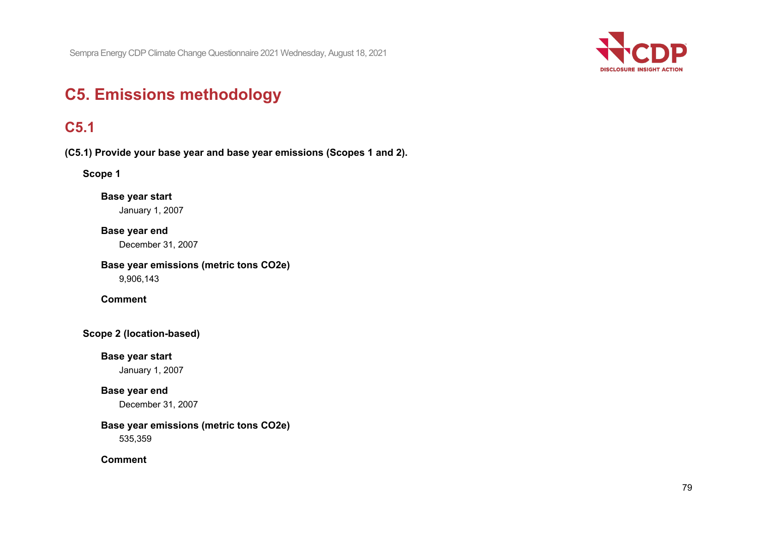

# **C5. Emissions methodology**

# **C5.1**

**(C5.1) Provide your base year and base year emissions (Scopes 1 and 2).**

**Scope 1**

# **Base year start**

January 1, 2007

#### **Base year end**

December 31, 2007

# **Base year emissions (metric tons CO2e)**

9,906,143

### **Comment**

#### **Scope 2 (location-based)**

#### **Base year start**

January 1, 2007

#### **Base year end**

December 31, 2007

### **Base year emissions (metric tons CO2e)**

535,359

#### **Comment**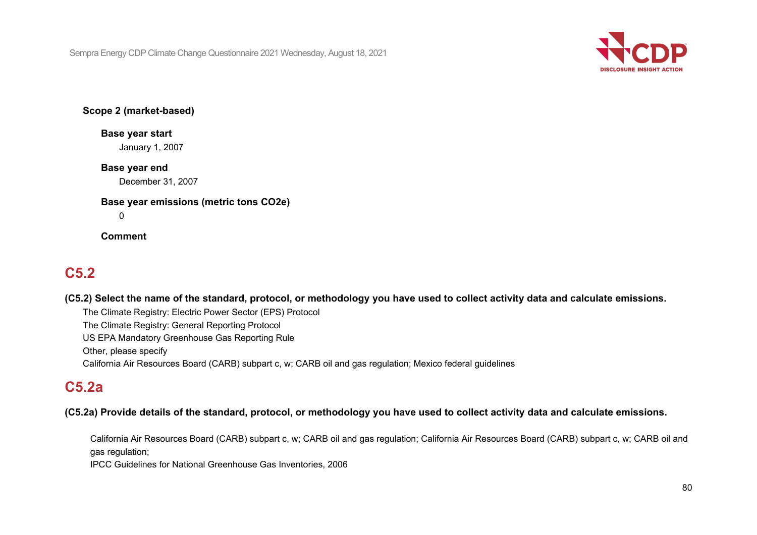

**Scope 2 (market-based)**

#### **Base year start**

January 1, 2007

### **Base year end**

December 31, 2007

# **Base year emissions (metric tons CO2e)**

 $\Omega$ 

### **Comment**

# **C5.2**

**(C5.2) Select the name of the standard, protocol, or methodology you have used to collect activity data and calculate emissions.**

The Climate Registry: Electric Power Sector (EPS) Protocol

The Climate Registry: General Reporting Protocol

US EPA Mandatory Greenhouse Gas Reporting Rule

Other, please specify

California Air Resources Board (CARB) subpart c, w; CARB oil and gas regulation; Mexico federal guidelines

# **C5.2a**

**(C5.2a) Provide details of the standard, protocol, or methodology you have used to collect activity data and calculate emissions.**

California Air Resources Board (CARB) subpart c, w; CARB oil and gas regulation; California Air Resources Board (CARB) subpart c, w; CARB oil and gas regulation:

IPCC Guidelines for National Greenhouse Gas Inventories, 2006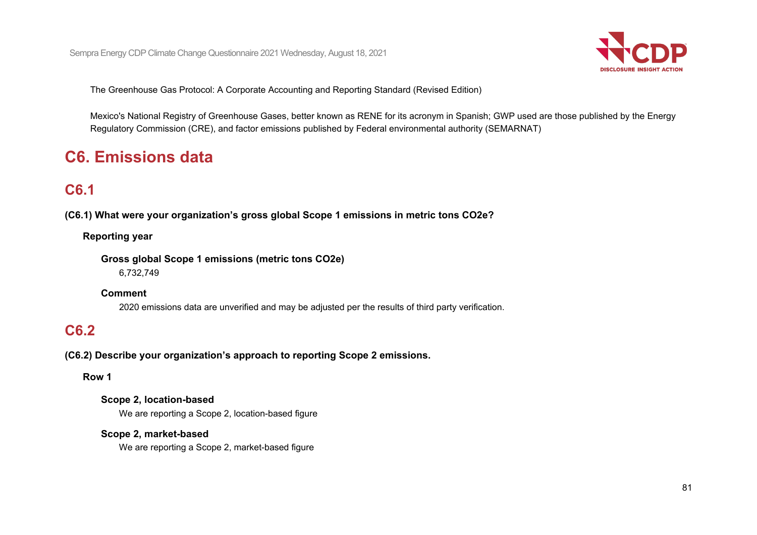

The Greenhouse Gas Protocol: A Corporate Accounting and Reporting Standard (Revised Edition)

Mexico's National Registry of Greenhouse Gases, better known as RENE for its acronym in Spanish; GWP used are those published by the Energy Regulatory Commission (CRE), and factor emissions published by Federal environmental authority (SEMARNAT)

# **C6. Emissions data**

# **C6.1**

**(C6.1) What were your organization's gross global Scope 1 emissions in metric tons CO2e?**

### **Reporting year**

**Gross global Scope 1 emissions (metric tons CO2e)** 6,732,749

#### **Comment**

2020 emissions data are unverified and may be adjusted per the results of third party verification.

# **C6.2**

**(C6.2) Describe your organization's approach to reporting Scope 2 emissions.**

#### **Row 1**

**Scope 2, location-based**

We are reporting a Scope 2, location-based figure

#### **Scope 2, market-based**

We are reporting a Scope 2, market-based figure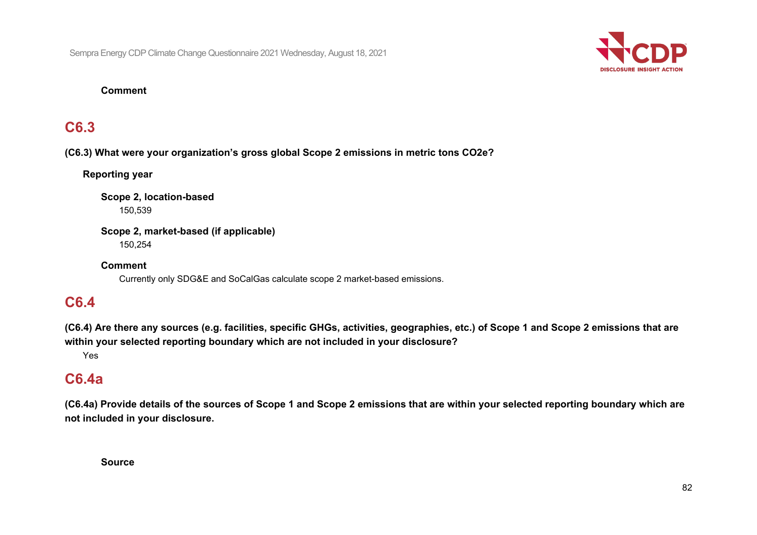

#### **Comment**

# **C6.3**

**(C6.3) What were your organization's gross global Scope 2 emissions in metric tons CO2e?**

**Reporting year**

**Scope 2, location-based** 150,539

**Scope 2, market-based (if applicable)**

150,254

**Comment**

Currently only SDG&E and SoCalGas calculate scope 2 market-based emissions.

# **C6.4**

**(C6.4) Are there any sources (e.g. facilities, specific GHGs, activities, geographies, etc.) of Scope 1 and Scope 2 emissions that are within your selected reporting boundary which are not included in your disclosure?**

Yes

# **C6.4a**

**(C6.4a) Provide details of the sources of Scope 1 and Scope 2 emissions that are within your selected reporting boundary which are not included in your disclosure.**

**Source**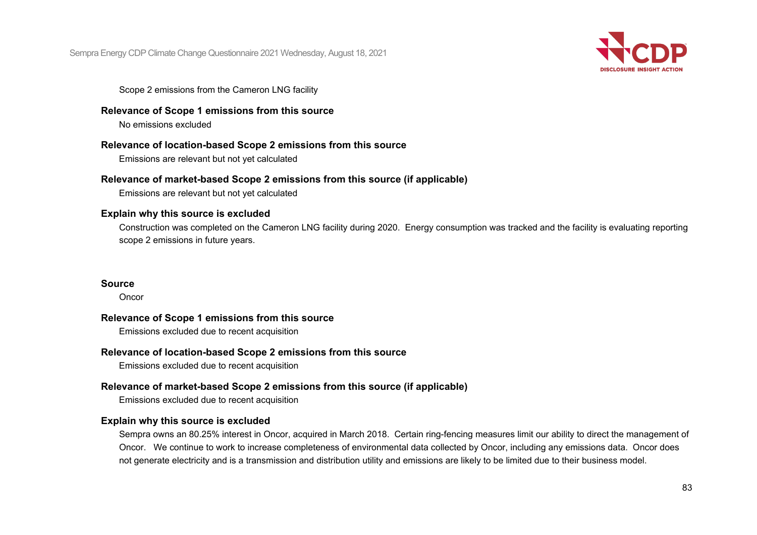

Scope 2 emissions from the Cameron LNG facility

#### **Relevance of Scope 1 emissions from this source**

No emissions excluded

#### **Relevance of location-based Scope 2 emissions from this source**

Emissions are relevant but not yet calculated

#### **Relevance of market-based Scope 2 emissions from this source (if applicable)**

Emissions are relevant but not yet calculated

#### **Explain why this source is excluded**

Construction was completed on the Cameron LNG facility during 2020. Energy consumption was tracked and the facility is evaluating reporting scope 2 emissions in future years.

#### **Source**

**Oncor** 

#### **Relevance of Scope 1 emissions from this source**

Emissions excluded due to recent acquisition

#### **Relevance of location-based Scope 2 emissions from this source**

Emissions excluded due to recent acquisition

## **Relevance of market-based Scope 2 emissions from this source (if applicable)**

Emissions excluded due to recent acquisition

#### **Explain why this source is excluded**

Sempra owns an 80.25% interest in Oncor, acquired in March 2018. Certain ring-fencing measures limit our ability to direct the management of Oncor. We continue to work to increase completeness of environmental data collected by Oncor, including any emissions data. Oncor does not generate electricity and is a transmission and distribution utility and emissions are likely to be limited due to their business model.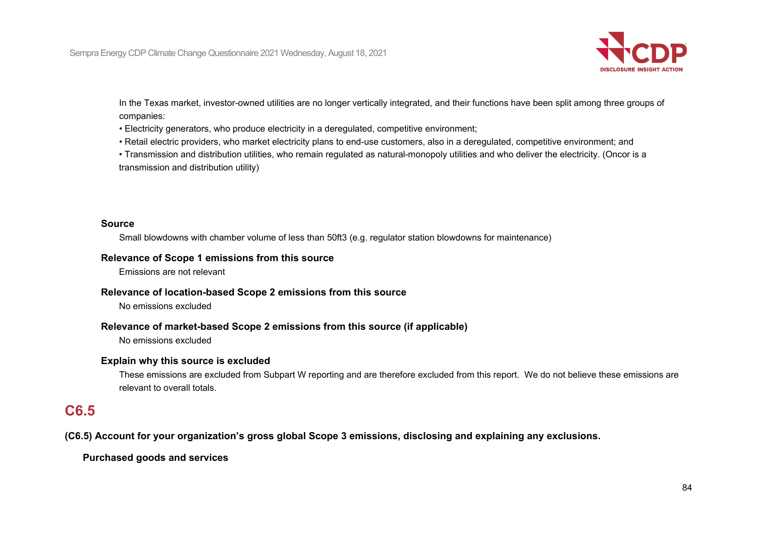

In the Texas market, investor-owned utilities are no longer vertically integrated, and their functions have been split among three groups of companies:

• Electricity generators, who produce electricity in a deregulated, competitive environment;

• Retail electric providers, who market electricity plans to end-use customers, also in a deregulated, competitive environment; and

• Transmission and distribution utilities, who remain regulated as natural-monopoly utilities and who deliver the electricity. (Oncor is a transmission and distribution utility)

#### **Source**

Small blowdowns with chamber volume of less than 50ft3 (e.g. regulator station blowdowns for maintenance)

#### **Relevance of Scope 1 emissions from this source**

Emissions are not relevant

#### **Relevance of location-based Scope 2 emissions from this source**

No emissions excluded

#### **Relevance of market-based Scope 2 emissions from this source (if applicable)**

No emissions excluded

#### **Explain why this source is excluded**

These emissions are excluded from Subpart W reporting and are therefore excluded from this report. We do not believe these emissions are relevant to overall totals.

# **C6.5**

## **(C6.5) Account for your organization's gross global Scope 3 emissions, disclosing and explaining any exclusions.**

## **Purchased goods and services**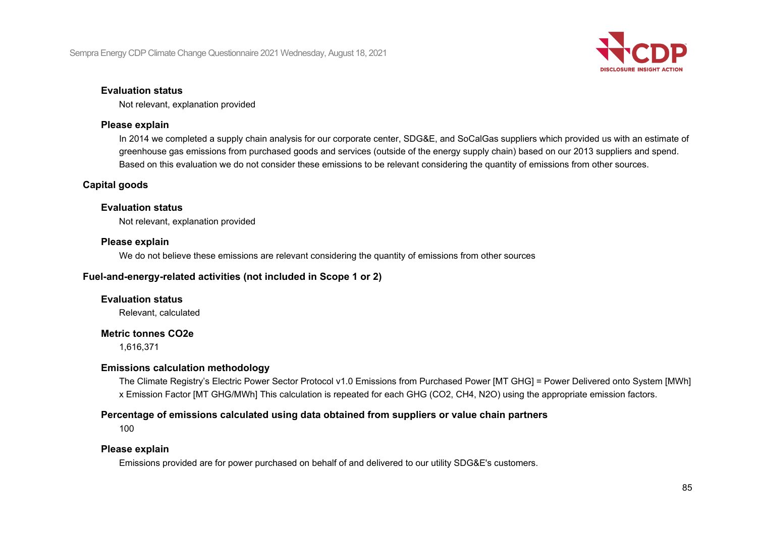

#### **Evaluation status**

Not relevant, explanation provided

### **Please explain**

In 2014 we completed a supply chain analysis for our corporate center, SDG&E, and SoCalGas suppliers which provided us with an estimate of greenhouse gas emissions from purchased goods and services (outside of the energy supply chain) based on our 2013 suppliers and spend. Based on this evaluation we do not consider these emissions to be relevant considering the quantity of emissions from other sources.

# **Capital goods**

## **Evaluation status**

Not relevant, explanation provided

## **Please explain**

We do not believe these emissions are relevant considering the quantity of emissions from other sources

# **Fuel-and-energy-related activities (not included in Scope 1 or 2)**

# **Evaluation status**

Relevant, calculated

## **Metric tonnes CO2e**

1,616,371

# **Emissions calculation methodology**

The Climate Registry's Electric Power Sector Protocol v1.0 Emissions from Purchased Power [MT GHG] = Power Delivered onto System [MWh] x Emission Factor [MT GHG/MWh] This calculation is repeated for each GHG (CO2, CH4, N2O) using the appropriate emission factors.

# **Percentage of emissions calculated using data obtained from suppliers or value chain partners**

100

## **Please explain**

Emissions provided are for power purchased on behalf of and delivered to our utility SDG&E's customers.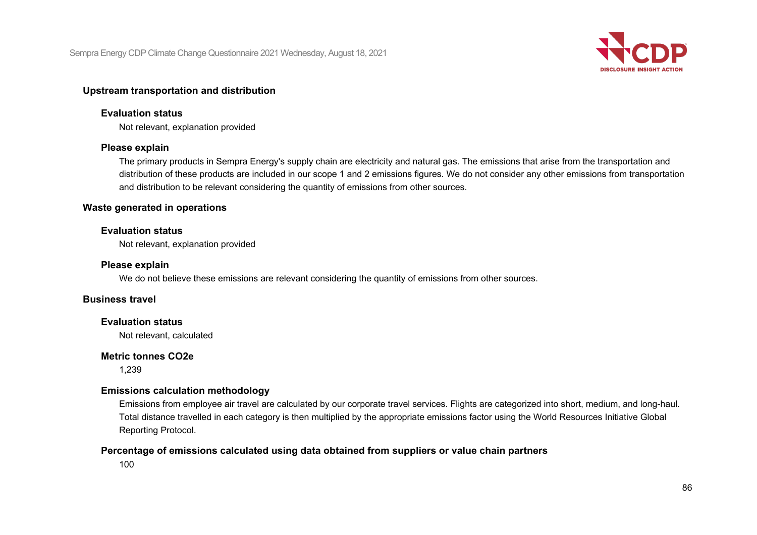

#### **Upstream transportation and distribution**

#### **Evaluation status**

Not relevant, explanation provided

#### **Please explain**

The primary products in Sempra Energy's supply chain are electricity and natural gas. The emissions that arise from the transportation and distribution of these products are included in our scope 1 and 2 emissions figures. We do not consider any other emissions from transportation and distribution to be relevant considering the quantity of emissions from other sources.

#### **Waste generated in operations**

#### **Evaluation status**

Not relevant, explanation provided

#### **Please explain**

We do not believe these emissions are relevant considering the quantity of emissions from other sources.

#### **Business travel**

#### **Evaluation status**

Not relevant, calculated

#### **Metric tonnes CO2e**

1,239

#### **Emissions calculation methodology**

Emissions from employee air travel are calculated by our corporate travel services. Flights are categorized into short, medium, and long-haul. Total distance travelled in each category is then multiplied by the appropriate emissions factor using the World Resources Initiative Global Reporting Protocol.

#### **Percentage of emissions calculated using data obtained from suppliers or value chain partners**

100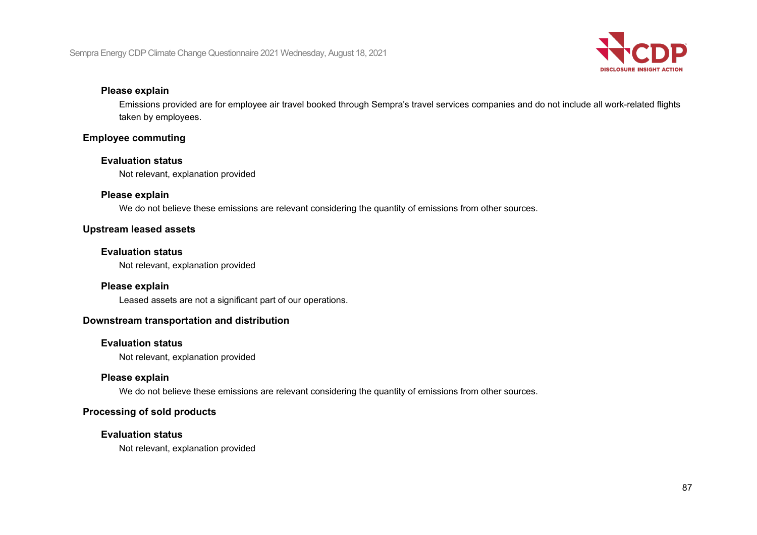

#### **Please explain**

Emissions provided are for employee air travel booked through Sempra's travel services companies and do not include all work-related flights taken by employees.

#### **Employee commuting**

#### **Evaluation status**

Not relevant, explanation provided

### **Please explain**

We do not believe these emissions are relevant considering the quantity of emissions from other sources.

#### **Upstream leased assets**

#### **Evaluation status**

Not relevant, explanation provided

#### **Please explain**

Leased assets are not a significant part of our operations.

#### **Downstream transportation and distribution**

#### **Evaluation status**

Not relevant, explanation provided

#### **Please explain**

We do not believe these emissions are relevant considering the quantity of emissions from other sources.

#### **Processing of sold products**

#### **Evaluation status**

Not relevant, explanation provided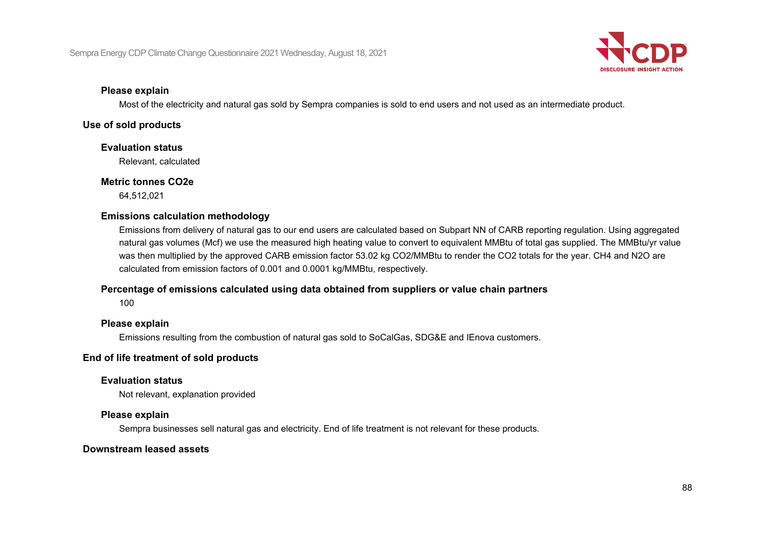

#### **Please explain**

Most of the electricity and natural gas sold by Sempra companies is sold to end users and not used as an intermediate product.

## **Use of sold products**

#### **Evaluation status**

Relevant, calculated

### **Metric tonnes CO2e**

64,512,021

## **Emissions calculation methodology**

Emissions from delivery of natural gas to our end users are calculated based on Subpart NN of CARB reporting regulation. Using aggregated natural gas volumes (Mcf) we use the measured high heating value to convert to equivalent MMBtu of total gas supplied. The MMBtu/yr value was then multiplied by the approved CARB emission factor 53.02 kg CO2/MMBtu to render the CO2 totals for the year. CH4 and N2O are calculated from emission factors of 0.001 and 0.0001 kg/MMBtu, respectively.

## **Percentage of emissions calculated using data obtained from suppliers or value chain partners**

100

## **Please explain**

Emissions resulting from the combustion of natural gas sold to SoCalGas, SDG&E and IEnova customers.

# **End of life treatment of sold products**

## **Evaluation status**

Not relevant, explanation provided

# **Please explain**

Sempra businesses sell natural gas and electricity. End of life treatment is not relevant for these products.

# **Downstream leased assets**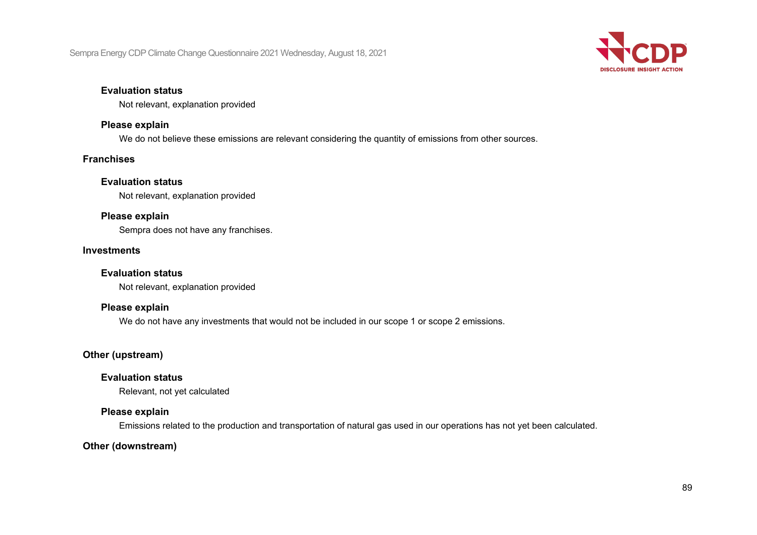

#### **Evaluation status**

Not relevant, explanation provided

### **Please explain**

We do not believe these emissions are relevant considering the quantity of emissions from other sources.

#### **Franchises**

### **Evaluation status**

Not relevant, explanation provided

## **Please explain**

Sempra does not have any franchises.

#### **Investments**

## **Evaluation status**

Not relevant, explanation provided

### **Please explain**

We do not have any investments that would not be included in our scope 1 or scope 2 emissions.

#### **Other (upstream)**

### **Evaluation status**

Relevant, not yet calculated

#### **Please explain**

Emissions related to the production and transportation of natural gas used in our operations has not yet been calculated.

#### **Other (downstream)**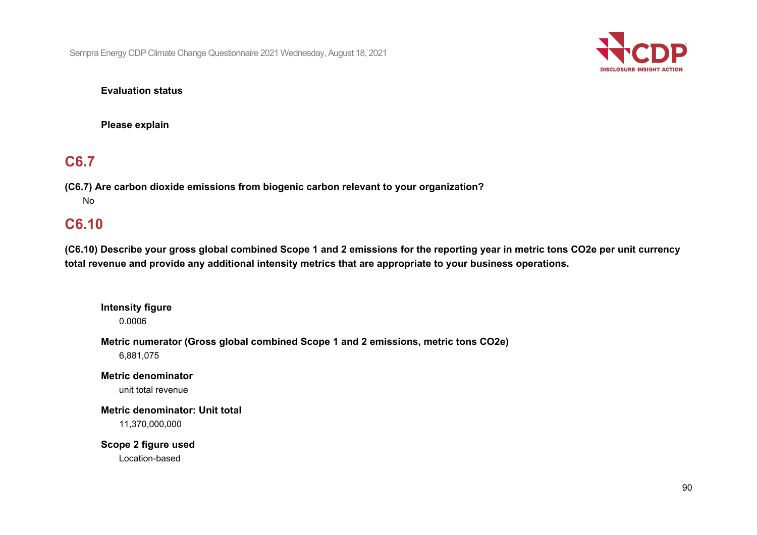

**Evaluation status**

**Please explain**

# **C6.7**

**(C6.7) Are carbon dioxide emissions from biogenic carbon relevant to your organization?** No

# **C6.10**

**(C6.10) Describe your gross global combined Scope 1 and 2 emissions for the reporting year in metric tons CO2e per unit currency total revenue and provide any additional intensity metrics that are appropriate to your business operations.**

**Intensity figure** 0.0006

**Metric numerator (Gross global combined Scope 1 and 2 emissions, metric tons CO2e)**

6,881,075

**Metric denominator** unit total revenue

**Metric denominator: Unit total** 11,370,000,000

**Scope 2 figure used**

Location-based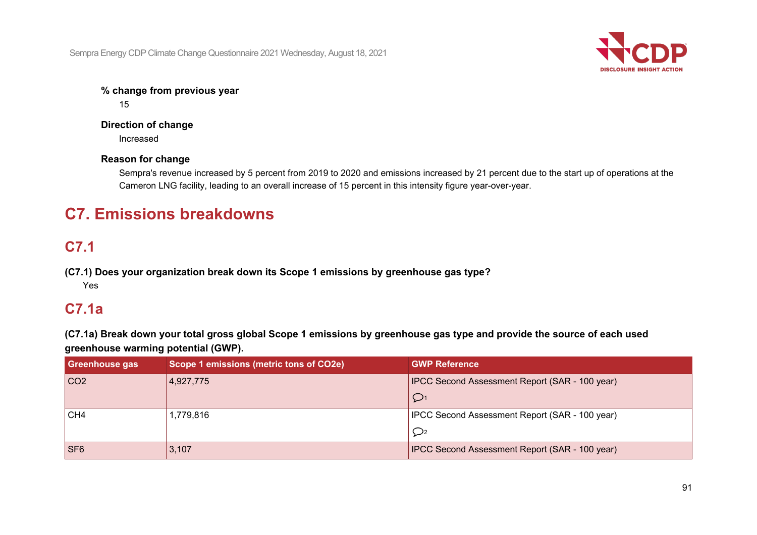

# **% change from previous year**

15

# **Direction of change**

Increased

# **Reason for change**

Sempra's revenue increased by 5 percent from 2019 to 2020 and emissions increased by 21 percent due to the start up of operations at the Cameron LNG facility, leading to an overall increase of 15 percent in this intensity figure year-over-year.

# **C7. Emissions breakdowns**

# **C7.1**

**(C7.1) Does your organization break down its Scope 1 emissions by greenhouse gas type?** Yes

# **C7.1a**

**(C7.1a) Break down your total gross global Scope 1 emissions by greenhouse gas type and provide the source of each used greenhouse warming potential (GWP).**

| <b>Greenhouse gas</b> | Scope 1 emissions (metric tons of CO2e) | <b>GWP Reference</b>                                  |
|-----------------------|-----------------------------------------|-------------------------------------------------------|
| CO <sub>2</sub>       | 4,927,775                               | IPCC Second Assessment Report (SAR - 100 year)        |
|                       |                                         | $\mathcal{Q}_1$                                       |
| CH4                   | 1,779,816                               | <b>IPCC Second Assessment Report (SAR - 100 year)</b> |
|                       |                                         | $\mathcal{Q}_2$                                       |
| SF <sub>6</sub>       | 3,107                                   | <b>IPCC Second Assessment Report (SAR - 100 year)</b> |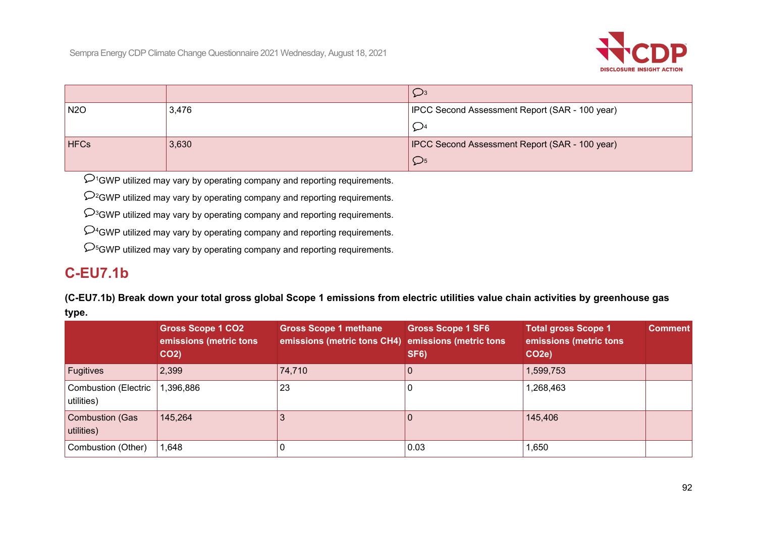

|             |       | $\mathcal{L}$ 3                                       |
|-------------|-------|-------------------------------------------------------|
| N2O         | 3,476 | <b>IPCC Second Assessment Report (SAR - 100 year)</b> |
|             |       | ەر                                                    |
| <b>HFCs</b> | 3,630 | <b>IPCC Second Assessment Report (SAR - 100 year)</b> |
|             |       | $\bigcup$ 5                                           |

 $\mathcal{D}_1$ GWP utilized may vary by operating company and reporting requirements.

 $\mathcal{D}^2$ GWP utilized may vary by operating company and reporting requirements.

 $\mathcal{D}$ <sup>3</sup>GWP utilized may vary by operating company and reporting requirements.

 $\mathcal{D}$ <sup>4</sup>GWP utilized may vary by operating company and reporting requirements.

 $55$ GWP utilized may vary by operating company and reporting requirements.

# **C-EU7.1b**

**(C-EU7.1b) Break down your total gross global Scope 1 emissions from electric utilities value chain activities by greenhouse gas type.**

|                                           | <b>Gross Scope 1 CO2</b><br>emissions (metric tons<br>CO <sub>2</sub> ) | <b>Gross Scope 1 methane</b><br>emissions (metric tons CH4) | <b>Gross Scope 1 SF6</b><br>emissions (metric tons<br><b>SF6)</b> | <b>Total gross Scope 1</b><br>emissions (metric tons<br>CO <sub>2</sub> e) | <b>Comment</b> |
|-------------------------------------------|-------------------------------------------------------------------------|-------------------------------------------------------------|-------------------------------------------------------------------|----------------------------------------------------------------------------|----------------|
| Fugitives                                 | 2,399                                                                   | 74,710                                                      |                                                                   | 1,599,753                                                                  |                |
| <b>Combustion (Electric</b><br>utilities) | 1,396,886                                                               | 23                                                          |                                                                   | 1,268,463                                                                  |                |
| <b>Combustion (Gas</b><br>utilities)      | 145,264                                                                 |                                                             |                                                                   | 145,406                                                                    |                |
| Combustion (Other)                        | 1,648                                                                   |                                                             | 0.03                                                              | 1,650                                                                      |                |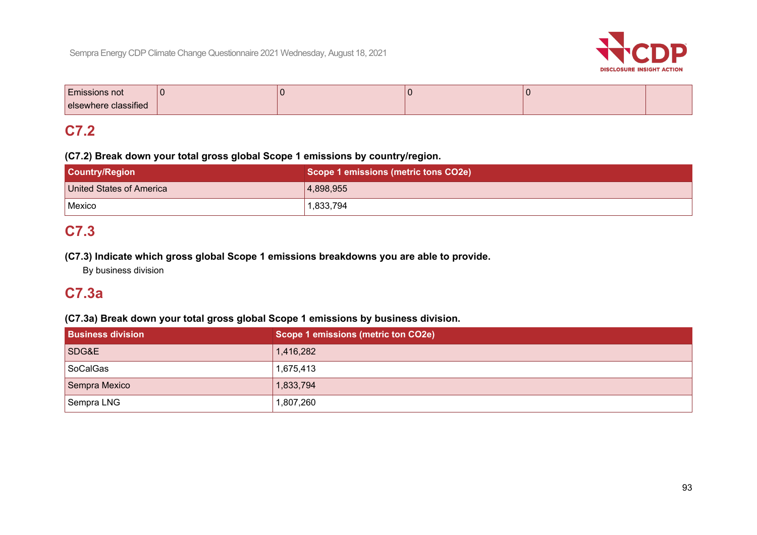

| <b>Emissions not</b> |  |  |  |
|----------------------|--|--|--|
| elsewhere classified |  |  |  |

# **C7.2**

# **(C7.2) Break down your total gross global Scope 1 emissions by country/region.**

| <b>Country/Region</b>    | Scope 1 emissions (metric tons CO2e) |
|--------------------------|--------------------------------------|
| United States of America | 4,898,955                            |
| Mexico                   | 1,833,794                            |

# **C7.3**

**(C7.3) Indicate which gross global Scope 1 emissions breakdowns you are able to provide.**

By business division

# **C7.3a**

#### **(C7.3a) Break down your total gross global Scope 1 emissions by business division.**

| <b>Business division</b> | Scope 1 emissions (metric ton CO2e) |
|--------------------------|-------------------------------------|
| SDG&E                    | 1,416,282                           |
| SoCalGas                 | 1,675,413                           |
| Sempra Mexico            | 1,833,794                           |
| Sempra LNG               | 1,807,260                           |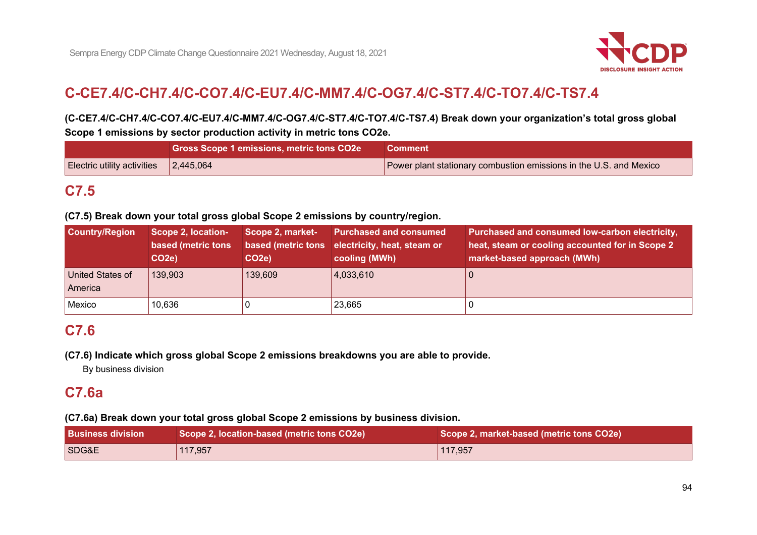

# **C-CE7.4/C-CH7.4/C-CO7.4/C-EU7.4/C-MM7.4/C-OG7.4/C-ST7.4/C-TO7.4/C-TS7.4**

# **(C-CE7.4/C-CH7.4/C-CO7.4/C-EU7.4/C-MM7.4/C-OG7.4/C-ST7.4/C-TO7.4/C-TS7.4) Break down your organization's total gross global Scope 1 emissions by sector production activity in metric tons CO2e.**

|                                                        | <b>Gross Scope 1 emissions, metric tons CO2e</b> | <b>Comment</b>                                                     |
|--------------------------------------------------------|--------------------------------------------------|--------------------------------------------------------------------|
| Electric utility activities $\left  \right $ 2,445,064 |                                                  | Power plant stationary combustion emissions in the U.S. and Mexico |

# **C7.5**

#### **(C7.5) Break down your total gross global Scope 2 emissions by country/region.**

| <b>Country/Region</b>       | Scope 2, location-<br>based (metric tons<br>CO <sub>2e</sub> ) | Scope 2, market-<br>CO <sub>2</sub> e) | <b>Purchased and consumed</b><br>based (metric tons electricity, heat, steam or<br>cooling (MWh) | Purchased and consumed low-carbon electricity,<br>heat, steam or cooling accounted for in Scope 2<br>market-based approach (MWh) |
|-----------------------------|----------------------------------------------------------------|----------------------------------------|--------------------------------------------------------------------------------------------------|----------------------------------------------------------------------------------------------------------------------------------|
| United States of<br>America | 139,903                                                        | 139,609                                | 4,033,610                                                                                        |                                                                                                                                  |
| Mexico                      | 10,636                                                         |                                        | 23,665                                                                                           |                                                                                                                                  |

# **C7.6**

**(C7.6) Indicate which gross global Scope 2 emissions breakdowns you are able to provide.**

By business division

# **C7.6a**

#### **(C7.6a) Break down your total gross global Scope 2 emissions by business division.**

| <b>Business division</b> | Scope 2, location-based (metric tons CO2e) | Scope 2, market-based (metric tons CO2e) |
|--------------------------|--------------------------------------------|------------------------------------------|
| SDG&E                    | 117,957                                    | 117,957                                  |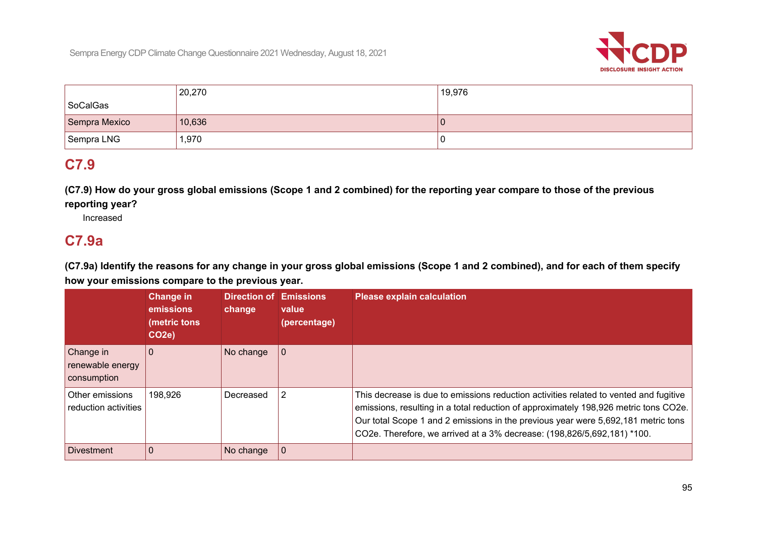

|               | 20,270 | 19,976 |
|---------------|--------|--------|
| SoCalGas      |        |        |
| Sempra Mexico | 10,636 |        |
| Sempra LNG    | ,970   |        |

# **C7.9**

**(C7.9) How do your gross global emissions (Scope 1 and 2 combined) for the reporting year compare to those of the previous** 

# **reporting year?**

Increased

# **C7.9a**

**(C7.9a) Identify the reasons for any change in your gross global emissions (Scope 1 and 2 combined), and for each of them specify how your emissions compare to the previous year.**

|                                              | <b>Change in</b><br>emissions<br>(metric tons)<br>CO <sub>2</sub> e) | <b>Direction of Emissions</b><br>change | value<br>(percentage) | <b>Please explain calculation</b>                                                                                                                                                                                                                                                                                                             |
|----------------------------------------------|----------------------------------------------------------------------|-----------------------------------------|-----------------------|-----------------------------------------------------------------------------------------------------------------------------------------------------------------------------------------------------------------------------------------------------------------------------------------------------------------------------------------------|
| Change in<br>renewable energy<br>consumption | $\theta$                                                             | No change                               | $\mathbf 0$           |                                                                                                                                                                                                                                                                                                                                               |
| Other emissions<br>reduction activities      | 198,926                                                              | Decreased                               | 2                     | This decrease is due to emissions reduction activities related to vented and fugitive<br>emissions, resulting in a total reduction of approximately 198,926 metric tons CO2e.<br>Our total Scope 1 and 2 emissions in the previous year were 5,692,181 metric tons<br>CO2e. Therefore, we arrived at a 3% decrease: (198,826/5,692,181) *100. |
| <b>Divestment</b>                            | $\mathbf 0$                                                          | No change                               | 0                     |                                                                                                                                                                                                                                                                                                                                               |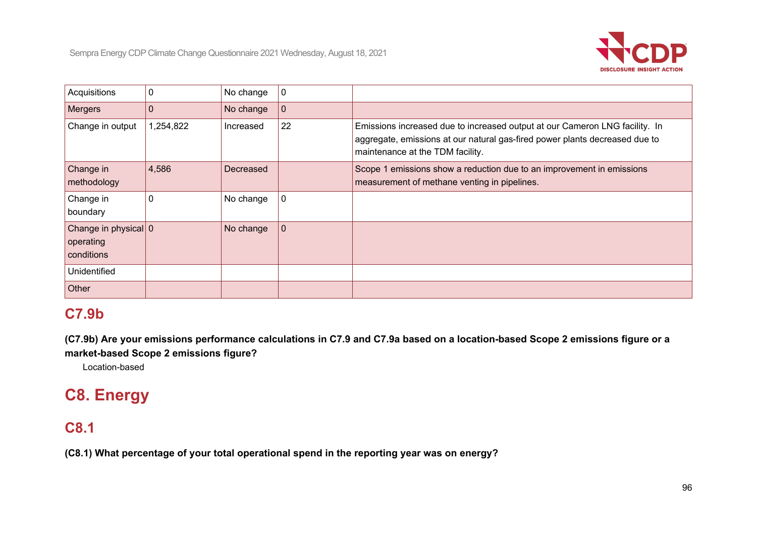

| Acquisitions                                    | 0              | No change | 0   |                                                                                                                                                                                                |
|-------------------------------------------------|----------------|-----------|-----|------------------------------------------------------------------------------------------------------------------------------------------------------------------------------------------------|
| Mergers                                         | $\overline{0}$ | No change | 0   |                                                                                                                                                                                                |
| Change in output                                | 1,254,822      | Increased | 22  | Emissions increased due to increased output at our Cameron LNG facility. In<br>aggregate, emissions at our natural gas-fired power plants decreased due to<br>maintenance at the TDM facility. |
| Change in<br>methodology                        | 4,586          | Decreased |     | Scope 1 emissions show a reduction due to an improvement in emissions<br>measurement of methane venting in pipelines.                                                                          |
| Change in<br>boundary                           | $\Omega$       | No change | 0   |                                                                                                                                                                                                |
| Change in physical 0<br>operating<br>conditions |                | No change | l 0 |                                                                                                                                                                                                |
| Unidentified                                    |                |           |     |                                                                                                                                                                                                |
| Other                                           |                |           |     |                                                                                                                                                                                                |

# **C7.9b**

**(C7.9b) Are your emissions performance calculations in C7.9 and C7.9a based on a location-based Scope 2 emissions figure or a market-based Scope 2 emissions figure?**

Location-based

# **C8. Energy**

# **C8.1**

**(C8.1) What percentage of your total operational spend in the reporting year was on energy?**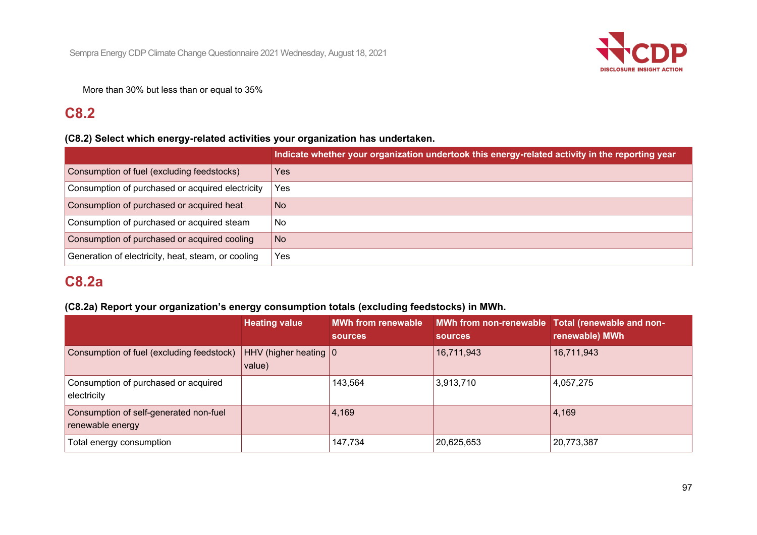

More than 30% but less than or equal to 35%

# **C8.2**

# **(C8.2) Select which energy-related activities your organization has undertaken.**

|                                                    | Indicate whether your organization undertook this energy-related activity in the reporting year |
|----------------------------------------------------|-------------------------------------------------------------------------------------------------|
| Consumption of fuel (excluding feedstocks)         | <b>Yes</b>                                                                                      |
| Consumption of purchased or acquired electricity   | <b>Yes</b>                                                                                      |
| Consumption of purchased or acquired heat          | l No                                                                                            |
| Consumption of purchased or acquired steam         | No                                                                                              |
| Consumption of purchased or acquired cooling       | No.                                                                                             |
| Generation of electricity, heat, steam, or cooling | Yes                                                                                             |

# **C8.2a**

# **(C8.2a) Report your organization's energy consumption totals (excluding feedstocks) in MWh.**

|                                                            | <b>Heating value</b>            | <b>MWh from renewable</b><br><b>sources</b> | <b>sources</b> | MWh from non-renewable Total (renewable and non-<br>renewable) MWh |
|------------------------------------------------------------|---------------------------------|---------------------------------------------|----------------|--------------------------------------------------------------------|
| Consumption of fuel (excluding feedstock)                  | HHV (higher heating 0<br>value) |                                             | 16,711,943     | 16,711,943                                                         |
| Consumption of purchased or acquired<br>electricity        |                                 | 143,564                                     | 3,913,710      | 4,057,275                                                          |
| Consumption of self-generated non-fuel<br>renewable energy |                                 | 4,169                                       |                | 4,169                                                              |
| Total energy consumption                                   |                                 | 147,734                                     | 20,625,653     | 20,773,387                                                         |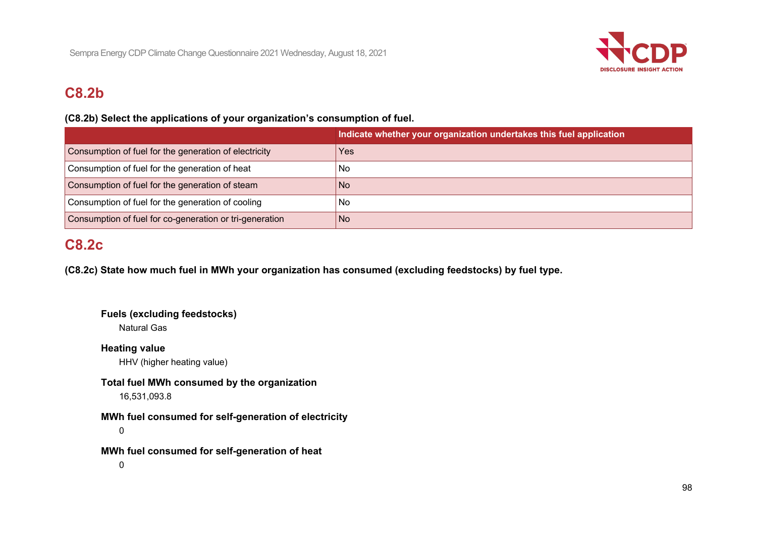

# **C8.2b**

## **(C8.2b) Select the applications of your organization's consumption of fuel.**

|                                                         | Indicate whether your organization undertakes this fuel application |
|---------------------------------------------------------|---------------------------------------------------------------------|
| Consumption of fuel for the generation of electricity   | <b>Yes</b>                                                          |
| Consumption of fuel for the generation of heat          | No                                                                  |
| Consumption of fuel for the generation of steam         | N <sub>o</sub>                                                      |
| Consumption of fuel for the generation of cooling       | No                                                                  |
| Consumption of fuel for co-generation or tri-generation | No.                                                                 |

# **C8.2c**

**(C8.2c) State how much fuel in MWh your organization has consumed (excluding feedstocks) by fuel type.**

```
Fuels (excluding feedstocks)
   Natural Gas
Heating value
   HHV (higher heating value)
Total fuel MWh consumed by the organization
   16,531,093.8
MWh fuel consumed for self-generation of electricity
   0
MWh fuel consumed for self-generation of heat
   0
```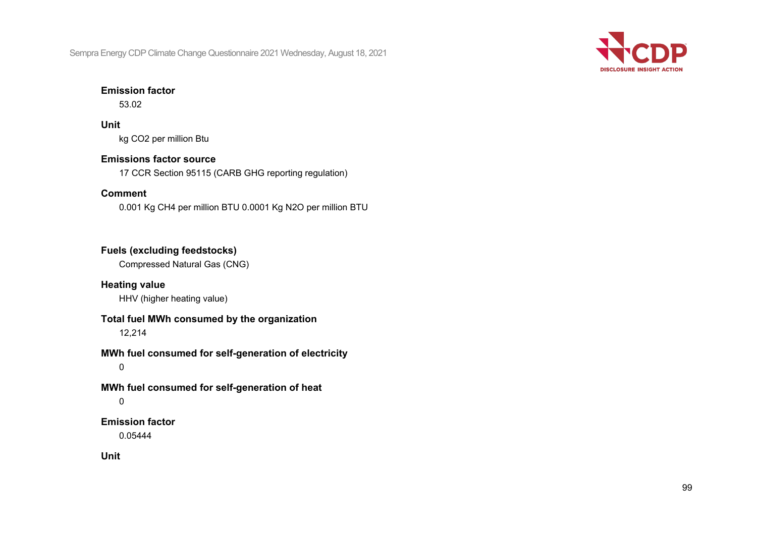

#### **Emission factor**

53.02

### **Unit**

kg CO2 per million Btu

## **Emissions factor source**

17 CCR Section 95115 (CARB GHG reporting regulation)

### **Comment**

0.001 Kg CH4 per million BTU 0.0001 Kg N2O per million BTU

## **Fuels (excluding feedstocks)**

Compressed Natural Gas (CNG)

### **Heating value**

HHV (higher heating value)

#### **Total fuel MWh consumed by the organization**

12,214

## **MWh fuel consumed for self-generation of electricity**

 $\Omega$ 

# **MWh fuel consumed for self-generation of heat**

0

# **Emission factor**

0.05444

**Unit**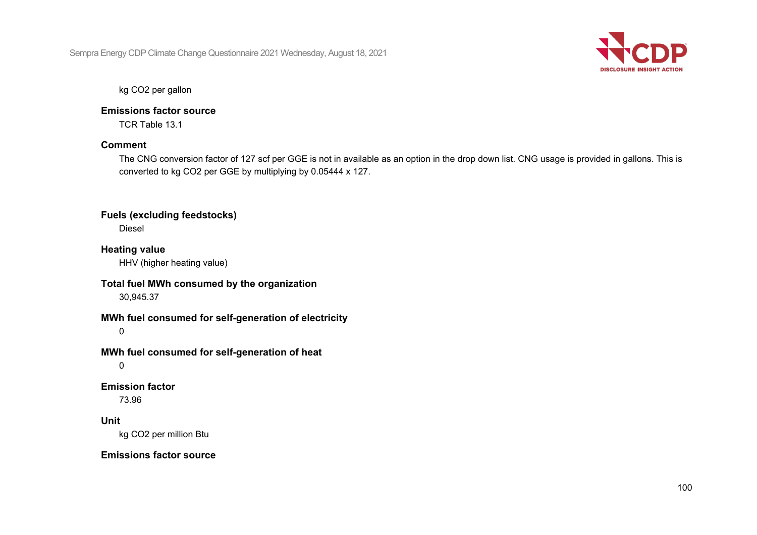

kg CO2 per gallon

#### **Emissions factor source**

TCR Table 13.1

### **Comment**

The CNG conversion factor of 127 scf per GGE is not in available as an option in the drop down list. CNG usage is provided in gallons. This is converted to kg CO2 per GGE by multiplying by 0.05444 x 127.

#### **Fuels (excluding feedstocks)**

Diesel

# **Heating value**

HHV (higher heating value)

# **Total fuel MWh consumed by the organization**

30,945.37

## **MWh fuel consumed for self-generation of electricity**

 $\Omega$ 

## **MWh fuel consumed for self-generation of heat**

 $\Omega$ 

## **Emission factor**

73.96

# **Unit**

kg CO2 per million Btu

#### **Emissions factor source**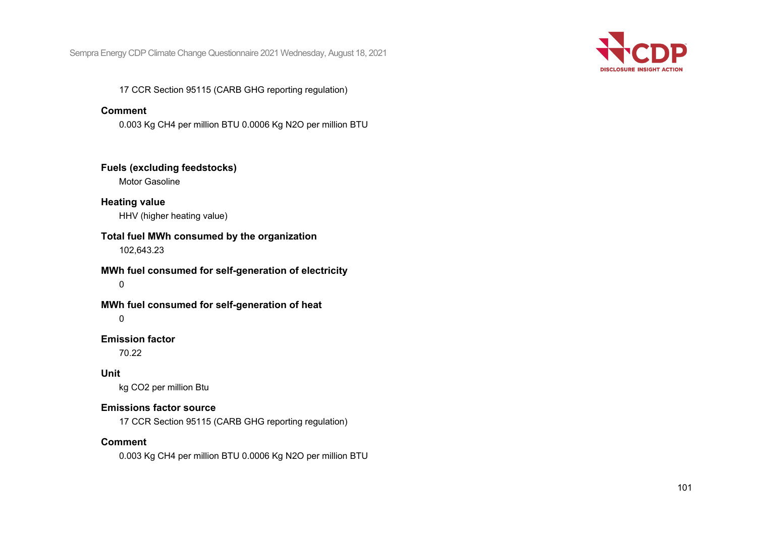

17 CCR Section 95115 (CARB GHG reporting regulation)

#### **Comment**

0.003 Kg CH4 per million BTU 0.0006 Kg N2O per million BTU

## **Fuels (excluding feedstocks)**

Motor Gasoline

## **Heating value**

HHV (higher heating value)

# **Total fuel MWh consumed by the organization**

102,643.23

## **MWh fuel consumed for self-generation of electricity**

0

# **MWh fuel consumed for self-generation of heat**

 $\Omega$ 

## **Emission factor**

70.22

#### **Unit**

kg CO2 per million Btu

### **Emissions factor source**

17 CCR Section 95115 (CARB GHG reporting regulation)

#### **Comment**

0.003 Kg CH4 per million BTU 0.0006 Kg N2O per million BTU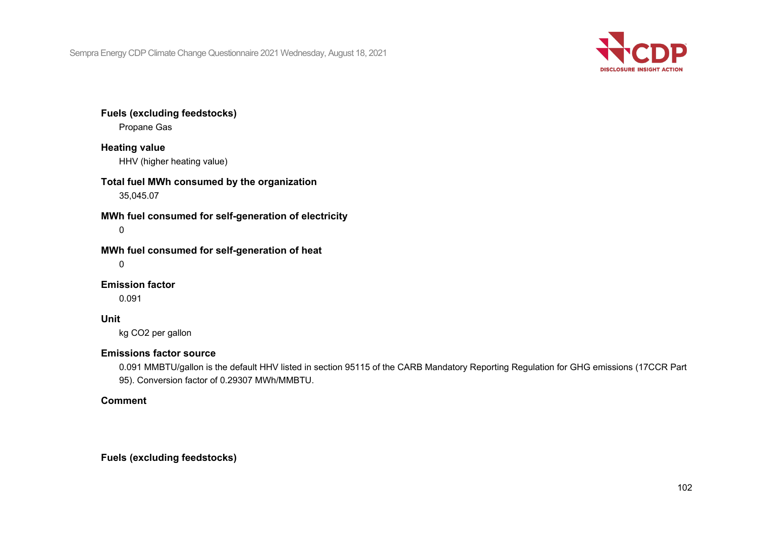

#### **Fuels (excluding feedstocks)**

Propane Gas

### **Heating value**

HHV (higher heating value)

# **Total fuel MWh consumed by the organization**

35,045.07

# **MWh fuel consumed for self-generation of electricity**

0

# **MWh fuel consumed for self-generation of heat**

0

#### **Emission factor**

0.091

## **Unit**

kg CO2 per gallon

#### **Emissions factor source**

0.091 MMBTU/gallon is the default HHV listed in section 95115 of the CARB Mandatory Reporting Regulation for GHG emissions (17CCR Part 95). Conversion factor of 0.29307 MWh/MMBTU.

### **Comment**

**Fuels (excluding feedstocks)**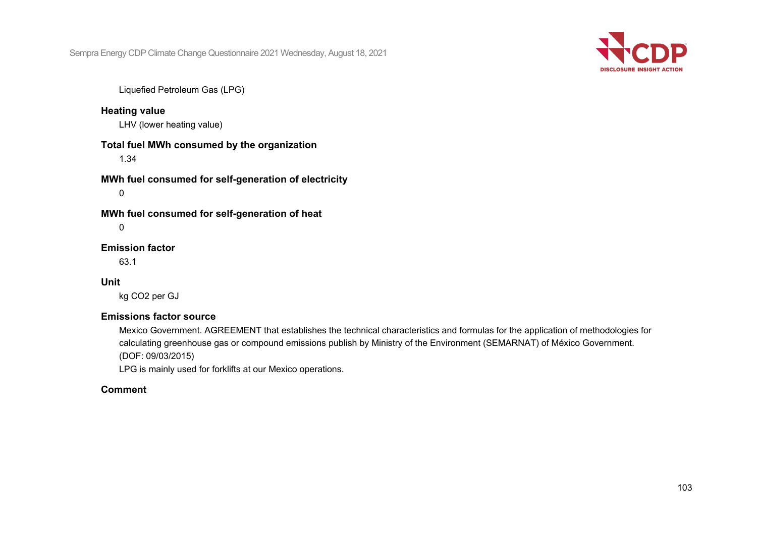

Liquefied Petroleum Gas (LPG)

### **Heating value**

LHV (lower heating value)

### **Total fuel MWh consumed by the organization**

1.34

**MWh fuel consumed for self-generation of electricity**

 $\Omega$ 

**MWh fuel consumed for self-generation of heat** 0

#### **Emission factor**

63.1

#### **Unit**

kg CO2 per GJ

#### **Emissions factor source**

Mexico Government. AGREEMENT that establishes the technical characteristics and formulas for the application of methodologies for calculating greenhouse gas or compound emissions publish by Ministry of the Environment (SEMARNAT) of México Government. (DOF: 09/03/2015)

LPG is mainly used for forklifts at our Mexico operations.

#### **Comment**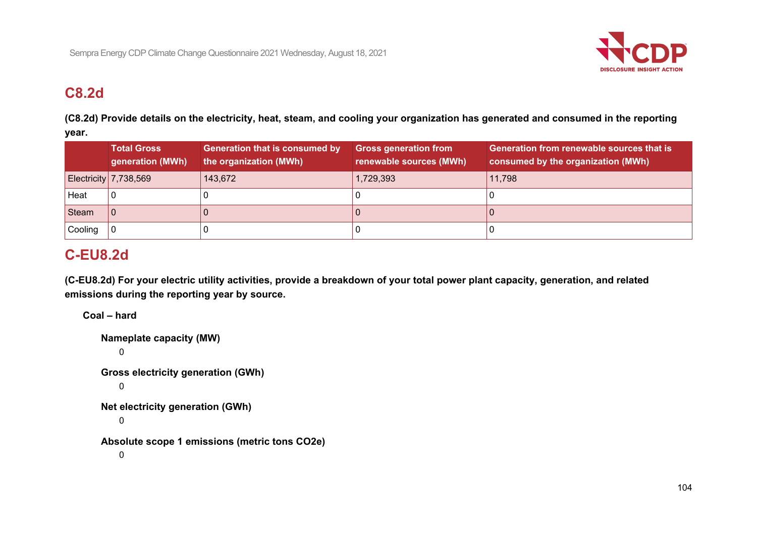

# **C8.2d**

**(C8.2d) Provide details on the electricity, heat, steam, and cooling your organization has generated and consumed in the reporting year.**

|              | <b>Total Gross</b><br>generation (MWh) | Generation that is consumed by<br>the organization (MWh) | <b>Gross generation from</b><br>renewable sources (MWh) | Generation from renewable sources that is<br>consumed by the organization (MWh) |
|--------------|----------------------------------------|----------------------------------------------------------|---------------------------------------------------------|---------------------------------------------------------------------------------|
|              | Electricity $7,738,569$                | 143,672                                                  | 1,729,393                                               | 11,798                                                                          |
| Heat         |                                        |                                                          |                                                         |                                                                                 |
| <b>Steam</b> |                                        |                                                          |                                                         |                                                                                 |
| Cooling      |                                        |                                                          |                                                         |                                                                                 |

# **C-EU8.2d**

**(C-EU8.2d) For your electric utility activities, provide a breakdown of your total power plant capacity, generation, and related emissions during the reporting year by source.**

**Coal – hard**

```
Nameplate capacity (MW)
    \OmegaGross electricity generation (GWh)
    0
Net electricity generation (GWh)
    \OmegaAbsolute scope 1 emissions (metric tons CO2e)
    0
```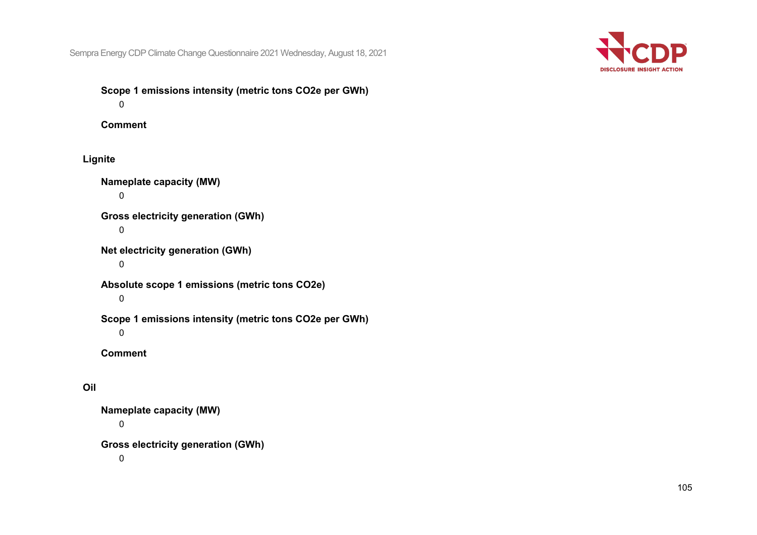

```
Scope 1 emissions intensity (metric tons CO2e per GWh)
```
0

## **Comment**

**Lignite**

```
Nameplate capacity (MW)
    \OmegaGross electricity generation (GWh)
   0
Net electricity generation (GWh)
   0
Absolute scope 1 emissions (metric tons CO2e)
   0
Scope 1 emissions intensity (metric tons CO2e per GWh)
   \OmegaComment
```
## **Oil**

**Nameplate capacity (MW)** 0 **Gross electricity generation (GWh)**  $\Omega$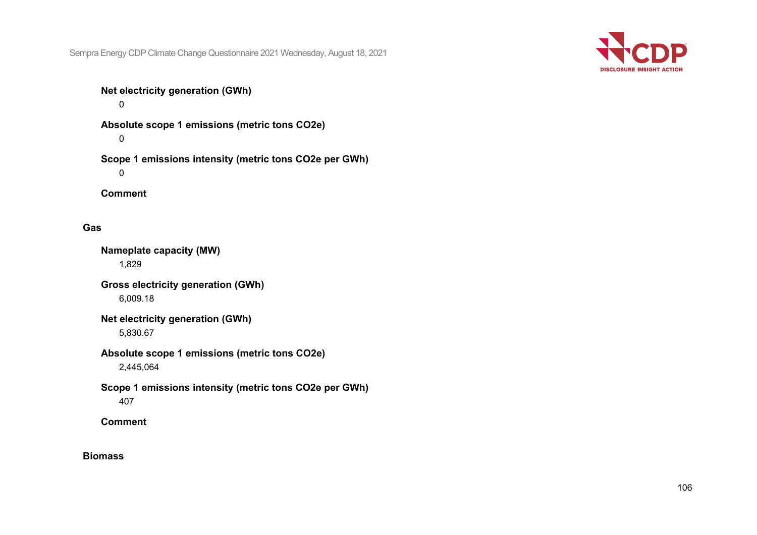

```
Net electricity generation (GWh)
```
0

**Absolute scope 1 emissions (metric tons CO2e)**  $\Omega$ 

**Scope 1 emissions intensity (metric tons CO2e per GWh)** 0

**Comment**

### **Gas**

**Nameplate capacity (MW)** 1,829 **Gross electricity generation (GWh)** 6,009.18 **Net electricity generation (GWh)** 5,830.67 **Absolute scope 1 emissions (metric tons CO2e)** 2,445,064 **Scope 1 emissions intensity (metric tons CO2e per GWh)** 407 **Comment**

**Biomass**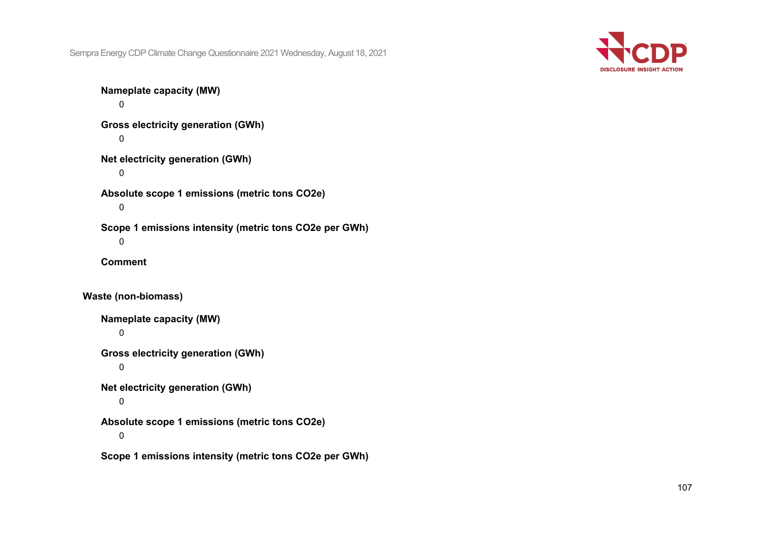

```
Nameplate capacity (MW)
       0
   Gross electricity generation (GWh)
        \OmegaNet electricity generation (GWh)
       0
   Absolute scope 1 emissions (metric tons CO2e)
       \OmegaScope 1 emissions intensity (metric tons CO2e per GWh)
        \OmegaComment
Waste (non-biomass)
   Nameplate capacity (MW)
       \OmegaGross electricity generation (GWh)
        \OmegaNet electricity generation (GWh)
       0
   Absolute scope 1 emissions (metric tons CO2e)
       \Omega
```
**Scope 1 emissions intensity (metric tons CO2e per GWh)**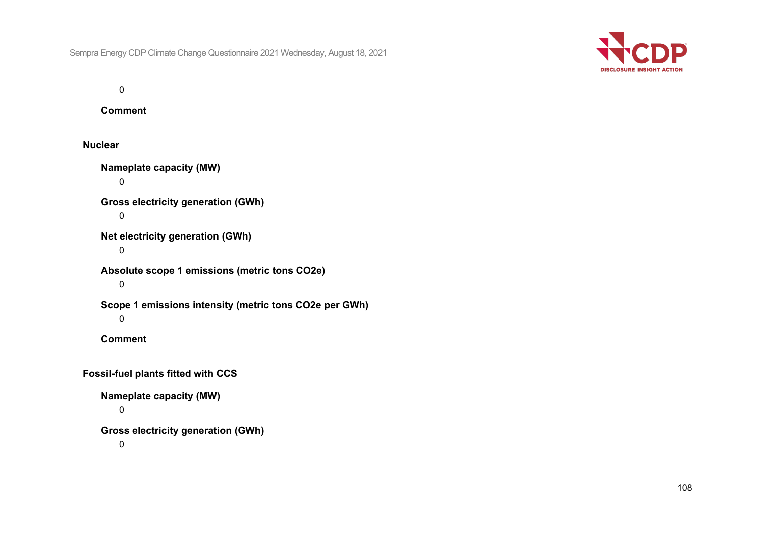

 $\Omega$ 

**Comment**

**Nuclear**

**Nameplate capacity (MW)**  $\Omega$ **Gross electricity generation (GWh)** 0 **Net electricity generation (GWh)**  $\Omega$ **Absolute scope 1 emissions (metric tons CO2e)** 0 **Scope 1 emissions intensity (metric tons CO2e per GWh)**  $\Omega$ **Comment Fossil-fuel plants fitted with CCS**

```
Nameplate capacity (MW)
    \OmegaGross electricity generation (GWh)
    \Omega
```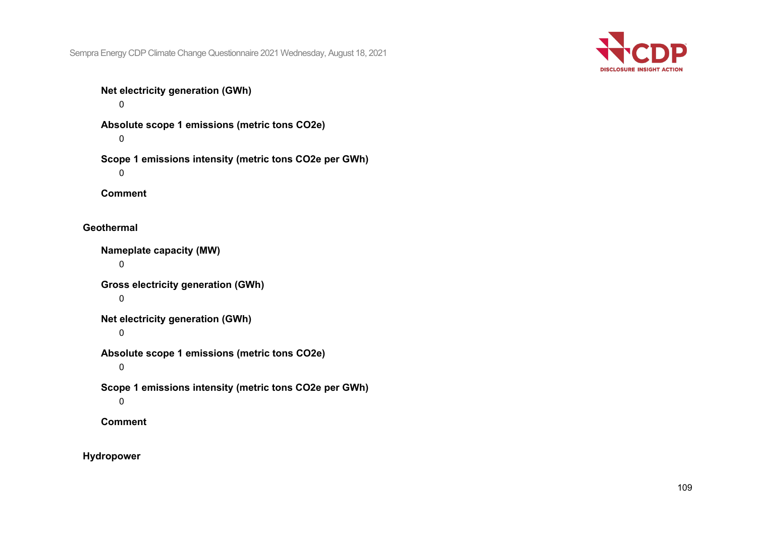

```
Net electricity generation (GWh)
```
0

```
Absolute scope 1 emissions (metric tons CO2e)
    \Omega
```
**Scope 1 emissions intensity (metric tons CO2e per GWh)** 0

**Comment**

#### **Geothermal**

```
Nameplate capacity (MW)
    0
Gross electricity generation (GWh)
    0
Net electricity generation (GWh)
    \OmegaAbsolute scope 1 emissions (metric tons CO2e)
    \OmegaScope 1 emissions intensity (metric tons CO2e per GWh)
    \OmegaComment
```
### **Hydropower**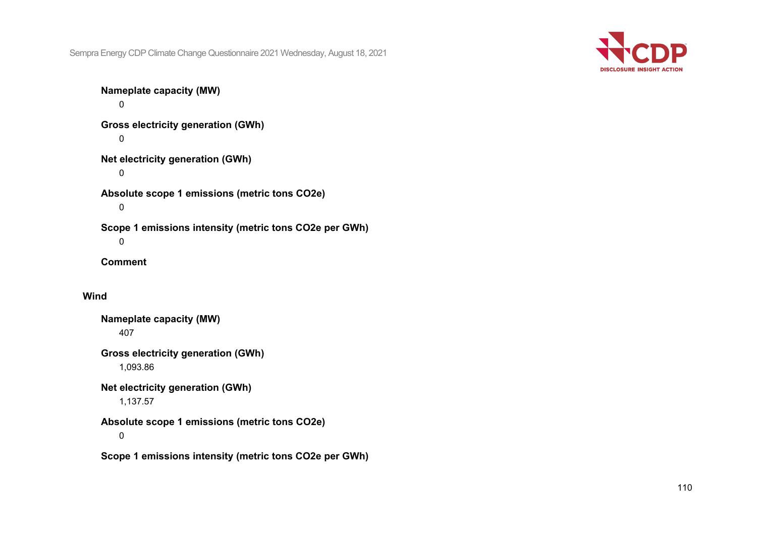

```
Nameplate capacity (MW)
   0
Gross electricity generation (GWh)
    \OmegaNet electricity generation (GWh)
   0
Absolute scope 1 emissions (metric tons CO2e)
   \OmegaScope 1 emissions intensity (metric tons CO2e per GWh)
    0
Comment
```
#### **Wind**

```
Nameplate capacity (MW)
   407
Gross electricity generation (GWh)
   1,093.86
Net electricity generation (GWh)
   1,137.57
Absolute scope 1 emissions (metric tons CO2e)
   \Omega
```
**Scope 1 emissions intensity (metric tons CO2e per GWh)**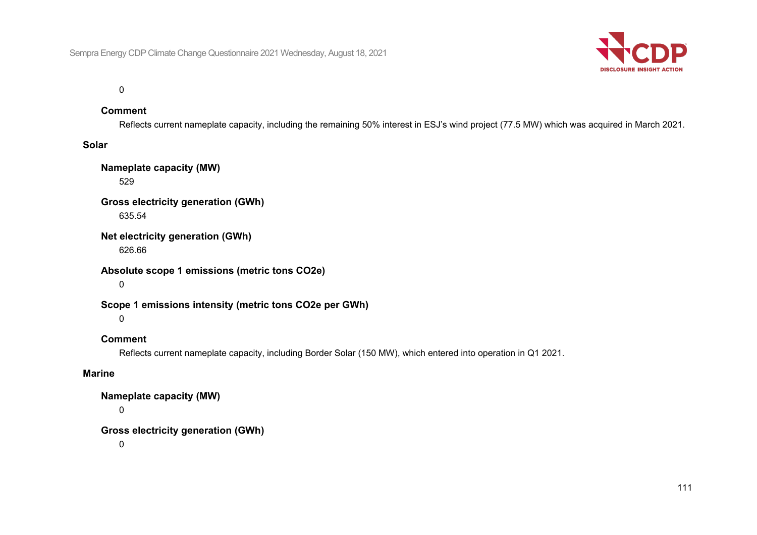

 $\Omega$ 

#### **Comment**

Reflects current nameplate capacity, including the remaining 50% interest in ESJ's wind project (77.5 MW) which was acquired in March 2021.

**Solar**

**Nameplate capacity (MW)** 529

**Gross electricity generation (GWh)** 635.54

```
Net electricity generation (GWh)
```
626.66

```
Absolute scope 1 emissions (metric tons CO2e)
```
0

**Scope 1 emissions intensity (metric tons CO2e per GWh)**

 $\Omega$ 

### **Comment**

Reflects current nameplate capacity, including Border Solar (150 MW), which entered into operation in Q1 2021.

#### **Marine**

```
Nameplate capacity (MW)
    \OmegaGross electricity generation (GWh)
    \Omega
```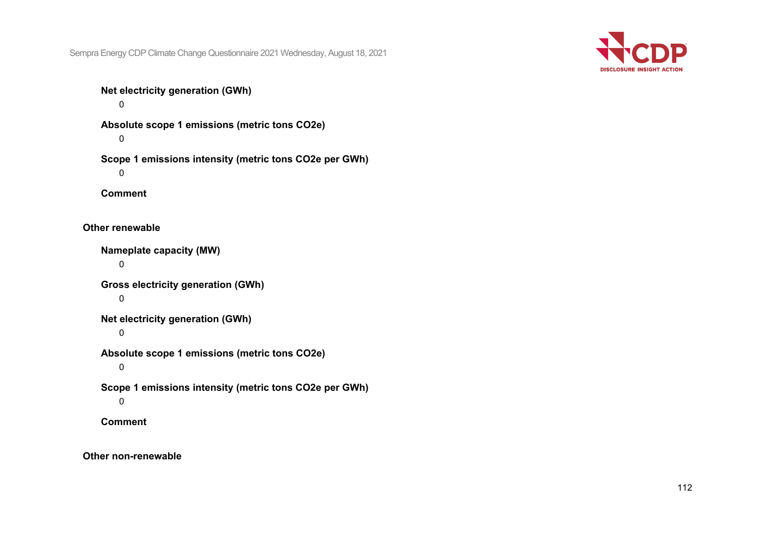

```
Net electricity generation (GWh)
```
0

```
Absolute scope 1 emissions (metric tons CO2e)
    \Omega
```
**Scope 1 emissions intensity (metric tons CO2e per GWh)** 0

**Comment**

**Other renewable**

```
Nameplate capacity (MW)
    0
Gross electricity generation (GWh)
    0
Net electricity generation (GWh)
    \OmegaAbsolute scope 1 emissions (metric tons CO2e)
    \OmegaScope 1 emissions intensity (metric tons CO2e per GWh)
    \OmegaComment
```
**Other non-renewable**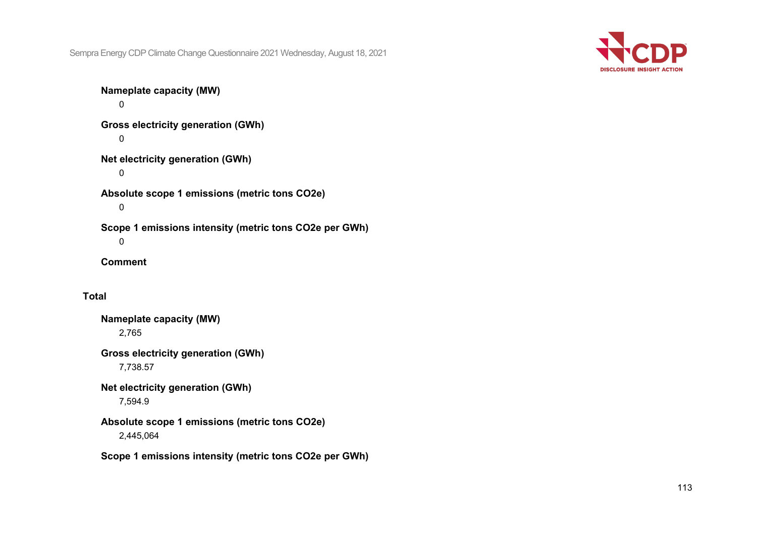

```
Nameplate capacity (MW)
   0
Gross electricity generation (GWh)
    \OmegaNet electricity generation (GWh)
   0
Absolute scope 1 emissions (metric tons CO2e)
   \OmegaScope 1 emissions intensity (metric tons CO2e per GWh)
    0
Comment
```
#### **Total**

**Nameplate capacity (MW)** 2,765 **Gross electricity generation (GWh)** 7,738.57 **Net electricity generation (GWh)** 7,594.9 **Absolute scope 1 emissions (metric tons CO2e)** 2,445,064

**Scope 1 emissions intensity (metric tons CO2e per GWh)**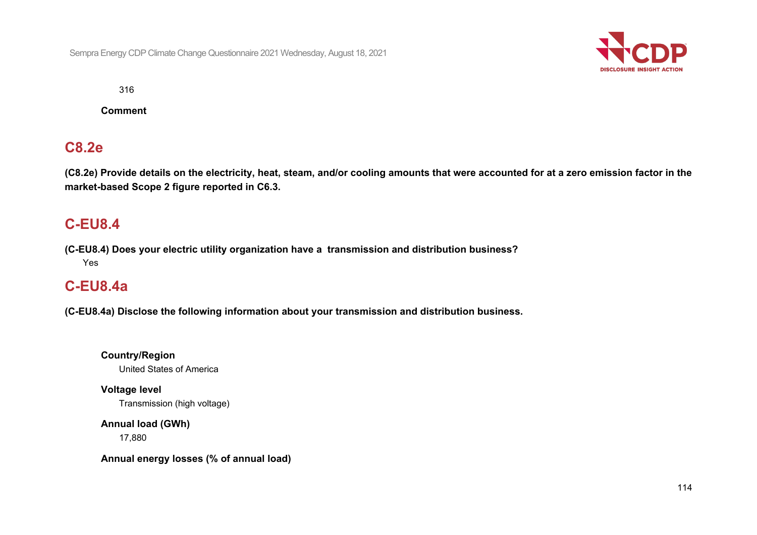

316

**Comment**

# **C8.2e**

**(C8.2e) Provide details on the electricity, heat, steam, and/or cooling amounts that were accounted for at a zero emission factor in the market-based Scope 2 figure reported in C6.3.**

### **C-EU8.4**

**(C-EU8.4) Does your electric utility organization have a transmission and distribution business?** Yes

# **C-EU8.4a**

**(C-EU8.4a) Disclose the following information about your transmission and distribution business.**

**Country/Region** United States of America

**Voltage level** Transmission (high voltage)

**Annual load (GWh)** 17,880

**Annual energy losses (% of annual load)**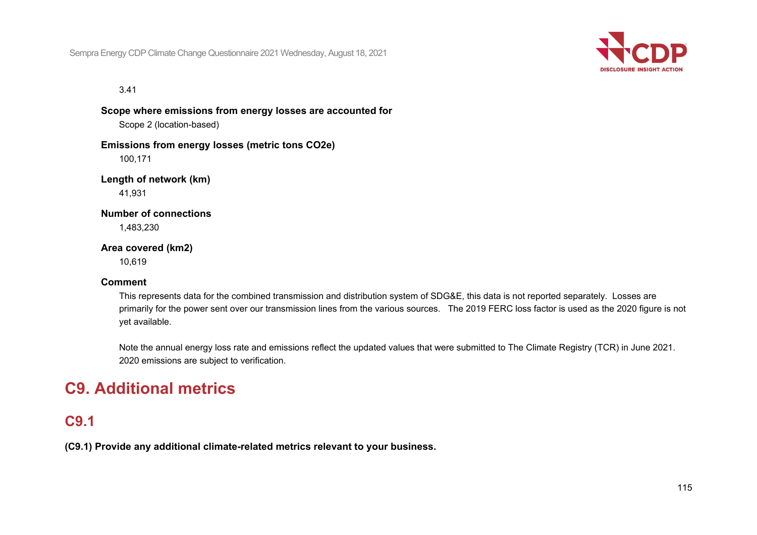

3.41

**Scope where emissions from energy losses are accounted for** Scope 2 (location-based)

**Emissions from energy losses (metric tons CO2e)** 100,171

**Length of network (km)** 41,931

**Number of connections** 1,483,230

**Area covered (km2)**

10,619

#### **Comment**

This represents data for the combined transmission and distribution system of SDG&E, this data is not reported separately. Losses are primarily for the power sent over our transmission lines from the various sources. The 2019 FERC loss factor is used as the 2020 figure is not yet available.

Note the annual energy loss rate and emissions reflect the updated values that were submitted to The Climate Registry (TCR) in June 2021. 2020 emissions are subject to verification.

# **C9. Additional metrics**

# **C9.1**

**(C9.1) Provide any additional climate-related metrics relevant to your business.**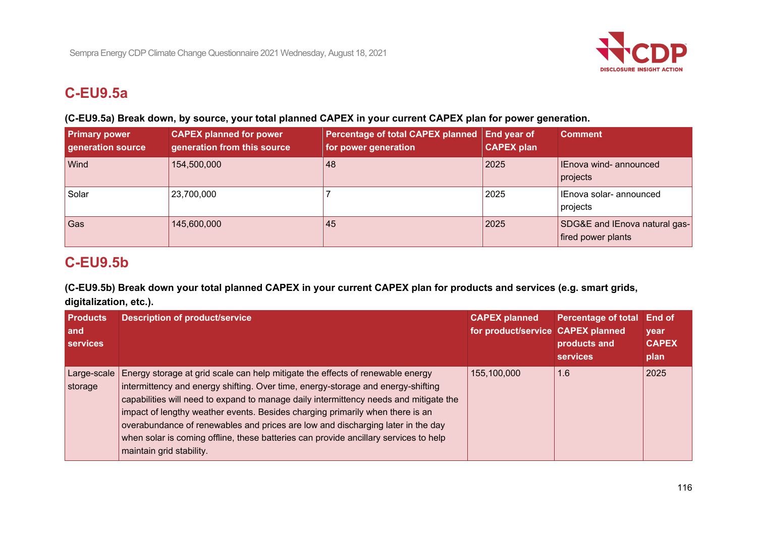

# **C-EU9.5a**

### **(C-EU9.5a) Break down, by source, your total planned CAPEX in your current CAPEX plan for power generation.**

| <b>Primary power</b><br>generation source | <b>CAPEX planned for power</b><br>generation from this source | Percentage of total CAPEX planned End year of<br>for power generation | <b>CAPEX plan</b> | <b>Comment</b>                                      |
|-------------------------------------------|---------------------------------------------------------------|-----------------------------------------------------------------------|-------------------|-----------------------------------------------------|
| Wind                                      | 154,500,000                                                   | 48                                                                    | 2025              | <b>IEnova wind- announced</b><br>$ $ projects       |
| Solar                                     | 23,700,000                                                    |                                                                       | 2025              | IEnova solar- announced<br>projects                 |
| Gas                                       | 145,600,000                                                   | 45                                                                    | 2025              | SDG&E and IEnova natural gas-<br>fired power plants |

# **C-EU9.5b**

**(C-EU9.5b) Break down your total planned CAPEX in your current CAPEX plan for products and services (e.g. smart grids, digitalization, etc.).**

| <b>Products</b><br>and<br><b>services</b> | <b>Description of product/service</b>                                                                                                                                                                                                                                                                                                                                                                                                                                                                                                               | <b>CAPEX planned</b><br>for product/service CAPEX planned | <b>Percentage of total</b><br>products and<br><b>services</b> | End of<br>year<br><b>CAPEX</b><br>plan |
|-------------------------------------------|-----------------------------------------------------------------------------------------------------------------------------------------------------------------------------------------------------------------------------------------------------------------------------------------------------------------------------------------------------------------------------------------------------------------------------------------------------------------------------------------------------------------------------------------------------|-----------------------------------------------------------|---------------------------------------------------------------|----------------------------------------|
| Large-scale<br>storage                    | Energy storage at grid scale can help mitigate the effects of renewable energy<br>intermittency and energy shifting. Over time, energy-storage and energy-shifting<br>capabilities will need to expand to manage daily intermittency needs and mitigate the<br>impact of lengthy weather events. Besides charging primarily when there is an<br>overabundance of renewables and prices are low and discharging later in the day<br>when solar is coming offline, these batteries can provide ancillary services to help<br>maintain grid stability. | 155,100,000                                               | 1.6                                                           | 2025                                   |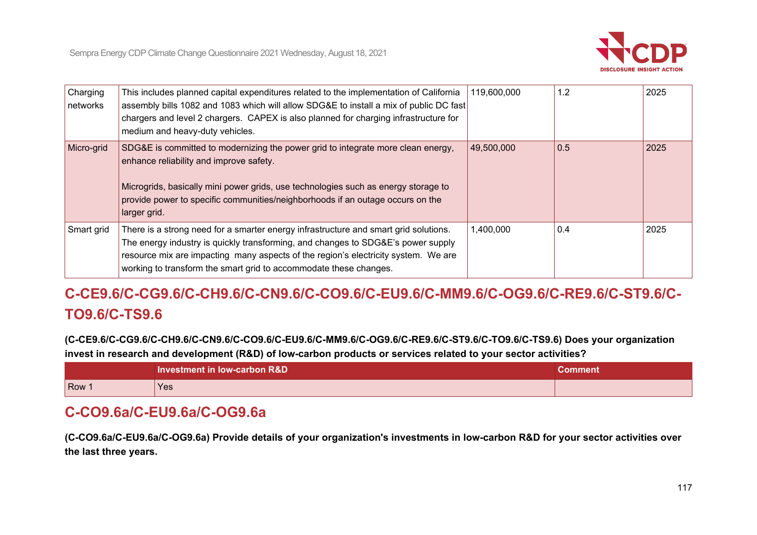

| Charging<br>networks | This includes planned capital expenditures related to the implementation of California<br>assembly bills 1082 and 1083 which will allow SDG&E to install a mix of public DC fast<br>chargers and level 2 chargers. CAPEX is also planned for charging infrastructure for<br>medium and heavy-duty vehicles.                         | 119,600,000 | 1.2 | 2025 |
|----------------------|-------------------------------------------------------------------------------------------------------------------------------------------------------------------------------------------------------------------------------------------------------------------------------------------------------------------------------------|-------------|-----|------|
| Micro-grid           | SDG&E is committed to modernizing the power grid to integrate more clean energy,<br>enhance reliability and improve safety.<br>Microgrids, basically mini power grids, use technologies such as energy storage to<br>provide power to specific communities/neighborhoods if an outage occurs on the<br>larger grid.                 | 49,500,000  | 0.5 | 2025 |
| Smart grid           | There is a strong need for a smarter energy infrastructure and smart grid solutions.<br>The energy industry is quickly transforming, and changes to SDG&E's power supply<br>resource mix are impacting many aspects of the region's electricity system. We are<br>working to transform the smart grid to accommodate these changes. | 1,400,000   | 0.4 | 2025 |

# **C-CE9.6/C-CG9.6/C-CH9.6/C-CN9.6/C-CO9.6/C-EU9.6/C-MM9.6/C-OG9.6/C-RE9.6/C-ST9.6/C-TO9.6/C-TS9.6**

**(C-CE9.6/C-CG9.6/C-CH9.6/C-CN9.6/C-CO9.6/C-EU9.6/C-MM9.6/C-OG9.6/C-RE9.6/C-ST9.6/C-TO9.6/C-TS9.6) Does your organization invest in research and development (R&D) of low-carbon products or services related to your sector activities?**

|     | <b>Investment in low-carbon R&amp;D</b> | <b>Comment</b> |
|-----|-----------------------------------------|----------------|
| Row | Yes                                     |                |

### **C-CO9.6a/C-EU9.6a/C-OG9.6a**

**(C-CO9.6a/C-EU9.6a/C-OG9.6a) Provide details of your organization's investments in low-carbon R&D for your sector activities over the last three years.**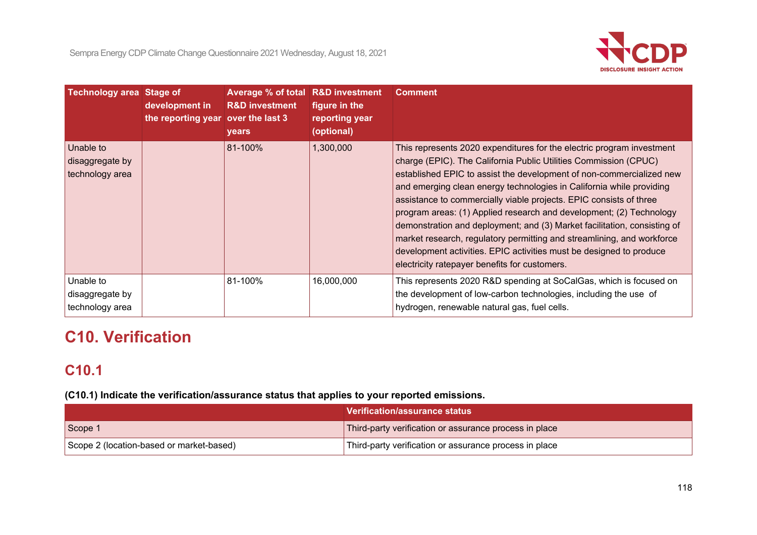

| <b>Technology area Stage of</b>                 | development in<br>the reporting year over the last 3 | Average % of total<br><b>R&amp;D investment</b><br>years | <b>R&amp;D investment</b><br>figure in the<br>reporting year<br>(optional) | <b>Comment</b>                                                                                                                                                                                                                                                                                                                                                                                                                                                                                                                                                                                                                                                                                                       |
|-------------------------------------------------|------------------------------------------------------|----------------------------------------------------------|----------------------------------------------------------------------------|----------------------------------------------------------------------------------------------------------------------------------------------------------------------------------------------------------------------------------------------------------------------------------------------------------------------------------------------------------------------------------------------------------------------------------------------------------------------------------------------------------------------------------------------------------------------------------------------------------------------------------------------------------------------------------------------------------------------|
| Unable to<br>disaggregate by<br>technology area |                                                      | 81-100%                                                  | 1,300,000                                                                  | This represents 2020 expenditures for the electric program investment<br>charge (EPIC). The California Public Utilities Commission (CPUC)<br>established EPIC to assist the development of non-commercialized new<br>and emerging clean energy technologies in California while providing<br>assistance to commercially viable projects. EPIC consists of three<br>program areas: (1) Applied research and development; (2) Technology<br>demonstration and deployment; and (3) Market facilitation, consisting of<br>market research, regulatory permitting and streamlining, and workforce<br>development activities. EPIC activities must be designed to produce<br>electricity ratepayer benefits for customers. |
| Unable to<br>disaggregate by<br>technology area |                                                      | 81-100%                                                  | 16,000,000                                                                 | This represents 2020 R&D spending at SoCalGas, which is focused on<br>the development of low-carbon technologies, including the use of<br>hydrogen, renewable natural gas, fuel cells.                                                                                                                                                                                                                                                                                                                                                                                                                                                                                                                               |

# **C10. Verification**

# **C10.1**

**(C10.1) Indicate the verification/assurance status that applies to your reported emissions.**

|                                          | Verification/assurance status                          |
|------------------------------------------|--------------------------------------------------------|
| Scope 1                                  | Third-party verification or assurance process in place |
| Scope 2 (location-based or market-based) | Third-party verification or assurance process in place |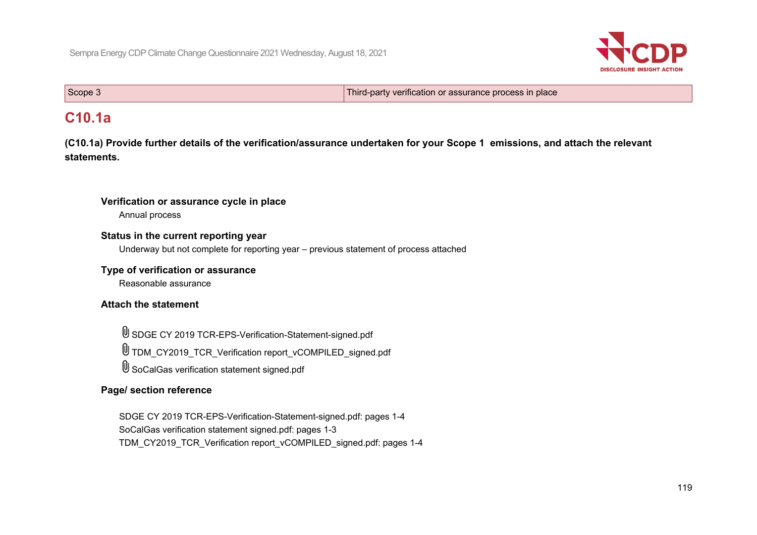

Scope 3 Third-party verification or assurance process in place

### **C10.1a**

**(C10.1a) Provide further details of the verification/assurance undertaken for your Scope 1 emissions, and attach the relevant statements.**

#### **Verification or assurance cycle in place**

Annual process

#### **Status in the current reporting year**

Underway but not complete for reporting year – previous statement of process attached

#### **Type of verification or assurance**

Reasonable assurance

#### **Attach the statement**

U SDGE CY 2019 TCR-EPS-Verification-Statement-signed.pdf

TDM\_CY2019\_TCR\_Verification report\_vCOMPILED\_signed.pdf

U SoCalGas verification statement signed.pdf

#### **Page/ section reference**

SDGE CY 2019 TCR-EPS-Verification-Statement-signed.pdf: pages 1-4 SoCalGas verification statement signed.pdf: pages 1-3 TDM\_CY2019\_TCR\_Verification report\_vCOMPILED\_signed.pdf: pages 1-4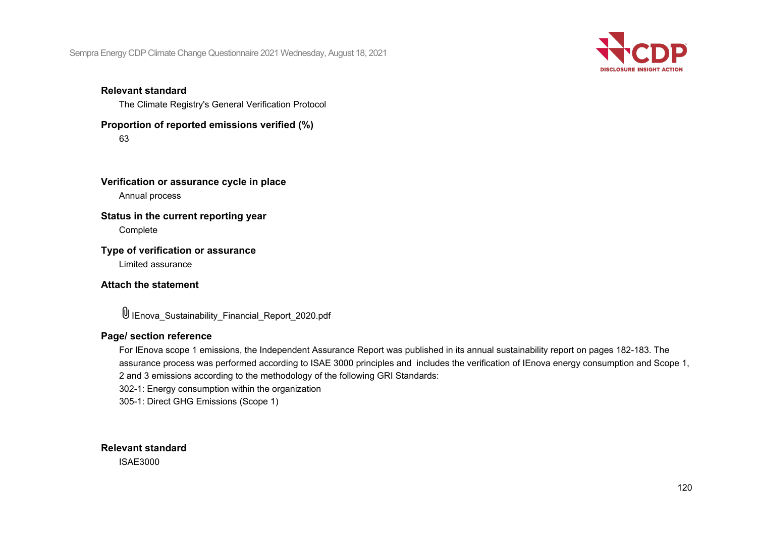

#### **Relevant standard**

The Climate Registry's General Verification Protocol

#### **Proportion of reported emissions verified (%)** 63

### **Verification or assurance cycle in place** Annual process

#### **Status in the current reporting year** Complete

**Type of verification or assurance**

Limited assurance

### **Attach the statement**

IEnova\_Sustainability\_Financial\_Report\_2020.pdf

### **Page/ section reference**

For IEnova scope 1 emissions, the Independent Assurance Report was published in its annual sustainability report on pages 182-183. The assurance process was performed according to ISAE 3000 principles and includes the verification of IEnova energy consumption and Scope 1, 2 and 3 emissions according to the methodology of the following GRI Standards:

302-1: Energy consumption within the organization

305-1: Direct GHG Emissions (Scope 1)

### **Relevant standard**

ISAE3000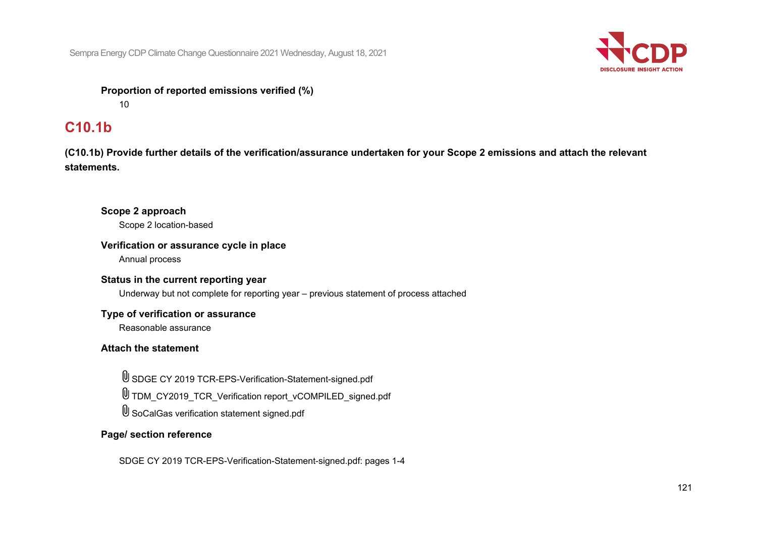

### **Proportion of reported emissions verified (%)**

10

# **C10.1b**

**(C10.1b) Provide further details of the verification/assurance undertaken for your Scope 2 emissions and attach the relevant statements.**

**Scope 2 approach** Scope 2 location-based

#### **Verification or assurance cycle in place**

Annual process

**Status in the current reporting year** Underway but not complete for reporting year – previous statement of process attached

### **Type of verification or assurance**

Reasonable assurance

### **Attach the statement**

SDGE CY 2019 TCR-EPS-Verification-Statement-signed.pdf

TDM\_CY2019\_TCR\_Verification report\_vCOMPILED\_signed.pdf

U SoCalGas verification statement signed.pdf

### **Page/ section reference**

SDGE CY 2019 TCR-EPS-Verification-Statement-signed.pdf: pages 1-4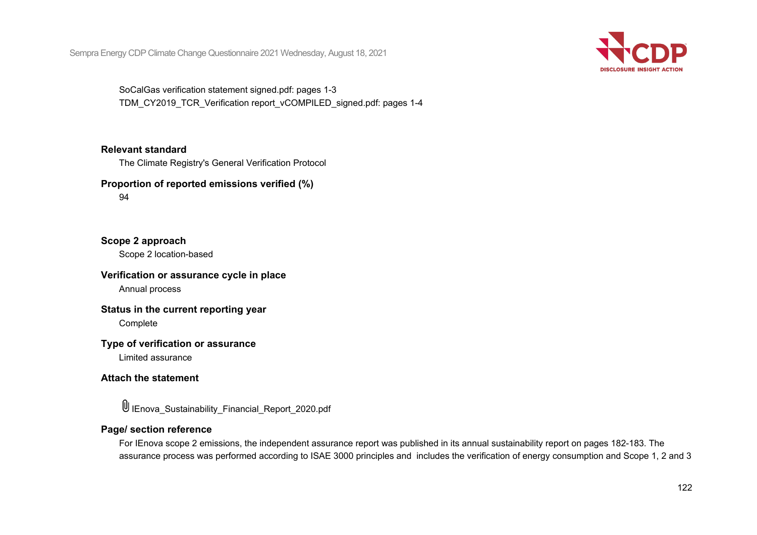

SoCalGas verification statement signed.pdf: pages 1-3 TDM\_CY2019\_TCR\_Verification report\_vCOMPILED\_signed.pdf: pages 1-4

#### **Relevant standard**

The Climate Registry's General Verification Protocol

#### **Proportion of reported emissions verified (%)**

94

#### **Scope 2 approach**

Scope 2 location-based

#### **Verification or assurance cycle in place**

Annual process

#### **Status in the current reporting year**

Complete

#### **Type of verification or assurance**

Limited assurance

#### **Attach the statement**

 $\textcircled{\textsf{I}}$  IEnova\_Sustainability\_Financial\_Report\_2020.pdf

#### **Page/ section reference**

For IEnova scope 2 emissions, the independent assurance report was published in its annual sustainability report on pages 182-183. The assurance process was performed according to ISAE 3000 principles and includes the verification of energy consumption and Scope 1, 2 and 3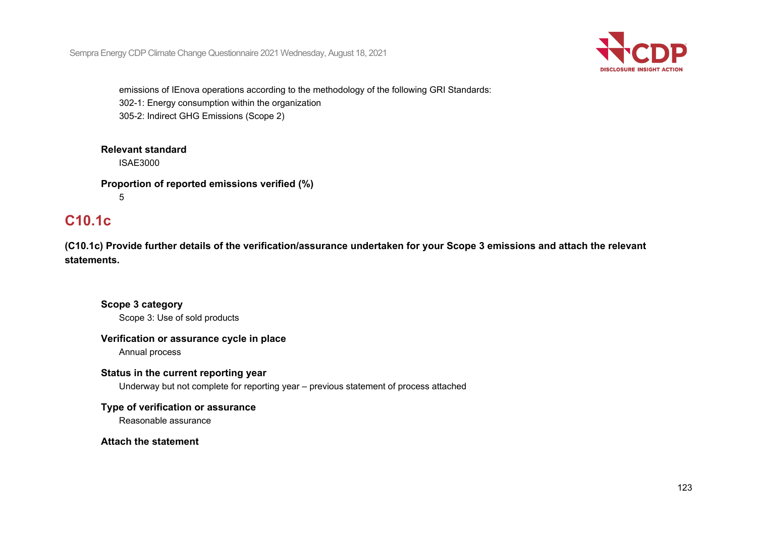

emissions of IEnova operations according to the methodology of the following GRI Standards: 302-1: Energy consumption within the organization 305-2: Indirect GHG Emissions (Scope 2)

#### **Relevant standard**

ISAE3000

**Proportion of reported emissions verified (%)**

5

# **C10.1c**

**(C10.1c) Provide further details of the verification/assurance undertaken for your Scope 3 emissions and attach the relevant statements.**

### **Scope 3 category**

Scope 3: Use of sold products

#### **Verification or assurance cycle in place**

Annual process

#### **Status in the current reporting year**

Underway but not complete for reporting year – previous statement of process attached

#### **Type of verification or assurance**

Reasonable assurance

#### **Attach the statement**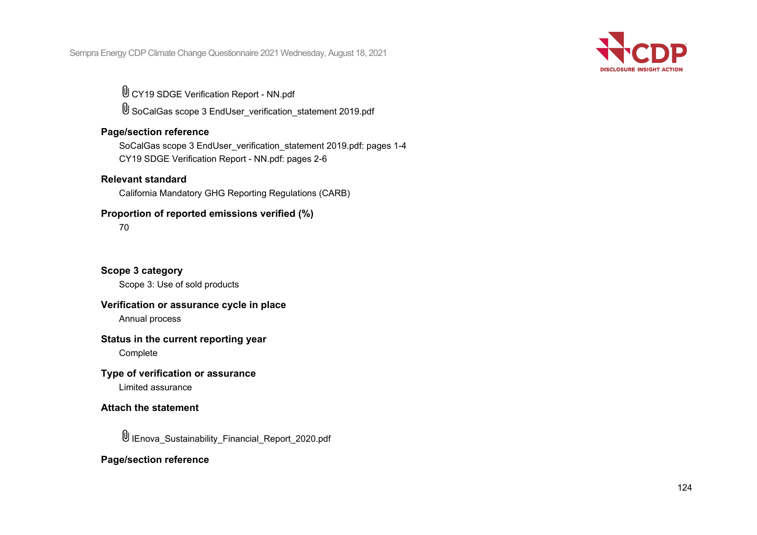

CY19 SDGE Verification Report - NN.pdf SoCalGas scope 3 EndUser\_verification\_statement 2019.pdf

#### **Page/section reference**

SoCalGas scope 3 EndUser\_verification\_statement 2019.pdf: pages 1-4 CY19 SDGE Verification Report - NN.pdf: pages 2-6

#### **Relevant standard**

California Mandatory GHG Reporting Regulations (CARB)

#### **Proportion of reported emissions verified (%)**

70

#### **Scope 3 category**

Scope 3: Use of sold products

#### **Verification or assurance cycle in place**

Annual process

#### **Status in the current reporting year**

Complete

### **Type of verification or assurance**

Limited assurance

#### **Attach the statement**

IEnova\_Sustainability\_Financial\_Report\_2020.pdf

#### **Page/section reference**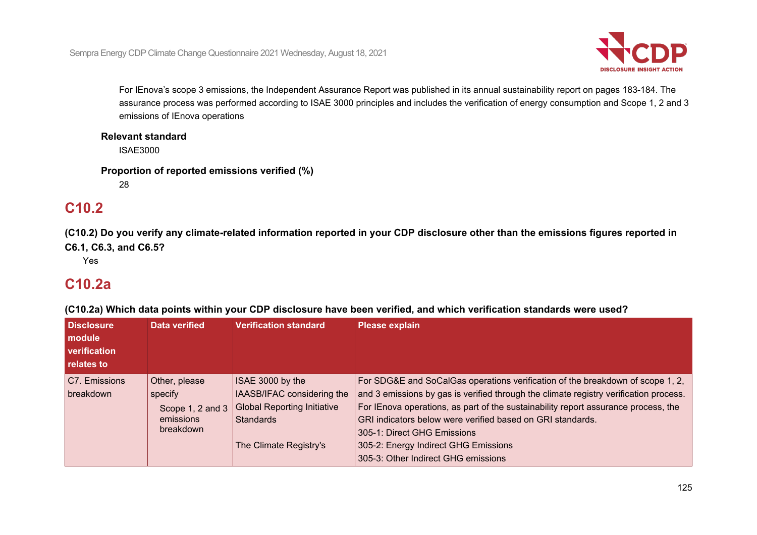

For IEnova's scope 3 emissions, the Independent Assurance Report was published in its annual sustainability report on pages 183-184. The assurance process was performed according to ISAE 3000 principles and includes the verification of energy consumption and Scope 1, 2 and 3 emissions of IEnova operations

#### **Relevant standard**

ISAE3000

**Proportion of reported emissions verified (%)**

28

# **C10.2**

**(C10.2) Do you verify any climate-related information reported in your CDP disclosure other than the emissions figures reported in C6.1, C6.3, and C6.5?**

Yes

# **C10.2a**

**(C10.2a) Which data points within your CDP disclosure have been verified, and which verification standards were used?**

| <b>Disclosure</b><br>module<br>verification<br>relates to | Data verified                                                          | <b>Verification standard</b>                                                                                                | <b>Please explain</b>                                                                                                                                                                                                                                                                                                                                                                                                                     |
|-----------------------------------------------------------|------------------------------------------------------------------------|-----------------------------------------------------------------------------------------------------------------------------|-------------------------------------------------------------------------------------------------------------------------------------------------------------------------------------------------------------------------------------------------------------------------------------------------------------------------------------------------------------------------------------------------------------------------------------------|
| C7. Emissions<br>breakdown                                | Other, please<br>specify<br>Scope 1, 2 and 3<br>emissions<br>breakdown | ISAE 3000 by the<br>IAASB/IFAC considering the<br><b>Global Reporting Initiative</b><br>Standards<br>The Climate Registry's | For SDG&E and SoCalGas operations verification of the breakdown of scope 1, 2,<br>and 3 emissions by gas is verified through the climate registry verification process.<br>For IEnova operations, as part of the sustainability report assurance process, the<br>GRI indicators below were verified based on GRI standards.<br>305-1: Direct GHG Emissions<br>305-2: Energy Indirect GHG Emissions<br>305-3: Other Indirect GHG emissions |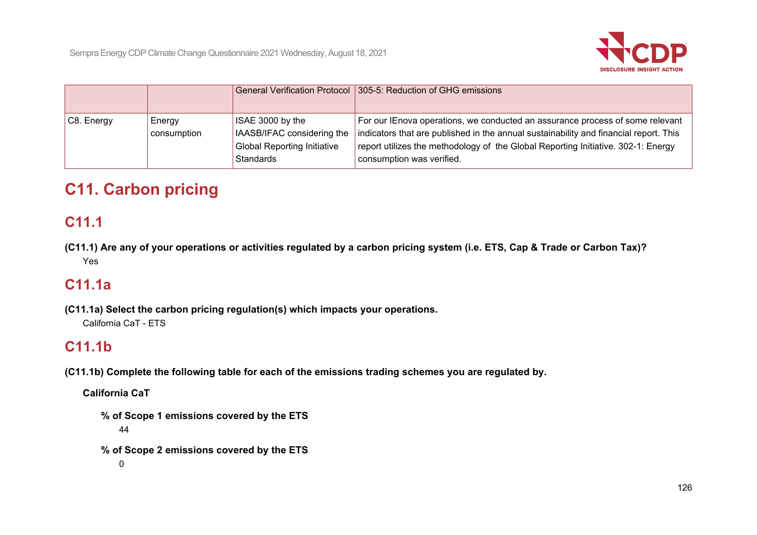

|               |                       |                                                                                                   | General Verification Protocol 305-5: Reduction of GHG emissions                                                                                                                                                                                                                          |
|---------------|-----------------------|---------------------------------------------------------------------------------------------------|------------------------------------------------------------------------------------------------------------------------------------------------------------------------------------------------------------------------------------------------------------------------------------------|
| $ C8.$ Energy | Energy<br>consumption | ISAE 3000 by the<br><b>IAASB/IFAC considering the</b><br>Global Reporting Initiative<br>Standards | For our IEnova operations, we conducted an assurance process of some relevant<br>indicators that are published in the annual sustainability and financial report. This<br>report utilizes the methodology of the Global Reporting Initiative. 302-1: Energy<br>consumption was verified. |

# **C11. Carbon pricing**

# **C11.1**

**(C11.1) Are any of your operations or activities regulated by a carbon pricing system (i.e. ETS, Cap & Trade or Carbon Tax)?** Yes

# **C11.1a**

**(C11.1a) Select the carbon pricing regulation(s) which impacts your operations.** California CaT - ETS

# **C11.1b**

**(C11.1b) Complete the following table for each of the emissions trading schemes you are regulated by.**

```
California CaT
```

```
% of Scope 1 emissions covered by the ETS
   44
% of Scope 2 emissions covered by the ETS
```

```
\Omega
```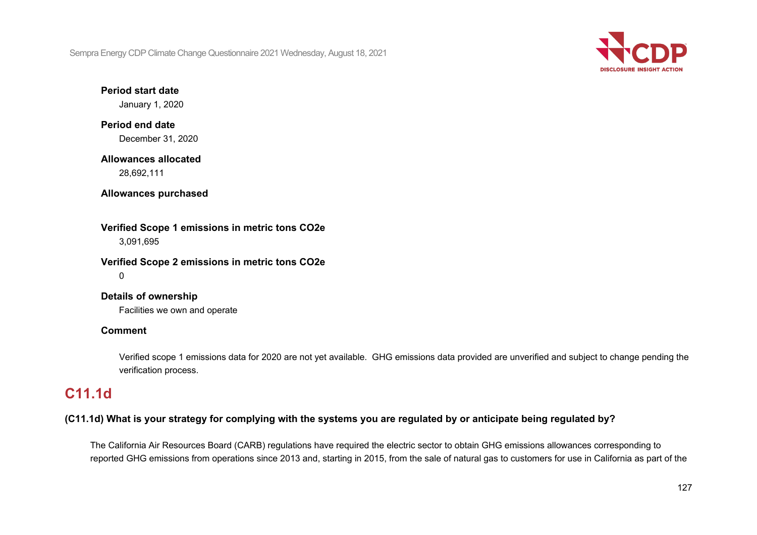

**Period start date**

January 1, 2020

**Period end date** December 31, 2020

#### **Allowances allocated** 28,692,111

**Allowances purchased**

**Verified Scope 1 emissions in metric tons CO2e** 3,091,695

**Verified Scope 2 emissions in metric tons CO2e**  $\Omega$ 

**Details of ownership** Facilities we own and operate

### **Comment**

Verified scope 1 emissions data for 2020 are not yet available. GHG emissions data provided are unverified and subject to change pending the verification process.

# **C11.1d**

### **(C11.1d) What is your strategy for complying with the systems you are regulated by or anticipate being regulated by?**

The California Air Resources Board (CARB) regulations have required the electric sector to obtain GHG emissions allowances corresponding to reported GHG emissions from operations since 2013 and, starting in 2015, from the sale of natural gas to customers for use in California as part of the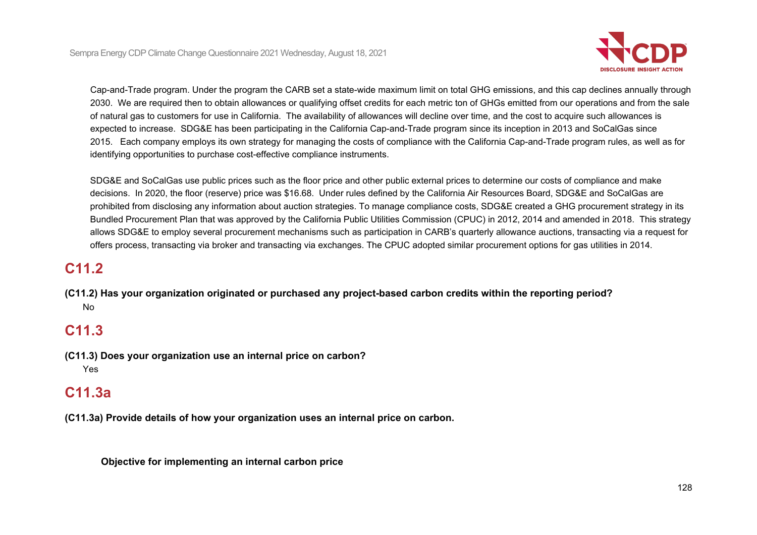

Cap-and-Trade program. Under the program the CARB set a state-wide maximum limit on total GHG emissions, and this cap declines annually through 2030. We are required then to obtain allowances or qualifying offset credits for each metric ton of GHGs emitted from our operations and from the sale of natural gas to customers for use in California. The availability of allowances will decline over time, and the cost to acquire such allowances is expected to increase. SDG&E has been participating in the California Cap-and-Trade program since its inception in 2013 and SoCalGas since 2015. Each company employs its own strategy for managing the costs of compliance with the California Cap-and-Trade program rules, as well as for identifying opportunities to purchase cost-effective compliance instruments.

SDG&E and SoCalGas use public prices such as the floor price and other public external prices to determine our costs of compliance and make decisions. In 2020, the floor (reserve) price was \$16.68. Under rules defined by the California Air Resources Board, SDG&E and SoCalGas are prohibited from disclosing any information about auction strategies. To manage compliance costs, SDG&E created a GHG procurement strategy in its Bundled Procurement Plan that was approved by the California Public Utilities Commission (CPUC) in 2012, 2014 and amended in 2018. This strategy allows SDG&E to employ several procurement mechanisms such as participation in CARB's quarterly allowance auctions, transacting via a request for offers process, transacting via broker and transacting via exchanges. The CPUC adopted similar procurement options for gas utilities in 2014.

# **C11.2**

**(C11.2) Has your organization originated or purchased any project-based carbon credits within the reporting period?** No

# **C11.3**

**(C11.3) Does your organization use an internal price on carbon?** Yes

# **C11.3a**

**(C11.3a) Provide details of how your organization uses an internal price on carbon.**

**Objective for implementing an internal carbon price**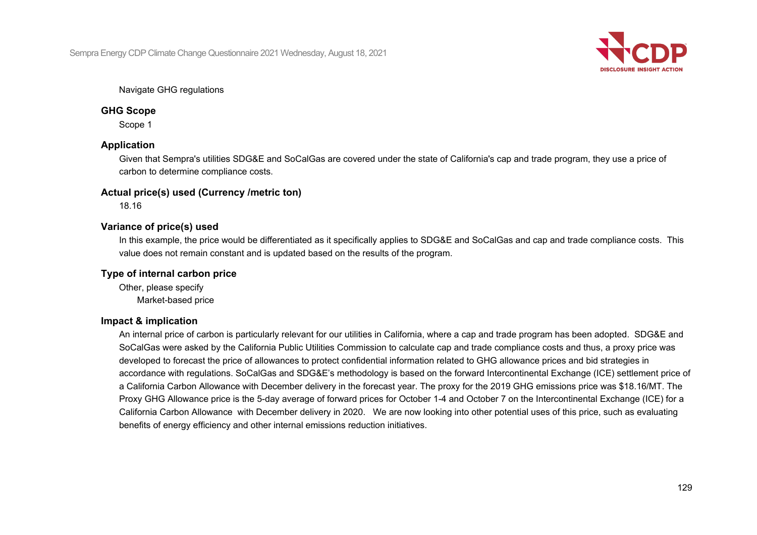

#### Navigate GHG regulations

#### **GHG Scope**

Scope 1

#### **Application**

Given that Sempra's utilities SDG&E and SoCalGas are covered under the state of California's cap and trade program, they use a price of carbon to determine compliance costs.

#### **Actual price(s) used (Currency /metric ton)**

18.16

#### **Variance of price(s) used**

In this example, the price would be differentiated as it specifically applies to SDG&E and SoCalGas and cap and trade compliance costs. This value does not remain constant and is updated based on the results of the program.

#### **Type of internal carbon price**

Other, please specify Market-based price

#### **Impact & implication**

An internal price of carbon is particularly relevant for our utilities in California, where a cap and trade program has been adopted. SDG&E and SoCalGas were asked by the California Public Utilities Commission to calculate cap and trade compliance costs and thus, a proxy price was developed to forecast the price of allowances to protect confidential information related to GHG allowance prices and bid strategies in accordance with regulations. SoCalGas and SDG&E's methodology is based on the forward Intercontinental Exchange (ICE) settlement price of a California Carbon Allowance with December delivery in the forecast year. The proxy for the 2019 GHG emissions price was \$18.16/MT. The Proxy GHG Allowance price is the 5-day average of forward prices for October 1-4 and October 7 on the Intercontinental Exchange (ICE) for a California Carbon Allowance with December delivery in 2020. We are now looking into other potential uses of this price, such as evaluating benefits of energy efficiency and other internal emissions reduction initiatives.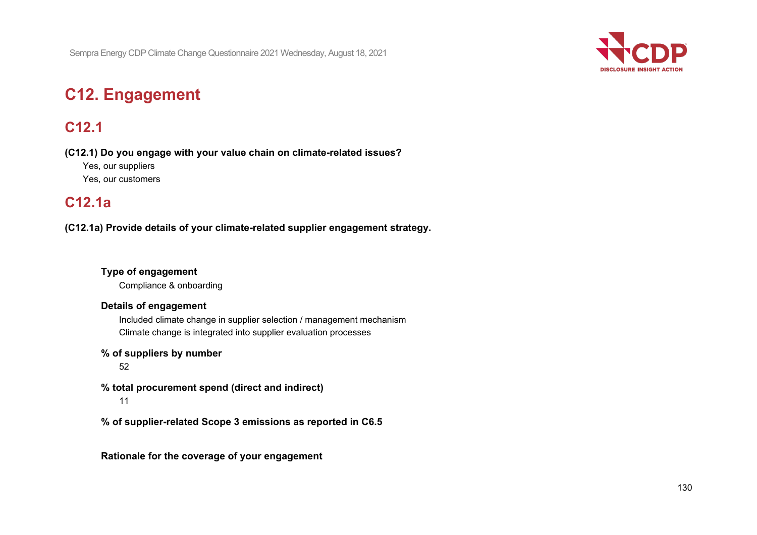

# **C12. Engagement**

# **C12.1**

**(C12.1) Do you engage with your value chain on climate-related issues?**

Yes, our suppliers

Yes, our customers

# **C12.1a**

**(C12.1a) Provide details of your climate-related supplier engagement strategy.**

### **Type of engagement**

Compliance & onboarding

### **Details of engagement**

Included climate change in supplier selection / management mechanism Climate change is integrated into supplier evaluation processes

### **% of suppliers by number**

### 52

**% total procurement spend (direct and indirect)** 11

**% of supplier-related Scope 3 emissions as reported in C6.5**

**Rationale for the coverage of your engagement**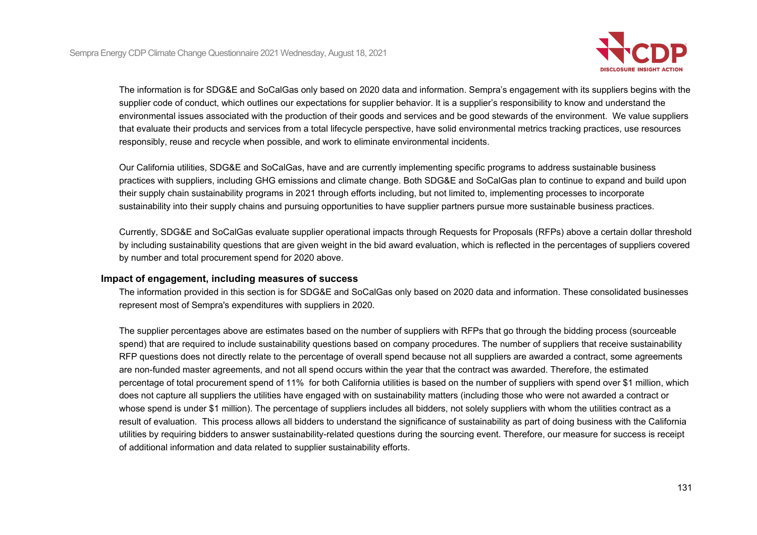

The information is for SDG&E and SoCalGas only based on 2020 data and information. Sempra's engagement with its suppliers begins with the supplier code of conduct, which outlines our expectations for supplier behavior. It is a supplier's responsibility to know and understand the environmental issues associated with the production of their goods and services and be good stewards of the environment. We value suppliers that evaluate their products and services from a total lifecycle perspective, have solid environmental metrics tracking practices, use resources responsibly, reuse and recycle when possible, and work to eliminate environmental incidents.

Our California utilities, SDG&E and SoCalGas, have and are currently implementing specific programs to address sustainable business practices with suppliers, including GHG emissions and climate change. Both SDG&E and SoCalGas plan to continue to expand and build upon their supply chain sustainability programs in 2021 through efforts including, but not limited to, implementing processes to incorporate sustainability into their supply chains and pursuing opportunities to have supplier partners pursue more sustainable business practices.

Currently, SDG&E and SoCalGas evaluate supplier operational impacts through Requests for Proposals (RFPs) above a certain dollar threshold by including sustainability questions that are given weight in the bid award evaluation, which is reflected in the percentages of suppliers covered by number and total procurement spend for 2020 above.

#### **Impact of engagement, including measures of success**

The information provided in this section is for SDG&E and SoCalGas only based on 2020 data and information. These consolidated businesses represent most of Sempra's expenditures with suppliers in 2020.

The supplier percentages above are estimates based on the number of suppliers with RFPs that go through the bidding process (sourceable spend) that are required to include sustainability questions based on company procedures. The number of suppliers that receive sustainability RFP questions does not directly relate to the percentage of overall spend because not all suppliers are awarded a contract, some agreements are non-funded master agreements, and not all spend occurs within the year that the contract was awarded. Therefore, the estimated percentage of total procurement spend of 11% for both California utilities is based on the number of suppliers with spend over \$1 million, which does not capture all suppliers the utilities have engaged with on sustainability matters (including those who were not awarded a contract or whose spend is under \$1 million). The percentage of suppliers includes all bidders, not solely suppliers with whom the utilities contract as a result of evaluation. This process allows all bidders to understand the significance of sustainability as part of doing business with the California utilities by requiring bidders to answer sustainability-related questions during the sourcing event. Therefore, our measure for success is receipt of additional information and data related to supplier sustainability efforts.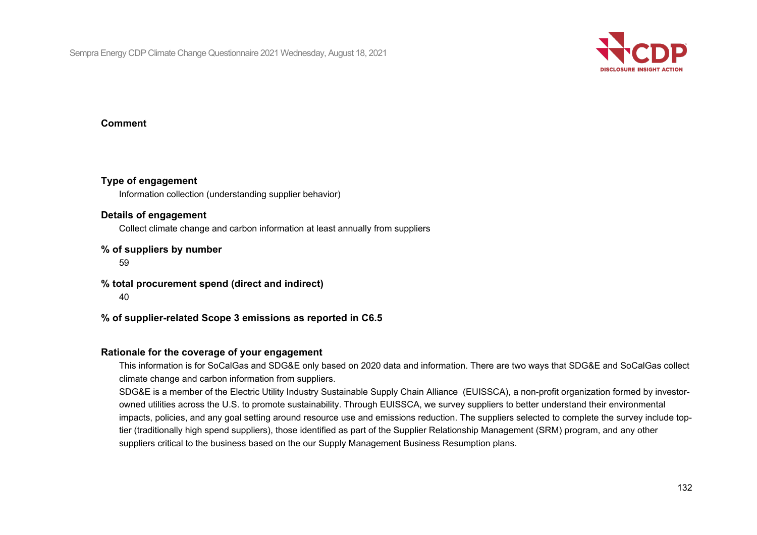

#### **Comment**

**Type of engagement**

Information collection (understanding supplier behavior)

### **Details of engagement**

Collect climate change and carbon information at least annually from suppliers

#### **% of suppliers by number**

59

- **% total procurement spend (direct and indirect)** 40
- **% of supplier-related Scope 3 emissions as reported in C6.5**

#### **Rationale for the coverage of your engagement**

This information is for SoCalGas and SDG&E only based on 2020 data and information. There are two ways that SDG&E and SoCalGas collect climate change and carbon information from suppliers.

SDG&E is a member of the Electric Utility Industry Sustainable Supply Chain Alliance (EUISSCA), a non-profit organization formed by investorowned utilities across the U.S. to promote sustainability. Through EUISSCA, we survey suppliers to better understand their environmental impacts, policies, and any goal setting around resource use and emissions reduction. The suppliers selected to complete the survey include toptier (traditionally high spend suppliers), those identified as part of the Supplier Relationship Management (SRM) program, and any other suppliers critical to the business based on the our Supply Management Business Resumption plans.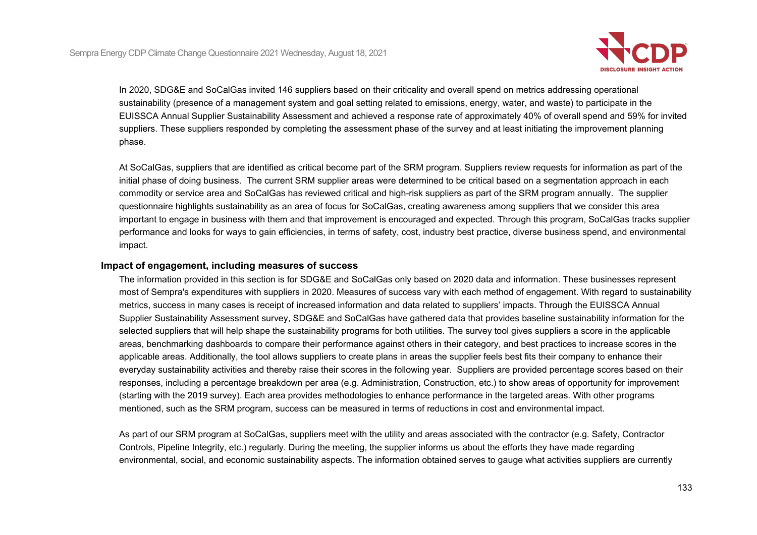

In 2020, SDG&E and SoCalGas invited 146 suppliers based on their criticality and overall spend on metrics addressing operational sustainability (presence of a management system and goal setting related to emissions, energy, water, and waste) to participate in the EUISSCA Annual Supplier Sustainability Assessment and achieved a response rate of approximately 40% of overall spend and 59% for invited suppliers. These suppliers responded by completing the assessment phase of the survey and at least initiating the improvement planning phase.

At SoCalGas, suppliers that are identified as critical become part of the SRM program. Suppliers review requests for information as part of the initial phase of doing business. The current SRM supplier areas were determined to be critical based on a segmentation approach in each commodity or service area and SoCalGas has reviewed critical and high-risk suppliers as part of the SRM program annually. The supplier questionnaire highlights sustainability as an area of focus for SoCalGas, creating awareness among suppliers that we consider this area important to engage in business with them and that improvement is encouraged and expected. Through this program, SoCalGas tracks supplier performance and looks for ways to gain efficiencies, in terms of safety, cost, industry best practice, diverse business spend, and environmental impact.

#### **Impact of engagement, including measures of success**

The information provided in this section is for SDG&E and SoCalGas only based on 2020 data and information. These businesses represent most of Sempra's expenditures with suppliers in 2020. Measures of success vary with each method of engagement. With regard to sustainability metrics, success in many cases is receipt of increased information and data related to suppliers' impacts. Through the EUISSCA Annual Supplier Sustainability Assessment survey, SDG&E and SoCalGas have gathered data that provides baseline sustainability information for the selected suppliers that will help shape the sustainability programs for both utilities. The survey tool gives suppliers a score in the applicable areas, benchmarking dashboards to compare their performance against others in their category, and best practices to increase scores in the applicable areas. Additionally, the tool allows suppliers to create plans in areas the supplier feels best fits their company to enhance their everyday sustainability activities and thereby raise their scores in the following year. Suppliers are provided percentage scores based on their responses, including a percentage breakdown per area (e.g. Administration, Construction, etc.) to show areas of opportunity for improvement (starting with the 2019 survey). Each area provides methodologies to enhance performance in the targeted areas. With other programs mentioned, such as the SRM program, success can be measured in terms of reductions in cost and environmental impact.

As part of our SRM program at SoCalGas, suppliers meet with the utility and areas associated with the contractor (e.g. Safety, Contractor Controls, Pipeline Integrity, etc.) regularly. During the meeting, the supplier informs us about the efforts they have made regarding environmental, social, and economic sustainability aspects. The information obtained serves to gauge what activities suppliers are currently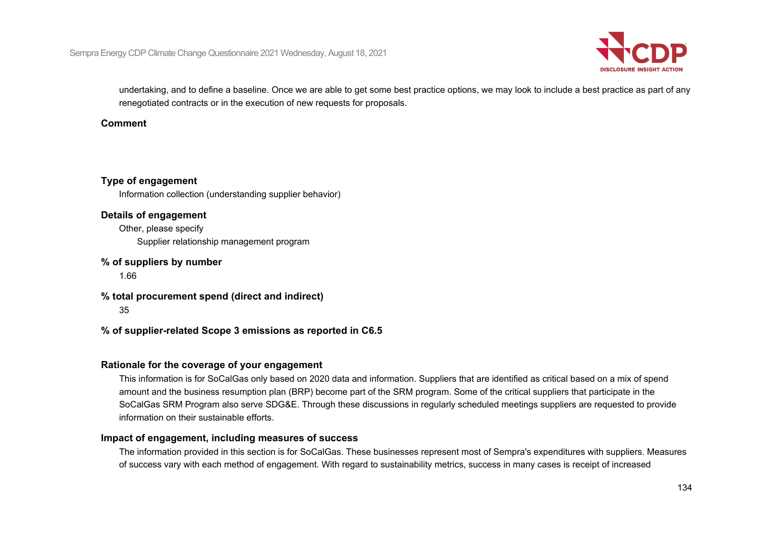

undertaking, and to define a baseline. Once we are able to get some best practice options, we may look to include a best practice as part of any renegotiated contracts or in the execution of new requests for proposals.

#### **Comment**

**Type of engagement**

Information collection (understanding supplier behavior)

### **Details of engagement**

Other, please specify Supplier relationship management program

### **% of suppliers by number**

1.66

**% total procurement spend (direct and indirect)** 35

### **% of supplier-related Scope 3 emissions as reported in C6.5**

### **Rationale for the coverage of your engagement**

This information is for SoCalGas only based on 2020 data and information. Suppliers that are identified as critical based on a mix of spend amount and the business resumption plan (BRP) become part of the SRM program. Some of the critical suppliers that participate in the SoCalGas SRM Program also serve SDG&E. Through these discussions in regularly scheduled meetings suppliers are requested to provide information on their sustainable efforts.

#### **Impact of engagement, including measures of success**

The information provided in this section is for SoCalGas. These businesses represent most of Sempra's expenditures with suppliers. Measures of success vary with each method of engagement. With regard to sustainability metrics, success in many cases is receipt of increased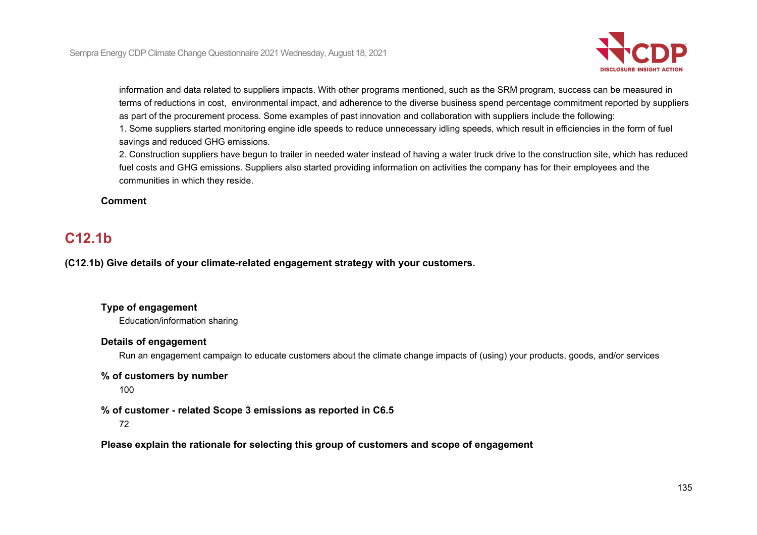

information and data related to suppliers impacts. With other programs mentioned, such as the SRM program, success can be measured in terms of reductions in cost, environmental impact, and adherence to the diverse business spend percentage commitment reported by suppliers as part of the procurement process. Some examples of past innovation and collaboration with suppliers include the following:

1. Some suppliers started monitoring engine idle speeds to reduce unnecessary idling speeds, which result in efficiencies in the form of fuel savings and reduced GHG emissions.

2. Construction suppliers have begun to trailer in needed water instead of having a water truck drive to the construction site, which has reduced fuel costs and GHG emissions. Suppliers also started providing information on activities the company has for their employees and the communities in which they reside.

#### **Comment**

# **C12.1b**

**(C12.1b) Give details of your climate-related engagement strategy with your customers.**

#### **Type of engagement**

Education/information sharing

#### **Details of engagement**

Run an engagement campaign to educate customers about the climate change impacts of (using) your products, goods, and/or services

#### **% of customers by number**

100

#### **% of customer - related Scope 3 emissions as reported in C6.5**

72

**Please explain the rationale for selecting this group of customers and scope of engagement**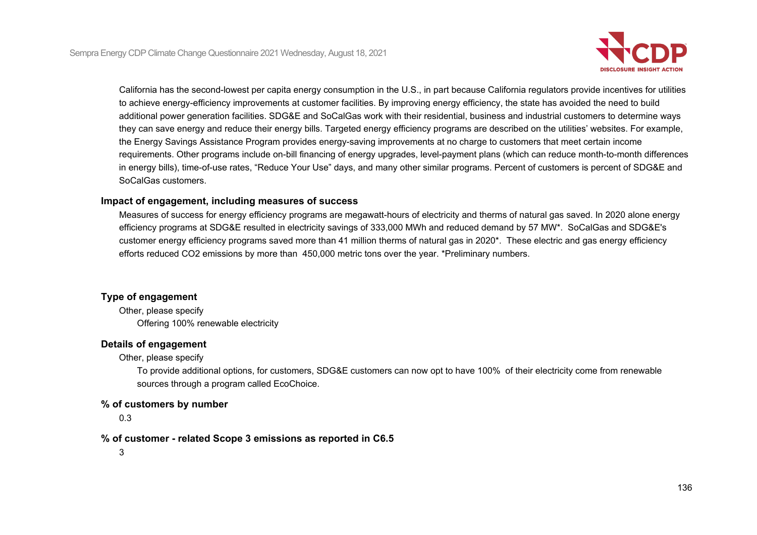

California has the second-lowest per capita energy consumption in the U.S., in part because California regulators provide incentives for utilities to achieve energy-efficiency improvements at customer facilities. By improving energy efficiency, the state has avoided the need to build additional power generation facilities. SDG&E and SoCalGas work with their residential, business and industrial customers to determine ways they can save energy and reduce their energy bills. Targeted energy efficiency programs are described on the utilities' websites. For example, the Energy Savings Assistance Program provides energy-saving improvements at no charge to customers that meet certain income requirements. Other programs include on-bill financing of energy upgrades, level-payment plans (which can reduce month-to-month differences in energy bills), time-of-use rates, "Reduce Your Use" days, and many other similar programs. Percent of customers is percent of SDG&E and SoCalGas customers.

#### **Impact of engagement, including measures of success**

Measures of success for energy efficiency programs are megawatt-hours of electricity and therms of natural gas saved. In 2020 alone energy efficiency programs at SDG&E resulted in electricity savings of 333,000 MWh and reduced demand by 57 MW\*. SoCalGas and SDG&E's customer energy efficiency programs saved more than 41 million therms of natural gas in 2020\*. These electric and gas energy efficiency efforts reduced CO2 emissions by more than 450,000 metric tons over the year. \*Preliminary numbers.

### **Type of engagement**

Other, please specify Offering 100% renewable electricity

### **Details of engagement**

Other, please specify

To provide additional options, for customers, SDG&E customers can now opt to have 100% of their electricity come from renewable sources through a program called EcoChoice.

#### **% of customers by number**

0.3

#### **% of customer - related Scope 3 emissions as reported in C6.5**

3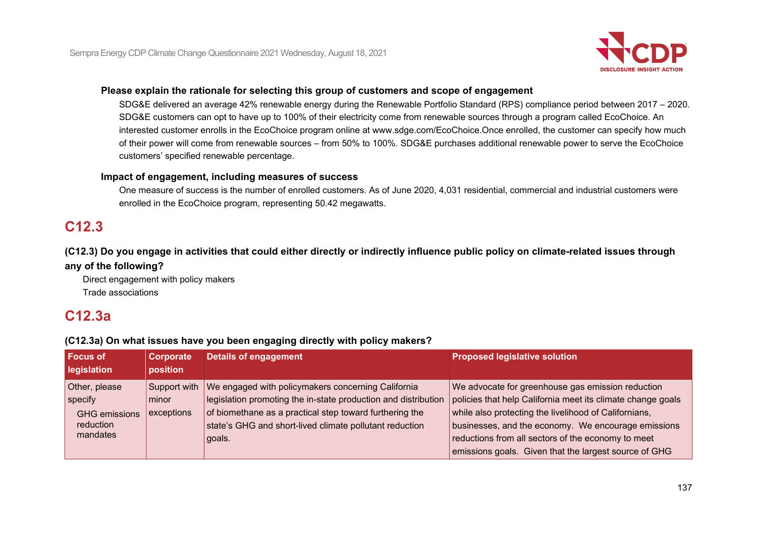

### **Please explain the rationale for selecting this group of customers and scope of engagement**

SDG&E delivered an average 42% renewable energy during the Renewable Portfolio Standard (RPS) compliance period between 2017 – 2020. SDG&E customers can opt to have up to 100% of their electricity come from renewable sources through a program called EcoChoice. An interested customer enrolls in the EcoChoice program online at www.sdge.com/EcoChoice.Once enrolled, the customer can specify how much of their power will come from renewable sources – from 50% to 100%. SDG&E purchases additional renewable power to serve the EcoChoice customers' specified renewable percentage.

#### **Impact of engagement, including measures of success**

One measure of success is the number of enrolled customers. As of June 2020, 4,031 residential, commercial and industrial customers were enrolled in the EcoChoice program, representing 50.42 megawatts.

# **C12.3**

**(C12.3) Do you engage in activities that could either directly or indirectly influence public policy on climate-related issues through any of the following?**

Direct engagement with policy makers Trade associations

# **C12.3a**

### **(C12.3a) On what issues have you been engaging directly with policy makers?**

| <b>Focus of</b><br>legislation                                            | Corporate<br>position               | <b>Details of engagement</b>                                                                                                                                                                                                                         | <b>Proposed legislative solution</b>                                                                                                                                                                                                                                                                                                            |
|---------------------------------------------------------------------------|-------------------------------------|------------------------------------------------------------------------------------------------------------------------------------------------------------------------------------------------------------------------------------------------------|-------------------------------------------------------------------------------------------------------------------------------------------------------------------------------------------------------------------------------------------------------------------------------------------------------------------------------------------------|
| Other, please<br>specify<br><b>GHG</b> emissions<br>reduction<br>mandates | Support with<br>minor<br>exceptions | We engaged with policymakers concerning California<br>legislation promoting the in-state production and distribution<br>of biomethane as a practical step toward furthering the<br>state's GHG and short-lived climate pollutant reduction<br>goals. | We advocate for greenhouse gas emission reduction<br>policies that help California meet its climate change goals<br>while also protecting the livelihood of Californians,<br>businesses, and the economy. We encourage emissions<br>reductions from all sectors of the economy to meet<br>emissions goals. Given that the largest source of GHG |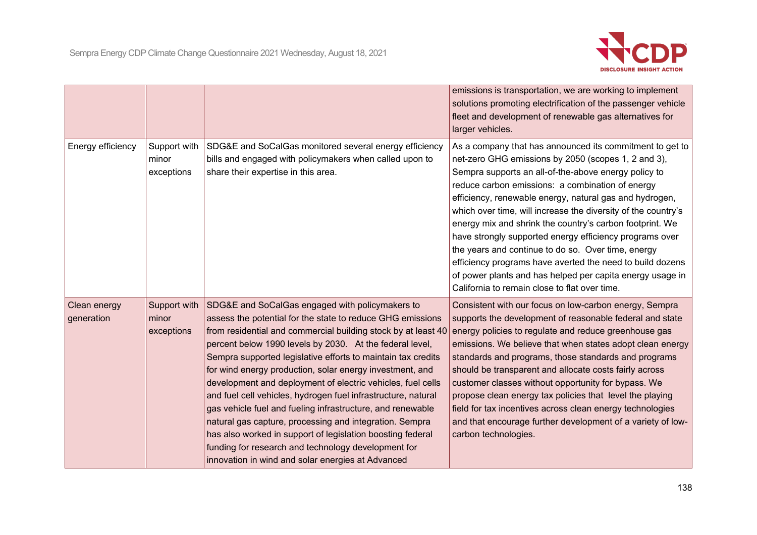

|                            |                                     |                                                                                                                                                                                                                                                                                                                                                                                                                                                                                                                                                                                                                                                                                                                                                                                                           | emissions is transportation, we are working to implement<br>solutions promoting electrification of the passenger vehicle<br>fleet and development of renewable gas alternatives for<br>larger vehicles.                                                                                                                                                                                                                                                                                                                                                                                                                                                                                                         |
|----------------------------|-------------------------------------|-----------------------------------------------------------------------------------------------------------------------------------------------------------------------------------------------------------------------------------------------------------------------------------------------------------------------------------------------------------------------------------------------------------------------------------------------------------------------------------------------------------------------------------------------------------------------------------------------------------------------------------------------------------------------------------------------------------------------------------------------------------------------------------------------------------|-----------------------------------------------------------------------------------------------------------------------------------------------------------------------------------------------------------------------------------------------------------------------------------------------------------------------------------------------------------------------------------------------------------------------------------------------------------------------------------------------------------------------------------------------------------------------------------------------------------------------------------------------------------------------------------------------------------------|
| Energy efficiency          | Support with<br>minor<br>exceptions | SDG&E and SoCalGas monitored several energy efficiency<br>bills and engaged with policymakers when called upon to<br>share their expertise in this area.                                                                                                                                                                                                                                                                                                                                                                                                                                                                                                                                                                                                                                                  | As a company that has announced its commitment to get to<br>net-zero GHG emissions by 2050 (scopes 1, 2 and 3),<br>Sempra supports an all-of-the-above energy policy to<br>reduce carbon emissions: a combination of energy<br>efficiency, renewable energy, natural gas and hydrogen,<br>which over time, will increase the diversity of the country's<br>energy mix and shrink the country's carbon footprint. We<br>have strongly supported energy efficiency programs over<br>the years and continue to do so. Over time, energy<br>efficiency programs have averted the need to build dozens<br>of power plants and has helped per capita energy usage in<br>California to remain close to flat over time. |
| Clean energy<br>generation | Support with<br>minor<br>exceptions | SDG&E and SoCalGas engaged with policymakers to<br>assess the potential for the state to reduce GHG emissions<br>from residential and commercial building stock by at least 40<br>percent below 1990 levels by 2030. At the federal level,<br>Sempra supported legislative efforts to maintain tax credits<br>for wind energy production, solar energy investment, and<br>development and deployment of electric vehicles, fuel cells<br>and fuel cell vehicles, hydrogen fuel infrastructure, natural<br>gas vehicle fuel and fueling infrastructure, and renewable<br>natural gas capture, processing and integration. Sempra<br>has also worked in support of legislation boosting federal<br>funding for research and technology development for<br>innovation in wind and solar energies at Advanced | Consistent with our focus on low-carbon energy, Sempra<br>supports the development of reasonable federal and state<br>energy policies to regulate and reduce greenhouse gas<br>emissions. We believe that when states adopt clean energy<br>standards and programs, those standards and programs<br>should be transparent and allocate costs fairly across<br>customer classes without opportunity for bypass. We<br>propose clean energy tax policies that level the playing<br>field for tax incentives across clean energy technologies<br>and that encourage further development of a variety of low-<br>carbon technologies.                                                                               |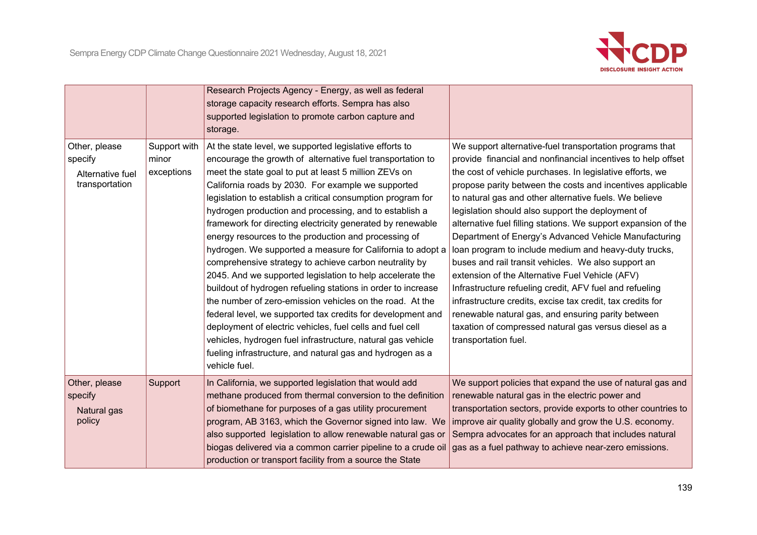

|                                                                |                                     | Research Projects Agency - Energy, as well as federal<br>storage capacity research efforts. Sempra has also<br>supported legislation to promote carbon capture and<br>storage.                                                                                                                                                                                                                                                                                                                                                                                                                                                                                                                                                                                                                                                                                                                                                                                                                                                                                                |                                                                                                                                                                                                                                                                                                                                                                                                                                                                                                                                                                                                                                                                                                                                                                                                                                                                                                                                  |
|----------------------------------------------------------------|-------------------------------------|-------------------------------------------------------------------------------------------------------------------------------------------------------------------------------------------------------------------------------------------------------------------------------------------------------------------------------------------------------------------------------------------------------------------------------------------------------------------------------------------------------------------------------------------------------------------------------------------------------------------------------------------------------------------------------------------------------------------------------------------------------------------------------------------------------------------------------------------------------------------------------------------------------------------------------------------------------------------------------------------------------------------------------------------------------------------------------|----------------------------------------------------------------------------------------------------------------------------------------------------------------------------------------------------------------------------------------------------------------------------------------------------------------------------------------------------------------------------------------------------------------------------------------------------------------------------------------------------------------------------------------------------------------------------------------------------------------------------------------------------------------------------------------------------------------------------------------------------------------------------------------------------------------------------------------------------------------------------------------------------------------------------------|
| Other, please<br>specify<br>Alternative fuel<br>transportation | Support with<br>minor<br>exceptions | At the state level, we supported legislative efforts to<br>encourage the growth of alternative fuel transportation to<br>meet the state goal to put at least 5 million ZEVs on<br>California roads by 2030. For example we supported<br>legislation to establish a critical consumption program for<br>hydrogen production and processing, and to establish a<br>framework for directing electricity generated by renewable<br>energy resources to the production and processing of<br>hydrogen. We supported a measure for California to adopt a<br>comprehensive strategy to achieve carbon neutrality by<br>2045. And we supported legislation to help accelerate the<br>buildout of hydrogen refueling stations in order to increase<br>the number of zero-emission vehicles on the road. At the<br>federal level, we supported tax credits for development and<br>deployment of electric vehicles, fuel cells and fuel cell<br>vehicles, hydrogen fuel infrastructure, natural gas vehicle<br>fueling infrastructure, and natural gas and hydrogen as a<br>vehicle fuel. | We support alternative-fuel transportation programs that<br>provide financial and nonfinancial incentives to help offset<br>the cost of vehicle purchases. In legislative efforts, we<br>propose parity between the costs and incentives applicable<br>to natural gas and other alternative fuels. We believe<br>legislation should also support the deployment of<br>alternative fuel filling stations. We support expansion of the<br>Department of Energy's Advanced Vehicle Manufacturing<br>loan program to include medium and heavy-duty trucks,<br>buses and rail transit vehicles. We also support an<br>extension of the Alternative Fuel Vehicle (AFV)<br>Infrastructure refueling credit, AFV fuel and refueling<br>infrastructure credits, excise tax credit, tax credits for<br>renewable natural gas, and ensuring parity between<br>taxation of compressed natural gas versus diesel as a<br>transportation fuel. |
| Other, please<br>specify<br>Natural gas<br>policy              | Support                             | In California, we supported legislation that would add<br>methane produced from thermal conversion to the definition<br>of biomethane for purposes of a gas utility procurement<br>program, AB 3163, which the Governor signed into law. We<br>also supported legislation to allow renewable natural gas or<br>biogas delivered via a common carrier pipeline to a crude oil<br>production or transport facility from a source the State                                                                                                                                                                                                                                                                                                                                                                                                                                                                                                                                                                                                                                      | We support policies that expand the use of natural gas and<br>renewable natural gas in the electric power and<br>transportation sectors, provide exports to other countries to<br>improve air quality globally and grow the U.S. economy.<br>Sempra advocates for an approach that includes natural<br>gas as a fuel pathway to achieve near-zero emissions.                                                                                                                                                                                                                                                                                                                                                                                                                                                                                                                                                                     |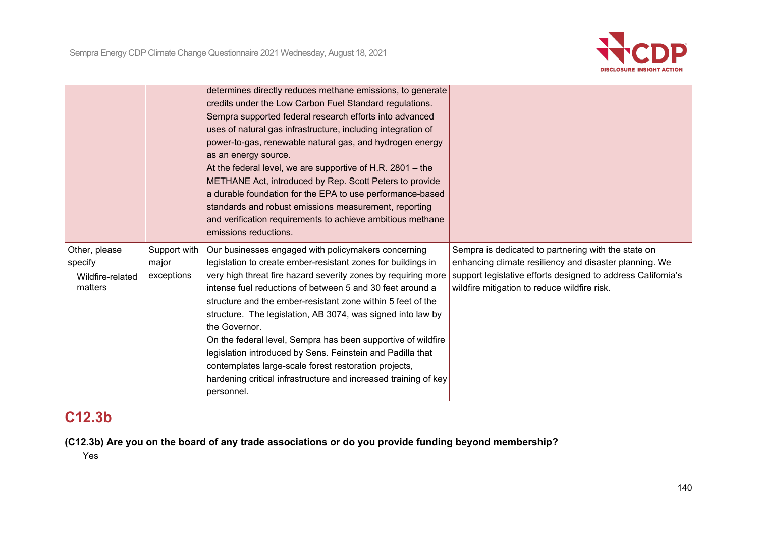

|                                                         |                                     | determines directly reduces methane emissions, to generate<br>credits under the Low Carbon Fuel Standard regulations.<br>Sempra supported federal research efforts into advanced<br>uses of natural gas infrastructure, including integration of<br>power-to-gas, renewable natural gas, and hydrogen energy<br>as an energy source.<br>At the federal level, we are supportive of H.R. 2801 - the<br>METHANE Act, introduced by Rep. Scott Peters to provide<br>a durable foundation for the EPA to use performance-based<br>standards and robust emissions measurement, reporting<br>and verification requirements to achieve ambitious methane<br>emissions reductions. |                                                                                                                                                                                                                               |
|---------------------------------------------------------|-------------------------------------|----------------------------------------------------------------------------------------------------------------------------------------------------------------------------------------------------------------------------------------------------------------------------------------------------------------------------------------------------------------------------------------------------------------------------------------------------------------------------------------------------------------------------------------------------------------------------------------------------------------------------------------------------------------------------|-------------------------------------------------------------------------------------------------------------------------------------------------------------------------------------------------------------------------------|
| Other, please<br>specify<br>Wildfire-related<br>matters | Support with<br>major<br>exceptions | Our businesses engaged with policymakers concerning<br>legislation to create ember-resistant zones for buildings in<br>very high threat fire hazard severity zones by requiring more<br>intense fuel reductions of between 5 and 30 feet around a<br>structure and the ember-resistant zone within 5 feet of the<br>structure. The legislation, AB 3074, was signed into law by<br>the Governor.<br>On the federal level, Sempra has been supportive of wildfire<br>legislation introduced by Sens. Feinstein and Padilla that<br>contemplates large-scale forest restoration projects,<br>hardening critical infrastructure and increased training of key<br>personnel.   | Sempra is dedicated to partnering with the state on<br>enhancing climate resiliency and disaster planning. We<br>support legislative efforts designed to address California's<br>wildfire mitigation to reduce wildfire risk. |

# **C12.3b**

**(C12.3b) Are you on the board of any trade associations or do you provide funding beyond membership?**

Yes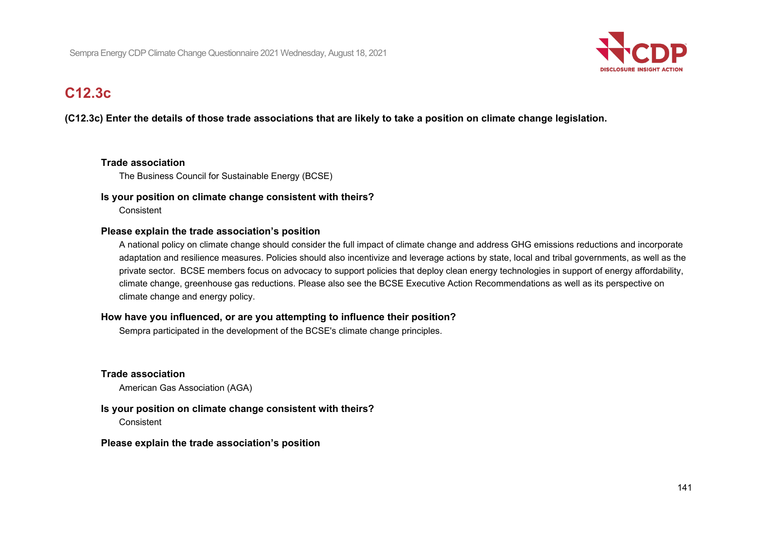

# **C12.3c**

### **(C12.3c) Enter the details of those trade associations that are likely to take a position on climate change legislation.**

#### **Trade association**

The Business Council for Sustainable Energy (BCSE)

#### **Is your position on climate change consistent with theirs?**

Consistent

#### **Please explain the trade association's position**

A national policy on climate change should consider the full impact of climate change and address GHG emissions reductions and incorporate adaptation and resilience measures. Policies should also incentivize and leverage actions by state, local and tribal governments, as well as the private sector. BCSE members focus on advocacy to support policies that deploy clean energy technologies in support of energy affordability, climate change, greenhouse gas reductions. Please also see the BCSE Executive Action Recommendations as well as its perspective on climate change and energy policy.

### **How have you influenced, or are you attempting to influence their position?**

Sempra participated in the development of the BCSE's climate change principles.

**Trade association**

American Gas Association (AGA)

### **Is your position on climate change consistent with theirs?**

Consistent

**Please explain the trade association's position**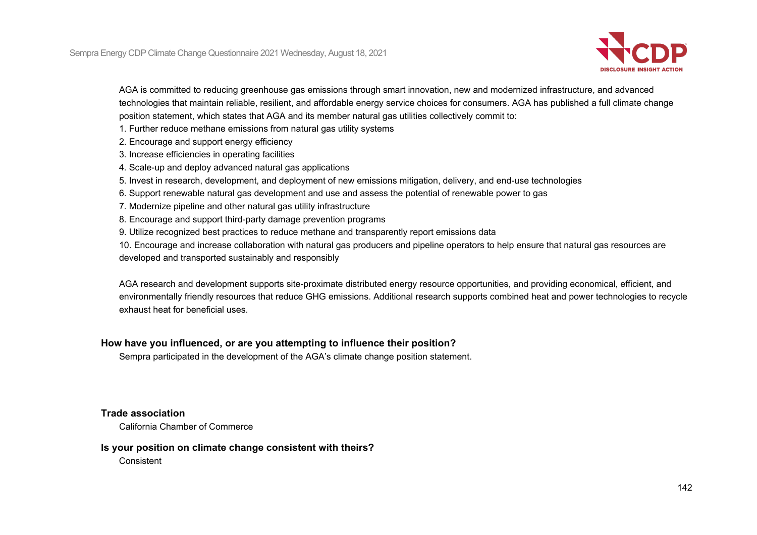

AGA is committed to reducing greenhouse gas emissions through smart innovation, new and modernized infrastructure, and advanced technologies that maintain reliable, resilient, and affordable energy service choices for consumers. AGA has published a full climate change position statement, which states that AGA and its member natural gas utilities collectively commit to:

- 1. Further reduce methane emissions from natural gas utility systems
- 2. Encourage and support energy efficiency
- 3. Increase efficiencies in operating facilities
- 4. Scale-up and deploy advanced natural gas applications
- 5. Invest in research, development, and deployment of new emissions mitigation, delivery, and end-use technologies
- 6. Support renewable natural gas development and use and assess the potential of renewable power to gas
- 7. Modernize pipeline and other natural gas utility infrastructure
- 8. Encourage and support third-party damage prevention programs
- 9. Utilize recognized best practices to reduce methane and transparently report emissions data

10. Encourage and increase collaboration with natural gas producers and pipeline operators to help ensure that natural gas resources are developed and transported sustainably and responsibly

AGA research and development supports site-proximate distributed energy resource opportunities, and providing economical, efficient, and environmentally friendly resources that reduce GHG emissions. Additional research supports combined heat and power technologies to recycle exhaust heat for beneficial uses.

#### **How have you influenced, or are you attempting to influence their position?**

Sempra participated in the development of the AGA's climate change position statement.

#### **Trade association**

California Chamber of Commerce

#### **Is your position on climate change consistent with theirs?**

**Consistent**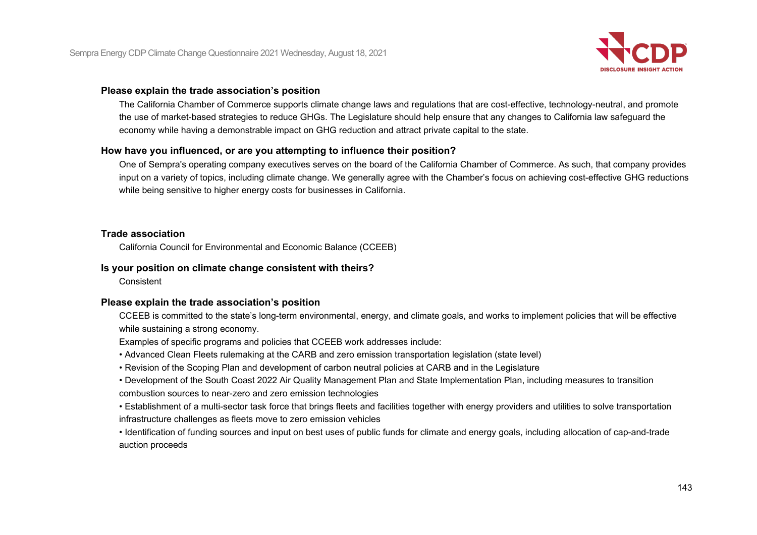

#### **Please explain the trade association's position**

The California Chamber of Commerce supports climate change laws and regulations that are cost-effective, technology-neutral, and promote the use of market-based strategies to reduce GHGs. The Legislature should help ensure that any changes to California law safeguard the economy while having a demonstrable impact on GHG reduction and attract private capital to the state.

#### **How have you influenced, or are you attempting to influence their position?**

One of Sempra's operating company executives serves on the board of the California Chamber of Commerce. As such, that company provides input on a variety of topics, including climate change. We generally agree with the Chamber's focus on achieving cost-effective GHG reductions while being sensitive to higher energy costs for businesses in California.

#### **Trade association**

California Council for Environmental and Economic Balance (CCEEB)

#### **Is your position on climate change consistent with theirs?**

**Consistent** 

#### **Please explain the trade association's position**

CCEEB is committed to the state's long-term environmental, energy, and climate goals, and works to implement policies that will be effective while sustaining a strong economy.

Examples of specific programs and policies that CCEEB work addresses include:

- Advanced Clean Fleets rulemaking at the CARB and zero emission transportation legislation (state level)
- Revision of the Scoping Plan and development of carbon neutral policies at CARB and in the Legislature
- Development of the South Coast 2022 Air Quality Management Plan and State Implementation Plan, including measures to transition combustion sources to near-zero and zero emission technologies
- Establishment of a multi-sector task force that brings fleets and facilities together with energy providers and utilities to solve transportation infrastructure challenges as fleets move to zero emission vehicles
- Identification of funding sources and input on best uses of public funds for climate and energy goals, including allocation of cap-and-trade auction proceeds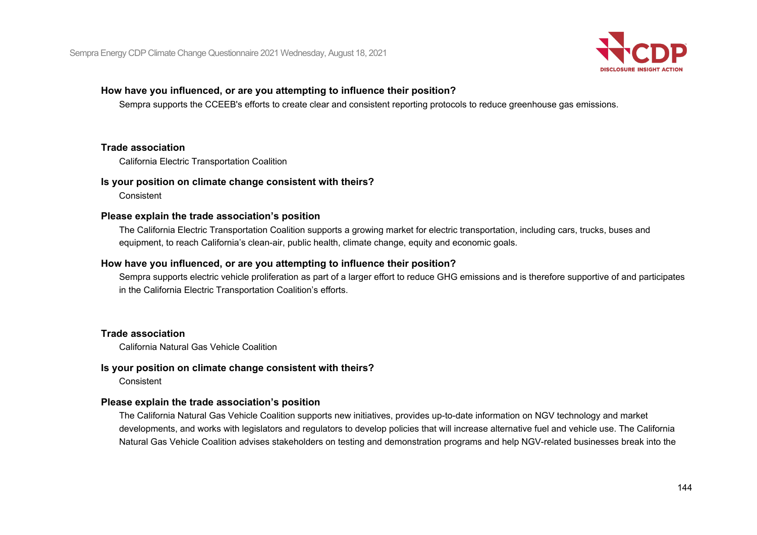

### **How have you influenced, or are you attempting to influence their position?**

Sempra supports the CCEEB's efforts to create clear and consistent reporting protocols to reduce greenhouse gas emissions.

#### **Trade association**

California Electric Transportation Coalition

#### **Is your position on climate change consistent with theirs?**

**Consistent** 

#### **Please explain the trade association's position**

The California Electric Transportation Coalition supports a growing market for electric transportation, including cars, trucks, buses and equipment, to reach California's clean-air, public health, climate change, equity and economic goals.

#### **How have you influenced, or are you attempting to influence their position?**

Sempra supports electric vehicle proliferation as part of a larger effort to reduce GHG emissions and is therefore supportive of and participates in the California Electric Transportation Coalition's efforts.

#### **Trade association**

California Natural Gas Vehicle Coalition

#### **Is your position on climate change consistent with theirs?**

**Consistent** 

#### **Please explain the trade association's position**

The California Natural Gas Vehicle Coalition supports new initiatives, provides up-to-date information on NGV technology and market developments, and works with legislators and regulators to develop policies that will increase alternative fuel and vehicle use. The California Natural Gas Vehicle Coalition advises stakeholders on testing and demonstration programs and help NGV-related businesses break into the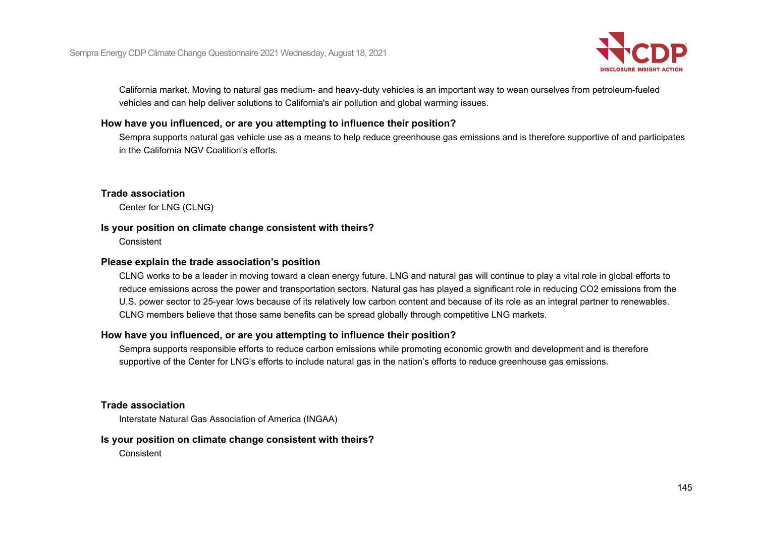

California market. Moving to natural gas medium- and heavy-duty vehicles is an important way to wean ourselves from petroleum-fueled vehicles and can help deliver solutions to California's air pollution and global warming issues.

#### **How have you influenced, or are you attempting to influence their position?**

Sempra supports natural gas vehicle use as a means to help reduce greenhouse gas emissions and is therefore supportive of and participates in the California NGV Coalition's efforts.

#### **Trade association**

Center for LNG (CLNG)

#### **Is your position on climate change consistent with theirs?**

**Consistent** 

#### **Please explain the trade association's position**

CLNG works to be a leader in moving toward a clean energy future. LNG and natural gas will continue to play a vital role in global efforts to reduce emissions across the power and transportation sectors. Natural gas has played a significant role in reducing CO2 emissions from the U.S. power sector to 25-year lows because of its relatively low carbon content and because of its role as an integral partner to renewables. CLNG members believe that those same benefits can be spread globally through competitive LNG markets.

#### **How have you influenced, or are you attempting to influence their position?**

Sempra supports responsible efforts to reduce carbon emissions while promoting economic growth and development and is therefore supportive of the Center for LNG's efforts to include natural gas in the nation's efforts to reduce greenhouse gas emissions.

#### **Trade association**

Interstate Natural Gas Association of America (INGAA)

#### **Is your position on climate change consistent with theirs?**

Consistent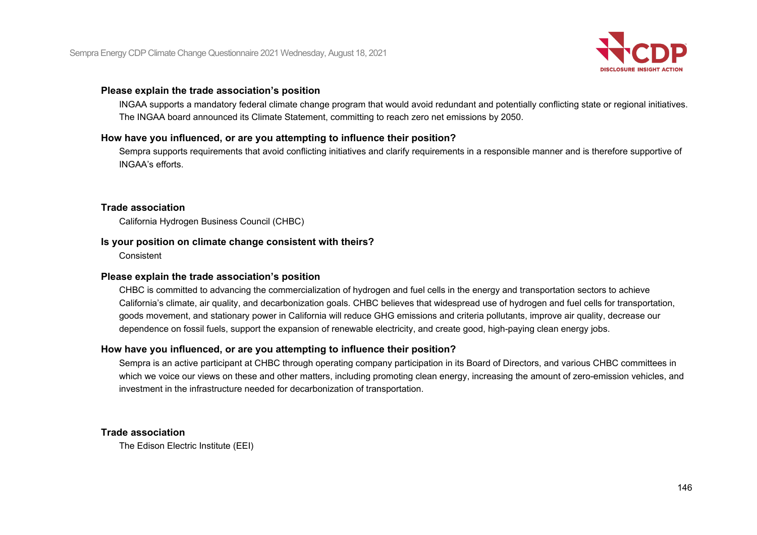

#### **Please explain the trade association's position**

INGAA supports a mandatory federal climate change program that would avoid redundant and potentially conflicting state or regional initiatives. The INGAA board announced its Climate Statement, committing to reach zero net emissions by 2050.

#### **How have you influenced, or are you attempting to influence their position?**

Sempra supports requirements that avoid conflicting initiatives and clarify requirements in a responsible manner and is therefore supportive of INGAA's efforts.

#### **Trade association**

California Hydrogen Business Council (CHBC)

#### **Is your position on climate change consistent with theirs?**

Consistent

#### **Please explain the trade association's position**

CHBC is committed to advancing the commercialization of hydrogen and fuel cells in the energy and transportation sectors to achieve California's climate, air quality, and decarbonization goals. CHBC believes that widespread use of hydrogen and fuel cells for transportation, goods movement, and stationary power in California will reduce GHG emissions and criteria pollutants, improve air quality, decrease our dependence on fossil fuels, support the expansion of renewable electricity, and create good, high-paying clean energy jobs.

#### **How have you influenced, or are you attempting to influence their position?**

Sempra is an active participant at CHBC through operating company participation in its Board of Directors, and various CHBC committees in which we voice our views on these and other matters, including promoting clean energy, increasing the amount of zero-emission vehicles, and investment in the infrastructure needed for decarbonization of transportation.

#### **Trade association**

The Edison Electric Institute (EEI)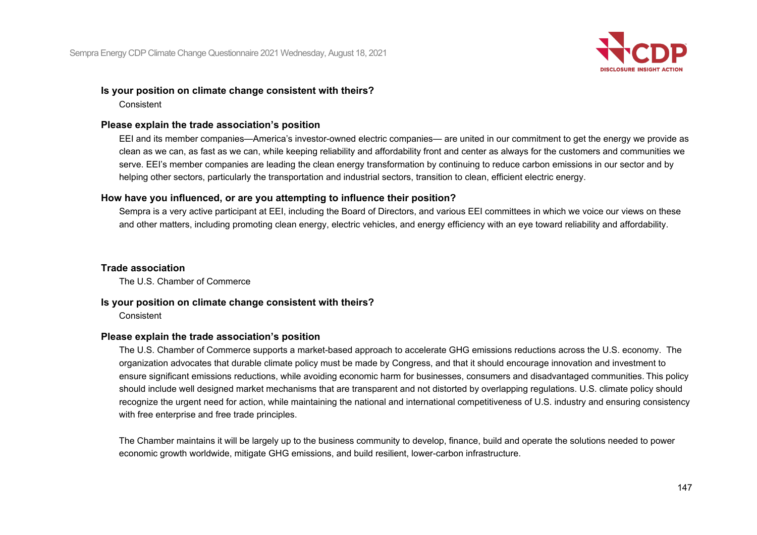

#### **Is your position on climate change consistent with theirs?**

**Consistent** 

#### **Please explain the trade association's position**

EEI and its member companies—America's investor-owned electric companies— are united in our commitment to get the energy we provide as clean as we can, as fast as we can, while keeping reliability and affordability front and center as always for the customers and communities we serve. EEI's member companies are leading the clean energy transformation by continuing to reduce carbon emissions in our sector and by helping other sectors, particularly the transportation and industrial sectors, transition to clean, efficient electric energy.

#### **How have you influenced, or are you attempting to influence their position?**

Sempra is a very active participant at EEI, including the Board of Directors, and various EEI committees in which we voice our views on these and other matters, including promoting clean energy, electric vehicles, and energy efficiency with an eye toward reliability and affordability.

#### **Trade association**

The U.S. Chamber of Commerce

#### **Is your position on climate change consistent with theirs?**

**Consistent** 

#### **Please explain the trade association's position**

The U.S. Chamber of Commerce supports a market-based approach to accelerate GHG emissions reductions across the U.S. economy. The organization advocates that durable climate policy must be made by Congress, and that it should encourage innovation and investment to ensure significant emissions reductions, while avoiding economic harm for businesses, consumers and disadvantaged communities. This policy should include well designed market mechanisms that are transparent and not distorted by overlapping regulations. U.S. climate policy should recognize the urgent need for action, while maintaining the national and international competitiveness of U.S. industry and ensuring consistency with free enterprise and free trade principles.

The Chamber maintains it will be largely up to the business community to develop, finance, build and operate the solutions needed to power economic growth worldwide, mitigate GHG emissions, and build resilient, lower-carbon infrastructure.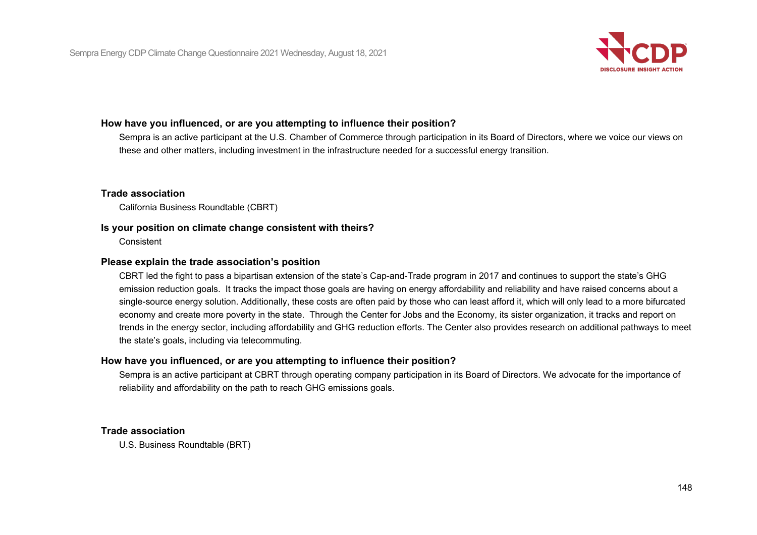

#### **How have you influenced, or are you attempting to influence their position?**

Sempra is an active participant at the U.S. Chamber of Commerce through participation in its Board of Directors, where we voice our views on these and other matters, including investment in the infrastructure needed for a successful energy transition.

#### **Trade association**

California Business Roundtable (CBRT)

#### **Is your position on climate change consistent with theirs?**

**Consistent** 

#### **Please explain the trade association's position**

CBRT led the fight to pass a bipartisan extension of the state's Cap-and-Trade program in 2017 and continues to support the state's GHG emission reduction goals. It tracks the impact those goals are having on energy affordability and reliability and have raised concerns about a single-source energy solution. Additionally, these costs are often paid by those who can least afford it, which will only lead to a more bifurcated economy and create more poverty in the state. Through the Center for Jobs and the Economy, its sister organization, it tracks and report on trends in the energy sector, including affordability and GHG reduction efforts. The Center also provides research on additional pathways to meet the state's goals, including via telecommuting.

#### **How have you influenced, or are you attempting to influence their position?**

Sempra is an active participant at CBRT through operating company participation in its Board of Directors. We advocate for the importance of reliability and affordability on the path to reach GHG emissions goals.

#### **Trade association**

U.S. Business Roundtable (BRT)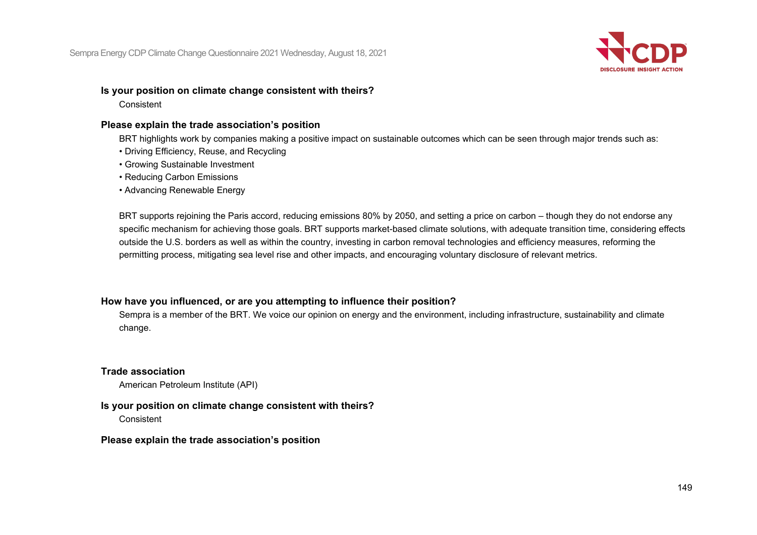

#### **Is your position on climate change consistent with theirs?**

**Consistent** 

#### **Please explain the trade association's position**

BRT highlights work by companies making a positive impact on sustainable outcomes which can be seen through major trends such as:

- Driving Efficiency, Reuse, and Recycling
- Growing Sustainable Investment
- Reducing Carbon Emissions
- Advancing Renewable Energy

BRT supports rejoining the Paris accord, reducing emissions 80% by 2050, and setting a price on carbon – though they do not endorse any specific mechanism for achieving those goals. BRT supports market-based climate solutions, with adequate transition time, considering effects outside the U.S. borders as well as within the country, investing in carbon removal technologies and efficiency measures, reforming the permitting process, mitigating sea level rise and other impacts, and encouraging voluntary disclosure of relevant metrics.

#### **How have you influenced, or are you attempting to influence their position?**

Sempra is a member of the BRT. We voice our opinion on energy and the environment, including infrastructure, sustainability and climate change.

#### **Trade association**

American Petroleum Institute (API)

#### **Is your position on climate change consistent with theirs?**

**Consistent** 

#### **Please explain the trade association's position**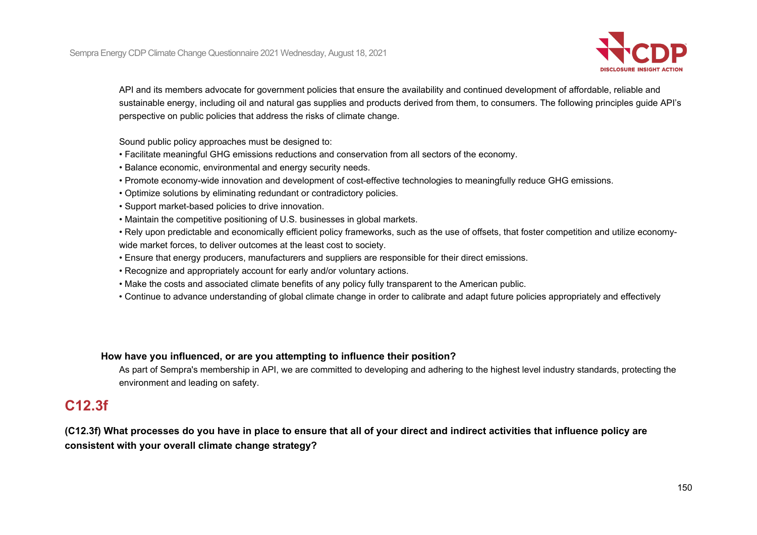

API and its members advocate for government policies that ensure the availability and continued development of affordable, reliable and sustainable energy, including oil and natural gas supplies and products derived from them, to consumers. The following principles guide API's perspective on public policies that address the risks of climate change.

Sound public policy approaches must be designed to:

- Facilitate meaningful GHG emissions reductions and conservation from all sectors of the economy.
- Balance economic, environmental and energy security needs.
- Promote economy-wide innovation and development of cost-effective technologies to meaningfully reduce GHG emissions.
- Optimize solutions by eliminating redundant or contradictory policies.
- Support market-based policies to drive innovation.
- Maintain the competitive positioning of U.S. businesses in global markets.
- Rely upon predictable and economically efficient policy frameworks, such as the use of offsets, that foster competition and utilize economywide market forces, to deliver outcomes at the least cost to society.
- Ensure that energy producers, manufacturers and suppliers are responsible for their direct emissions.
- Recognize and appropriately account for early and/or voluntary actions.
- Make the costs and associated climate benefits of any policy fully transparent to the American public.
- Continue to advance understanding of global climate change in order to calibrate and adapt future policies appropriately and effectively

#### **How have you influenced, or are you attempting to influence their position?**

As part of Sempra's membership in API, we are committed to developing and adhering to the highest level industry standards, protecting the environment and leading on safety.

# **C12.3f**

**(C12.3f) What processes do you have in place to ensure that all of your direct and indirect activities that influence policy are consistent with your overall climate change strategy?**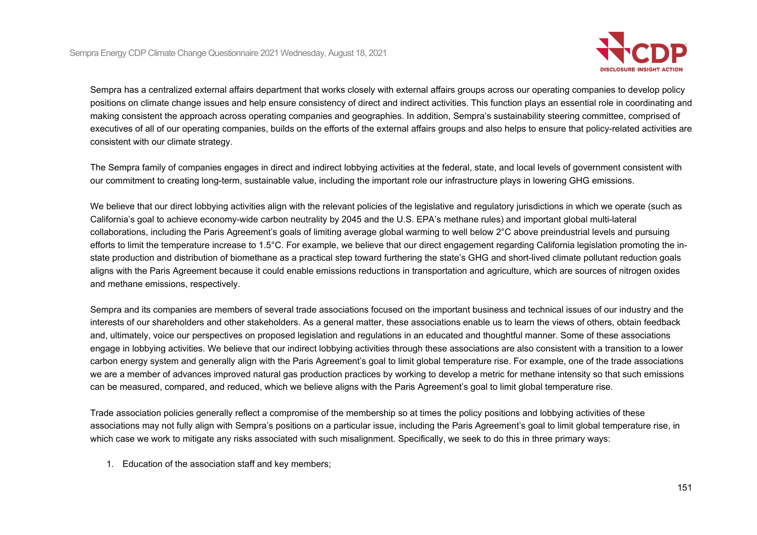

Sempra has a centralized external affairs department that works closely with external affairs groups across our operating companies to develop policy positions on climate change issues and help ensure consistency of direct and indirect activities. This function plays an essential role in coordinating and making consistent the approach across operating companies and geographies. In addition, Sempra's sustainability steering committee, comprised of executives of all of our operating companies, builds on the efforts of the external affairs groups and also helps to ensure that policy-related activities are consistent with our climate strategy.

The Sempra family of companies engages in direct and indirect lobbying activities at the federal, state, and local levels of government consistent with our commitment to creating long-term, sustainable value, including the important role our infrastructure plays in lowering GHG emissions.

We believe that our direct lobbying activities align with the relevant policies of the legislative and regulatory jurisdictions in which we operate (such as California's goal to achieve economy-wide carbon neutrality by 2045 and the U.S. EPA's methane rules) and important global multi-lateral collaborations, including the Paris Agreement's goals of limiting average global warming to well below 2°C above preindustrial levels and pursuing efforts to limit the temperature increase to 1.5°C. For example, we believe that our direct engagement regarding California legislation promoting the instate production and distribution of biomethane as a practical step toward furthering the state's GHG and short-lived climate pollutant reduction goals aligns with the Paris Agreement because it could enable emissions reductions in transportation and agriculture, which are sources of nitrogen oxides and methane emissions, respectively.

Sempra and its companies are members of several trade associations focused on the important business and technical issues of our industry and the interests of our shareholders and other stakeholders. As a general matter, these associations enable us to learn the views of others, obtain feedback and, ultimately, voice our perspectives on proposed legislation and regulations in an educated and thoughtful manner. Some of these associations engage in lobbying activities. We believe that our indirect lobbying activities through these associations are also consistent with a transition to a lower carbon energy system and generally align with the Paris Agreement's goal to limit global temperature rise. For example, one of the trade associations we are a member of advances improved natural gas production practices by working to develop a metric for methane intensity so that such emissions can be measured, compared, and reduced, which we believe aligns with the Paris Agreement's goal to limit global temperature rise.

Trade association policies generally reflect a compromise of the membership so at times the policy positions and lobbying activities of these associations may not fully align with Sempra's positions on a particular issue, including the Paris Agreement's goal to limit global temperature rise, in which case we work to mitigate any risks associated with such misalignment. Specifically, we seek to do this in three primary ways:

1. Education of the association staff and key members;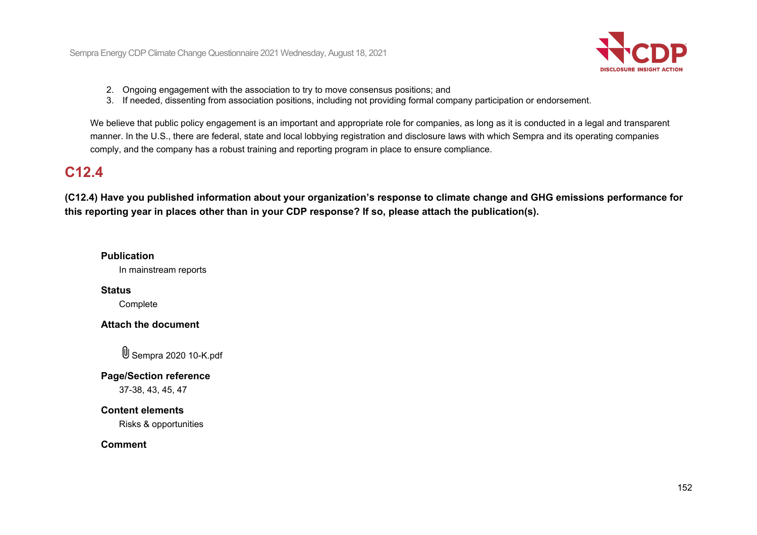

- 2. Ongoing engagement with the association to try to move consensus positions; and
- 3. If needed, dissenting from association positions, including not providing formal company participation or endorsement.

We believe that public policy engagement is an important and appropriate role for companies, as long as it is conducted in a legal and transparent manner. In the U.S., there are federal, state and local lobbying registration and disclosure laws with which Sempra and its operating companies comply, and the company has a robust training and reporting program in place to ensure compliance.

# **C12.4**

**(C12.4) Have you published information about your organization's response to climate change and GHG emissions performance for this reporting year in places other than in your CDP response? If so, please attach the publication(s).**

#### **Publication**

In mainstream reports

#### **Status**

**Complete** 

#### **Attach the document**

 $\mathbb{\textcircled{b}}$  Sempra 2020 10-K.pdf

## **Page/Section reference** 37-38, 43, 45, 47

#### **Content elements**

Risks & opportunities

#### **Comment**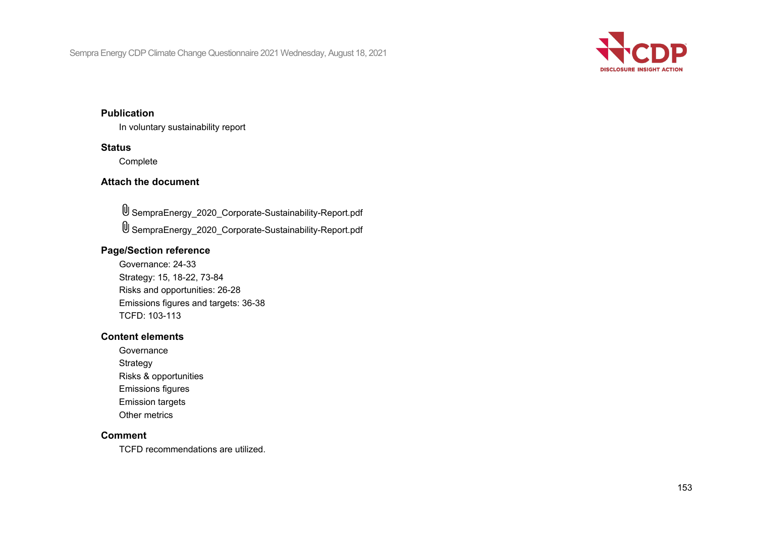

#### **Publication**

In voluntary sustainability report

#### **Status**

Complete

#### **Attach the document**

SempraEnergy\_2020\_Corporate-Sustainability-Report.pdf SempraEnergy\_2020\_Corporate-Sustainability-Report.pdf

## **Page/Section reference**

Governance: 24-33 Strategy: 15, 18-22, 73-84 Risks and opportunities: 26-28 Emissions figures and targets: 36-38 TCFD: 103-113

#### **Content elements**

**Governance** Strategy Risks & opportunities Emissions figures Emission targets

Other metrics

#### **Comment**

TCFD recommendations are utilized.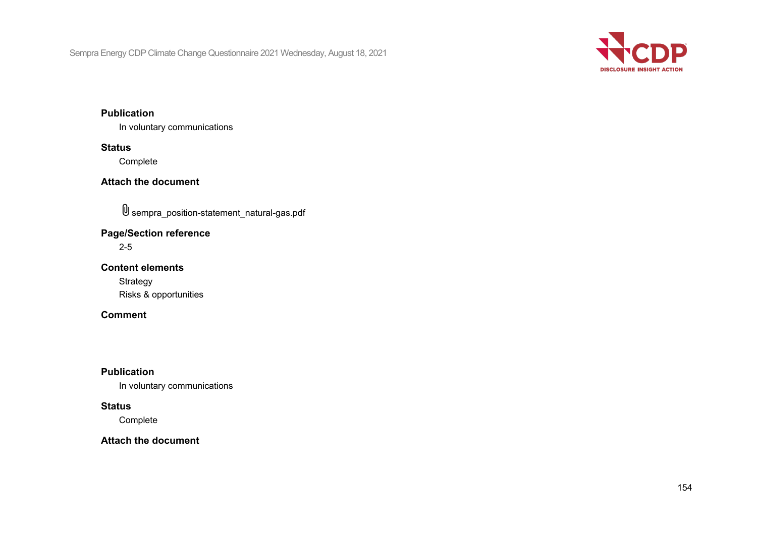

#### **Publication**

In voluntary communications

#### **Status**

Complete

### **Attach the document**

sempra\_position-statement\_natural-gas.pdf

## **Page/Section reference**

2-5

## **Content elements**

Strategy Risks & opportunities

## **Comment**

## **Publication**

In voluntary communications

#### **Status**

Complete

## **Attach the document**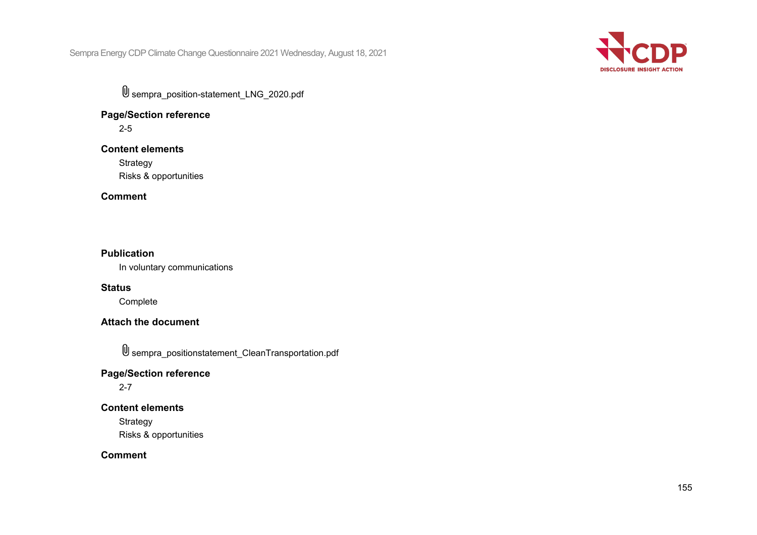Sempra Energy CDP Climate Change Questionnaire 2021 Wednesday, August 18, 2021



sempra\_position-statement\_LNG\_2020.pdf

#### **Page/Section reference**

2-5

#### **Content elements**

Strategy Risks & opportunities

#### **Comment**

### **Publication**

In voluntary communications

#### **Status**

Complete

## **Attach the document**

 $\textcircled{\textsc{I}}$ sempra\_positionstatement\_CleanTransportation.pdf

## **Page/Section reference**

2-7

#### **Content elements**

Strategy Risks & opportunities

#### **Comment**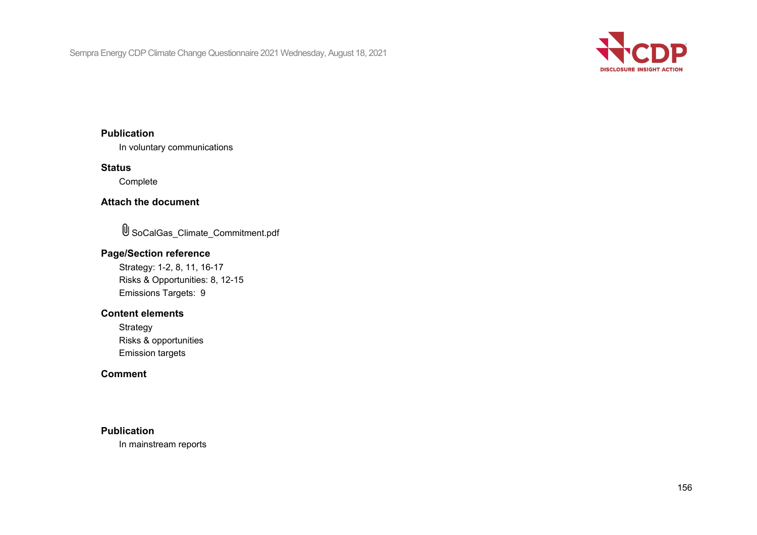

#### **Publication**

In voluntary communications

#### **Status**

Complete

### **Attach the document**

 $\mathbb{\textcircled{b}}$ SoCalGas\_Climate\_Commitment.pdf

#### **Page/Section reference**

Strategy: 1-2, 8, 11, 16-17 Risks & Opportunities: 8, 12-15 Emissions Targets: 9

#### **Content elements**

Strategy Risks & opportunities Emission targets

#### **Comment**

## **Publication**

In mainstream reports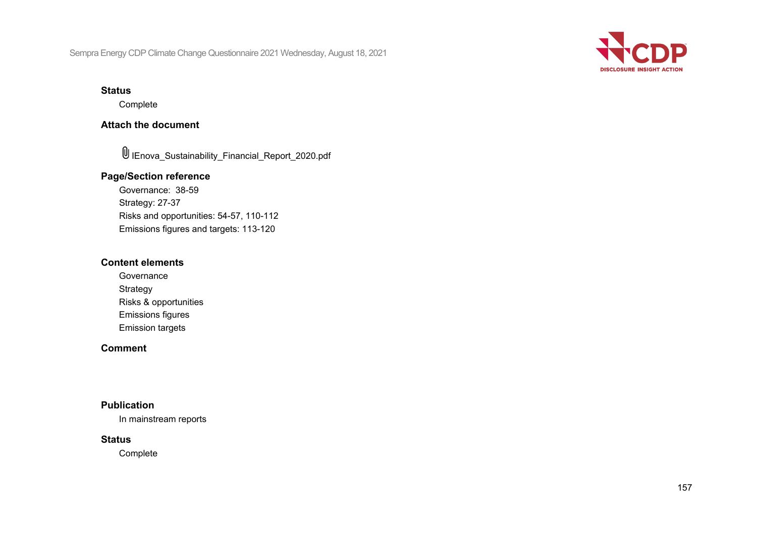Sempra Energy CDP Climate Change Questionnaire 2021 Wednesday, August 18, 2021



#### **Status**

Complete

### **Attach the document**

 $\textcircled{\textsf{I}}$  IEnova\_Sustainability\_Financial\_Report\_2020.pdf

#### **Page/Section reference**

Governance: 38-59 Strategy: 27-37 Risks and opportunities: 54-57, 110-112 Emissions figures and targets: 113-120

#### **Content elements**

Governance Strategy Risks & opportunities Emissions figures Emission targets

### **Comment**

#### **Publication**

In mainstream reports

#### **Status**

Complete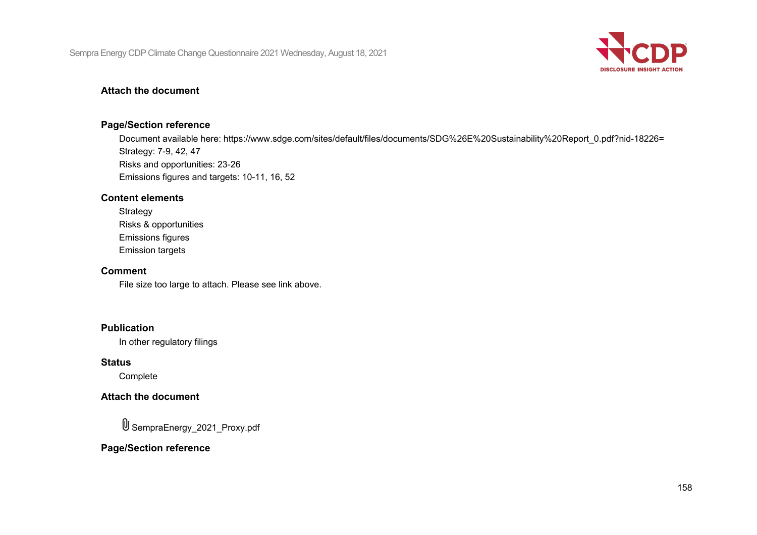

#### **Attach the document**

#### **Page/Section reference**

Document available here: https://www.sdge.com/sites/default/files/documents/SDG%26E%20Sustainability%20Report\_0.pdf?nid-18226= Strategy: 7-9, 42, 47 Risks and opportunities: 23-26 Emissions figures and targets: 10-11, 16, 52

#### **Content elements**

Strategy Risks & opportunities Emissions figures Emission targets

#### **Comment**

File size too large to attach. Please see link above.

#### **Publication**

In other regulatory filings

#### **Status**

Complete

#### **Attach the document**

SempraEnergy\_2021\_Proxy.pdf

#### **Page/Section reference**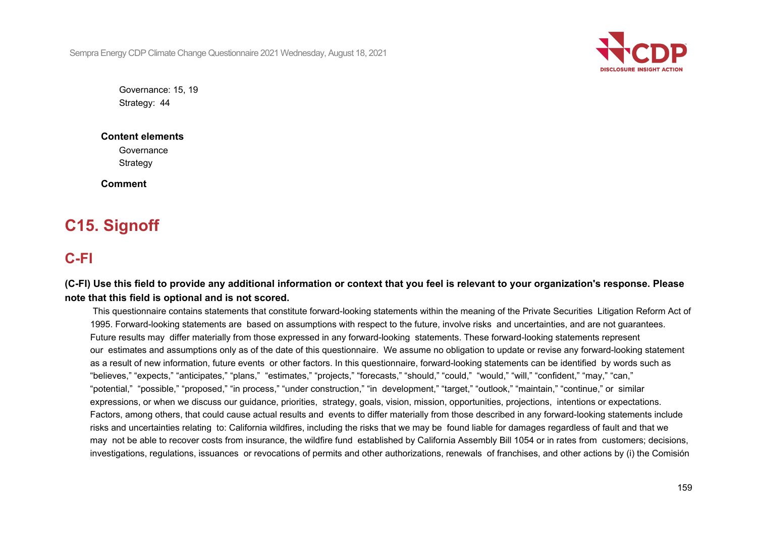Sempra Energy CDP Climate Change Questionnaire 2021 Wednesday, August 18, 2021



Governance: 15, 19 Strategy: 44

### **Content elements Governance Strategy**

**Comment**

# **C15. Signoff**

# **C-FI**

### **(C-FI) Use this field to provide any additional information or context that you feel is relevant to your organization's response. Please note that this field is optional and is not scored.**

This questionnaire contains statements that constitute forward-looking statements within the meaning of the Private Securities Litigation Reform Act of 1995. Forward-looking statements are based on assumptions with respect to the future, involve risks and uncertainties, and are not guarantees. Future results may differ materially from those expressed in any forward-looking statements. These forward-looking statements represent our estimates and assumptions only as of the date of this questionnaire. We assume no obligation to update or revise any forward-looking statement as a result of new information, future events or other factors. In this questionnaire, forward-looking statements can be identified by words such as "believes," "expects," "anticipates," "plans," "estimates," "projects," "forecasts," "should," "could," "would," "will," "confident," "may," "can," "potential," "possible," "proposed," "in process," "under construction," "in development," "target," "outlook," "maintain," "continue," or similar expressions, or when we discuss our guidance, priorities, strategy, goals, vision, mission, opportunities, projections, intentions or expectations. Factors, among others, that could cause actual results and events to differ materially from those described in any forward-looking statements include risks and uncertainties relating to: California wildfires, including the risks that we may be found liable for damages regardless of fault and that we may not be able to recover costs from insurance, the wildfire fund established by California Assembly Bill 1054 or in rates from customers; decisions, investigations, regulations, issuances or revocations of permits and other authorizations, renewals of franchises, and other actions by (i) the Comisión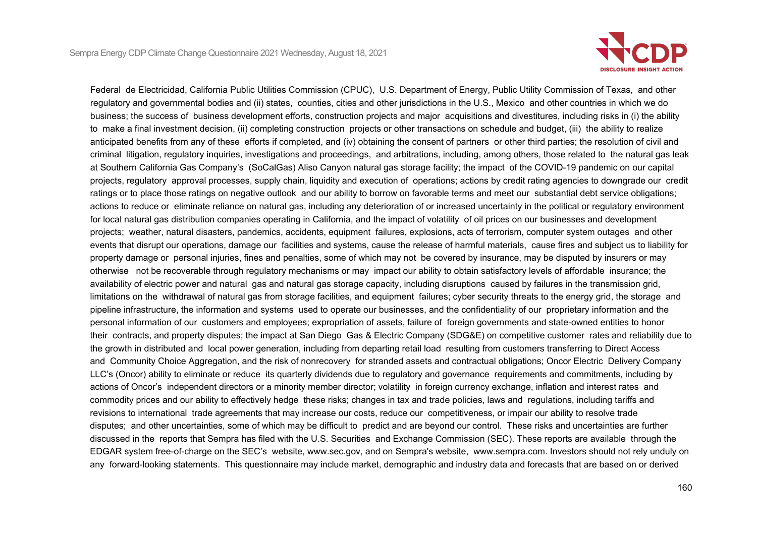

Federal de Electricidad, California Public Utilities Commission (CPUC), U.S. Department of Energy, Public Utility Commission of Texas, and other regulatory and governmental bodies and (ii) states, counties, cities and other jurisdictions in the U.S., Mexico and other countries in which we do business; the success of business development efforts, construction projects and major acquisitions and divestitures, including risks in (i) the ability to make a final investment decision, (ii) completing construction projects or other transactions on schedule and budget, (iii) the ability to realize anticipated benefits from any of these efforts if completed, and (iv) obtaining the consent of partners or other third parties; the resolution of civil and criminal litigation, regulatory inquiries, investigations and proceedings, and arbitrations, including, among others, those related to the natural gas leak at Southern California Gas Company's (SoCalGas) Aliso Canyon natural gas storage facility; the impact of the COVID-19 pandemic on our capital projects, regulatory approval processes, supply chain, liquidity and execution of operations; actions by credit rating agencies to downgrade our credit ratings or to place those ratings on negative outlook and our ability to borrow on favorable terms and meet our substantial debt service obligations; actions to reduce or eliminate reliance on natural gas, including any deterioration of or increased uncertainty in the political or regulatory environment for local natural gas distribution companies operating in California, and the impact of volatility of oil prices on our businesses and development projects; weather, natural disasters, pandemics, accidents, equipment failures, explosions, acts of terrorism, computer system outages and other events that disrupt our operations, damage our facilities and systems, cause the release of harmful materials, cause fires and subject us to liability for property damage or personal injuries, fines and penalties, some of which may not be covered by insurance, may be disputed by insurers or may otherwise not be recoverable through regulatory mechanisms or may impact our ability to obtain satisfactory levels of affordable insurance; the availability of electric power and natural gas and natural gas storage capacity, including disruptions caused by failures in the transmission grid, limitations on the withdrawal of natural gas from storage facilities, and equipment failures; cyber security threats to the energy grid, the storage and pipeline infrastructure, the information and systems used to operate our businesses, and the confidentiality of our proprietary information and the personal information of our customers and employees; expropriation of assets, failure of foreign governments and state-owned entities to honor their contracts, and property disputes; the impact at San Diego Gas & Electric Company (SDG&E) on competitive customer rates and reliability due to the growth in distributed and local power generation, including from departing retail load resulting from customers transferring to Direct Access and Community Choice Aggregation, and the risk of nonrecovery for stranded assets and contractual obligations; Oncor Electric Delivery Company LLC's (Oncor) ability to eliminate or reduce its quarterly dividends due to regulatory and governance requirements and commitments, including by actions of Oncor's independent directors or a minority member director; volatility in foreign currency exchange, inflation and interest rates and commodity prices and our ability to effectively hedge these risks; changes in tax and trade policies, laws and regulations, including tariffs and revisions to international trade agreements that may increase our costs, reduce our competitiveness, or impair our ability to resolve trade disputes; and other uncertainties, some of which may be difficult to predict and are beyond our control. These risks and uncertainties are further discussed in the reports that Sempra has filed with the U.S. Securities and Exchange Commission (SEC). These reports are available through the EDGAR system free-of-charge on the SEC's website, www.sec.gov, and on Sempra's website, www.sempra.com. Investors should not rely unduly on any forward-looking statements. This questionnaire may include market, demographic and industry data and forecasts that are based on or derived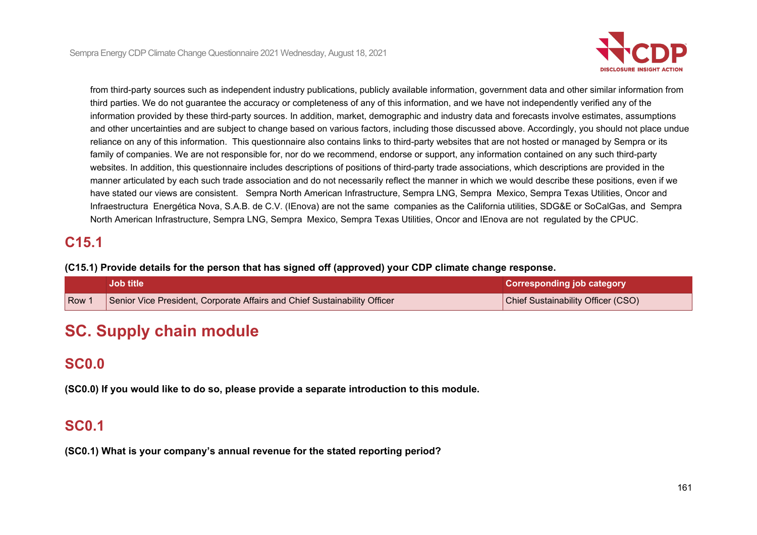

from third-party sources such as independent industry publications, publicly available information, government data and other similar information from third parties. We do not guarantee the accuracy or completeness of any of this information, and we have not independently verified any of the information provided by these third-party sources. In addition, market, demographic and industry data and forecasts involve estimates, assumptions and other uncertainties and are subject to change based on various factors, including those discussed above. Accordingly, you should not place undue reliance on any of this information. This questionnaire also contains links to third-party websites that are not hosted or managed by Sempra or its family of companies. We are not responsible for, nor do we recommend, endorse or support, any information contained on any such third-party websites. In addition, this questionnaire includes descriptions of positions of third-party trade associations, which descriptions are provided in the manner articulated by each such trade association and do not necessarily reflect the manner in which we would describe these positions, even if we have stated our views are consistent. Sempra North American Infrastructure, Sempra LNG, Sempra Mexico, Sempra Texas Utilities, Oncor and Infraestructura Energética Nova, S.A.B. de C.V. (IEnova) are not the same companies as the California utilities, SDG&E or SoCalGas, and Sempra North American Infrastructure, Sempra LNG, Sempra Mexico, Sempra Texas Utilities, Oncor and IEnova are not regulated by the CPUC.

# **C15.1**

## **(C15.1) Provide details for the person that has signed off (approved) your CDP climate change response.**

|     | Job title                                                                 | <b>Corresponding job category</b>  |
|-----|---------------------------------------------------------------------------|------------------------------------|
| Row | Senior Vice President, Corporate Affairs and Chief Sustainability Officer | Chief Sustainability Officer (CSO) |

# **SC. Supply chain module**

# **SC0.0**

**(SC0.0) If you would like to do so, please provide a separate introduction to this module.**

# **SC0.1**

**(SC0.1) What is your company's annual revenue for the stated reporting period?**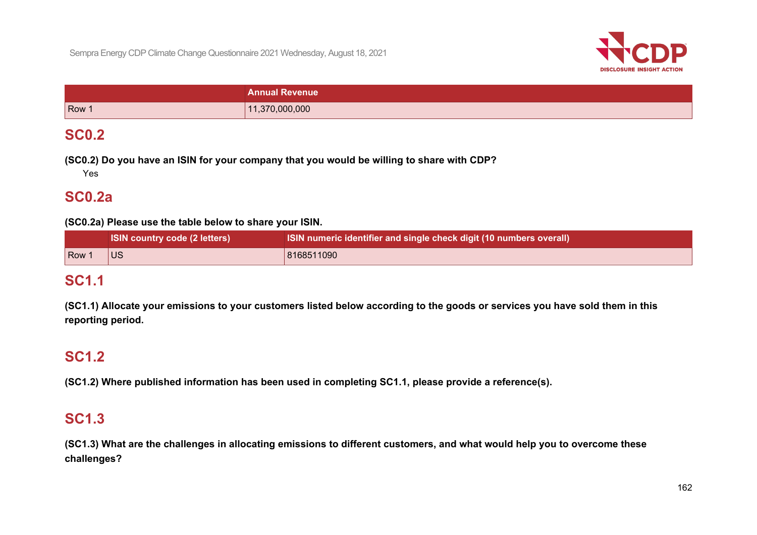

|       | <b>Annual Revenue</b> |
|-------|-----------------------|
| Row 1 | 11,370,000,000        |

# **SC0.2**

**(SC0.2) Do you have an ISIN for your company that you would be willing to share with CDP?** Yes

# **SC0.2a**

#### **(SC0.2a) Please use the table below to share your ISIN.**

|       | <b>ISIN country code (2 letters)</b> | <b>ISIN numeric identifier and single check digit (10 numbers overall)</b> |
|-------|--------------------------------------|----------------------------------------------------------------------------|
| Row 1 | <b>NUS</b>                           | 8168511090                                                                 |

# **SC1.1**

**(SC1.1) Allocate your emissions to your customers listed below according to the goods or services you have sold them in this reporting period.**

# **SC1.2**

**(SC1.2) Where published information has been used in completing SC1.1, please provide a reference(s).**

# **SC1.3**

**(SC1.3) What are the challenges in allocating emissions to different customers, and what would help you to overcome these challenges?**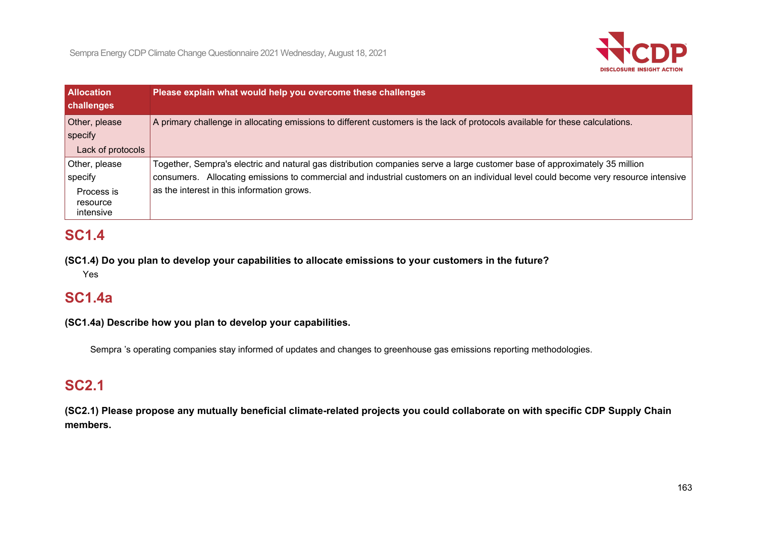

| <b>Allocation</b><br>challenges                                 | Please explain what would help you overcome these challenges                                                                                                                                                                                                                                                      |
|-----------------------------------------------------------------|-------------------------------------------------------------------------------------------------------------------------------------------------------------------------------------------------------------------------------------------------------------------------------------------------------------------|
| Other, please<br>specify<br>Lack of protocols                   | A primary challenge in allocating emissions to different customers is the lack of protocols available for these calculations.                                                                                                                                                                                     |
| Other, please<br>specify<br>Process is<br>resource<br>intensive | Together, Sempra's electric and natural gas distribution companies serve a large customer base of approximately 35 million<br>Allocating emissions to commercial and industrial customers on an individual level could become very resource intensive<br>consumers.<br>as the interest in this information grows. |

# **SC1.4**

**(SC1.4) Do you plan to develop your capabilities to allocate emissions to your customers in the future?**

Yes

# **SC1.4a**

**(SC1.4a) Describe how you plan to develop your capabilities.**

Sempra 's operating companies stay informed of updates and changes to greenhouse gas emissions reporting methodologies.

# **SC2.1**

**(SC2.1) Please propose any mutually beneficial climate-related projects you could collaborate on with specific CDP Supply Chain members.**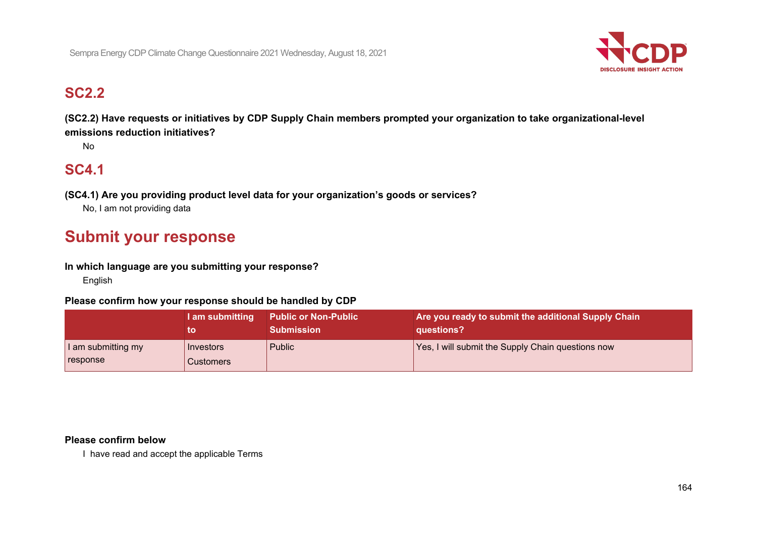

# **SC2.2**

**(SC2.2) Have requests or initiatives by CDP Supply Chain members prompted your organization to take organizational-level emissions reduction initiatives?**

No

# **SC4.1**

**(SC4.1) Are you providing product level data for your organization's goods or services?**

No, I am not providing data

# **Submit your response**

### **In which language are you submitting your response?**

English

### **Please confirm how your response should be handled by CDP**

|                                | I am submitting               | <b>Public or Non-Public</b> | Are you ready to submit the additional Supply Chain |
|--------------------------------|-------------------------------|-----------------------------|-----------------------------------------------------|
|                                | to                            | <b>Submission</b>           | questions?                                          |
| I am submitting my<br>response | Investors<br><b>Customers</b> | Public                      | Yes, I will submit the Supply Chain questions now   |

#### **Please confirm below**

I have read and accept the applicable Terms